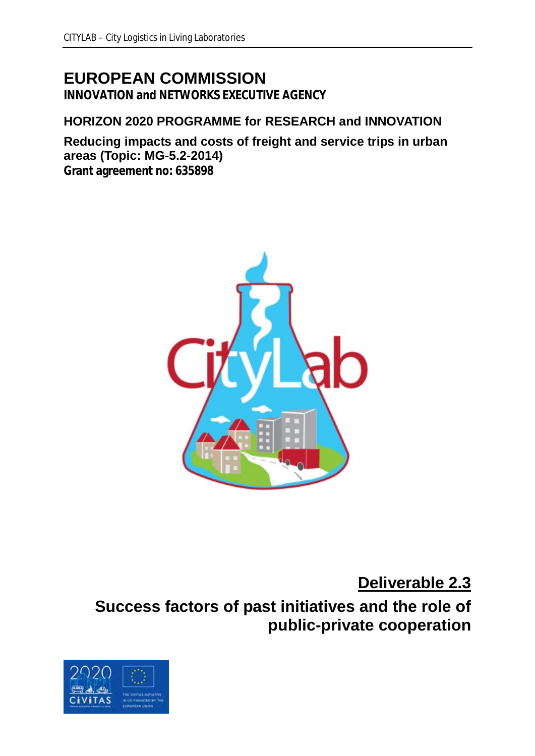# **EUROPEAN COMMISSION**

**INNOVATION and NETWORKS EXECUTIVE AGENCY**

## **HORIZON 2020 PROGRAMME for RESEARCH and INNOVATION**

**Reducing impacts and costs of freight and service trips in urban areas (Topic: MG-5.2-2014) Grant agreement no: 635898**



**Deliverable 2.3**

**Success factors of past initiatives and the role of public-private cooperation**

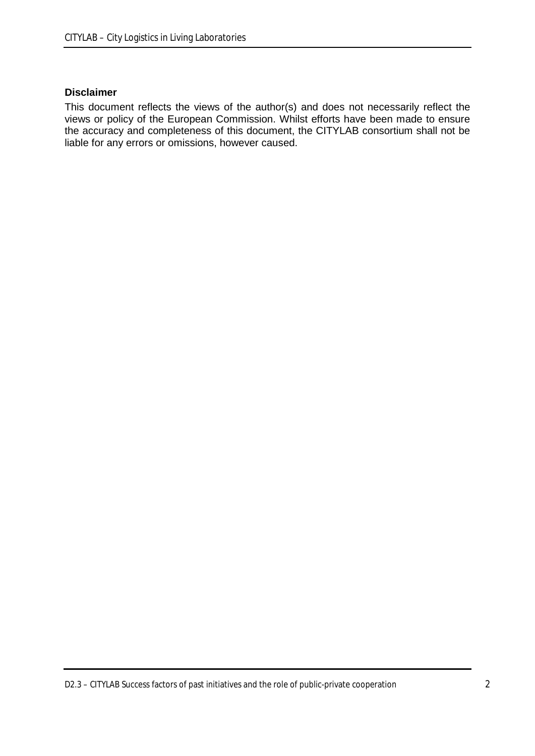#### **Disclaimer**

This document reflects the views of the author(s) and does not necessarily reflect the views or policy of the European Commission. Whilst efforts have been made to ensure the accuracy and completeness of this document, the CITYLAB consortium shall not be liable for any errors or omissions, however caused.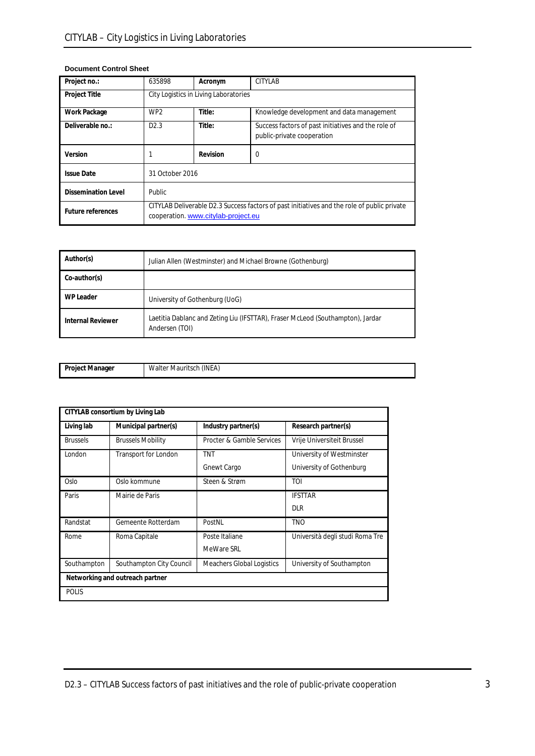| Project no.:               | 635898                                                                                                                             | Acronym  | CITYLAB                                                                           |
|----------------------------|------------------------------------------------------------------------------------------------------------------------------------|----------|-----------------------------------------------------------------------------------|
| <b>Project Title</b>       | City Logistics in Living Laboratories                                                                                              |          |                                                                                   |
| <b>Work Package</b>        | WP <sub>2</sub>                                                                                                                    | Title:   | Knowledge development and data management                                         |
| Deliverable no.:           | D2.3                                                                                                                               | Title:   | Success factors of past initiatives and the role of<br>public-private cooperation |
| Version                    |                                                                                                                                    | Revision | $\Omega$                                                                          |
| <b>Issue Date</b>          | 31 October 2016                                                                                                                    |          |                                                                                   |
| <b>Dissemination Level</b> | <b>Public</b>                                                                                                                      |          |                                                                                   |
| <b>Future references</b>   | CITYLAB Deliverable D2.3 Success factors of past initiatives and the role of public private<br>cooperation. www.citylab-project.eu |          |                                                                                   |

#### **Document Control Sheet**

| Author(s)                | Julian Allen (Westminster) and Michael Browne (Gothenburg)                                       |
|--------------------------|--------------------------------------------------------------------------------------------------|
| Co-author(s)             |                                                                                                  |
| <b>WP Leader</b>         | University of Gothenburg (UoG)                                                                   |
| <b>Internal Reviewer</b> | Laetitia Dablanc and Zeting Liu (IFSTTAR), Fraser McLeod (Southampton), Jardar<br>Andersen (TOI) |

| -<br>Project<br>. Manager | $\cdots$ $\cdots$<br>.<br>(INEA)<br>Mauritsch<br>.<br>Wa. |
|---------------------------|-----------------------------------------------------------|

|                 | CITYLAB consortium by Living Lab |                           |                                 |
|-----------------|----------------------------------|---------------------------|---------------------------------|
| Living lab      | Municipal partner(s)             | Industry partner(s)       | Research partner(s)             |
| <b>Brussels</b> | <b>Brussels Mobility</b>         | Procter & Gamble Services | Vrije Universiteit Brussel      |
| London          | Transport for London             | <b>TNT</b>                | University of Westminster       |
|                 |                                  | Gnewt Cargo               | University of Gothenburg        |
| Oslo            | Oslo kommune                     | Steen & Strøm             | <b>TOI</b>                      |
| Paris           | Mairie de Paris                  |                           | <b>IFSTTAR</b>                  |
|                 |                                  |                           | <b>DLR</b>                      |
| Randstat        | Gemeente Rotterdam               | PostNL                    | <b>TNO</b>                      |
| Rome            | Roma Capitale                    | Poste Italiane            | Università degli studi Roma Tre |
|                 |                                  | MeWare SRL                |                                 |
| Southampton     | Southampton City Council         | Meachers Global Logistics | University of Southampton       |
|                 | Networking and outreach partner  |                           |                                 |
| <b>POLIS</b>    |                                  |                           |                                 |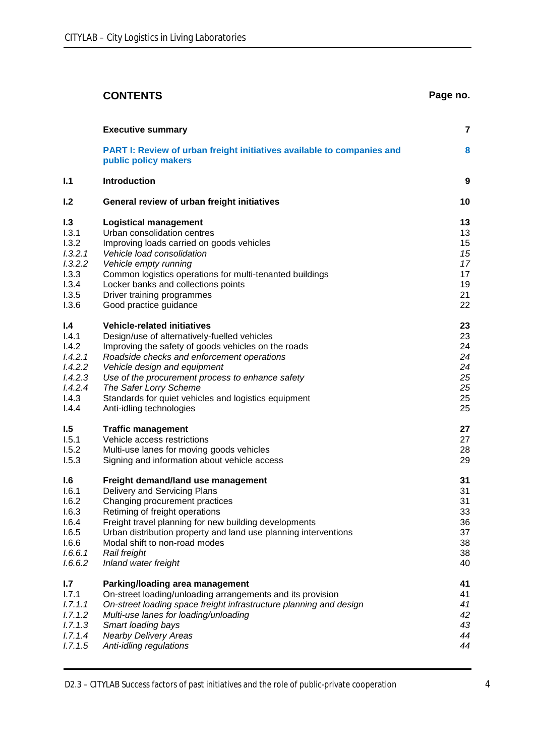|         | <b>CONTENTS</b>                                                                                | Page no. |
|---------|------------------------------------------------------------------------------------------------|----------|
|         | <b>Executive summary</b>                                                                       | 7        |
|         | PART I: Review of urban freight initiatives available to companies and<br>public policy makers | 8        |
| 1.1     | <b>Introduction</b>                                                                            | 9        |
| 1.2     | General review of urban freight initiatives                                                    | 10       |
| 1.3     | <b>Logistical management</b>                                                                   | 13       |
| 1.3.1   | Urban consolidation centres                                                                    | 13       |
| 1.3.2   | Improving loads carried on goods vehicles                                                      | 15       |
| 1.3.2.1 | Vehicle load consolidation                                                                     | 15       |
| 1.3.2.2 | Vehicle empty running                                                                          | 17       |
| 1.3.3   | Common logistics operations for multi-tenanted buildings                                       | 17       |
| 1.3.4   | Locker banks and collections points                                                            | 19       |
| 1.3.5   | Driver training programmes                                                                     | 21       |
| 1.3.6   | Good practice guidance                                                                         | 22       |
| 1.4     | <b>Vehicle-related initiatives</b>                                                             | 23       |
| 1.4.1   | Design/use of alternatively-fuelled vehicles                                                   | 23       |
| 1.4.2   | Improving the safety of goods vehicles on the roads                                            | 24       |
| 1.4.2.1 | Roadside checks and enforcement operations                                                     | 24       |
| 1.4.2.2 | Vehicle design and equipment                                                                   | 24       |
| 1.4.2.3 | Use of the procurement process to enhance safety                                               | 25       |
| 1.4.2.4 | The Safer Lorry Scheme                                                                         | 25       |
| 1.4.3   | Standards for quiet vehicles and logistics equipment                                           | 25       |
| 1.4.4   | Anti-idling technologies                                                                       | 25       |
| 1.5     | <b>Traffic management</b>                                                                      | 27       |
| 1.5.1   | Vehicle access restrictions                                                                    | 27       |
| 1.5.2   | Multi-use lanes for moving goods vehicles                                                      | 28       |
| 1.5.3   | Signing and information about vehicle access                                                   | 29       |
| 1.6     | Freight demand/land use management                                                             | 31       |
| 1.6.1   | Delivery and Servicing Plans                                                                   | 31       |
| 1.6.2   | Changing procurement practices                                                                 | 31       |
| 1.6.3   | Retiming of freight operations                                                                 | 33       |
| 1.6.4   | Freight travel planning for new building developments                                          | 36       |
| 1.6.5   | Urban distribution property and land use planning interventions                                | 37       |
| 1.6.6   | Modal shift to non-road modes                                                                  | 38       |
| 1.6.6.1 | Rail freight                                                                                   | 38       |
| 1.6.6.2 | Inland water freight                                                                           | 40       |
| 1.7     | Parking/loading area management                                                                | 41       |
| 1.7.1   | On-street loading/unloading arrangements and its provision                                     | 41       |
| 1.7.1.1 | On-street loading space freight infrastructure planning and design                             | 41       |
| 1.7.1.2 | Multi-use lanes for loading/unloading                                                          | 42       |
| 1.7.1.3 | Smart loading bays                                                                             | 43       |
| 1.7.1.4 | <b>Nearby Delivery Areas</b>                                                                   | 44       |
| 1.7.1.5 | Anti-idling regulations                                                                        | 44       |

D2.3 – CITYLAB Success factors of past initiatives and the role of public-private cooperation 4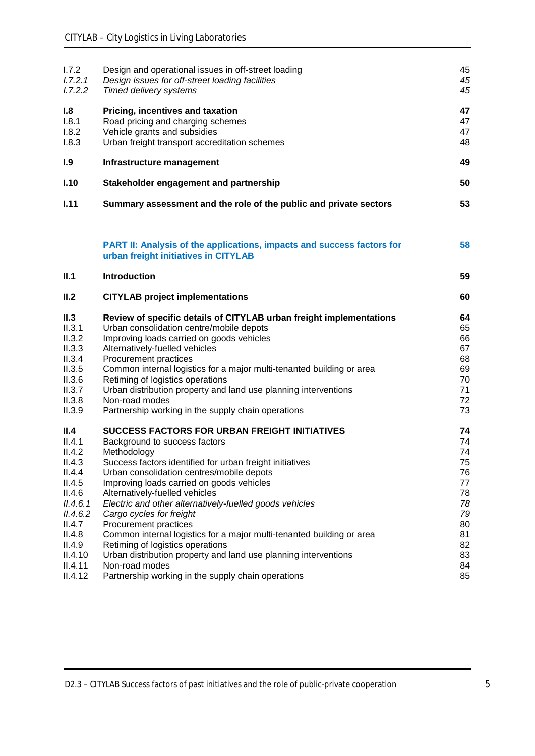| 1.7.2<br>1.7.2.1<br>1.7.2.2                                                                                                                             | Design and operational issues in off-street loading<br>Design issues for off-street loading facilities<br>Timed delivery systems                                                                                                                                                                                                                                                                                                                                                                                                                                                                                                                                     | 45<br>45<br>45                                                                         |
|---------------------------------------------------------------------------------------------------------------------------------------------------------|----------------------------------------------------------------------------------------------------------------------------------------------------------------------------------------------------------------------------------------------------------------------------------------------------------------------------------------------------------------------------------------------------------------------------------------------------------------------------------------------------------------------------------------------------------------------------------------------------------------------------------------------------------------------|----------------------------------------------------------------------------------------|
| 1.8<br>1.8.1<br>1.8.2<br>1.8.3                                                                                                                          | Pricing, incentives and taxation<br>Road pricing and charging schemes<br>Vehicle grants and subsidies<br>Urban freight transport accreditation schemes                                                                                                                                                                                                                                                                                                                                                                                                                                                                                                               | 47<br>47<br>47<br>48                                                                   |
| 1.9                                                                                                                                                     | Infrastructure management                                                                                                                                                                                                                                                                                                                                                                                                                                                                                                                                                                                                                                            | 49                                                                                     |
| I.10                                                                                                                                                    | Stakeholder engagement and partnership                                                                                                                                                                                                                                                                                                                                                                                                                                                                                                                                                                                                                               | 50                                                                                     |
| 1.11                                                                                                                                                    | Summary assessment and the role of the public and private sectors                                                                                                                                                                                                                                                                                                                                                                                                                                                                                                                                                                                                    | 53                                                                                     |
|                                                                                                                                                         | PART II: Analysis of the applications, impacts and success factors for<br>urban freight initiatives in CITYLAB                                                                                                                                                                                                                                                                                                                                                                                                                                                                                                                                                       | 58                                                                                     |
| II.1                                                                                                                                                    | <b>Introduction</b>                                                                                                                                                                                                                                                                                                                                                                                                                                                                                                                                                                                                                                                  | 59                                                                                     |
| II.2                                                                                                                                                    | <b>CITYLAB project implementations</b>                                                                                                                                                                                                                                                                                                                                                                                                                                                                                                                                                                                                                               | 60                                                                                     |
| II.3<br>II.3.1<br>II.3.2<br>II.3.3<br>II.3.4<br>II.3.5<br>II.3.6<br>II.3.7<br>II.3.8<br>II.3.9                                                          | Review of specific details of CITYLAB urban freight implementations<br>Urban consolidation centre/mobile depots<br>Improving loads carried on goods vehicles<br>Alternatively-fuelled vehicles<br>Procurement practices<br>Common internal logistics for a major multi-tenanted building or area<br>Retiming of logistics operations<br>Urban distribution property and land use planning interventions<br>Non-road modes<br>Partnership working in the supply chain operations                                                                                                                                                                                      | 64<br>65<br>66<br>67<br>68<br>69<br>70<br>71<br>72<br>73                               |
| II.4<br>II.4.1<br>II.4.2<br>II.4.3<br>II.4.4<br>II.4.5<br>II.4.6<br>II.4.6.1<br>II.4.6.2<br>II.4.7<br>II.4.8<br>II.4.9<br>II.4.10<br>II.4.11<br>II.4.12 | <b>SUCCESS FACTORS FOR URBAN FREIGHT INITIATIVES</b><br>Background to success factors<br>Methodology<br>Success factors identified for urban freight initiatives<br>Urban consolidation centres/mobile depots<br>Improving loads carried on goods vehicles<br>Alternatively-fuelled vehicles<br>Electric and other alternatively-fuelled goods vehicles<br>Cargo cycles for freight<br>Procurement practices<br>Common internal logistics for a major multi-tenanted building or area<br>Retiming of logistics operations<br>Urban distribution property and land use planning interventions<br>Non-road modes<br>Partnership working in the supply chain operations | 74<br>74<br>74<br>75<br>76<br>77<br>78<br>78<br>79<br>80<br>81<br>82<br>83<br>84<br>85 |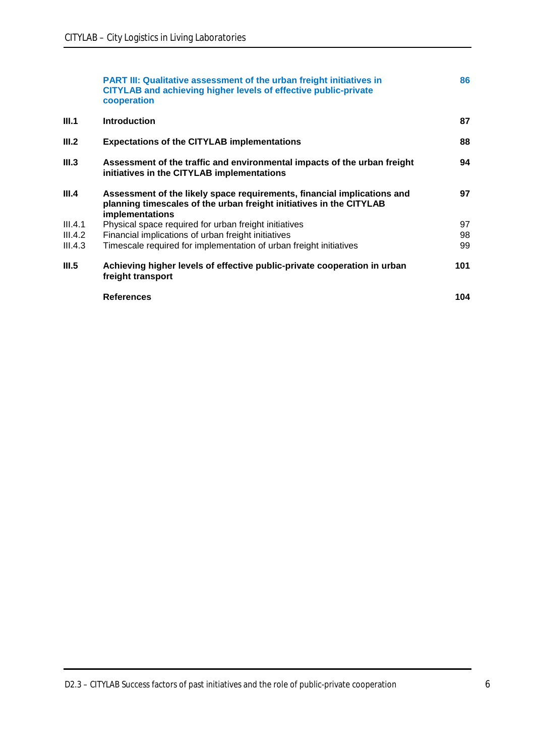|         | <b>PART III: Qualitative assessment of the urban freight initiatives in</b><br>CITYLAB and achieving higher levels of effective public-private<br>cooperation            | 86  |
|---------|--------------------------------------------------------------------------------------------------------------------------------------------------------------------------|-----|
| III.1   | <b>Introduction</b>                                                                                                                                                      | 87  |
| III.2   | <b>Expectations of the CITYLAB implementations</b>                                                                                                                       | 88  |
| III.3   | Assessment of the traffic and environmental impacts of the urban freight<br>initiatives in the CITYLAB implementations                                                   | 94  |
| III.4   | Assessment of the likely space requirements, financial implications and<br>planning timescales of the urban freight initiatives in the CITYLAB<br><b>implementations</b> | 97  |
| III.4.1 | Physical space required for urban freight initiatives                                                                                                                    | 97  |
| III.4.2 | Financial implications of urban freight initiatives                                                                                                                      | 98  |
| III.4.3 | Timescale required for implementation of urban freight initiatives                                                                                                       | 99  |
| III.5   | Achieving higher levels of effective public-private cooperation in urban<br>freight transport                                                                            | 101 |
|         | <b>References</b>                                                                                                                                                        | 104 |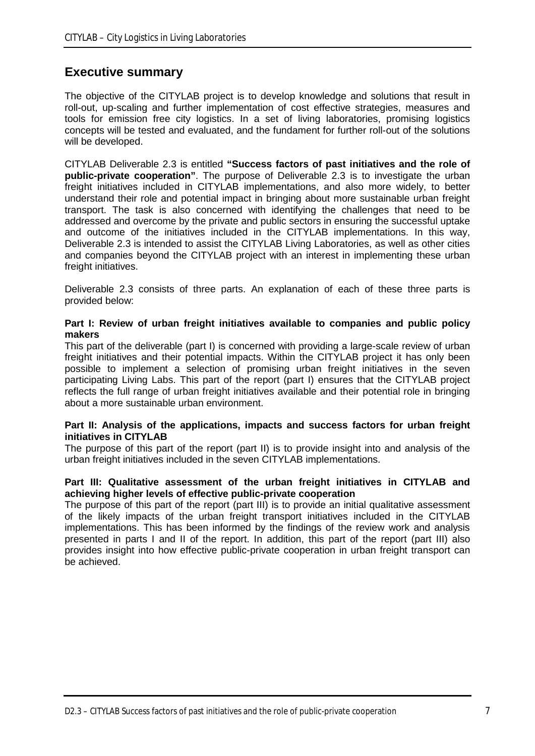### **Executive summary**

The objective of the CITYLAB project is to develop knowledge and solutions that result in roll-out, up-scaling and further implementation of cost effective strategies, measures and tools for emission free city logistics. In a set of living laboratories, promising logistics concepts will be tested and evaluated, and the fundament for further roll-out of the solutions will be developed.

CITYLAB Deliverable 2.3 is entitled **"Success factors of past initiatives and the role of public-private cooperation"**. The purpose of Deliverable 2.3 is to investigate the urban freight initiatives included in CITYLAB implementations, and also more widely, to better understand their role and potential impact in bringing about more sustainable urban freight transport. The task is also concerned with identifying the challenges that need to be addressed and overcome by the private and public sectors in ensuring the successful uptake and outcome of the initiatives included in the CITYLAB implementations. In this way, Deliverable 2.3 is intended to assist the CITYLAB Living Laboratories, as well as other cities and companies beyond the CITYLAB project with an interest in implementing these urban freight initiatives.

Deliverable 2.3 consists of three parts. An explanation of each of these three parts is provided below:

#### **Part I: Review of urban freight initiatives available to companies and public policy makers**

This part of the deliverable (part I) is concerned with providing a large-scale review of urban freight initiatives and their potential impacts. Within the CITYLAB project it has only been possible to implement a selection of promising urban freight initiatives in the seven participating Living Labs. This part of the report (part I) ensures that the CITYLAB project reflects the full range of urban freight initiatives available and their potential role in bringing about a more sustainable urban environment.

#### **Part II: Analysis of the applications, impacts and success factors for urban freight initiatives in CITYLAB**

The purpose of this part of the report (part II) is to provide insight into and analysis of the urban freight initiatives included in the seven CITYLAB implementations.

#### **Part III: Qualitative assessment of the urban freight initiatives in CITYLAB and achieving higher levels of effective public-private cooperation**

The purpose of this part of the report (part III) is to provide an initial qualitative assessment of the likely impacts of the urban freight transport initiatives included in the CITYLAB implementations. This has been informed by the findings of the review work and analysis presented in parts I and II of the report. In addition, this part of the report (part III) also provides insight into how effective public-private cooperation in urban freight transport can be achieved.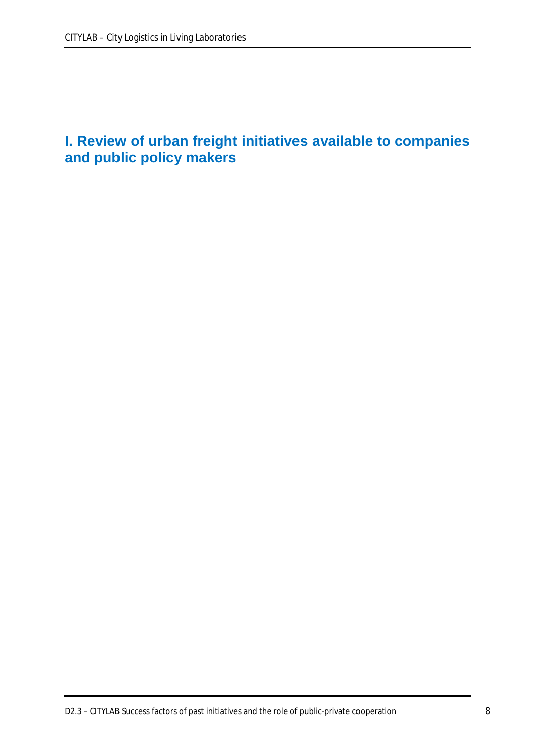# **I. Review of urban freight initiatives available to companies and public policy makers**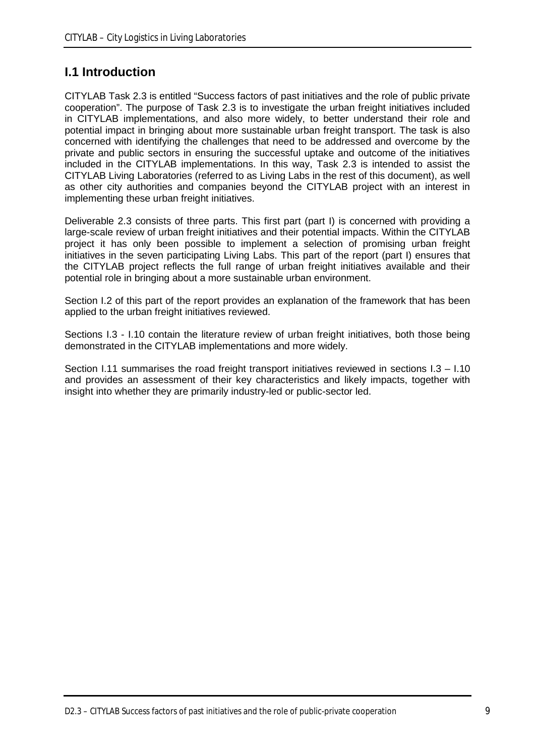### **I.1 Introduction**

CITYLAB Task 2.3 is entitled "Success factors of past initiatives and the role of public private cooperation". The purpose of Task 2.3 is to investigate the urban freight initiatives included in CITYLAB implementations, and also more widely, to better understand their role and potential impact in bringing about more sustainable urban freight transport. The task is also concerned with identifying the challenges that need to be addressed and overcome by the private and public sectors in ensuring the successful uptake and outcome of the initiatives included in the CITYLAB implementations. In this way, Task 2.3 is intended to assist the CITYLAB Living Laboratories (referred to as Living Labs in the rest of this document), as well as other city authorities and companies beyond the CITYLAB project with an interest in implementing these urban freight initiatives.

Deliverable 2.3 consists of three parts. This first part (part I) is concerned with providing a large-scale review of urban freight initiatives and their potential impacts. Within the CITYLAB project it has only been possible to implement a selection of promising urban freight initiatives in the seven participating Living Labs. This part of the report (part I) ensures that the CITYLAB project reflects the full range of urban freight initiatives available and their potential role in bringing about a more sustainable urban environment.

Section I.2 of this part of the report provides an explanation of the framework that has been applied to the urban freight initiatives reviewed.

Sections I.3 - I.10 contain the literature review of urban freight initiatives, both those being demonstrated in the CITYLAB implementations and more widely.

Section I.11 summarises the road freight transport initiatives reviewed in sections I.3 – I.10 and provides an assessment of their key characteristics and likely impacts, together with insight into whether they are primarily industry-led or public-sector led.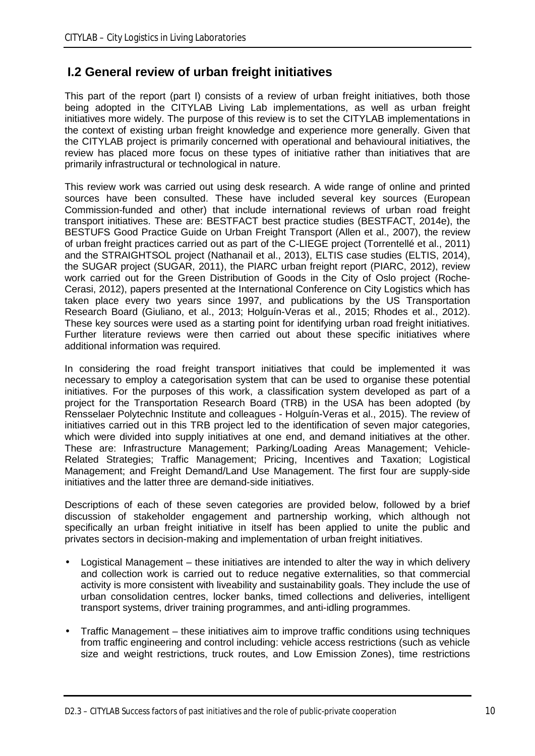### **I.2 General review of urban freight initiatives**

This part of the report (part I) consists of a review of urban freight initiatives, both those being adopted in the CITYLAB Living Lab implementations, as well as urban freight initiatives more widely. The purpose of this review is to set the CITYLAB implementations in the context of existing urban freight knowledge and experience more generally. Given that the CITYLAB project is primarily concerned with operational and behavioural initiatives, the review has placed more focus on these types of initiative rather than initiatives that are primarily infrastructural or technological in nature.

This review work was carried out using desk research. A wide range of online and printed sources have been consulted. These have included several key sources (European Commission-funded and other) that include international reviews of urban road freight transport initiatives. These are: BESTFACT best practice studies (BESTFACT, 2014e), the BESTUFS Good Practice Guide on Urban Freight Transport (Allen et al., 2007), the review of urban freight practices carried out as part of the C-LIEGE project (Torrentellé et al., 2011) and the STRAIGHTSOL project (Nathanail et al., 2013), ELTIS case studies (ELTIS, 2014), the SUGAR project (SUGAR, 2011), the PIARC urban freight report (PIARC, 2012), review work carried out for the Green Distribution of Goods in the City of Oslo project (Roche-Cerasi, 2012), papers presented at the International Conference on City Logistics which has taken place every two years since 1997, and publications by the US Transportation Research Board (Giuliano, et al., 2013; Holguín-Veras et al., 2015; Rhodes et al., 2012). These key sources were used as a starting point for identifying urban road freight initiatives. Further literature reviews were then carried out about these specific initiatives where additional information was required.

In considering the road freight transport initiatives that could be implemented it was necessary to employ a categorisation system that can be used to organise these potential initiatives. For the purposes of this work, a classification system developed as part of a project for the Transportation Research Board (TRB) in the USA has been adopted (by Rensselaer Polytechnic Institute and colleagues - Holguín-Veras et al., 2015). The review of initiatives carried out in this TRB project led to the identification of seven major categories, which were divided into supply initiatives at one end, and demand initiatives at the other. These are: Infrastructure Management; Parking/Loading Areas Management; Vehicle-Related Strategies; Traffic Management; Pricing, Incentives and Taxation; Logistical Management; and Freight Demand/Land Use Management. The first four are supply-side initiatives and the latter three are demand-side initiatives.

Descriptions of each of these seven categories are provided below, followed by a brief discussion of stakeholder engagement and partnership working, which although not specifically an urban freight initiative in itself has been applied to unite the public and privates sectors in decision-making and implementation of urban freight initiatives.

- Logistical Management these initiatives are intended to alter the way in which delivery and collection work is carried out to reduce negative externalities, so that commercial activity is more consistent with liveability and sustainability goals. They include the use of urban consolidation centres, locker banks, timed collections and deliveries, intelligent transport systems, driver training programmes, and anti-idling programmes.
- Traffic Management these initiatives aim to improve traffic conditions using techniques from traffic engineering and control including: vehicle access restrictions (such as vehicle size and weight restrictions, truck routes, and Low Emission Zones), time restrictions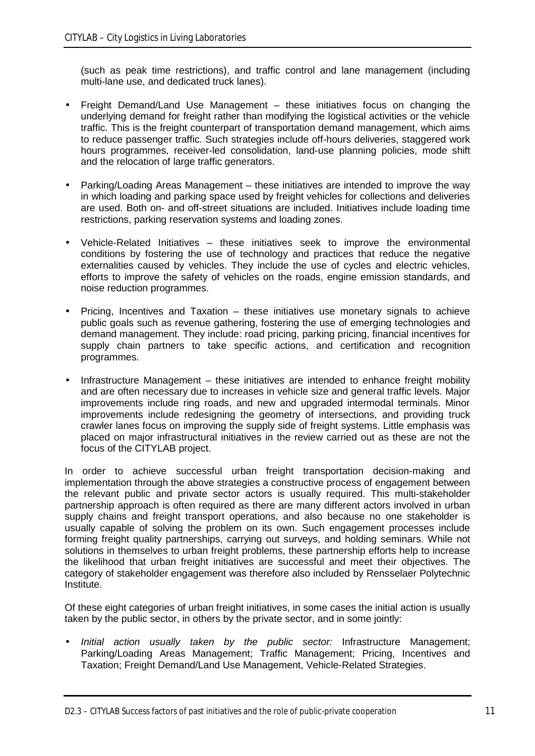(such as peak time restrictions), and traffic control and lane management (including multi-lane use, and dedicated truck lanes).

- Freight Demand/Land Use Management these initiatives focus on changing the underlying demand for freight rather than modifying the logistical activities or the vehicle traffic. This is the freight counterpart of transportation demand management, which aims to reduce passenger traffic. Such strategies include off-hours deliveries, staggered work hours programmes, receiver-led consolidation, land-use planning policies, mode shift and the relocation of large traffic generators.
- Parking/Loading Areas Management these initiatives are intended to improve the way in which loading and parking space used by freight vehicles for collections and deliveries are used. Both on- and off-street situations are included. Initiatives include loading time restrictions, parking reservation systems and loading zones.
- Vehicle-Related Initiatives these initiatives seek to improve the environmental conditions by fostering the use of technology and practices that reduce the negative externalities caused by vehicles. They include the use of cycles and electric vehicles, efforts to improve the safety of vehicles on the roads, engine emission standards, and noise reduction programmes.
- Pricing, Incentives and Taxation these initiatives use monetary signals to achieve public goals such as revenue gathering, fostering the use of emerging technologies and demand management. They include: road pricing, parking pricing, financial incentives for supply chain partners to take specific actions, and certification and recognition programmes.
- Infrastructure Management these initiatives are intended to enhance freight mobility and are often necessary due to increases in vehicle size and general traffic levels. Major improvements include ring roads, and new and upgraded intermodal terminals. Minor improvements include redesigning the geometry of intersections, and providing truck crawler lanes focus on improving the supply side of freight systems. Little emphasis was placed on major infrastructural initiatives in the review carried out as these are not the focus of the CITYLAB project.

In order to achieve successful urban freight transportation decision-making and implementation through the above strategies a constructive process of engagement between the relevant public and private sector actors is usually required. This multi-stakeholder partnership approach is often required as there are many different actors involved in urban supply chains and freight transport operations, and also because no one stakeholder is usually capable of solving the problem on its own. Such engagement processes include forming freight quality partnerships, carrying out surveys, and holding seminars. While not solutions in themselves to urban freight problems, these partnership efforts help to increase the likelihood that urban freight initiatives are successful and meet their objectives. The category of stakeholder engagement was therefore also included by Rensselaer Polytechnic Institute.

Of these eight categories of urban freight initiatives, in some cases the initial action is usually taken by the public sector, in others by the private sector, and in some jointly:

*Initial action usually taken by the public sector:* Infrastructure Management; Parking/Loading Areas Management; Traffic Management; Pricing, Incentives and Taxation; Freight Demand/Land Use Management, Vehicle-Related Strategies.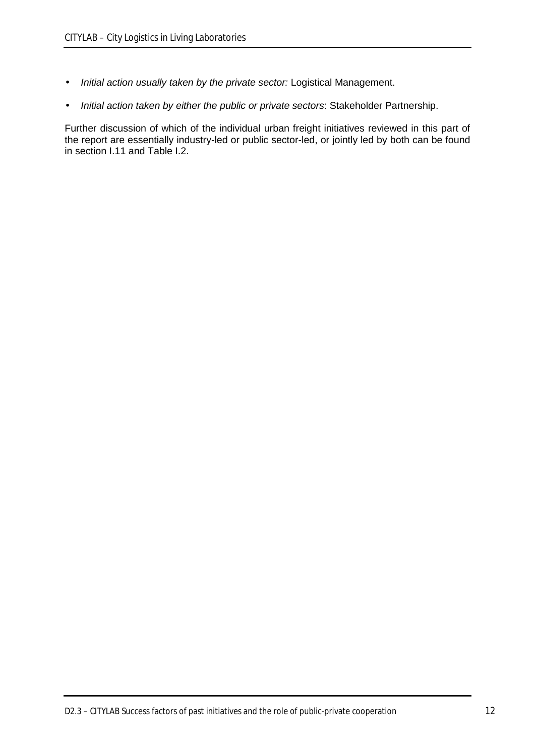- *Initial action usually taken by the private sector:* Logistical Management.  $\ddot{\phantom{a}}$
- *Initial action taken by either the public or private sectors*: Stakeholder Partnership. ä,

Further discussion of which of the individual urban freight initiatives reviewed in this part of the report are essentially industry-led or public sector-led, or jointly led by both can be found in section I.11 and Table I.2.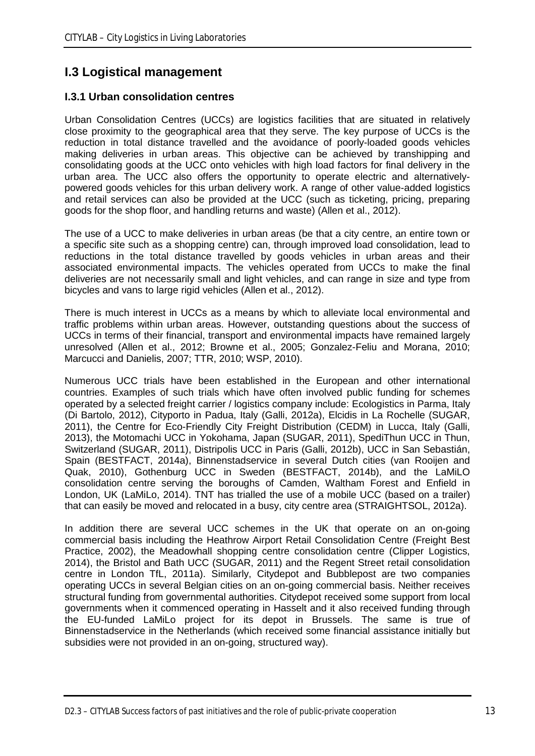## **I.3 Logistical management**

### **I.3.1 Urban consolidation centres**

Urban Consolidation Centres (UCCs) are logistics facilities that are situated in relatively close proximity to the geographical area that they serve. The key purpose of UCCs is the reduction in total distance travelled and the avoidance of poorly-loaded goods vehicles making deliveries in urban areas. This objective can be achieved by transhipping and consolidating goods at the UCC onto vehicles with high load factors for final delivery in the urban area. The UCC also offers the opportunity to operate electric and alternativelypowered goods vehicles for this urban delivery work. A range of other value-added logistics and retail services can also be provided at the UCC (such as ticketing, pricing, preparing goods for the shop floor, and handling returns and waste) (Allen et al., 2012).

The use of a UCC to make deliveries in urban areas (be that a city centre, an entire town or a specific site such as a shopping centre) can, through improved load consolidation, lead to reductions in the total distance travelled by goods vehicles in urban areas and their associated environmental impacts. The vehicles operated from UCCs to make the final deliveries are not necessarily small and light vehicles, and can range in size and type from bicycles and vans to large rigid vehicles (Allen et al., 2012).

There is much interest in UCCs as a means by which to alleviate local environmental and traffic problems within urban areas. However, outstanding questions about the success of UCCs in terms of their financial, transport and environmental impacts have remained largely unresolved (Allen et al., 2012; Browne et al., 2005; Gonzalez-Feliu and Morana, 2010; Marcucci and Danielis, 2007; TTR, 2010; WSP, 2010).

Numerous UCC trials have been established in the European and other international countries. Examples of such trials which have often involved public funding for schemes operated by a selected freight carrier / logistics company include: Ecologistics in Parma, Italy (Di Bartolo, 2012), Cityporto in Padua, Italy (Galli, 2012a), Elcidis in La Rochelle (SUGAR, 2011), the Centre for Eco-Friendly City Freight Distribution (CEDM) in Lucca, Italy (Galli, 2013), the Motomachi UCC in Yokohama, Japan (SUGAR, 2011), SpediThun UCC in Thun, Switzerland (SUGAR, 2011), Distripolis UCC in Paris (Galli, 2012b), UCC in San Sebastián, Spain (BESTFACT, 2014a), Binnenstadservice in several Dutch cities (van Rooijen and Quak, 2010), Gothenburg UCC in Sweden (BESTFACT, 2014b), and the LaMiLO consolidation centre serving the boroughs of Camden, Waltham Forest and Enfield in London, UK (LaMiLo, 2014). TNT has trialled the use of a mobile UCC (based on a trailer) that can easily be moved and relocated in a busy, city centre area (STRAIGHTSOL, 2012a).

In addition there are several UCC schemes in the UK that operate on an on-going commercial basis including the Heathrow Airport Retail Consolidation Centre (Freight Best Practice, 2002), the Meadowhall shopping centre consolidation centre (Clipper Logistics, 2014), the Bristol and Bath UCC (SUGAR, 2011) and the Regent Street retail consolidation centre in London TfL, 2011a). Similarly, Citydepot and Bubblepost are two companies operating UCCs in several Belgian cities on an on-going commercial basis. Neither receives structural funding from governmental authorities. Citydepot received some support from local governments when it commenced operating in Hasselt and it also received funding through the EU-funded LaMiLo project for its depot in Brussels. The same is true of Binnenstadservice in the Netherlands (which received some financial assistance initially but subsidies were not provided in an on-going, structured way).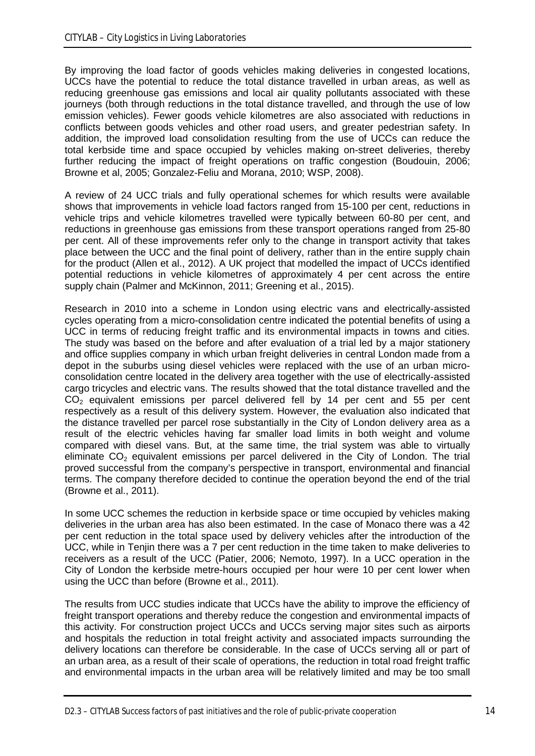By improving the load factor of goods vehicles making deliveries in congested locations, UCCs have the potential to reduce the total distance travelled in urban areas, as well as reducing greenhouse gas emissions and local air quality pollutants associated with these journeys (both through reductions in the total distance travelled, and through the use of low emission vehicles). Fewer goods vehicle kilometres are also associated with reductions in conflicts between goods vehicles and other road users, and greater pedestrian safety. In addition, the improved load consolidation resulting from the use of UCCs can reduce the total kerbside time and space occupied by vehicles making on-street deliveries, thereby further reducing the impact of freight operations on traffic congestion (Boudouin, 2006; Browne et al, 2005; Gonzalez-Feliu and Morana, 2010; WSP, 2008).

A review of 24 UCC trials and fully operational schemes for which results were available shows that improvements in vehicle load factors ranged from 15-100 per cent, reductions in vehicle trips and vehicle kilometres travelled were typically between 60-80 per cent, and reductions in greenhouse gas emissions from these transport operations ranged from 25-80 per cent. All of these improvements refer only to the change in transport activity that takes place between the UCC and the final point of delivery, rather than in the entire supply chain for the product (Allen et al., 2012). A UK project that modelled the impact of UCCs identified potential reductions in vehicle kilometres of approximately 4 per cent across the entire supply chain (Palmer and McKinnon, 2011; Greening et al., 2015).

Research in 2010 into a scheme in London using electric vans and electrically-assisted cycles operating from a micro-consolidation centre indicated the potential benefits of using a UCC in terms of reducing freight traffic and its environmental impacts in towns and cities. The study was based on the before and after evaluation of a trial led by a major stationery and office supplies company in which urban freight deliveries in central London made from a depot in the suburbs using diesel vehicles were replaced with the use of an urban microconsolidation centre located in the delivery area together with the use of electrically-assisted cargo tricycles and electric vans. The results showed that the total distance travelled and the  $CO<sub>2</sub>$  equivalent emissions per parcel delivered fell by 14 per cent and 55 per cent respectively as a result of this delivery system. However, the evaluation also indicated that the distance travelled per parcel rose substantially in the City of London delivery area as a result of the electric vehicles having far smaller load limits in both weight and volume compared with diesel vans. But, at the same time, the trial system was able to virtually eliminate  $CO<sub>2</sub>$  equivalent emissions per parcel delivered in the City of London. The trial proved successful from the company's perspective in transport, environmental and financial terms. The company therefore decided to continue the operation beyond the end of the trial (Browne et al., 2011).

In some UCC schemes the reduction in kerbside space or time occupied by vehicles making deliveries in the urban area has also been estimated. In the case of Monaco there was a 42 per cent reduction in the total space used by delivery vehicles after the introduction of the UCC, while in Tenjin there was a 7 per cent reduction in the time taken to make deliveries to receivers as a result of the UCC (Patier, 2006; Nemoto, 1997). In a UCC operation in the City of London the kerbside metre-hours occupied per hour were 10 per cent lower when using the UCC than before (Browne et al., 2011).

The results from UCC studies indicate that UCCs have the ability to improve the efficiency of freight transport operations and thereby reduce the congestion and environmental impacts of this activity. For construction project UCCs and UCCs serving major sites such as airports and hospitals the reduction in total freight activity and associated impacts surrounding the delivery locations can therefore be considerable. In the case of UCCs serving all or part of an urban area, as a result of their scale of operations, the reduction in total road freight traffic and environmental impacts in the urban area will be relatively limited and may be too small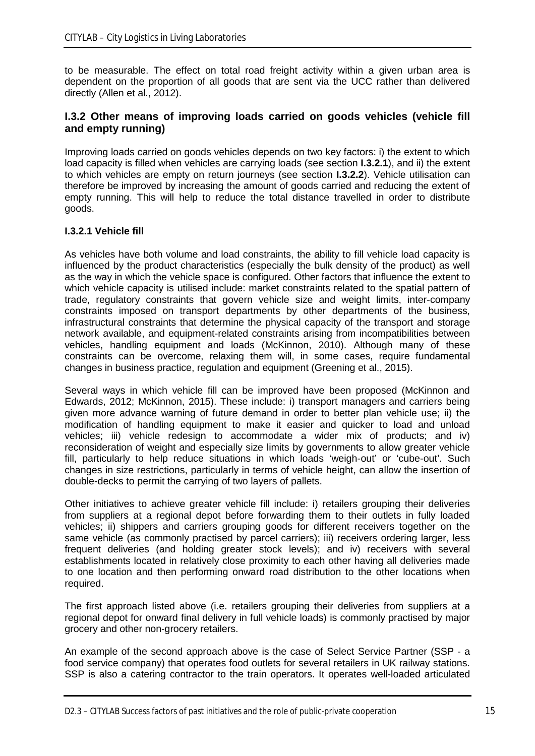to be measurable. The effect on total road freight activity within a given urban area is dependent on the proportion of all goods that are sent via the UCC rather than delivered directly (Allen et al., 2012).

### **I.3.2 Other means of improving loads carried on goods vehicles (vehicle fill and empty running)**

Improving loads carried on goods vehicles depends on two key factors: i) the extent to which load capacity is filled when vehicles are carrying loads (see section **I.3.2.1**), and ii) the extent to which vehicles are empty on return journeys (see section **I.3.2.2**). Vehicle utilisation can therefore be improved by increasing the amount of goods carried and reducing the extent of empty running. This will help to reduce the total distance travelled in order to distribute goods.

#### **I.3.2.1 Vehicle fill**

As vehicles have both volume and load constraints, the ability to fill vehicle load capacity is influenced by the product characteristics (especially the bulk density of the product) as well as the way in which the vehicle space is configured. Other factors that influence the extent to which vehicle capacity is utilised include: market constraints related to the spatial pattern of trade, regulatory constraints that govern vehicle size and weight limits, inter-company constraints imposed on transport departments by other departments of the business, infrastructural constraints that determine the physical capacity of the transport and storage network available, and equipment-related constraints arising from incompatibilities between vehicles, handling equipment and loads (McKinnon, 2010). Although many of these constraints can be overcome, relaxing them will, in some cases, require fundamental changes in business practice, regulation and equipment (Greening et al., 2015).

Several ways in which vehicle fill can be improved have been proposed (McKinnon and Edwards, 2012; McKinnon, 2015). These include: i) transport managers and carriers being given more advance warning of future demand in order to better plan vehicle use; ii) the modification of handling equipment to make it easier and quicker to load and unload vehicles; iii) vehicle redesign to accommodate a wider mix of products; and iv) reconsideration of weight and especially size limits by governments to allow greater vehicle fill, particularly to help reduce situations in which loads 'weigh-out' or 'cube-out'. Such changes in size restrictions, particularly in terms of vehicle height, can allow the insertion of double-decks to permit the carrying of two layers of pallets.

Other initiatives to achieve greater vehicle fill include: i) retailers grouping their deliveries from suppliers at a regional depot before forwarding them to their outlets in fully loaded vehicles; ii) shippers and carriers grouping goods for different receivers together on the same vehicle (as commonly practised by parcel carriers); iii) receivers ordering larger, less frequent deliveries (and holding greater stock levels); and iv) receivers with several establishments located in relatively close proximity to each other having all deliveries made to one location and then performing onward road distribution to the other locations when required.

The first approach listed above (i.e. retailers grouping their deliveries from suppliers at a regional depot for onward final delivery in full vehicle loads) is commonly practised by major grocery and other non-grocery retailers.

An example of the second approach above is the case of Select Service Partner (SSP - a food service company) that operates food outlets for several retailers in UK railway stations. SSP is also a catering contractor to the train operators. It operates well-loaded articulated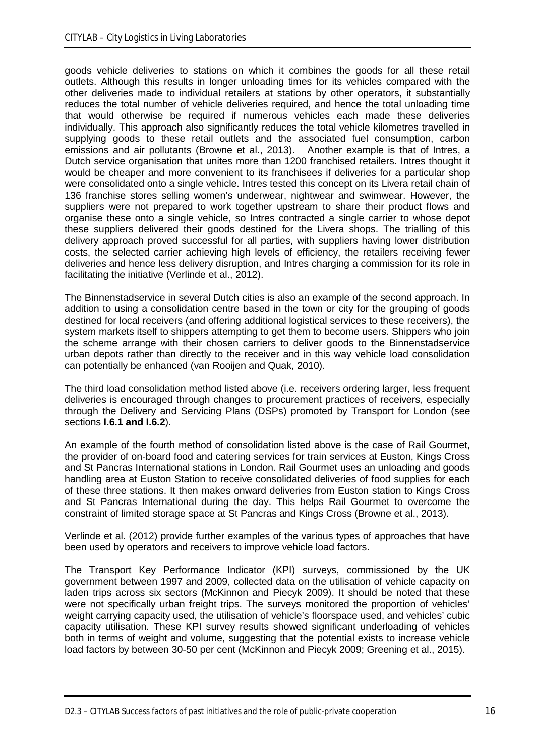goods vehicle deliveries to stations on which it combines the goods for all these retail outlets. Although this results in longer unloading times for its vehicles compared with the other deliveries made to individual retailers at stations by other operators, it substantially reduces the total number of vehicle deliveries required, and hence the total unloading time that would otherwise be required if numerous vehicles each made these deliveries individually. This approach also significantly reduces the total vehicle kilometres travelled in supplying goods to these retail outlets and the associated fuel consumption, carbon emissions and air pollutants (Browne et al., 2013). Another example is that of Intres, a Dutch service organisation that unites more than 1200 franchised retailers. Intres thought it would be cheaper and more convenient to its franchisees if deliveries for a particular shop were consolidated onto a single vehicle. Intres tested this concept on its Livera retail chain of 136 franchise stores selling women's underwear, nightwear and swimwear. However, the suppliers were not prepared to work together upstream to share their product flows and organise these onto a single vehicle, so Intres contracted a single carrier to whose depot these suppliers delivered their goods destined for the Livera shops. The trialling of this delivery approach proved successful for all parties, with suppliers having lower distribution costs, the selected carrier achieving high levels of efficiency, the retailers receiving fewer deliveries and hence less delivery disruption, and Intres charging a commission for its role in facilitating the initiative (Verlinde et al., 2012).

The Binnenstadservice in several Dutch cities is also an example of the second approach. In addition to using a consolidation centre based in the town or city for the grouping of goods destined for local receivers (and offering additional logistical services to these receivers), the system markets itself to shippers attempting to get them to become users. Shippers who join the scheme arrange with their chosen carriers to deliver goods to the Binnenstadservice urban depots rather than directly to the receiver and in this way vehicle load consolidation can potentially be enhanced (van Rooijen and Quak, 2010).

The third load consolidation method listed above (i.e. receivers ordering larger, less frequent deliveries is encouraged through changes to procurement practices of receivers, especially through the Delivery and Servicing Plans (DSPs) promoted by Transport for London (see sections **I.6.1 and I.6.2**).

An example of the fourth method of consolidation listed above is the case of Rail Gourmet, the provider of on-board food and catering services for train services at Euston, Kings Cross and St Pancras International stations in London. Rail Gourmet uses an unloading and goods handling area at Euston Station to receive consolidated deliveries of food supplies for each of these three stations. It then makes onward deliveries from Euston station to Kings Cross and St Pancras International during the day. This helps Rail Gourmet to overcome the constraint of limited storage space at St Pancras and Kings Cross (Browne et al., 2013).

Verlinde et al. (2012) provide further examples of the various types of approaches that have been used by operators and receivers to improve vehicle load factors.

The Transport Key Performance Indicator (KPI) surveys, commissioned by the UK government between 1997 and 2009, collected data on the utilisation of vehicle capacity on laden trips across six sectors (McKinnon and Piecyk 2009). It should be noted that these were not specifically urban freight trips. The surveys monitored the proportion of vehicles' weight carrying capacity used, the utilisation of vehicle's floorspace used, and vehicles' cubic capacity utilisation. These KPI survey results showed significant underloading of vehicles both in terms of weight and volume, suggesting that the potential exists to increase vehicle load factors by between 30-50 per cent (McKinnon and Piecyk 2009; Greening et al., 2015).

D2.3 – CITYLAB Success factors of past initiatives and the role of public-private cooperation 16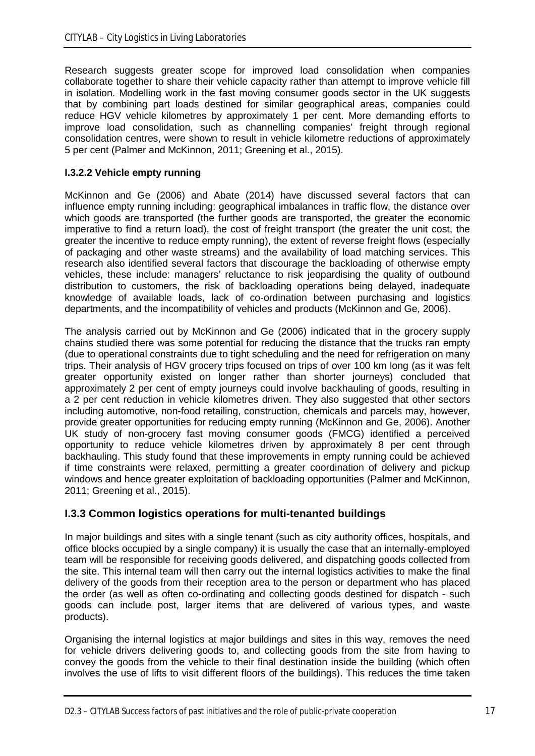Research suggests greater scope for improved load consolidation when companies collaborate together to share their vehicle capacity rather than attempt to improve vehicle fill in isolation. Modelling work in the fast moving consumer goods sector in the UK suggests that by combining part loads destined for similar geographical areas, companies could reduce HGV vehicle kilometres by approximately 1 per cent. More demanding efforts to improve load consolidation, such as channelling companies' freight through regional consolidation centres, were shown to result in vehicle kilometre reductions of approximately 5 per cent (Palmer and McKinnon, 2011; Greening et al., 2015).

#### **I.3.2.2 Vehicle empty running**

McKinnon and Ge (2006) and Abate (2014) have discussed several factors that can influence empty running including: geographical imbalances in traffic flow, the distance over which goods are transported (the further goods are transported, the greater the economic imperative to find a return load), the cost of freight transport (the greater the unit cost, the greater the incentive to reduce empty running), the extent of reverse freight flows (especially of packaging and other waste streams) and the availability of load matching services. This research also identified several factors that discourage the backloading of otherwise empty vehicles, these include: managers' reluctance to risk jeopardising the quality of outbound distribution to customers, the risk of backloading operations being delayed, inadequate knowledge of available loads, lack of co-ordination between purchasing and logistics departments, and the incompatibility of vehicles and products (McKinnon and Ge, 2006).

The analysis carried out by McKinnon and Ge (2006) indicated that in the grocery supply chains studied there was some potential for reducing the distance that the trucks ran empty (due to operational constraints due to tight scheduling and the need for refrigeration on many trips. Their analysis of HGV grocery trips focused on trips of over 100 km long (as it was felt greater opportunity existed on longer rather than shorter journeys) concluded that approximately 2 per cent of empty journeys could involve backhauling of goods, resulting in a 2 per cent reduction in vehicle kilometres driven. They also suggested that other sectors including automotive, non-food retailing, construction, chemicals and parcels may, however, provide greater opportunities for reducing empty running (McKinnon and Ge, 2006). Another UK study of non-grocery fast moving consumer goods (FMCG) identified a perceived opportunity to reduce vehicle kilometres driven by approximately 8 per cent through backhauling. This study found that these improvements in empty running could be achieved if time constraints were relaxed, permitting a greater coordination of delivery and pickup windows and hence greater exploitation of backloading opportunities (Palmer and McKinnon, 2011; Greening et al., 2015).

### **I.3.3 Common logistics operations for multi-tenanted buildings**

In major buildings and sites with a single tenant (such as city authority offices, hospitals, and office blocks occupied by a single company) it is usually the case that an internally-employed team will be responsible for receiving goods delivered, and dispatching goods collected from the site. This internal team will then carry out the internal logistics activities to make the final delivery of the goods from their reception area to the person or department who has placed the order (as well as often co-ordinating and collecting goods destined for dispatch - such goods can include post, larger items that are delivered of various types, and waste products).

Organising the internal logistics at major buildings and sites in this way, removes the need for vehicle drivers delivering goods to, and collecting goods from the site from having to convey the goods from the vehicle to their final destination inside the building (which often involves the use of lifts to visit different floors of the buildings). This reduces the time taken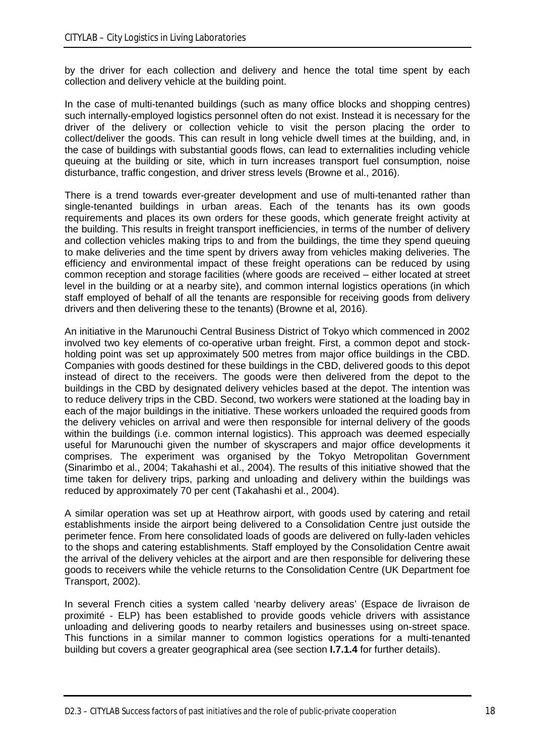by the driver for each collection and delivery and hence the total time spent by each collection and delivery vehicle at the building point.

In the case of multi-tenanted buildings (such as many office blocks and shopping centres) such internally-employed logistics personnel often do not exist. Instead it is necessary for the driver of the delivery or collection vehicle to visit the person placing the order to collect/deliver the goods. This can result in long vehicle dwell times at the building, and, in the case of buildings with substantial goods flows, can lead to externalities including vehicle queuing at the building or site, which in turn increases transport fuel consumption, noise disturbance, traffic congestion, and driver stress levels (Browne et al., 2016).

There is a trend towards ever-greater development and use of multi-tenanted rather than single-tenanted buildings in urban areas. Each of the tenants has its own goods requirements and places its own orders for these goods, which generate freight activity at the building. This results in freight transport inefficiencies, in terms of the number of delivery and collection vehicles making trips to and from the buildings, the time they spend queuing to make deliveries and the time spent by drivers away from vehicles making deliveries. The efficiency and environmental impact of these freight operations can be reduced by using common reception and storage facilities (where goods are received – either located at street level in the building or at a nearby site), and common internal logistics operations (in which staff employed of behalf of all the tenants are responsible for receiving goods from delivery drivers and then delivering these to the tenants) (Browne et al, 2016).

An initiative in the Marunouchi Central Business District of Tokyo which commenced in 2002 involved two key elements of co-operative urban freight. First, a common depot and stockholding point was set up approximately 500 metres from major office buildings in the CBD. Companies with goods destined for these buildings in the CBD, delivered goods to this depot instead of direct to the receivers. The goods were then delivered from the depot to the buildings in the CBD by designated delivery vehicles based at the depot. The intention was to reduce delivery trips in the CBD. Second, two workers were stationed at the loading bay in each of the major buildings in the initiative. These workers unloaded the required goods from the delivery vehicles on arrival and were then responsible for internal delivery of the goods within the buildings (i.e. common internal logistics). This approach was deemed especially useful for Marunouchi given the number of skyscrapers and major office developments it comprises. The experiment was organised by the Tokyo Metropolitan Government (Sinarimbo et al., 2004; Takahashi et al., 2004). The results of this initiative showed that the time taken for delivery trips, parking and unloading and delivery within the buildings was reduced by approximately 70 per cent (Takahashi et al., 2004).

A similar operation was set up at Heathrow airport, with goods used by catering and retail establishments inside the airport being delivered to a Consolidation Centre just outside the perimeter fence. From here consolidated loads of goods are delivered on fully-laden vehicles to the shops and catering establishments. Staff employed by the Consolidation Centre await the arrival of the delivery vehicles at the airport and are then responsible for delivering these goods to receivers while the vehicle returns to the Consolidation Centre (UK Department foe Transport, 2002).

In several French cities a system called 'nearby delivery areas' (Espace de livraison de proximité - ELP) has been established to provide goods vehicle drivers with assistance unloading and delivering goods to nearby retailers and businesses using on-street space. This functions in a similar manner to common logistics operations for a multi-tenanted building but covers a greater geographical area (see section **I.7.1.4** for further details).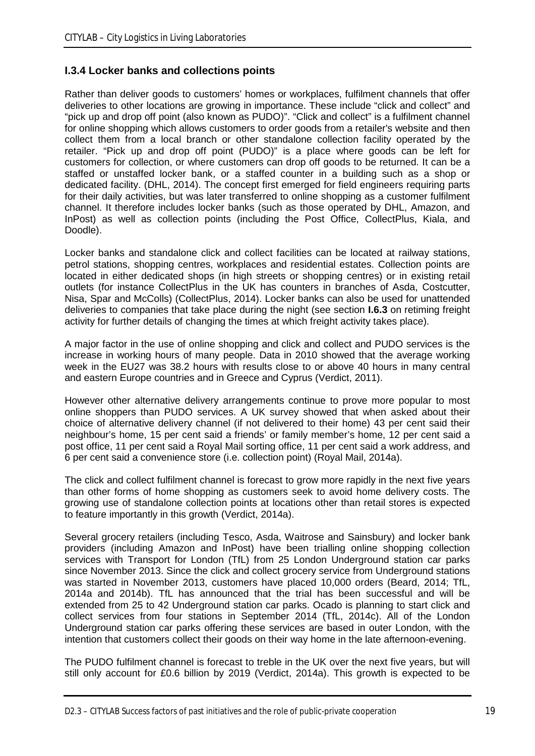### **I.3.4 Locker banks and collections points**

Rather than deliver goods to customers' homes or workplaces, fulfilment channels that offer deliveries to other locations are growing in importance. These include "click and collect" and "pick up and drop off point (also known as PUDO)". "Click and collect" is a fulfilment channel for online shopping which allows customers to order goods from a retailer's website and then collect them from a local branch or other standalone collection facility operated by the retailer. "Pick up and drop off point (PUDO)" is a place where goods can be left for customers for collection, or where customers can drop off goods to be returned. It can be a staffed or unstaffed locker bank, or a staffed counter in a building such as a shop or dedicated facility. (DHL, 2014). The concept first emerged for field engineers requiring parts for their daily activities, but was later transferred to online shopping as a customer fulfilment channel. It therefore includes locker banks (such as those operated by DHL, Amazon, and InPost) as well as collection points (including the Post Office, CollectPlus, Kiala, and Doodle).

Locker banks and standalone click and collect facilities can be located at railway stations, petrol stations, shopping centres, workplaces and residential estates. Collection points are located in either dedicated shops (in high streets or shopping centres) or in existing retail outlets (for instance CollectPlus in the UK has counters in branches of Asda, Costcutter, Nisa, Spar and McColls) (CollectPlus, 2014). Locker banks can also be used for unattended deliveries to companies that take place during the night (see section **I.6.3** on retiming freight activity for further details of changing the times at which freight activity takes place).

A major factor in the use of online shopping and click and collect and PUDO services is the increase in working hours of many people. Data in 2010 showed that the average working week in the EU27 was 38.2 hours with results close to or above 40 hours in many central and eastern Europe countries and in Greece and Cyprus (Verdict, 2011).

However other alternative delivery arrangements continue to prove more popular to most online shoppers than PUDO services. A UK survey showed that when asked about their choice of alternative delivery channel (if not delivered to their home) 43 per cent said their neighbour's home, 15 per cent said a friends' or family member's home, 12 per cent said a post office, 11 per cent said a Royal Mail sorting office, 11 per cent said a work address, and 6 per cent said a convenience store (i.e. collection point) (Royal Mail, 2014a).

The click and collect fulfilment channel is forecast to grow more rapidly in the next five years than other forms of home shopping as customers seek to avoid home delivery costs. The growing use of standalone collection points at locations other than retail stores is expected to feature importantly in this growth (Verdict, 2014a).

Several grocery retailers (including Tesco, Asda, Waitrose and Sainsbury) and locker bank providers (including Amazon and InPost) have been trialling online shopping collection services with Transport for London (TfL) from 25 London Underground station car parks since November 2013. Since the click and collect grocery service from Underground stations was started in November 2013, customers have placed 10,000 orders (Beard, 2014; TfL, 2014a and 2014b). TfL has announced that the trial has been successful and will be extended from 25 to 42 Underground station car parks. Ocado is planning to start click and collect services from four stations in September 2014 (TfL, 2014c). All of the London Underground station car parks offering these services are based in outer London, with the intention that customers collect their goods on their way home in the late afternoon-evening.

The PUDO fulfilment channel is forecast to treble in the UK over the next five years, but will still only account for £0.6 billion by 2019 (Verdict, 2014a). This growth is expected to be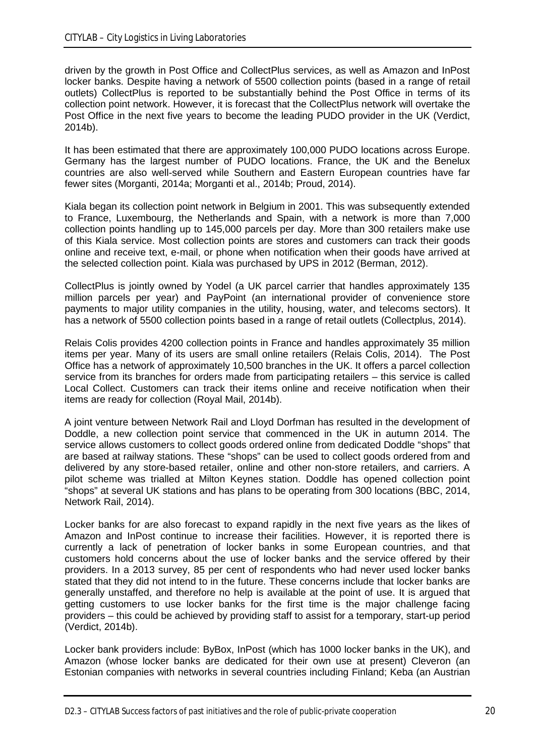driven by the growth in Post Office and CollectPlus services, as well as Amazon and InPost locker banks. Despite having a network of 5500 collection points (based in a range of retail outlets) CollectPlus is reported to be substantially behind the Post Office in terms of its collection point network. However, it is forecast that the CollectPlus network will overtake the Post Office in the next five years to become the leading PUDO provider in the UK (Verdict, 2014b).

It has been estimated that there are approximately 100,000 PUDO locations across Europe. Germany has the largest number of PUDO locations. France, the UK and the Benelux countries are also well-served while Southern and Eastern European countries have far fewer sites (Morganti, 2014a; Morganti et al., 2014b; Proud, 2014).

Kiala began its collection point network in Belgium in 2001. This was subsequently extended to France, Luxembourg, the Netherlands and Spain, with a network is more than 7,000 collection points handling up to 145,000 parcels per day. More than 300 retailers make use of this Kiala service. Most collection points are stores and customers can track their goods online and receive text, e-mail, or phone when notification when their goods have arrived at the selected collection point. Kiala was purchased by UPS in 2012 (Berman, 2012).

CollectPlus is jointly owned by Yodel (a UK parcel carrier that handles approximately 135 million parcels per year) and PayPoint (an international provider of convenience store payments to major utility companies in the utility, housing, water, and telecoms sectors). It has a network of 5500 collection points based in a range of retail outlets (Collectplus, 2014).

Relais Colis provides 4200 collection points in France and handles approximately 35 million items per year. Many of its users are small online retailers (Relais Colis, 2014). The Post Office has a network of approximately 10,500 branches in the UK. It offers a parcel collection service from its branches for orders made from participating retailers – this service is called Local Collect. Customers can track their items online and receive notification when their items are ready for collection (Royal Mail, 2014b).

A joint venture between Network Rail and Lloyd Dorfman has resulted in the development of Doddle, a new collection point service that commenced in the UK in autumn 2014. The service allows customers to collect goods ordered online from dedicated Doddle "shops" that are based at railway stations. These "shops" can be used to collect goods ordered from and delivered by any store-based retailer, online and other non-store retailers, and carriers. A pilot scheme was trialled at Milton Keynes station. Doddle has opened collection point "shops" at several UK stations and has plans to be operating from 300 locations (BBC, 2014, Network Rail, 2014).

Locker banks for are also forecast to expand rapidly in the next five years as the likes of Amazon and InPost continue to increase their facilities. However, it is reported there is currently a lack of penetration of locker banks in some European countries, and that customers hold concerns about the use of locker banks and the service offered by their providers. In a 2013 survey, 85 per cent of respondents who had never used locker banks stated that they did not intend to in the future. These concerns include that locker banks are generally unstaffed, and therefore no help is available at the point of use. It is argued that getting customers to use locker banks for the first time is the major challenge facing providers – this could be achieved by providing staff to assist for a temporary, start-up period (Verdict, 2014b).

Locker bank providers include: ByBox, InPost (which has 1000 locker banks in the UK), and Amazon (whose locker banks are dedicated for their own use at present) Cleveron (an Estonian companies with networks in several countries including Finland; Keba (an Austrian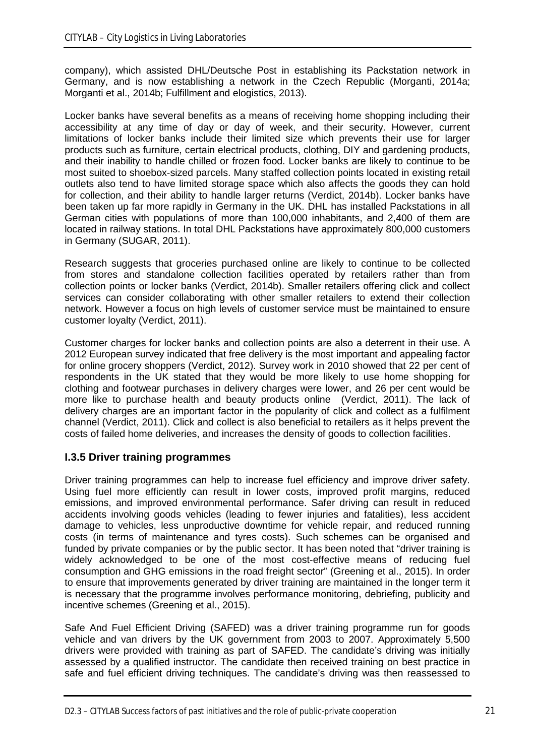company), which assisted DHL/Deutsche Post in establishing its Packstation network in Germany, and is now establishing a network in the Czech Republic (Morganti, 2014a; Morganti et al., 2014b; Fulfillment and elogistics, 2013).

Locker banks have several benefits as a means of receiving home shopping including their accessibility at any time of day or day of week, and their security. However, current limitations of locker banks include their limited size which prevents their use for larger products such as furniture, certain electrical products, clothing, DIY and gardening products, and their inability to handle chilled or frozen food. Locker banks are likely to continue to be most suited to shoebox-sized parcels. Many staffed collection points located in existing retail outlets also tend to have limited storage space which also affects the goods they can hold for collection, and their ability to handle larger returns (Verdict, 2014b). Locker banks have been taken up far more rapidly in Germany in the UK. DHL has installed Packstations in all German cities with populations of more than 100,000 inhabitants, and 2,400 of them are located in railway stations. In total DHL Packstations have approximately 800,000 customers in Germany (SUGAR, 2011).

Research suggests that groceries purchased online are likely to continue to be collected from stores and standalone collection facilities operated by retailers rather than from collection points or locker banks (Verdict, 2014b). Smaller retailers offering click and collect services can consider collaborating with other smaller retailers to extend their collection network. However a focus on high levels of customer service must be maintained to ensure customer loyalty (Verdict, 2011).

Customer charges for locker banks and collection points are also a deterrent in their use. A 2012 European survey indicated that free delivery is the most important and appealing factor for online grocery shoppers (Verdict, 2012). Survey work in 2010 showed that 22 per cent of respondents in the UK stated that they would be more likely to use home shopping for clothing and footwear purchases in delivery charges were lower, and 26 per cent would be more like to purchase health and beauty products online (Verdict, 2011). The lack of delivery charges are an important factor in the popularity of click and collect as a fulfilment channel (Verdict, 2011). Click and collect is also beneficial to retailers as it helps prevent the costs of failed home deliveries, and increases the density of goods to collection facilities.

### **I.3.5 Driver training programmes**

Driver training programmes can help to increase fuel efficiency and improve driver safety. Using fuel more efficiently can result in lower costs, improved profit margins, reduced emissions, and improved environmental performance. Safer driving can result in reduced accidents involving goods vehicles (leading to fewer injuries and fatalities), less accident damage to vehicles, less unproductive downtime for vehicle repair, and reduced running costs (in terms of maintenance and tyres costs). Such schemes can be organised and funded by private companies or by the public sector. It has been noted that "driver training is widely acknowledged to be one of the most cost-effective means of reducing fuel consumption and GHG emissions in the road freight sector" (Greening et al., 2015). In order to ensure that improvements generated by driver training are maintained in the longer term it is necessary that the programme involves performance monitoring, debriefing, publicity and incentive schemes (Greening et al., 2015).

Safe And Fuel Efficient Driving (SAFED) was a driver training programme run for goods vehicle and van drivers by the UK government from 2003 to 2007. Approximately 5,500 drivers were provided with training as part of SAFED. The candidate's driving was initially assessed by a qualified instructor. The candidate then received training on best practice in safe and fuel efficient driving techniques. The candidate's driving was then reassessed to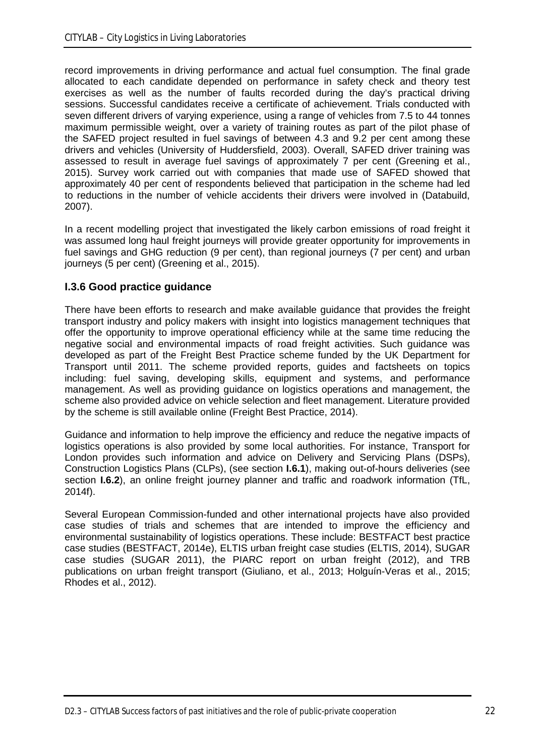record improvements in driving performance and actual fuel consumption. The final grade allocated to each candidate depended on performance in safety check and theory test exercises as well as the number of faults recorded during the day's practical driving sessions. Successful candidates receive a certificate of achievement. Trials conducted with seven different drivers of varying experience, using a range of vehicles from 7.5 to 44 tonnes maximum permissible weight, over a variety of training routes as part of the pilot phase of the SAFED project resulted in fuel savings of between 4.3 and 9.2 per cent among these drivers and vehicles (University of Huddersfield, 2003). Overall, SAFED driver training was assessed to result in average fuel savings of approximately 7 per cent (Greening et al., 2015). Survey work carried out with companies that made use of SAFED showed that approximately 40 per cent of respondents believed that participation in the scheme had led to reductions in the number of vehicle accidents their drivers were involved in (Databuild, 2007).

In a recent modelling project that investigated the likely carbon emissions of road freight it was assumed long haul freight journeys will provide greater opportunity for improvements in fuel savings and GHG reduction (9 per cent), than regional journeys (7 per cent) and urban journeys (5 per cent) (Greening et al., 2015).

### **I.3.6 Good practice guidance**

There have been efforts to research and make available guidance that provides the freight transport industry and policy makers with insight into logistics management techniques that offer the opportunity to improve operational efficiency while at the same time reducing the negative social and environmental impacts of road freight activities. Such guidance was developed as part of the Freight Best Practice scheme funded by the UK Department for Transport until 2011. The scheme provided reports, guides and factsheets on topics including: fuel saving, developing skills, equipment and systems, and performance management. As well as providing guidance on logistics operations and management, the scheme also provided advice on vehicle selection and fleet management. Literature provided by the scheme is still available online (Freight Best Practice, 2014).

Guidance and information to help improve the efficiency and reduce the negative impacts of logistics operations is also provided by some local authorities. For instance, Transport for London provides such information and advice on Delivery and Servicing Plans (DSPs), Construction Logistics Plans (CLPs), (see section **I.6.1**), making out-of-hours deliveries (see section **I.6.2**), an online freight journey planner and traffic and roadwork information (TfL, 2014f).

Several European Commission-funded and other international projects have also provided case studies of trials and schemes that are intended to improve the efficiency and environmental sustainability of logistics operations. These include: BESTFACT best practice case studies (BESTFACT, 2014e), ELTIS urban freight case studies (ELTIS, 2014), SUGAR case studies (SUGAR 2011), the PIARC report on urban freight (2012), and TRB publications on urban freight transport (Giuliano, et al., 2013; Holguín-Veras et al., 2015; Rhodes et al., 2012).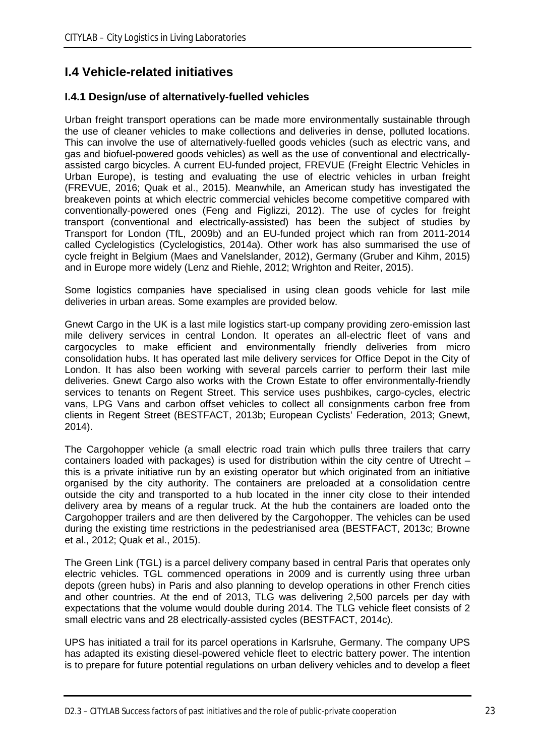## **I.4 Vehicle-related initiatives**

### **I.4.1 Design/use of alternatively-fuelled vehicles**

Urban freight transport operations can be made more environmentally sustainable through the use of cleaner vehicles to make collections and deliveries in dense, polluted locations. This can involve the use of alternatively-fuelled goods vehicles (such as electric vans, and gas and biofuel-powered goods vehicles) as well as the use of conventional and electricallyassisted cargo bicycles. A current EU-funded project, FREVUE (Freight Electric Vehicles in Urban Europe), is testing and evaluating the use of electric vehicles in urban freight (FREVUE, 2016; Quak et al., 2015). Meanwhile, an American study has investigated the breakeven points at which electric commercial vehicles become competitive compared with conventionally-powered ones (Feng and Figlizzi, 2012). The use of cycles for freight transport (conventional and electrically-assisted) has been the subject of studies by Transport for London (TfL, 2009b) and an EU-funded project which ran from 2011-2014 called Cyclelogistics (Cyclelogistics, 2014a). Other work has also summarised the use of cycle freight in Belgium (Maes and Vanelslander, 2012), Germany (Gruber and Kihm, 2015) and in Europe more widely (Lenz and Riehle, 2012; Wrighton and Reiter, 2015).

Some logistics companies have specialised in using clean goods vehicle for last mile deliveries in urban areas. Some examples are provided below.

Gnewt Cargo in the UK is a last mile logistics start-up company providing zero-emission last mile delivery services in central London. It operates an all-electric fleet of vans and cargocycles to make efficient and environmentally friendly deliveries from micro consolidation hubs. It has operated last mile delivery services for Office Depot in the City of London. It has also been working with several parcels carrier to perform their last mile deliveries. Gnewt Cargo also works with the Crown Estate to offer environmentally-friendly services to tenants on Regent Street. This service uses pushbikes, cargo-cycles, electric vans, LPG Vans and carbon offset vehicles to collect all consignments carbon free from clients in Regent Street (BESTFACT, 2013b; European Cyclists' Federation, 2013; Gnewt, 2014).

The Cargohopper vehicle (a small electric road train which pulls three trailers that carry containers loaded with packages) is used for distribution within the city centre of Utrecht – this is a private initiative run by an existing operator but which originated from an initiative organised by the city authority. The containers are preloaded at a consolidation centre outside the city and transported to a hub located in the inner city close to their intended delivery area by means of a regular truck. At the hub the containers are loaded onto the Cargohopper trailers and are then delivered by the Cargohopper. The vehicles can be used during the existing time restrictions in the pedestrianised area (BESTFACT, 2013c; Browne et al., 2012; Quak et al., 2015).

The Green Link (TGL) is a parcel delivery company based in central Paris that operates only electric vehicles. TGL commenced operations in 2009 and is currently using three urban depots (green hubs) in Paris and also planning to develop operations in other French cities and other countries. At the end of 2013, TLG was delivering 2,500 parcels per day with expectations that the volume would double during 2014. The TLG vehicle fleet consists of 2 small electric vans and 28 electrically-assisted cycles (BESTFACT, 2014c).

UPS has initiated a trail for its parcel operations in Karlsruhe, Germany. The company UPS has adapted its existing diesel-powered vehicle fleet to electric battery power. The intention is to prepare for future potential regulations on urban delivery vehicles and to develop a fleet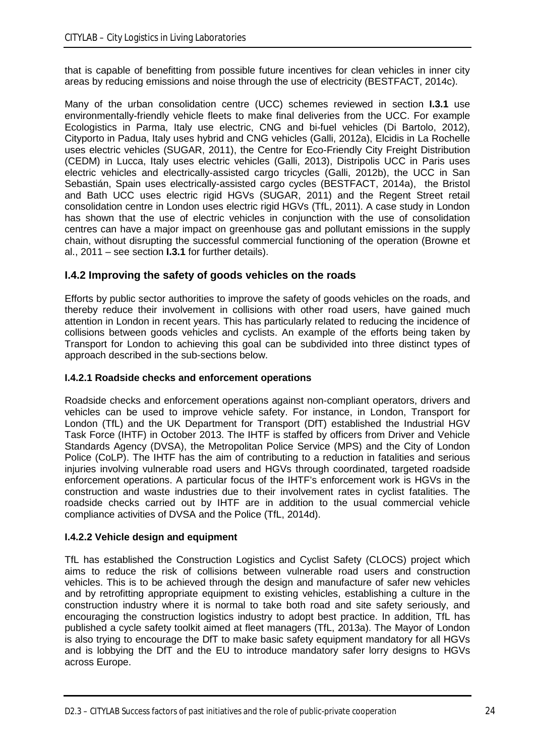that is capable of benefitting from possible future incentives for clean vehicles in inner city areas by reducing emissions and noise through the use of electricity (BESTFACT, 2014c).

Many of the urban consolidation centre (UCC) schemes reviewed in section **I.3.1** use environmentally-friendly vehicle fleets to make final deliveries from the UCC. For example Ecologistics in Parma, Italy use electric, CNG and bi-fuel vehicles (Di Bartolo, 2012), Cityporto in Padua, Italy uses hybrid and CNG vehicles (Galli, 2012a), Elcidis in La Rochelle uses electric vehicles (SUGAR, 2011), the Centre for Eco-Friendly City Freight Distribution (CEDM) in Lucca, Italy uses electric vehicles (Galli, 2013), Distripolis UCC in Paris uses electric vehicles and electrically-assisted cargo tricycles (Galli, 2012b), the UCC in San Sebastián, Spain uses electrically-assisted cargo cycles (BESTFACT, 2014a), the Bristol and Bath UCC uses electric rigid HGVs (SUGAR, 2011) and the Regent Street retail consolidation centre in London uses electric rigid HGVs (TfL, 2011). A case study in London has shown that the use of electric vehicles in conjunction with the use of consolidation centres can have a major impact on greenhouse gas and pollutant emissions in the supply chain, without disrupting the successful commercial functioning of the operation (Browne et al., 2011 – see section **I.3.1** for further details).

### **I.4.2 Improving the safety of goods vehicles on the roads**

Efforts by public sector authorities to improve the safety of goods vehicles on the roads, and thereby reduce their involvement in collisions with other road users, have gained much attention in London in recent years. This has particularly related to reducing the incidence of collisions between goods vehicles and cyclists. An example of the efforts being taken by Transport for London to achieving this goal can be subdivided into three distinct types of approach described in the sub-sections below.

### **I.4.2.1 Roadside checks and enforcement operations**

Roadside checks and enforcement operations against non-compliant operators, drivers and vehicles can be used to improve vehicle safety. For instance, in London, Transport for London (TfL) and the UK Department for Transport (DfT) established the Industrial HGV Task Force (IHTF) in October 2013. The IHTF is staffed by officers from Driver and Vehicle Standards Agency (DVSA), the Metropolitan Police Service (MPS) and the City of London Police (CoLP). The IHTF has the aim of contributing to a reduction in fatalities and serious injuries involving vulnerable road users and HGVs through coordinated, targeted roadside enforcement operations. A particular focus of the IHTF's enforcement work is HGVs in the construction and waste industries due to their involvement rates in cyclist fatalities. The roadside checks carried out by IHTF are in addition to the usual commercial vehicle compliance activities of DVSA and the Police (TfL, 2014d).

### **I.4.2.2 Vehicle design and equipment**

TfL has established the Construction Logistics and Cyclist Safety (CLOCS) project which aims to reduce the risk of collisions between vulnerable road users and construction vehicles. This is to be achieved through the design and manufacture of safer new vehicles and by retrofitting appropriate equipment to existing vehicles, establishing a culture in the construction industry where it is normal to take both road and site safety seriously, and encouraging the construction logistics industry to adopt best practice. In addition, TfL has published a cycle safety toolkit aimed at fleet managers (TfL, 2013a). The Mayor of London is also trying to encourage the DfT to make basic safety equipment mandatory for all HGVs and is lobbying the DfT and the EU to introduce mandatory safer lorry designs to HGVs across Europe.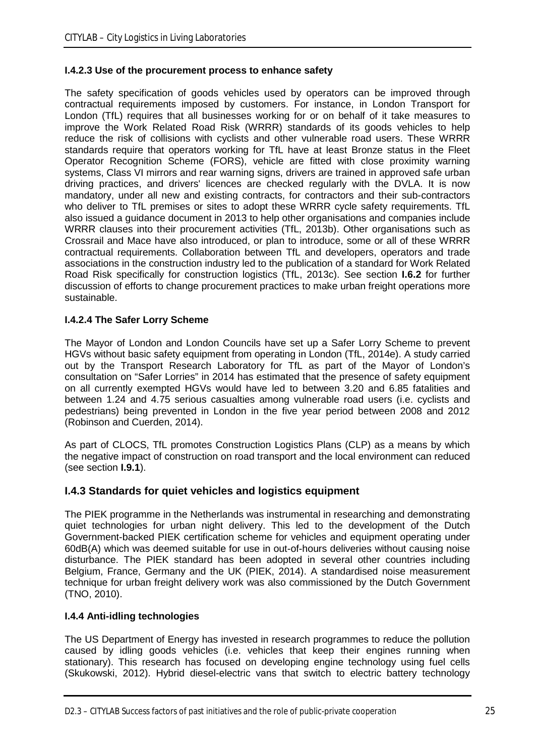### **I.4.2.3 Use of the procurement process to enhance safety**

The safety specification of goods vehicles used by operators can be improved through contractual requirements imposed by customers. For instance, in London Transport for London (TfL) requires that all businesses working for or on behalf of it take measures to improve the Work Related Road Risk (WRRR) standards of its goods vehicles to help reduce the risk of collisions with cyclists and other vulnerable road users. These WRRR standards require that operators working for TfL have at least Bronze status in the Fleet Operator Recognition Scheme (FORS), vehicle are fitted with close proximity warning systems, Class VI mirrors and rear warning signs, drivers are trained in approved safe urban driving practices, and drivers' licences are checked regularly with the DVLA. It is now mandatory, under all new and existing contracts, for contractors and their sub-contractors who deliver to TfL premises or sites to adopt these WRRR cycle safety requirements. TfL also issued a guidance document in 2013 to help other organisations and companies include WRRR clauses into their procurement activities (TfL, 2013b). Other organisations such as Crossrail and Mace have also introduced, or plan to introduce, some or all of these WRRR contractual requirements. Collaboration between TfL and developers, operators and trade associations in the construction industry led to the publication of a standard for Work Related Road Risk specifically for construction logistics (TfL, 2013c). See section **I.6.2** for further discussion of efforts to change procurement practices to make urban freight operations more sustainable.

### **I.4.2.4 The Safer Lorry Scheme**

The Mayor of London and London Councils have set up a Safer Lorry Scheme to prevent HGVs without basic safety equipment from operating in London (TfL, 2014e). A study carried out by the Transport Research Laboratory for TfL as part of the Mayor of London's consultation on "Safer Lorries" in 2014 has estimated that the presence of safety equipment on all currently exempted HGVs would have led to between 3.20 and 6.85 fatalities and between 1.24 and 4.75 serious casualties among vulnerable road users (i.e. cyclists and pedestrians) being prevented in London in the five year period between 2008 and 2012 (Robinson and Cuerden, 2014).

As part of CLOCS, TfL promotes Construction Logistics Plans (CLP) as a means by which the negative impact of construction on road transport and the local environment can reduced (see section **I.9.1**).

### **I.4.3 Standards for quiet vehicles and logistics equipment**

The PIEK programme in the Netherlands was instrumental in researching and demonstrating quiet technologies for urban night delivery. This led to the development of the Dutch Government-backed PIEK certification scheme for vehicles and equipment operating under 60dB(A) which was deemed suitable for use in out-of-hours deliveries without causing noise disturbance. The PIEK standard has been adopted in several other countries including Belgium, France, Germany and the UK (PIEK, 2014). A standardised noise measurement technique for urban freight delivery work was also commissioned by the Dutch Government (TNO, 2010).

### **I.4.4 Anti-idling technologies**

The US Department of Energy has invested in research programmes to reduce the pollution caused by idling goods vehicles (i.e. vehicles that keep their engines running when stationary). This research has focused on developing engine technology using fuel cells (Skukowski, 2012). Hybrid diesel-electric vans that switch to electric battery technology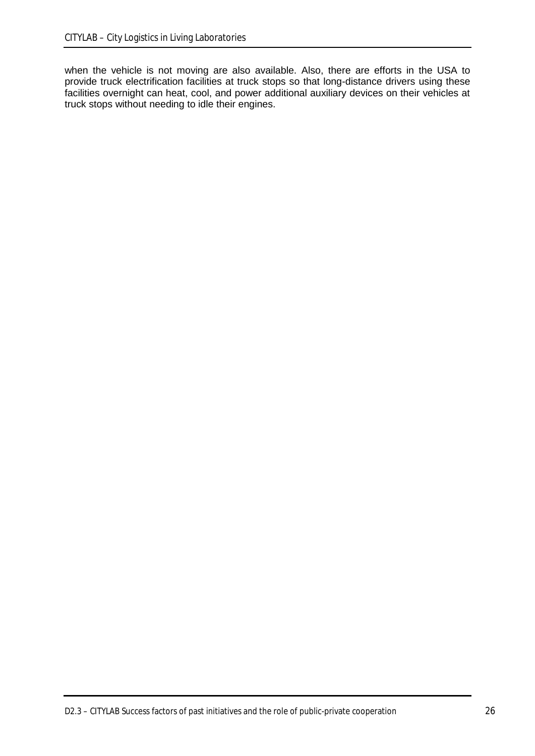when the vehicle is not moving are also available. Also, there are efforts in the USA to provide truck electrification facilities at truck stops so that long-distance drivers using these facilities overnight can heat, cool, and power additional auxiliary devices on their vehicles at truck stops without needing to idle their engines.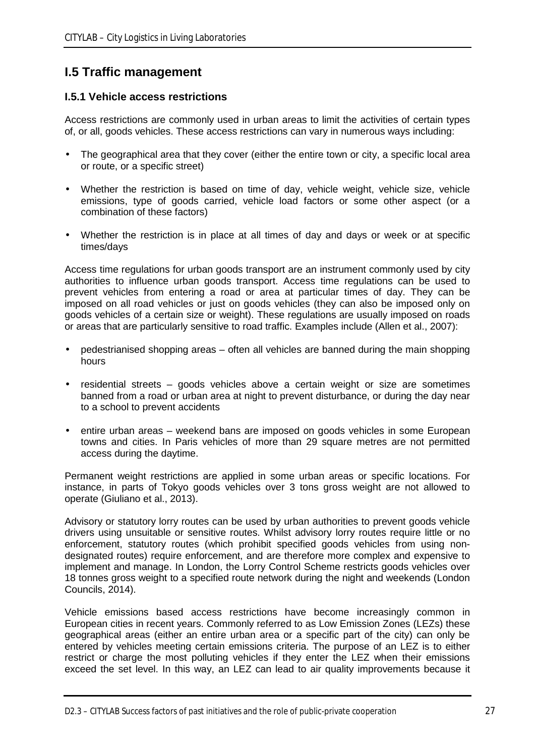### **I.5 Traffic management**

### **I.5.1 Vehicle access restrictions**

Access restrictions are commonly used in urban areas to limit the activities of certain types of, or all, goods vehicles. These access restrictions can vary in numerous ways including:

- The geographical area that they cover (either the entire town or city, a specific local area or route, or a specific street)
- Whether the restriction is based on time of day, vehicle weight, vehicle size, vehicle emissions, type of goods carried, vehicle load factors or some other aspect (or a combination of these factors)
- Whether the restriction is in place at all times of day and days or week or at specific times/days

Access time regulations for urban goods transport are an instrument commonly used by city authorities to influence urban goods transport. Access time regulations can be used to prevent vehicles from entering a road or area at particular times of day. They can be imposed on all road vehicles or just on goods vehicles (they can also be imposed only on goods vehicles of a certain size or weight). These regulations are usually imposed on roads or areas that are particularly sensitive to road traffic. Examples include (Allen et al., 2007):

- pedestrianised shopping areas often all vehicles are banned during the main shopping  $\mathcal{L}^{\mathcal{L}}$ hours
- residential streets goods vehicles above a certain weight or size are sometimes banned from a road or urban area at night to prevent disturbance, or during the day near to a school to prevent accidents
- entire urban areas weekend bans are imposed on goods vehicles in some European towns and cities. In Paris vehicles of more than 29 square metres are not permitted access during the daytime.

Permanent weight restrictions are applied in some urban areas or specific locations. For instance, in parts of Tokyo goods vehicles over 3 tons gross weight are not allowed to operate (Giuliano et al., 2013).

Advisory or statutory lorry routes can be used by urban authorities to prevent goods vehicle drivers using unsuitable or sensitive routes. Whilst advisory lorry routes require little or no enforcement, statutory routes (which prohibit specified goods vehicles from using nondesignated routes) require enforcement, and are therefore more complex and expensive to implement and manage. In London, the Lorry Control Scheme restricts goods vehicles over 18 tonnes gross weight to a specified route network during the night and weekends (London Councils, 2014).

Vehicle emissions based access restrictions have become increasingly common in European cities in recent years. Commonly referred to as Low Emission Zones (LEZs) these geographical areas (either an entire urban area or a specific part of the city) can only be entered by vehicles meeting certain emissions criteria. The purpose of an LEZ is to either restrict or charge the most polluting vehicles if they enter the LEZ when their emissions exceed the set level. In this way, an LEZ can lead to air quality improvements because it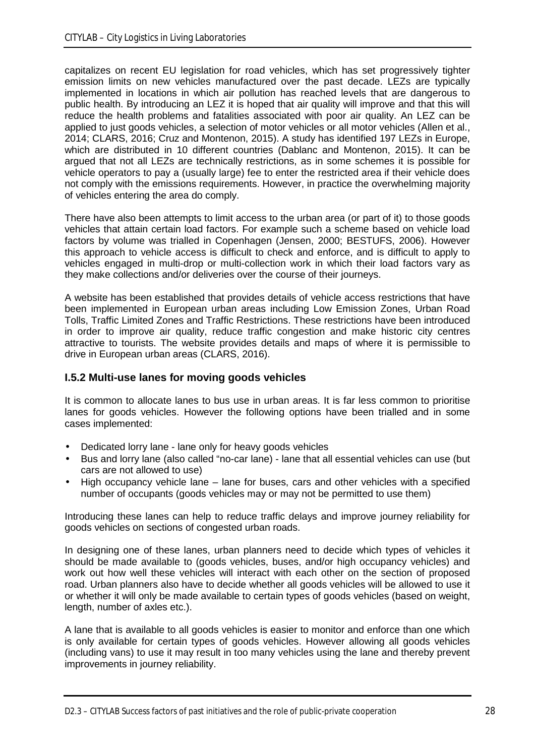capitalizes on recent EU legislation for road vehicles, which has set progressively tighter emission limits on new vehicles manufactured over the past decade. LEZs are typically implemented in locations in which air pollution has reached levels that are dangerous to public health. By introducing an LEZ it is hoped that air quality will improve and that this will reduce the health problems and fatalities associated with poor air quality. An LEZ can be applied to just goods vehicles, a selection of motor vehicles or all motor vehicles (Allen et al., 2014; CLARS, 2016; Cruz and Montenon, 2015). A study has identified 197 LEZs in Europe, which are distributed in 10 different countries (Dablanc and Montenon, 2015). It can be argued that not all LEZs are technically restrictions, as in some schemes it is possible for vehicle operators to pay a (usually large) fee to enter the restricted area if their vehicle does not comply with the emissions requirements. However, in practice the overwhelming majority of vehicles entering the area do comply.

There have also been attempts to limit access to the urban area (or part of it) to those goods vehicles that attain certain load factors. For example such a scheme based on vehicle load factors by volume was trialled in Copenhagen (Jensen, 2000; BESTUFS, 2006). However this approach to vehicle access is difficult to check and enforce, and is difficult to apply to vehicles engaged in multi-drop or multi-collection work in which their load factors vary as they make collections and/or deliveries over the course of their journeys.

A website has been established that provides details of vehicle access restrictions that have been implemented in European urban areas including Low Emission Zones, Urban Road Tolls, Traffic Limited Zones and Traffic Restrictions. These restrictions have been introduced in order to improve air quality, reduce traffic congestion and make historic city centres attractive to tourists. The website provides details and maps of where it is permissible to drive in European urban areas (CLARS, 2016).

### **I.5.2 Multi-use lanes for moving goods vehicles**

It is common to allocate lanes to bus use in urban areas. It is far less common to prioritise lanes for goods vehicles. However the following options have been trialled and in some cases implemented:

- Dedicated lorry lane lane only for heavy goods vehicles
- Bus and lorry lane (also called "no-car lane) lane that all essential vehicles can use (but cars are not allowed to use)
- High occupancy vehicle lane lane for buses, cars and other vehicles with a specified number of occupants (goods vehicles may or may not be permitted to use them)

Introducing these lanes can help to reduce traffic delays and improve journey reliability for goods vehicles on sections of congested urban roads.

In designing one of these lanes, urban planners need to decide which types of vehicles it should be made available to (goods vehicles, buses, and/or high occupancy vehicles) and work out how well these vehicles will interact with each other on the section of proposed road. Urban planners also have to decide whether all goods vehicles will be allowed to use it or whether it will only be made available to certain types of goods vehicles (based on weight, length, number of axles etc.).

A lane that is available to all goods vehicles is easier to monitor and enforce than one which is only available for certain types of goods vehicles. However allowing all goods vehicles (including vans) to use it may result in too many vehicles using the lane and thereby prevent improvements in journey reliability.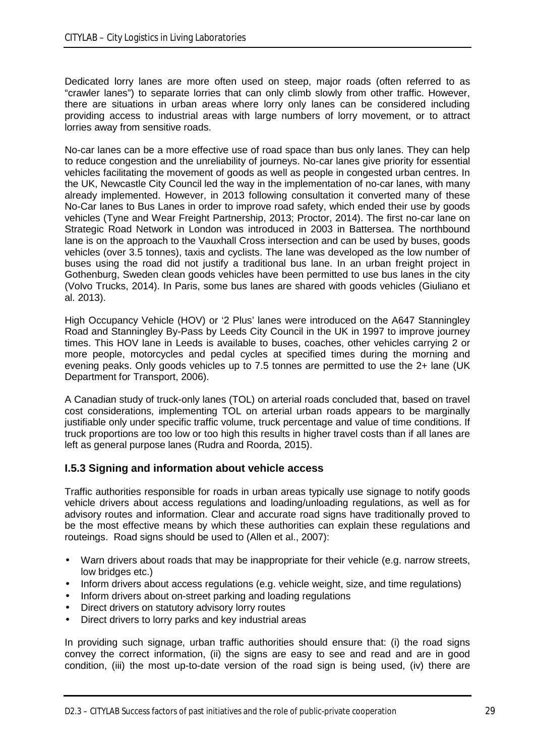Dedicated lorry lanes are more often used on steep, major roads (often referred to as "crawler lanes") to separate lorries that can only climb slowly from other traffic. However, there are situations in urban areas where lorry only lanes can be considered including providing access to industrial areas with large numbers of lorry movement, or to attract lorries away from sensitive roads.

No-car lanes can be a more effective use of road space than bus only lanes. They can help to reduce congestion and the unreliability of journeys. No-car lanes give priority for essential vehicles facilitating the movement of goods as well as people in congested urban centres. In the UK, Newcastle City Council led the way in the implementation of no-car lanes, with many already implemented. However, in 2013 following consultation it converted many of these No-Car lanes to Bus Lanes in order to improve road safety, which ended their use by goods vehicles (Tyne and Wear Freight Partnership, 2013; Proctor, 2014). The first no-car lane on Strategic Road Network in London was introduced in 2003 in Battersea. The northbound lane is on the approach to the Vauxhall Cross intersection and can be used by buses, goods vehicles (over 3.5 tonnes), taxis and cyclists. The lane was developed as the low number of buses using the road did not justify a traditional bus lane. In an urban freight project in Gothenburg, Sweden clean goods vehicles have been permitted to use bus lanes in the city (Volvo Trucks, 2014). In Paris, some bus lanes are shared with goods vehicles (Giuliano et al. 2013).

High Occupancy Vehicle (HOV) or '2 Plus' lanes were introduced on the A647 Stanningley Road and Stanningley By-Pass by Leeds City Council in the UK in 1997 to improve journey times. This HOV lane in Leeds is available to buses, coaches, other vehicles carrying 2 or more people, motorcycles and pedal cycles at specified times during the morning and evening peaks. Only goods vehicles up to 7.5 tonnes are permitted to use the 2+ lane (UK Department for Transport, 2006).

A Canadian study of truck-only lanes (TOL) on arterial roads concluded that, based on travel cost considerations, implementing TOL on arterial urban roads appears to be marginally justifiable only under specific traffic volume, truck percentage and value of time conditions. If truck proportions are too low or too high this results in higher travel costs than if all lanes are left as general purpose lanes (Rudra and Roorda, 2015).

### **I.5.3 Signing and information about vehicle access**

Traffic authorities responsible for roads in urban areas typically use signage to notify goods vehicle drivers about access regulations and loading/unloading regulations, as well as for advisory routes and information. Clear and accurate road signs have traditionally proved to be the most effective means by which these authorities can explain these regulations and routeings. Road signs should be used to (Allen et al., 2007):

- Warn drivers about roads that may be inappropriate for their vehicle (e.g. narrow streets,  $\mathbf{r}$ low bridges etc.)
- Inform drivers about access regulations (e.g. vehicle weight, size, and time regulations)
- Inform drivers about on-street parking and loading regulations
- Direct drivers on statutory advisory lorry routes
- Direct drivers to lorry parks and key industrial areas

In providing such signage, urban traffic authorities should ensure that: (i) the road signs convey the correct information, (ii) the signs are easy to see and read and are in good condition, (iii) the most up-to-date version of the road sign is being used, (iv) there are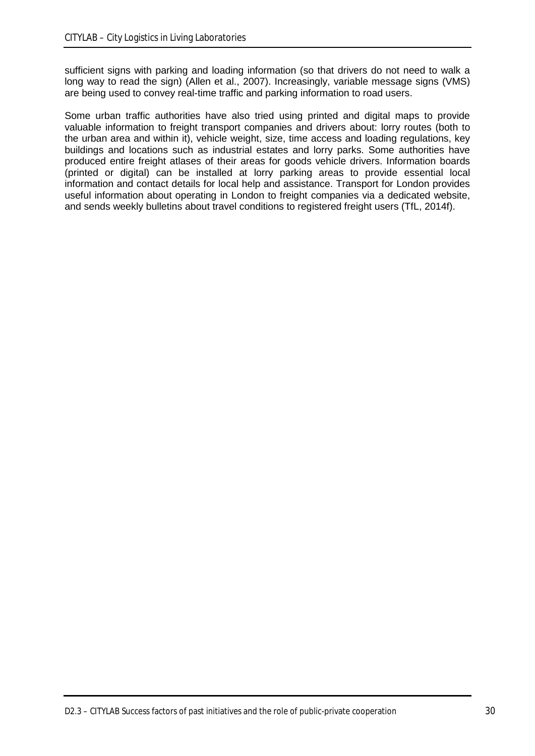sufficient signs with parking and loading information (so that drivers do not need to walk a long way to read the sign) (Allen et al., 2007). Increasingly, variable message signs (VMS) are being used to convey real-time traffic and parking information to road users.

Some urban traffic authorities have also tried using printed and digital maps to provide valuable information to freight transport companies and drivers about: lorry routes (both to the urban area and within it), vehicle weight, size, time access and loading regulations, key buildings and locations such as industrial estates and lorry parks. Some authorities have produced entire freight atlases of their areas for goods vehicle drivers. Information boards (printed or digital) can be installed at lorry parking areas to provide essential local information and contact details for local help and assistance. Transport for London provides useful information about operating in London to freight companies via a dedicated website, and sends weekly bulletins about travel conditions to registered freight users (TfL, 2014f).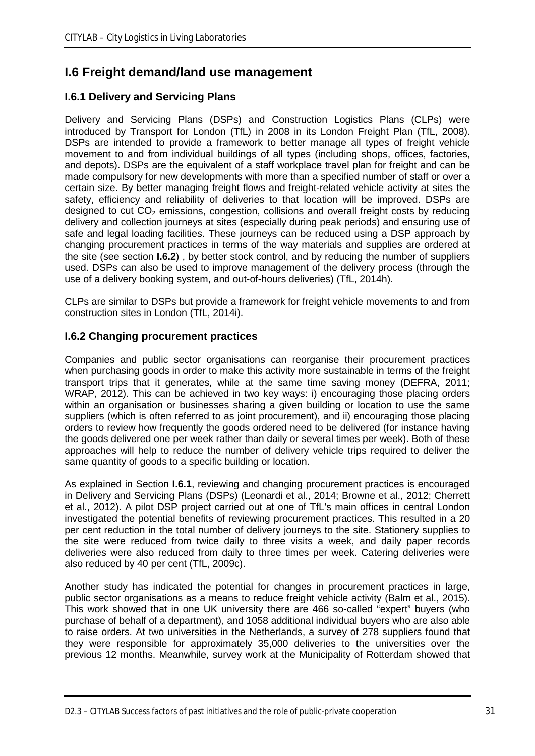## **I.6 Freight demand/land use management**

### **I.6.1 Delivery and Servicing Plans**

Delivery and Servicing Plans (DSPs) and Construction Logistics Plans (CLPs) were introduced by Transport for London (TfL) in 2008 in its London Freight Plan (TfL, 2008). DSPs are intended to provide a framework to better manage all types of freight vehicle movement to and from individual buildings of all types (including shops, offices, factories, and depots). DSPs are the equivalent of a staff workplace travel plan for freight and can be made compulsory for new developments with more than a specified number of staff or over a certain size. By better managing freight flows and freight-related vehicle activity at sites the safety, efficiency and reliability of deliveries to that location will be improved. DSPs are designed to cut  $CO<sub>2</sub>$  emissions, congestion, collisions and overall freight costs by reducing delivery and collection journeys at sites (especially during peak periods) and ensuring use of safe and legal loading facilities. These journeys can be reduced using a DSP approach by changing procurement practices in terms of the way materials and supplies are ordered at the site (see section **I.6.2**) , by better stock control, and by reducing the number of suppliers used. DSPs can also be used to improve management of the delivery process (through the use of a delivery booking system, and out-of-hours deliveries) (TfL, 2014h).

CLPs are similar to DSPs but provide a framework for freight vehicle movements to and from construction sites in London (TfL, 2014i).

### **I.6.2 Changing procurement practices**

Companies and public sector organisations can reorganise their procurement practices when purchasing goods in order to make this activity more sustainable in terms of the freight transport trips that it generates, while at the same time saving money (DEFRA, 2011; WRAP, 2012). This can be achieved in two key ways: i) encouraging those placing orders within an organisation or businesses sharing a given building or location to use the same suppliers (which is often referred to as joint procurement), and ii) encouraging those placing orders to review how frequently the goods ordered need to be delivered (for instance having the goods delivered one per week rather than daily or several times per week). Both of these approaches will help to reduce the number of delivery vehicle trips required to deliver the same quantity of goods to a specific building or location.

As explained in Section **I.6.1**, reviewing and changing procurement practices is encouraged in Delivery and Servicing Plans (DSPs) (Leonardi et al., 2014; Browne et al., 2012; Cherrett et al., 2012). A pilot DSP project carried out at one of TfL's main offices in central London investigated the potential benefits of reviewing procurement practices. This resulted in a 20 per cent reduction in the total number of delivery journeys to the site. Stationery supplies to the site were reduced from twice daily to three visits a week, and daily paper records deliveries were also reduced from daily to three times per week. Catering deliveries were also reduced by 40 per cent (TfL, 2009c).

Another study has indicated the potential for changes in procurement practices in large, public sector organisations as a means to reduce freight vehicle activity (Balm et al., 2015). This work showed that in one UK university there are 466 so-called "expert" buyers (who purchase of behalf of a department), and 1058 additional individual buyers who are also able to raise orders. At two universities in the Netherlands, a survey of 278 suppliers found that they were responsible for approximately 35,000 deliveries to the universities over the previous 12 months. Meanwhile, survey work at the Municipality of Rotterdam showed that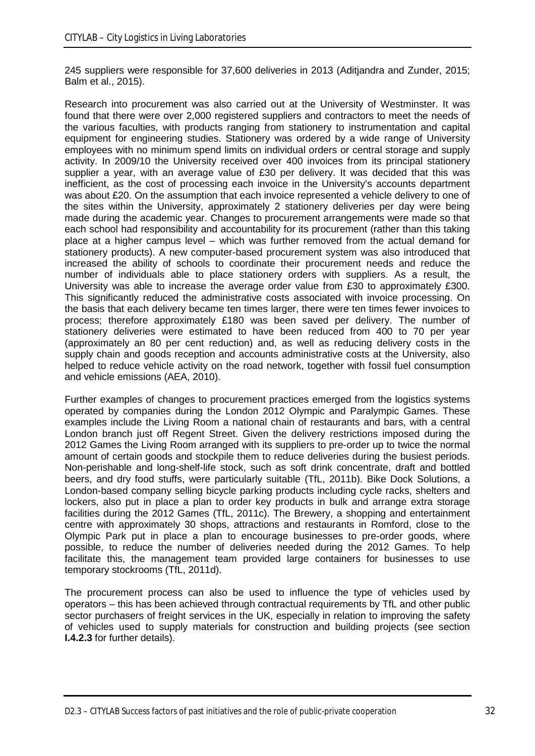245 suppliers were responsible for 37,600 deliveries in 2013 (Aditjandra and Zunder, 2015; Balm et al., 2015).

Research into procurement was also carried out at the University of Westminster. It was found that there were over 2,000 registered suppliers and contractors to meet the needs of the various faculties, with products ranging from stationery to instrumentation and capital equipment for engineering studies. Stationery was ordered by a wide range of University employees with no minimum spend limits on individual orders or central storage and supply activity. In 2009/10 the University received over 400 invoices from its principal stationery supplier a year, with an average value of £30 per delivery. It was decided that this was inefficient, as the cost of processing each invoice in the University's accounts department was about £20. On the assumption that each invoice represented a vehicle delivery to one of the sites within the University, approximately 2 stationery deliveries per day were being made during the academic year. Changes to procurement arrangements were made so that each school had responsibility and accountability for its procurement (rather than this taking place at a higher campus level – which was further removed from the actual demand for stationery products). A new computer-based procurement system was also introduced that increased the ability of schools to coordinate their procurement needs and reduce the number of individuals able to place stationery orders with suppliers. As a result, the University was able to increase the average order value from £30 to approximately £300. This significantly reduced the administrative costs associated with invoice processing. On the basis that each delivery became ten times larger, there were ten times fewer invoices to process; therefore approximately £180 was been saved per delivery. The number of stationery deliveries were estimated to have been reduced from 400 to 70 per year (approximately an 80 per cent reduction) and, as well as reducing delivery costs in the supply chain and goods reception and accounts administrative costs at the University, also helped to reduce vehicle activity on the road network, together with fossil fuel consumption and vehicle emissions (AEA, 2010).

Further examples of changes to procurement practices emerged from the logistics systems operated by companies during the London 2012 Olympic and Paralympic Games. These examples include the Living Room a national chain of restaurants and bars, with a central London branch just off Regent Street. Given the delivery restrictions imposed during the 2012 Games the Living Room arranged with its suppliers to pre-order up to twice the normal amount of certain goods and stockpile them to reduce deliveries during the busiest periods. Non-perishable and long-shelf-life stock, such as soft drink concentrate, draft and bottled beers, and dry food stuffs, were particularly suitable (TfL, 2011b). Bike Dock Solutions, a London-based company selling bicycle parking products including cycle racks, shelters and lockers, also put in place a plan to order key products in bulk and arrange extra storage facilities during the 2012 Games (TfL, 2011c). The Brewery, a shopping and entertainment centre with approximately 30 shops, attractions and restaurants in Romford, close to the Olympic Park put in place a plan to encourage businesses to pre-order goods, where possible, to reduce the number of deliveries needed during the 2012 Games. To help facilitate this, the management team provided large containers for businesses to use temporary stockrooms (TfL, 2011d).

The procurement process can also be used to influence the type of vehicles used by operators – this has been achieved through contractual requirements by TfL and other public sector purchasers of freight services in the UK, especially in relation to improving the safety of vehicles used to supply materials for construction and building projects (see section **I.4.2.3** for further details).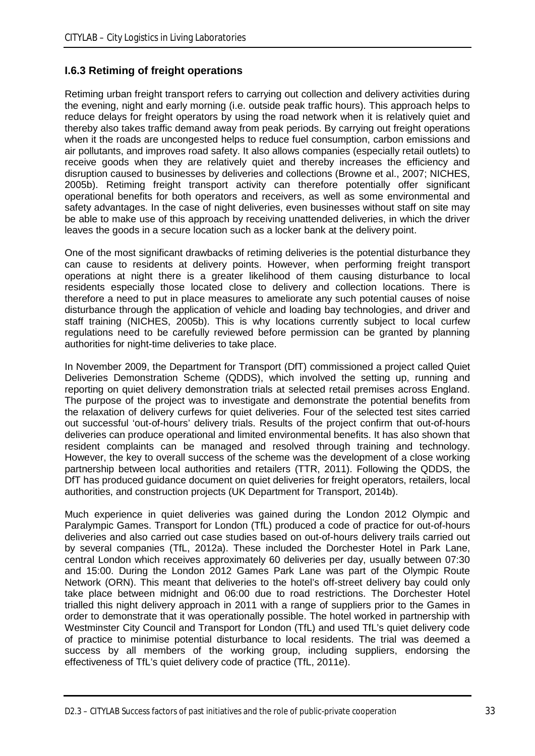### **I.6.3 Retiming of freight operations**

Retiming urban freight transport refers to carrying out collection and delivery activities during the evening, night and early morning (i.e. outside peak traffic hours). This approach helps to reduce delays for freight operators by using the road network when it is relatively quiet and thereby also takes traffic demand away from peak periods. By carrying out freight operations when it the roads are uncongested helps to reduce fuel consumption, carbon emissions and air pollutants, and improves road safety. It also allows companies (especially retail outlets) to receive goods when they are relatively quiet and thereby increases the efficiency and disruption caused to businesses by deliveries and collections (Browne et al., 2007; NICHES, 2005b). Retiming freight transport activity can therefore potentially offer significant operational benefits for both operators and receivers, as well as some environmental and safety advantages. In the case of night deliveries, even businesses without staff on site may be able to make use of this approach by receiving unattended deliveries, in which the driver leaves the goods in a secure location such as a locker bank at the delivery point.

One of the most significant drawbacks of retiming deliveries is the potential disturbance they can cause to residents at delivery points. However, when performing freight transport operations at night there is a greater likelihood of them causing disturbance to local residents especially those located close to delivery and collection locations. There is therefore a need to put in place measures to ameliorate any such potential causes of noise disturbance through the application of vehicle and loading bay technologies, and driver and staff training (NICHES, 2005b). This is why locations currently subject to local curfew regulations need to be carefully reviewed before permission can be granted by planning authorities for night-time deliveries to take place.

In November 2009, the Department for Transport (DfT) commissioned a project called Quiet Deliveries Demonstration Scheme (QDDS), which involved the setting up, running and reporting on quiet delivery demonstration trials at selected retail premises across England. The purpose of the project was to investigate and demonstrate the potential benefits from the relaxation of delivery curfews for quiet deliveries. Four of the selected test sites carried out successful 'out-of-hours' delivery trials. Results of the project confirm that out-of-hours deliveries can produce operational and limited environmental benefits. It has also shown that resident complaints can be managed and resolved through training and technology. However, the key to overall success of the scheme was the development of a close working partnership between local authorities and retailers (TTR, 2011). Following the QDDS, the DfT has produced guidance document on quiet deliveries for freight operators, retailers, local authorities, and construction projects (UK Department for Transport, 2014b).

Much experience in quiet deliveries was gained during the London 2012 Olympic and Paralympic Games. Transport for London (TfL) produced a code of practice for out-of-hours deliveries and also carried out case studies based on out-of-hours delivery trails carried out by several companies (TfL, 2012a). These included the Dorchester Hotel in Park Lane, central London which receives approximately 60 deliveries per day, usually between 07:30 and 15:00. During the London 2012 Games Park Lane was part of the Olympic Route Network (ORN). This meant that deliveries to the hotel's off-street delivery bay could only take place between midnight and 06:00 due to road restrictions. The Dorchester Hotel trialled this night delivery approach in 2011 with a range of suppliers prior to the Games in order to demonstrate that it was operationally possible. The hotel worked in partnership with Westminster City Council and Transport for London (TfL) and used TfL's quiet delivery code of practice to minimise potential disturbance to local residents. The trial was deemed a success by all members of the working group, including suppliers, endorsing the effectiveness of TfL's quiet delivery code of practice (TfL, 2011e).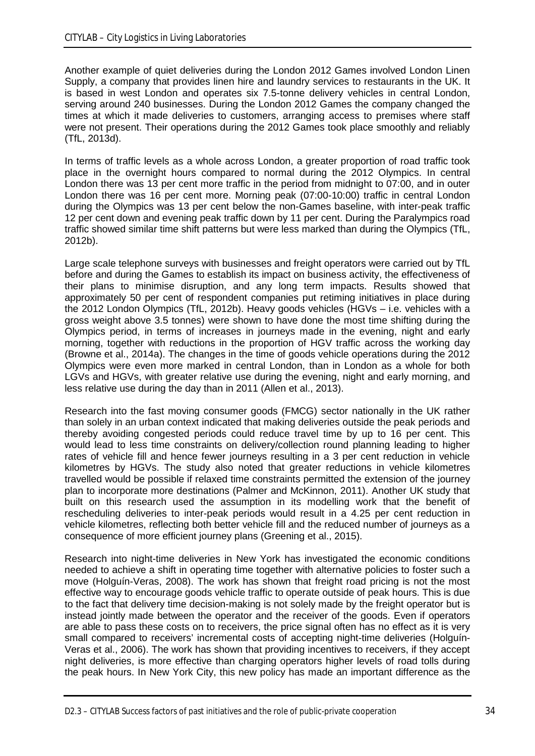Another example of quiet deliveries during the London 2012 Games involved London Linen Supply, a company that provides linen hire and laundry services to restaurants in the UK. It is based in west London and operates six 7.5-tonne delivery vehicles in central London, serving around 240 businesses. During the London 2012 Games the company changed the times at which it made deliveries to customers, arranging access to premises where staff were not present. Their operations during the 2012 Games took place smoothly and reliably (TfL, 2013d).

In terms of traffic levels as a whole across London, a greater proportion of road traffic took place in the overnight hours compared to normal during the 2012 Olympics. In central London there was 13 per cent more traffic in the period from midnight to 07:00, and in outer London there was 16 per cent more. Morning peak (07:00-10:00) traffic in central London during the Olympics was 13 per cent below the non-Games baseline, with inter-peak traffic 12 per cent down and evening peak traffic down by 11 per cent. During the Paralympics road traffic showed similar time shift patterns but were less marked than during the Olympics (TfL, 2012b).

Large scale telephone surveys with businesses and freight operators were carried out by TfL before and during the Games to establish its impact on business activity, the effectiveness of their plans to minimise disruption, and any long term impacts. Results showed that approximately 50 per cent of respondent companies put retiming initiatives in place during the 2012 London Olympics (TfL, 2012b). Heavy goods vehicles (HGVs – i.e. vehicles with a gross weight above 3.5 tonnes) were shown to have done the most time shifting during the Olympics period, in terms of increases in journeys made in the evening, night and early morning, together with reductions in the proportion of HGV traffic across the working day (Browne et al., 2014a). The changes in the time of goods vehicle operations during the 2012 Olympics were even more marked in central London, than in London as a whole for both LGVs and HGVs, with greater relative use during the evening, night and early morning, and less relative use during the day than in 2011 (Allen et al., 2013).

Research into the fast moving consumer goods (FMCG) sector nationally in the UK rather than solely in an urban context indicated that making deliveries outside the peak periods and thereby avoiding congested periods could reduce travel time by up to 16 per cent. This would lead to less time constraints on delivery/collection round planning leading to higher rates of vehicle fill and hence fewer journeys resulting in a 3 per cent reduction in vehicle kilometres by HGVs. The study also noted that greater reductions in vehicle kilometres travelled would be possible if relaxed time constraints permitted the extension of the journey plan to incorporate more destinations (Palmer and McKinnon, 2011). Another UK study that built on this research used the assumption in its modelling work that the benefit of rescheduling deliveries to inter-peak periods would result in a 4.25 per cent reduction in vehicle kilometres, reflecting both better vehicle fill and the reduced number of journeys as a consequence of more efficient journey plans (Greening et al., 2015).

Research into night-time deliveries in New York has investigated the economic conditions needed to achieve a shift in operating time together with alternative policies to foster such a move (Holguín-Veras, 2008). The work has shown that freight road pricing is not the most effective way to encourage goods vehicle traffic to operate outside of peak hours. This is due to the fact that delivery time decision-making is not solely made by the freight operator but is instead jointly made between the operator and the receiver of the goods. Even if operators are able to pass these costs on to receivers, the price signal often has no effect as it is very small compared to receivers' incremental costs of accepting night-time deliveries (Holguín-Veras et al., 2006). The work has shown that providing incentives to receivers, if they accept night deliveries, is more effective than charging operators higher levels of road tolls during the peak hours. In New York City, this new policy has made an important difference as the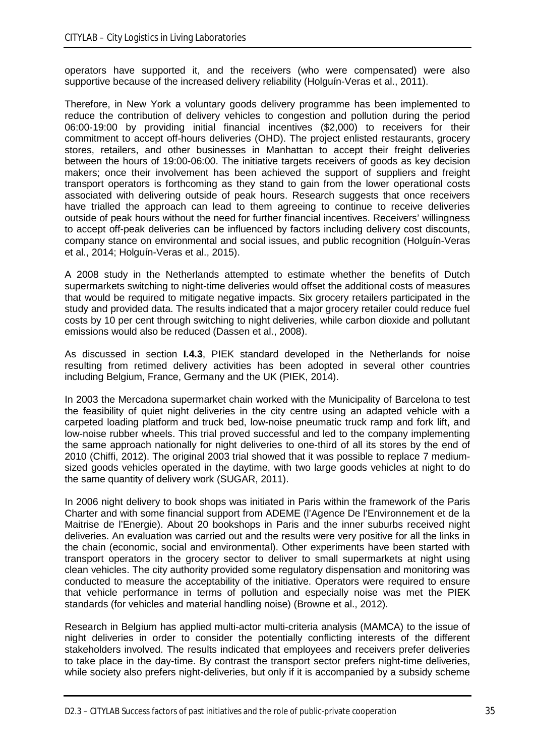operators have supported it, and the receivers (who were compensated) were also supportive because of the increased delivery reliability (Holguín-Veras et al., 2011).

Therefore, in New York a voluntary goods delivery programme has been implemented to reduce the contribution of delivery vehicles to congestion and pollution during the period 06:00-19:00 by providing initial financial incentives (\$2,000) to receivers for their commitment to accept off-hours deliveries (OHD). The project enlisted restaurants, grocery stores, retailers, and other businesses in Manhattan to accept their freight deliveries between the hours of 19:00-06:00. The initiative targets receivers of goods as key decision makers; once their involvement has been achieved the support of suppliers and freight transport operators is forthcoming as they stand to gain from the lower operational costs associated with delivering outside of peak hours. Research suggests that once receivers have trialled the approach can lead to them agreeing to continue to receive deliveries outside of peak hours without the need for further financial incentives. Receivers' willingness to accept off-peak deliveries can be influenced by factors including delivery cost discounts, company stance on environmental and social issues, and public recognition (Holguín-Veras et al., 2014; Holguín-Veras et al., 2015).

A 2008 study in the Netherlands attempted to estimate whether the benefits of Dutch supermarkets switching to night-time deliveries would offset the additional costs of measures that would be required to mitigate negative impacts. Six grocery retailers participated in the study and provided data. The results indicated that a major grocery retailer could reduce fuel costs by 10 per cent through switching to night deliveries, while carbon dioxide and pollutant emissions would also be reduced (Dassen et al., 2008).

As discussed in section **I.4.3**, PIEK standard developed in the Netherlands for noise resulting from retimed delivery activities has been adopted in several other countries including Belgium, France, Germany and the UK (PIEK, 2014).

In 2003 the Mercadona supermarket chain worked with the Municipality of Barcelona to test the feasibility of quiet night deliveries in the city centre using an adapted vehicle with a carpeted loading platform and truck bed, low-noise pneumatic truck ramp and fork lift, and low-noise rubber wheels. This trial proved successful and led to the company implementing the same approach nationally for night deliveries to one-third of all its stores by the end of 2010 (Chiffi, 2012). The original 2003 trial showed that it was possible to replace 7 mediumsized goods vehicles operated in the daytime, with two large goods vehicles at night to do the same quantity of delivery work (SUGAR, 2011).

In 2006 night delivery to book shops was initiated in Paris within the framework of the Paris Charter and with some financial support from ADEME (l'Agence De l'Environnement et de la Maitrise de l'Energie). About 20 bookshops in Paris and the inner suburbs received night deliveries. An evaluation was carried out and the results were very positive for all the links in the chain (economic, social and environmental). Other experiments have been started with transport operators in the grocery sector to deliver to small supermarkets at night using clean vehicles. The city authority provided some regulatory dispensation and monitoring was conducted to measure the acceptability of the initiative. Operators were required to ensure that vehicle performance in terms of pollution and especially noise was met the PIEK standards (for vehicles and material handling noise) (Browne et al., 2012).

Research in Belgium has applied multi-actor multi-criteria analysis (MAMCA) to the issue of night deliveries in order to consider the potentially conflicting interests of the different stakeholders involved. The results indicated that employees and receivers prefer deliveries to take place in the day-time. By contrast the transport sector prefers night-time deliveries, while society also prefers night-deliveries, but only if it is accompanied by a subsidy scheme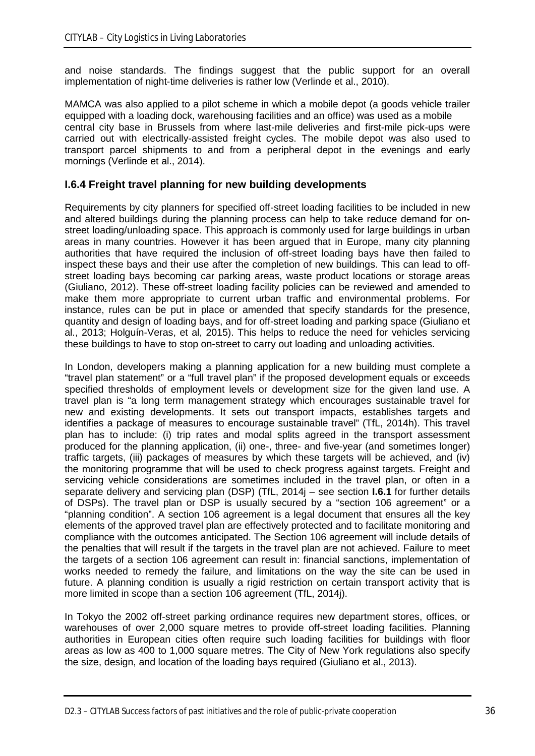and noise standards. The findings suggest that the public support for an overall implementation of night-time deliveries is rather low (Verlinde et al., 2010).

MAMCA was also applied to a pilot scheme in which a mobile depot (a goods vehicle trailer equipped with a loading dock, warehousing facilities and an office) was used as a mobile central city base in Brussels from where last-mile deliveries and first-mile pick-ups were carried out with electrically-assisted freight cycles. The mobile depot was also used to transport parcel shipments to and from a peripheral depot in the evenings and early mornings (Verlinde et al., 2014).

### **I.6.4 Freight travel planning for new building developments**

Requirements by city planners for specified off-street loading facilities to be included in new and altered buildings during the planning process can help to take reduce demand for onstreet loading/unloading space. This approach is commonly used for large buildings in urban areas in many countries. However it has been argued that in Europe, many city planning authorities that have required the inclusion of off-street loading bays have then failed to inspect these bays and their use after the completion of new buildings. This can lead to offstreet loading bays becoming car parking areas, waste product locations or storage areas (Giuliano, 2012). These off-street loading facility policies can be reviewed and amended to make them more appropriate to current urban traffic and environmental problems. For instance, rules can be put in place or amended that specify standards for the presence, quantity and design of loading bays, and for off-street loading and parking space (Giuliano et al., 2013; Holguín-Veras, et al, 2015). This helps to reduce the need for vehicles servicing these buildings to have to stop on-street to carry out loading and unloading activities.

In London, developers making a planning application for a new building must complete a "travel plan statement" or a "full travel plan" if the proposed development equals or exceeds specified thresholds of employment levels or development size for the given land use. A travel plan is "a long term management strategy which encourages sustainable travel for new and existing developments. It sets out transport impacts, establishes targets and identifies a package of measures to encourage sustainable travel" (TfL, 2014h). This travel plan has to include: (i) trip rates and modal splits agreed in the transport assessment produced for the planning application, (ii) one-, three- and five-year (and sometimes longer) traffic targets, (iii) packages of measures by which these targets will be achieved, and (iv) the monitoring programme that will be used to check progress against targets. Freight and servicing vehicle considerations are sometimes included in the travel plan, or often in a separate delivery and servicing plan (DSP) (TfL, 2014j – see section **I.6.1** for further details of DSPs). The travel plan or DSP is usually secured by a "section 106 agreement" or a "planning condition". A section 106 agreement is a legal document that ensures all the key elements of the approved travel plan are effectively protected and to facilitate monitoring and compliance with the outcomes anticipated. The Section 106 agreement will include details of the penalties that will result if the targets in the travel plan are not achieved. Failure to meet the targets of a section 106 agreement can result in: financial sanctions, implementation of works needed to remedy the failure, and limitations on the way the site can be used in future. A planning condition is usually a rigid restriction on certain transport activity that is more limited in scope than a section 106 agreement (TfL, 2014j).

In Tokyo the 2002 off-street parking ordinance requires new department stores, offices, or warehouses of over 2,000 square metres to provide off-street loading facilities. Planning authorities in European cities often require such loading facilities for buildings with floor areas as low as 400 to 1,000 square metres. The City of New York regulations also specify the size, design, and location of the loading bays required (Giuliano et al., 2013).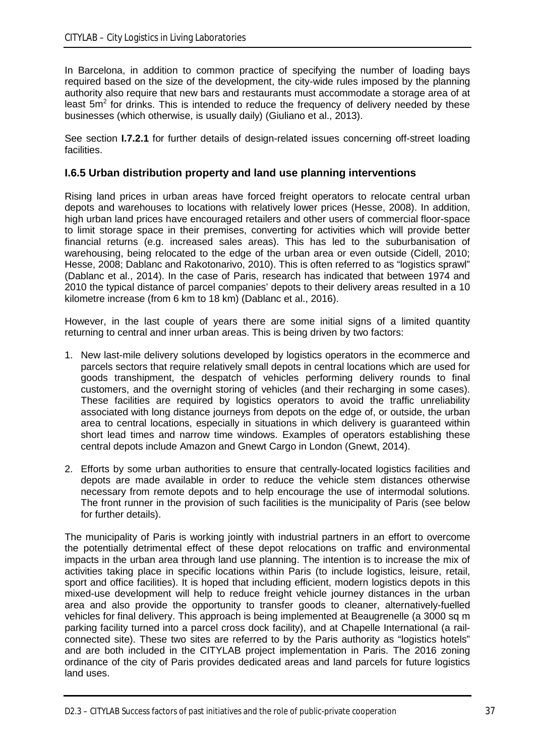In Barcelona, in addition to common practice of specifying the number of loading bays required based on the size of the development, the city-wide rules imposed by the planning authority also require that new bars and restaurants must accommodate a storage area of at least  $5m<sup>2</sup>$  for drinks. This is intended to reduce the frequency of delivery needed by these businesses (which otherwise, is usually daily) (Giuliano et al., 2013).

See section **I.7.2.1** for further details of design-related issues concerning off-street loading facilities.

## **I.6.5 Urban distribution property and land use planning interventions**

Rising land prices in urban areas have forced freight operators to relocate central urban depots and warehouses to locations with relatively lower prices (Hesse, 2008). In addition, high urban land prices have encouraged retailers and other users of commercial floor-space to limit storage space in their premises, converting for activities which will provide better financial returns (e.g. increased sales areas). This has led to the suburbanisation of warehousing, being relocated to the edge of the urban area or even outside (Cidell, 2010; Hesse, 2008; Dablanc and Rakotonarivo, 2010). This is often referred to as "logistics sprawl" (Dablanc et al., 2014). In the case of Paris, research has indicated that between 1974 and 2010 the typical distance of parcel companies' depots to their delivery areas resulted in a 10 kilometre increase (from 6 km to 18 km) (Dablanc et al., 2016).

However, in the last couple of vears there are some initial signs of a limited quantity returning to central and inner urban areas. This is being driven by two factors:

- 1. New last-mile delivery solutions developed by logistics operators in the ecommerce and parcels sectors that require relatively small depots in central locations which are used for goods transhipment, the despatch of vehicles performing delivery rounds to final customers, and the overnight storing of vehicles (and their recharging in some cases). These facilities are required by logistics operators to avoid the traffic unreliability associated with long distance journeys from depots on the edge of, or outside, the urban area to central locations, especially in situations in which delivery is guaranteed within short lead times and narrow time windows. Examples of operators establishing these central depots include Amazon and Gnewt Cargo in London (Gnewt, 2014).
- 2. Efforts by some urban authorities to ensure that centrally-located logistics facilities and depots are made available in order to reduce the vehicle stem distances otherwise necessary from remote depots and to help encourage the use of intermodal solutions. The front runner in the provision of such facilities is the municipality of Paris (see below for further details).

The municipality of Paris is working jointly with industrial partners in an effort to overcome the potentially detrimental effect of these depot relocations on traffic and environmental impacts in the urban area through land use planning. The intention is to increase the mix of activities taking place in specific locations within Paris (to include logistics, leisure, retail, sport and office facilities). It is hoped that including efficient, modern logistics depots in this mixed-use development will help to reduce freight vehicle journey distances in the urban area and also provide the opportunity to transfer goods to cleaner, alternatively-fuelled vehicles for final delivery. This approach is being implemented at Beaugrenelle (a 3000 sq m parking facility turned into a parcel cross dock facility), and at Chapelle International (a railconnected site). These two sites are referred to by the Paris authority as "logistics hotels" and are both included in the CITYLAB project implementation in Paris. The 2016 zoning ordinance of the city of Paris provides dedicated areas and land parcels for future logistics land uses.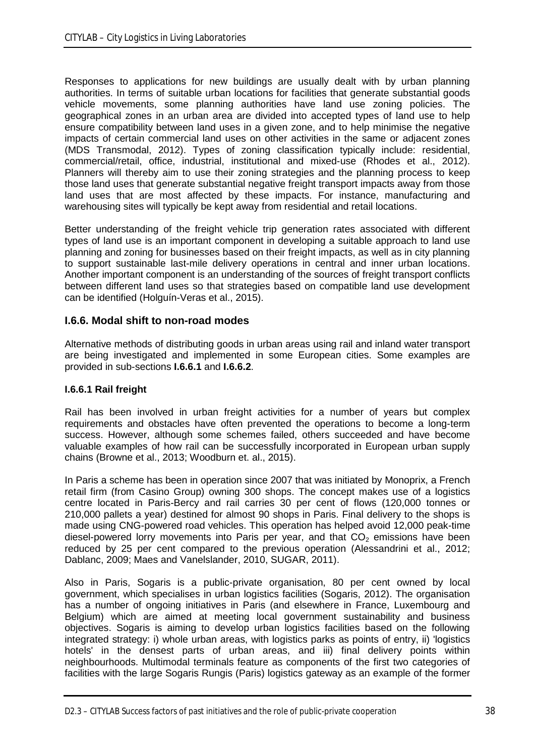Responses to applications for new buildings are usually dealt with by urban planning authorities. In terms of suitable urban locations for facilities that generate substantial goods vehicle movements, some planning authorities have land use zoning policies. The geographical zones in an urban area are divided into accepted types of land use to help ensure compatibility between land uses in a given zone, and to help minimise the negative impacts of certain commercial land uses on other activities in the same or adjacent zones (MDS Transmodal, 2012). Types of zoning classification typically include: residential, commercial/retail, office, industrial, institutional and mixed-use (Rhodes et al., 2012). Planners will thereby aim to use their zoning strategies and the planning process to keep those land uses that generate substantial negative freight transport impacts away from those land uses that are most affected by these impacts. For instance, manufacturing and warehousing sites will typically be kept away from residential and retail locations.

Better understanding of the freight vehicle trip generation rates associated with different types of land use is an important component in developing a suitable approach to land use planning and zoning for businesses based on their freight impacts, as well as in city planning to support sustainable last-mile delivery operations in central and inner urban locations. Another important component is an understanding of the sources of freight transport conflicts between different land uses so that strategies based on compatible land use development can be identified (Holguín-Veras et al., 2015).

## **I.6.6. Modal shift to non-road modes**

Alternative methods of distributing goods in urban areas using rail and inland water transport are being investigated and implemented in some European cities. Some examples are provided in sub-sections **I.6.6.1** and **I.6.6.2**.

#### **I.6.6.1 Rail freight**

Rail has been involved in urban freight activities for a number of years but complex requirements and obstacles have often prevented the operations to become a long-term success. However, although some schemes failed, others succeeded and have become valuable examples of how rail can be successfully incorporated in European urban supply chains (Browne et al., 2013; Woodburn et. al., 2015).

In Paris a scheme has been in operation since 2007 that was initiated by Monoprix, a French retail firm (from Casino Group) owning 300 shops. The concept makes use of a logistics centre located in Paris-Bercy and rail carries 30 per cent of flows (120,000 tonnes or 210,000 pallets a year) destined for almost 90 shops in Paris. Final delivery to the shops is made using CNG-powered road vehicles. This operation has helped avoid 12,000 peak-time diesel-powered lorry movements into Paris per year, and that  $CO<sub>2</sub>$  emissions have been reduced by 25 per cent compared to the previous operation (Alessandrini et al., 2012; Dablanc, 2009; Maes and Vanelslander, 2010, SUGAR, 2011).

Also in Paris, Sogaris is a public-private organisation, 80 per cent owned by local government, which specialises in urban logistics facilities (Sogaris, 2012). The organisation has a number of ongoing initiatives in Paris (and elsewhere in France, Luxembourg and Belgium) which are aimed at meeting local government sustainability and business objectives. Sogaris is aiming to develop urban logistics facilities based on the following integrated strategy: i) whole urban areas, with logistics parks as points of entry, ii) 'logistics hotels' in the densest parts of urban areas, and iii) final delivery points within neighbourhoods. Multimodal terminals feature as components of the first two categories of facilities with the large Sogaris Rungis (Paris) logistics gateway as an example of the former

D2.3 – CITYLAB Success factors of past initiatives and the role of public-private cooperation 38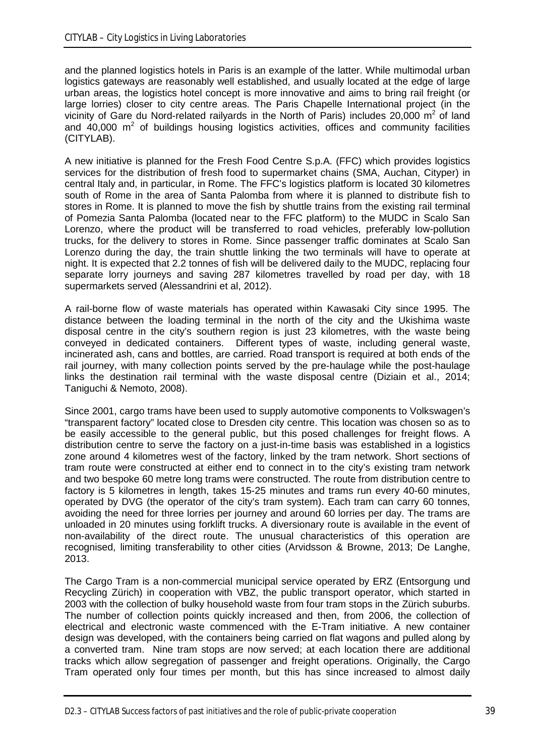and the planned logistics hotels in Paris is an example of the latter. While multimodal urban logistics gateways are reasonably well established, and usually located at the edge of large urban areas, the logistics hotel concept is more innovative and aims to bring rail freight (or large lorries) closer to city centre areas. The Paris Chapelle International project (in the vicinity of Gare du Nord-related railyards in the North of Paris) includes 20,000  $m^2$  of land and  $40,000$  m<sup>2</sup> of buildings housing logistics activities, offices and community facilities (CITYLAB).

A new initiative is planned for the Fresh Food Centre S.p.A. (FFC) which provides logistics services for the distribution of fresh food to supermarket chains (SMA, Auchan, Cityper) in central Italy and, in particular, in Rome. The FFC's logistics platform is located 30 kilometres south of Rome in the area of Santa Palomba from where it is planned to distribute fish to stores in Rome. It is planned to move the fish by shuttle trains from the existing rail terminal of Pomezia Santa Palomba (located near to the FFC platform) to the MUDC in Scalo San Lorenzo, where the product will be transferred to road vehicles, preferably low-pollution trucks, for the delivery to stores in Rome. Since passenger traffic dominates at Scalo San Lorenzo during the day, the train shuttle linking the two terminals will have to operate at night. It is expected that 2.2 tonnes of fish will be delivered daily to the MUDC, replacing four separate lorry journeys and saving 287 kilometres travelled by road per day, with 18 supermarkets served (Alessandrini et al, 2012).

A rail-borne flow of waste materials has operated within Kawasaki City since 1995. The distance between the loading terminal in the north of the city and the Ukishima waste disposal centre in the city's southern region is just 23 kilometres, with the waste being conveyed in dedicated containers. Different types of waste, including general waste, incinerated ash, cans and bottles, are carried. Road transport is required at both ends of the rail journey, with many collection points served by the pre-haulage while the post-haulage links the destination rail terminal with the waste disposal centre (Diziain et al., 2014; Taniguchi & Nemoto, 2008).

Since 2001, cargo trams have been used to supply automotive components to Volkswagen's "transparent factory" located close to Dresden city centre. This location was chosen so as to be easily accessible to the general public, but this posed challenges for freight flows. A distribution centre to serve the factory on a just-in-time basis was established in a logistics zone around 4 kilometres west of the factory, linked by the tram network. Short sections of tram route were constructed at either end to connect in to the city's existing tram network and two bespoke 60 metre long trams were constructed. The route from distribution centre to factory is 5 kilometres in length, takes 15-25 minutes and trams run every 40-60 minutes, operated by DVG (the operator of the city's tram system). Each tram can carry 60 tonnes, avoiding the need for three lorries per journey and around 60 lorries per day. The trams are unloaded in 20 minutes using forklift trucks. A diversionary route is available in the event of non-availability of the direct route. The unusual characteristics of this operation are recognised, limiting transferability to other cities (Arvidsson & Browne, 2013; De Langhe, 2013.

The Cargo Tram is a non-commercial municipal service operated by ERZ (Entsorgung und Recycling Zürich) in cooperation with VBZ, the public transport operator, which started in 2003 with the collection of bulky household waste from four tram stops in the Zürich suburbs. The number of collection points quickly increased and then, from 2006, the collection of electrical and electronic waste commenced with the E-Tram initiative. A new container design was developed, with the containers being carried on flat wagons and pulled along by a converted tram. Nine tram stops are now served; at each location there are additional tracks which allow segregation of passenger and freight operations. Originally, the Cargo Tram operated only four times per month, but this has since increased to almost daily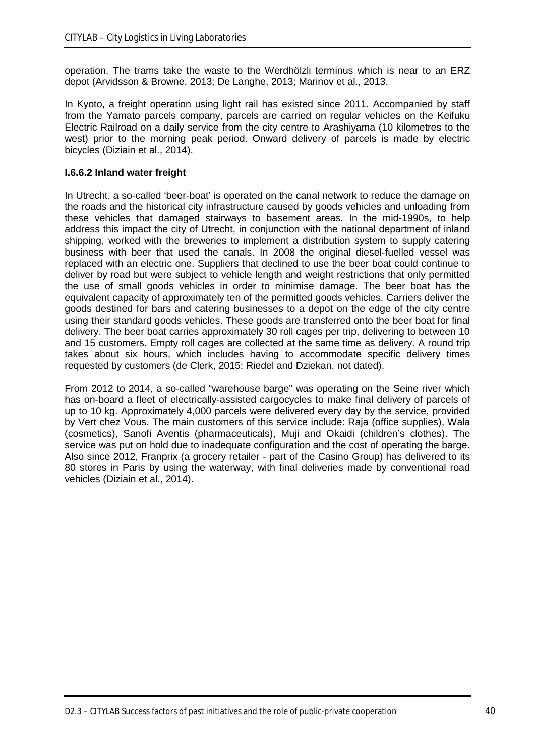operation. The trams take the waste to the Werdhölzli terminus which is near to an ERZ depot (Arvidsson & Browne, 2013; De Langhe, 2013; Marinov et al., 2013.

In Kyoto, a freight operation using light rail has existed since 2011. Accompanied by staff from the Yamato parcels company, parcels are carried on regular vehicles on the Keifuku Electric Railroad on a daily service from the city centre to Arashiyama (10 kilometres to the west) prior to the morning peak period. Onward delivery of parcels is made by electric bicycles (Diziain et al., 2014).

### **I.6.6.2 Inland water freight**

In Utrecht, a so-called 'beer-boat' is operated on the canal network to reduce the damage on the roads and the historical city infrastructure caused by goods vehicles and unloading from these vehicles that damaged stairways to basement areas. In the mid-1990s, to help address this impact the city of Utrecht, in conjunction with the national department of inland shipping, worked with the breweries to implement a distribution system to supply catering business with beer that used the canals. In 2008 the original diesel-fuelled vessel was replaced with an electric one. Suppliers that declined to use the beer boat could continue to deliver by road but were subject to vehicle length and weight restrictions that only permitted the use of small goods vehicles in order to minimise damage. The beer boat has the equivalent capacity of approximately ten of the permitted goods vehicles. Carriers deliver the goods destined for bars and catering businesses to a depot on the edge of the city centre using their standard goods vehicles. These goods are transferred onto the beer boat for final delivery. The beer boat carries approximately 30 roll cages per trip, delivering to between 10 and 15 customers. Empty roll cages are collected at the same time as delivery. A round trip takes about six hours, which includes having to accommodate specific delivery times requested by customers (de Clerk, 2015; Riedel and Dziekan, not dated).

From 2012 to 2014, a so-called "warehouse barge" was operating on the Seine river which has on-board a fleet of electrically-assisted cargocycles to make final delivery of parcels of up to 10 kg. Approximately 4,000 parcels were delivered every day by the service, provided by Vert chez Vous. The main customers of this service include: Raja (office supplies), Wala (cosmetics), Sanofi Aventis (pharmaceuticals), Muji and Okaidi (children's clothes). The service was put on hold due to inadequate configuration and the cost of operating the barge. Also since 2012, Franprix (a grocery retailer - part of the Casino Group) has delivered to its 80 stores in Paris by using the waterway, with final deliveries made by conventional road vehicles (Diziain et al., 2014).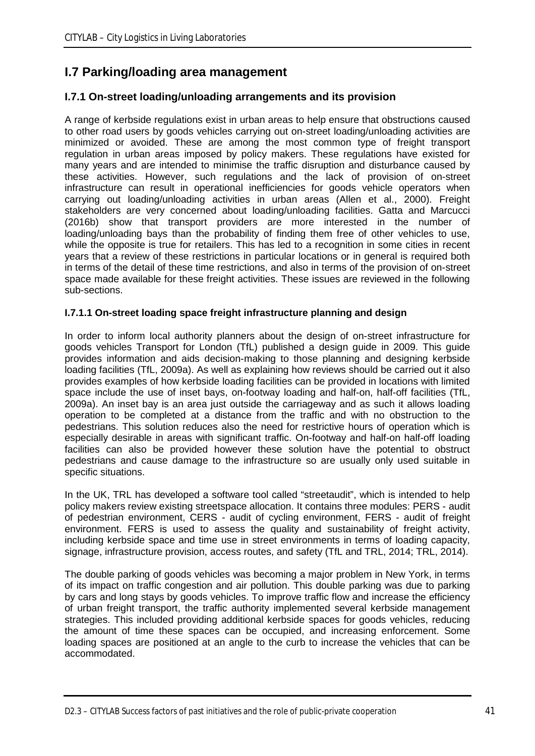# **I.7 Parking/loading area management**

# **I.7.1 On-street loading/unloading arrangements and its provision**

A range of kerbside regulations exist in urban areas to help ensure that obstructions caused to other road users by goods vehicles carrying out on-street loading/unloading activities are minimized or avoided. These are among the most common type of freight transport regulation in urban areas imposed by policy makers. These regulations have existed for many years and are intended to minimise the traffic disruption and disturbance caused by these activities. However, such regulations and the lack of provision of on-street infrastructure can result in operational inefficiencies for goods vehicle operators when carrying out loading/unloading activities in urban areas (Allen et al., 2000). Freight stakeholders are very concerned about loading/unloading facilities. Gatta and Marcucci (2016b) show that transport providers are more interested in the number of loading/unloading bays than the probability of finding them free of other vehicles to use, while the opposite is true for retailers. This has led to a recognition in some cities in recent years that a review of these restrictions in particular locations or in general is required both in terms of the detail of these time restrictions, and also in terms of the provision of on-street space made available for these freight activities. These issues are reviewed in the following sub-sections.

## **I.7.1.1 On-street loading space freight infrastructure planning and design**

In order to inform local authority planners about the design of on-street infrastructure for goods vehicles Transport for London (TfL) published a design guide in 2009. This guide provides information and aids decision-making to those planning and designing kerbside loading facilities (TfL, 2009a). As well as explaining how reviews should be carried out it also provides examples of how kerbside loading facilities can be provided in locations with limited space include the use of inset bays, on-footway loading and half-on, half-off facilities (TfL, 2009a). An inset bay is an area just outside the carriageway and as such it allows loading operation to be completed at a distance from the traffic and with no obstruction to the pedestrians. This solution reduces also the need for restrictive hours of operation which is especially desirable in areas with significant traffic. On-footway and half-on half-off loading facilities can also be provided however these solution have the potential to obstruct pedestrians and cause damage to the infrastructure so are usually only used suitable in specific situations.

In the UK, TRL has developed a software tool called "streetaudit", which is intended to help policy makers review existing streetspace allocation. It contains three modules: PERS - audit of pedestrian environment, CERS - audit of cycling environment, FERS - audit of freight environment. FERS is used to assess the quality and sustainability of freight activity, including kerbside space and time use in street environments in terms of loading capacity, signage, infrastructure provision, access routes, and safety (TfL and TRL, 2014; TRL, 2014).

The double parking of goods vehicles was becoming a major problem in New York, in terms of its impact on traffic congestion and air pollution. This double parking was due to parking by cars and long stays by goods vehicles. To improve traffic flow and increase the efficiency of urban freight transport, the traffic authority implemented several kerbside management strategies. This included providing additional kerbside spaces for goods vehicles, reducing the amount of time these spaces can be occupied, and increasing enforcement. Some loading spaces are positioned at an angle to the curb to increase the vehicles that can be accommodated.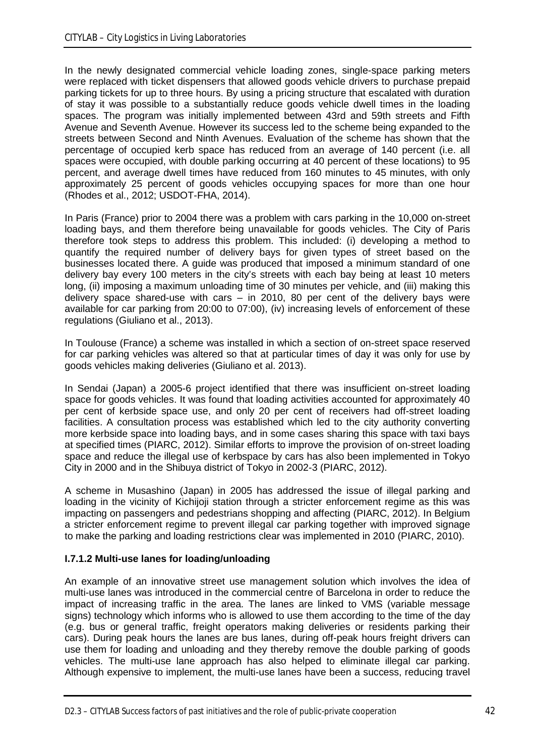In the newly designated commercial vehicle loading zones, single-space parking meters were replaced with ticket dispensers that allowed goods vehicle drivers to purchase prepaid parking tickets for up to three hours. By using a pricing structure that escalated with duration of stay it was possible to a substantially reduce goods vehicle dwell times in the loading spaces. The program was initially implemented between 43rd and 59th streets and Fifth Avenue and Seventh Avenue. However its success led to the scheme being expanded to the streets between Second and Ninth Avenues. Evaluation of the scheme has shown that the percentage of occupied kerb space has reduced from an average of 140 percent (i.e. all spaces were occupied, with double parking occurring at 40 percent of these locations) to 95 percent, and average dwell times have reduced from 160 minutes to 45 minutes, with only approximately 25 percent of goods vehicles occupying spaces for more than one hour (Rhodes et al., 2012; USDOT-FHA, 2014).

In Paris (France) prior to 2004 there was a problem with cars parking in the 10,000 on-street loading bays, and them therefore being unavailable for goods vehicles. The City of Paris therefore took steps to address this problem. This included: (i) developing a method to quantify the required number of delivery bays for given types of street based on the businesses located there. A guide was produced that imposed a minimum standard of one delivery bay every 100 meters in the city's streets with each bay being at least 10 meters long, (ii) imposing a maximum unloading time of 30 minutes per vehicle, and (iii) making this delivery space shared-use with cars – in 2010, 80 per cent of the delivery bays were available for car parking from 20:00 to 07:00), (iv) increasing levels of enforcement of these regulations (Giuliano et al., 2013).

In Toulouse (France) a scheme was installed in which a section of on-street space reserved for car parking vehicles was altered so that at particular times of day it was only for use by goods vehicles making deliveries (Giuliano et al. 2013).

In Sendai (Japan) a 2005-6 project identified that there was insufficient on-street loading space for goods vehicles. It was found that loading activities accounted for approximately 40 per cent of kerbside space use, and only 20 per cent of receivers had off-street loading facilities. A consultation process was established which led to the city authority converting more kerbside space into loading bays, and in some cases sharing this space with taxi bays at specified times (PIARC, 2012). Similar efforts to improve the provision of on-street loading space and reduce the illegal use of kerbspace by cars has also been implemented in Tokyo City in 2000 and in the Shibuya district of Tokyo in 2002-3 (PIARC, 2012).

A scheme in Musashino (Japan) in 2005 has addressed the issue of illegal parking and loading in the vicinity of Kichijoji station through a stricter enforcement regime as this was impacting on passengers and pedestrians shopping and affecting (PIARC, 2012). In Belgium a stricter enforcement regime to prevent illegal car parking together with improved signage to make the parking and loading restrictions clear was implemented in 2010 (PIARC, 2010).

#### **I.7.1.2 Multi-use lanes for loading/unloading**

An example of an innovative street use management solution which involves the idea of multi-use lanes was introduced in the commercial centre of Barcelona in order to reduce the impact of increasing traffic in the area. The lanes are linked to VMS (variable message signs) technology which informs who is allowed to use them according to the time of the day (e.g. bus or general traffic, freight operators making deliveries or residents parking their cars). During peak hours the lanes are bus lanes, during off-peak hours freight drivers can use them for loading and unloading and they thereby remove the double parking of goods vehicles. The multi-use lane approach has also helped to eliminate illegal car parking. Although expensive to implement, the multi-use lanes have been a success, reducing travel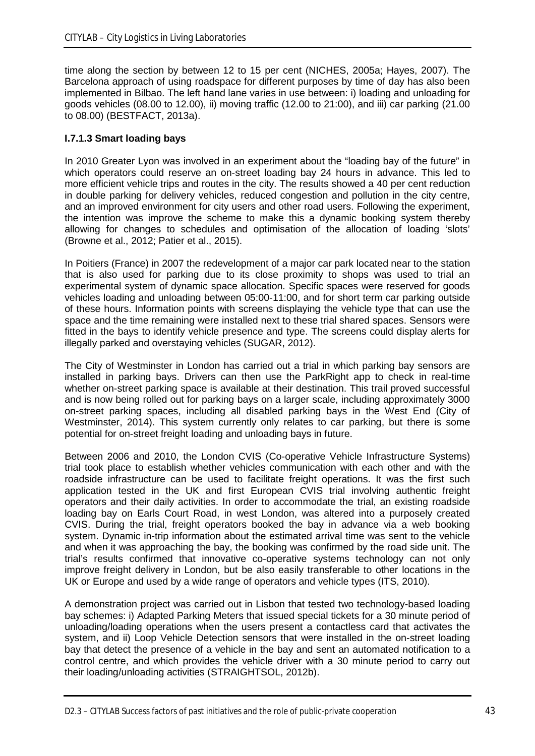time along the section by between 12 to 15 per cent (NICHES, 2005a; Hayes, 2007). The Barcelona approach of using roadspace for different purposes by time of day has also been implemented in Bilbao. The left hand lane varies in use between: i) loading and unloading for goods vehicles (08.00 to 12.00), ii) moving traffic (12.00 to 21:00), and iii) car parking (21.00 to 08.00) (BESTFACT, 2013a).

## **I.7.1.3 Smart loading bays**

In 2010 Greater Lyon was involved in an experiment about the "loading bay of the future" in which operators could reserve an on-street loading bay 24 hours in advance. This led to more efficient vehicle trips and routes in the city. The results showed a 40 per cent reduction in double parking for delivery vehicles, reduced congestion and pollution in the city centre, and an improved environment for city users and other road users. Following the experiment, the intention was improve the scheme to make this a dynamic booking system thereby allowing for changes to schedules and optimisation of the allocation of loading 'slots' (Browne et al., 2012; Patier et al., 2015).

In Poitiers (France) in 2007 the redevelopment of a major car park located near to the station that is also used for parking due to its close proximity to shops was used to trial an experimental system of dynamic space allocation. Specific spaces were reserved for goods vehicles loading and unloading between 05:00-11:00, and for short term car parking outside of these hours. Information points with screens displaying the vehicle type that can use the space and the time remaining were installed next to these trial shared spaces. Sensors were fitted in the bays to identify vehicle presence and type. The screens could display alerts for illegally parked and overstaying vehicles (SUGAR, 2012).

The City of Westminster in London has carried out a trial in which parking bay sensors are installed in parking bays. Drivers can then use the ParkRight app to check in real-time whether on-street parking space is available at their destination. This trail proved successful and is now being rolled out for parking bays on a larger scale, including approximately 3000 on-street parking spaces, including all disabled parking bays in the West End (City of Westminster, 2014). This system currently only relates to car parking, but there is some potential for on-street freight loading and unloading bays in future.

Between 2006 and 2010, the London CVIS (Co-operative Vehicle Infrastructure Systems) trial took place to establish whether vehicles communication with each other and with the roadside infrastructure can be used to facilitate freight operations. It was the first such application tested in the UK and first European CVIS trial involving authentic freight operators and their daily activities. In order to accommodate the trial, an existing roadside loading bay on Earls Court Road, in west London, was altered into a purposely created CVIS. During the trial, freight operators booked the bay in advance via a web booking system. Dynamic in-trip information about the estimated arrival time was sent to the vehicle and when it was approaching the bay, the booking was confirmed by the road side unit. The trial's results confirmed that innovative co-operative systems technology can not only improve freight delivery in London, but be also easily transferable to other locations in the UK or Europe and used by a wide range of operators and vehicle types (ITS, 2010).

A demonstration project was carried out in Lisbon that tested two technology-based loading bay schemes: i) Adapted Parking Meters that issued special tickets for a 30 minute period of unloading/loading operations when the users present a contactless card that activates the system, and ii) Loop Vehicle Detection sensors that were installed in the on-street loading bay that detect the presence of a vehicle in the bay and sent an automated notification to a control centre, and which provides the vehicle driver with a 30 minute period to carry out their loading/unloading activities (STRAIGHTSOL, 2012b).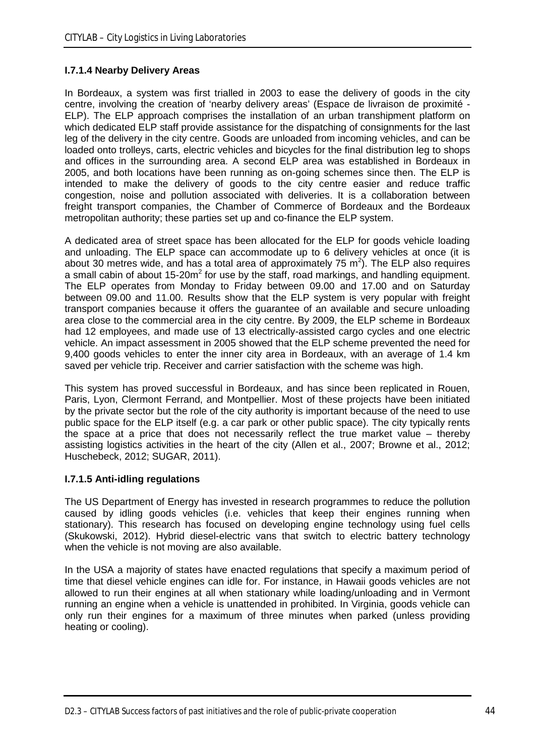## **I.7.1.4 Nearby Delivery Areas**

In Bordeaux, a system was first trialled in 2003 to ease the delivery of goods in the city centre, involving the creation of 'nearby delivery areas' (Espace de livraison de proximité - ELP). The ELP approach comprises the installation of an urban transhipment platform on which dedicated ELP staff provide assistance for the dispatching of consignments for the last leg of the delivery in the city centre. Goods are unloaded from incoming vehicles, and can be loaded onto trolleys, carts, electric vehicles and bicycles for the final distribution leg to shops and offices in the surrounding area. A second ELP area was established in Bordeaux in 2005, and both locations have been running as on-going schemes since then. The ELP is intended to make the delivery of goods to the city centre easier and reduce traffic congestion, noise and pollution associated with deliveries. It is a collaboration between freight transport companies, the Chamber of Commerce of Bordeaux and the Bordeaux metropolitan authority; these parties set up and co-finance the ELP system.

A dedicated area of street space has been allocated for the ELP for goods vehicle loading and unloading. The ELP space can accommodate up to 6 delivery vehicles at once (it is about 30 metres wide, and has a total area of approximately 75  $m^2$ ). The ELP also requires a small cabin of about 15-20 $m^2$  for use by the staff, road markings, and handling equipment. The ELP operates from Monday to Friday between 09.00 and 17.00 and on Saturday between 09.00 and 11.00. Results show that the ELP system is very popular with freight transport companies because it offers the guarantee of an available and secure unloading area close to the commercial area in the city centre. By 2009, the ELP scheme in Bordeaux had 12 employees, and made use of 13 electrically-assisted cargo cycles and one electric vehicle. An impact assessment in 2005 showed that the ELP scheme prevented the need for 9,400 goods vehicles to enter the inner city area in Bordeaux, with an average of 1.4 km saved per vehicle trip. Receiver and carrier satisfaction with the scheme was high.

This system has proved successful in Bordeaux, and has since been replicated in Rouen, Paris, Lyon, Clermont Ferrand, and Montpellier. Most of these projects have been initiated by the private sector but the role of the city authority is important because of the need to use public space for the ELP itself (e.g. a car park or other public space). The city typically rents the space at a price that does not necessarily reflect the true market value – thereby assisting logistics activities in the heart of the city (Allen et al., 2007; Browne et al., 2012; Huschebeck, 2012; SUGAR, 2011).

#### **I.7.1.5 Anti-idling regulations**

The US Department of Energy has invested in research programmes to reduce the pollution caused by idling goods vehicles (i.e. vehicles that keep their engines running when stationary). This research has focused on developing engine technology using fuel cells (Skukowski, 2012). Hybrid diesel-electric vans that switch to electric battery technology when the vehicle is not moving are also available.

In the USA a majority of states have enacted regulations that specify a maximum period of time that diesel vehicle engines can idle for. For instance, in Hawaii goods vehicles are not allowed to run their engines at all when stationary while loading/unloading and in Vermont running an engine when a vehicle is unattended in prohibited. In Virginia, goods vehicle can only run their engines for a maximum of three minutes when parked (unless providing heating or cooling).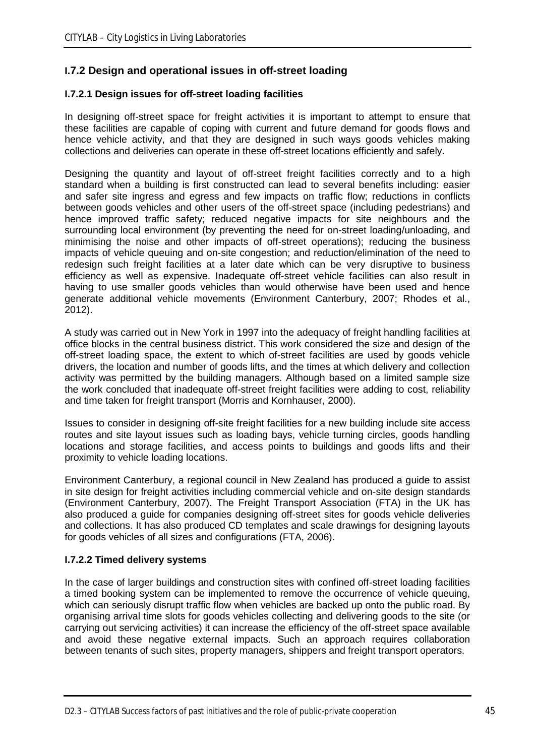# **I.7.2 Design and operational issues in off-street loading**

### **I.7.2.1 Design issues for off-street loading facilities**

In designing off-street space for freight activities it is important to attempt to ensure that these facilities are capable of coping with current and future demand for goods flows and hence vehicle activity, and that they are designed in such ways goods vehicles making collections and deliveries can operate in these off-street locations efficiently and safely.

Designing the quantity and layout of off-street freight facilities correctly and to a high standard when a building is first constructed can lead to several benefits including: easier and safer site ingress and egress and few impacts on traffic flow; reductions in conflicts between goods vehicles and other users of the off-street space (including pedestrians) and hence improved traffic safety; reduced negative impacts for site neighbours and the surrounding local environment (by preventing the need for on-street loading/unloading, and minimising the noise and other impacts of off-street operations); reducing the business impacts of vehicle queuing and on-site congestion; and reduction/elimination of the need to redesign such freight facilities at a later date which can be very disruptive to business efficiency as well as expensive. Inadequate off-street vehicle facilities can also result in having to use smaller goods vehicles than would otherwise have been used and hence generate additional vehicle movements (Environment Canterbury, 2007; Rhodes et al., 2012).

A study was carried out in New York in 1997 into the adequacy of freight handling facilities at office blocks in the central business district. This work considered the size and design of the off-street loading space, the extent to which of-street facilities are used by goods vehicle drivers, the location and number of goods lifts, and the times at which delivery and collection activity was permitted by the building managers. Although based on a limited sample size the work concluded that inadequate off-street freight facilities were adding to cost, reliability and time taken for freight transport (Morris and Kornhauser, 2000).

Issues to consider in designing off-site freight facilities for a new building include site access routes and site layout issues such as loading bays, vehicle turning circles, goods handling locations and storage facilities, and access points to buildings and goods lifts and their proximity to vehicle loading locations.

Environment Canterbury, a regional council in New Zealand has produced a guide to assist in site design for freight activities including commercial vehicle and on-site design standards (Environment Canterbury, 2007). The Freight Transport Association (FTA) in the UK has also produced a guide for companies designing off-street sites for goods vehicle deliveries and collections. It has also produced CD templates and scale drawings for designing layouts for goods vehicles of all sizes and configurations (FTA, 2006).

#### **I.7.2.2 Timed delivery systems**

In the case of larger buildings and construction sites with confined off-street loading facilities a timed booking system can be implemented to remove the occurrence of vehicle queuing, which can seriously disrupt traffic flow when vehicles are backed up onto the public road. By organising arrival time slots for goods vehicles collecting and delivering goods to the site (or carrying out servicing activities) it can increase the efficiency of the off-street space available and avoid these negative external impacts. Such an approach requires collaboration between tenants of such sites, property managers, shippers and freight transport operators.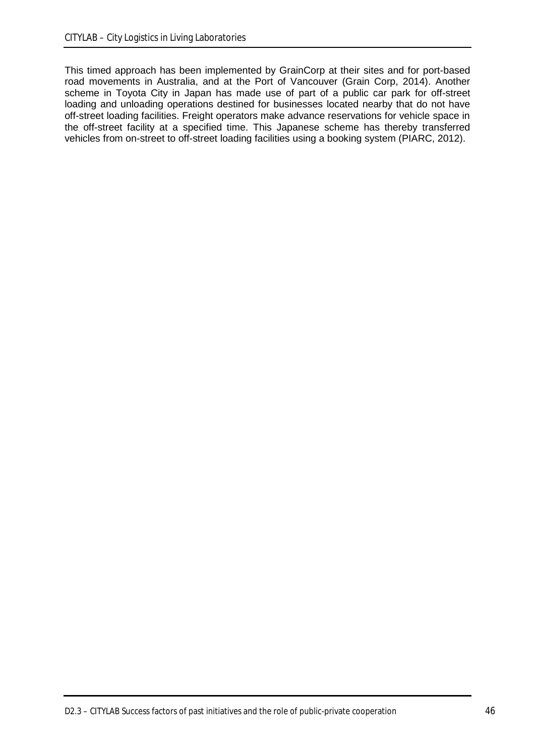This timed approach has been implemented by GrainCorp at their sites and for port-based road movements in Australia, and at the Port of Vancouver (Grain Corp, 2014). Another scheme in Toyota City in Japan has made use of part of a public car park for off-street loading and unloading operations destined for businesses located nearby that do not have off-street loading facilities. Freight operators make advance reservations for vehicle space in the off-street facility at a specified time. This Japanese scheme has thereby transferred vehicles from on-street to off-street loading facilities using a booking system (PIARC, 2012).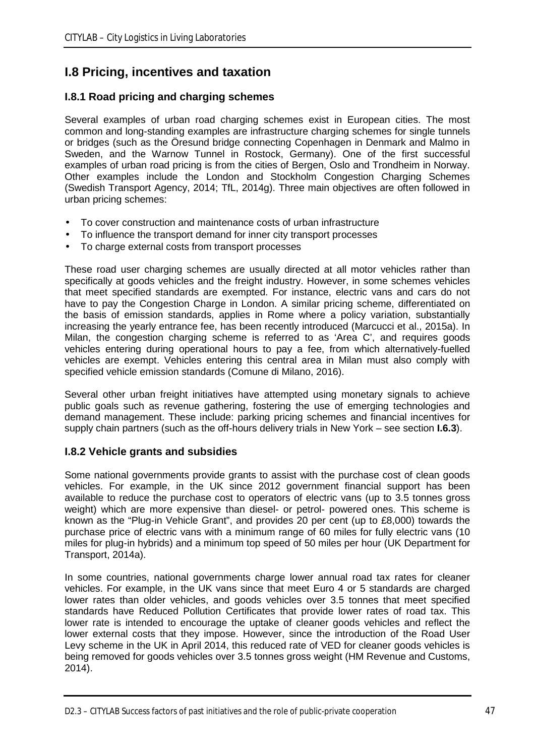# **I.8 Pricing, incentives and taxation**

# **I.8.1 Road pricing and charging schemes**

Several examples of urban road charging schemes exist in European cities. The most common and long-standing examples are infrastructure charging schemes for single tunnels or bridges (such as the Öresund bridge connecting Copenhagen in Denmark and Malmo in Sweden, and the Warnow Tunnel in Rostock, Germany). One of the first successful examples of urban road pricing is from the cities of Bergen, Oslo and Trondheim in Norway. Other examples include the London and Stockholm Congestion Charging Schemes (Swedish Transport Agency, 2014; TfL, 2014g). Three main objectives are often followed in urban pricing schemes:

- To cover construction and maintenance costs of urban infrastructure
- To influence the transport demand for inner city transport processes
- To charge external costs from transport processes

These road user charging schemes are usually directed at all motor vehicles rather than specifically at goods vehicles and the freight industry. However, in some schemes vehicles that meet specified standards are exempted. For instance, electric vans and cars do not have to pay the Congestion Charge in London. A similar pricing scheme, differentiated on the basis of emission standards, applies in Rome where a policy variation, substantially increasing the yearly entrance fee, has been recently introduced (Marcucci et al., 2015a). In Milan, the congestion charging scheme is referred to as 'Area C', and requires goods vehicles entering during operational hours to pay a fee, from which alternatively-fuelled vehicles are exempt. Vehicles entering this central area in Milan must also comply with specified vehicle emission standards (Comune di Milano, 2016).

Several other urban freight initiatives have attempted using monetary signals to achieve public goals such as revenue gathering, fostering the use of emerging technologies and demand management. These include: parking pricing schemes and financial incentives for supply chain partners (such as the off-hours delivery trials in New York – see section **I.6.3**).

# **I.8.2 Vehicle grants and subsidies**

Some national governments provide grants to assist with the purchase cost of clean goods vehicles. For example, in the UK since 2012 government financial support has been available to reduce the purchase cost to operators of electric vans (up to 3.5 tonnes gross weight) which are more expensive than diesel- or petrol- powered ones. This scheme is known as the "Plug-in Vehicle Grant", and provides 20 per cent (up to £8,000) towards the purchase price of electric vans with a minimum range of 60 miles for fully electric vans (10 miles for plug-in hybrids) and a minimum top speed of 50 miles per hour (UK Department for Transport, 2014a).

In some countries, national governments charge lower annual road tax rates for cleaner vehicles. For example, in the UK vans since that meet Euro 4 or 5 standards are charged lower rates than older vehicles, and goods vehicles over 3.5 tonnes that meet specified standards have Reduced Pollution Certificates that provide lower rates of road tax. This lower rate is intended to encourage the uptake of cleaner goods vehicles and reflect the lower external costs that they impose. However, since the introduction of the Road User Levy scheme in the UK in April 2014, this reduced rate of VED for cleaner goods vehicles is being removed for goods vehicles over 3.5 tonnes gross weight (HM Revenue and Customs, 2014).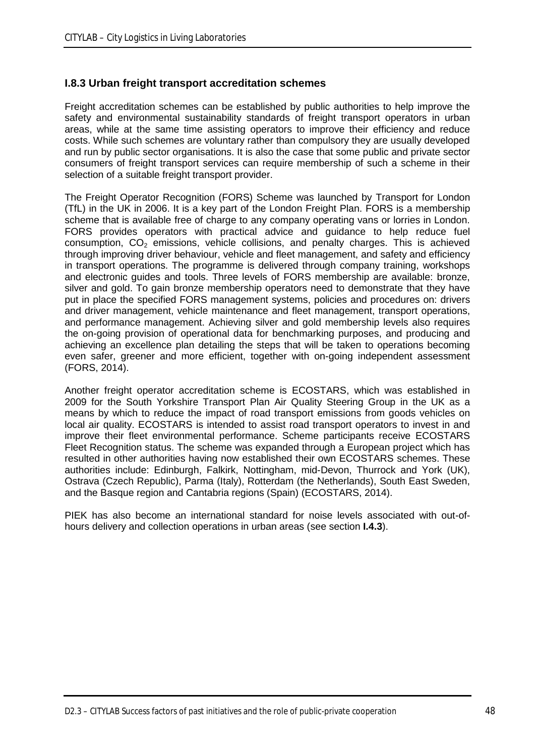## **I.8.3 Urban freight transport accreditation schemes**

Freight accreditation schemes can be established by public authorities to help improve the safety and environmental sustainability standards of freight transport operators in urban areas, while at the same time assisting operators to improve their efficiency and reduce costs. While such schemes are voluntary rather than compulsory they are usually developed and run by public sector organisations. It is also the case that some public and private sector consumers of freight transport services can require membership of such a scheme in their selection of a suitable freight transport provider.

The Freight Operator Recognition (FORS) Scheme was launched by Transport for London (TfL) in the UK in 2006. It is a key part of the London Freight Plan. FORS is a membership scheme that is available free of charge to any company operating vans or lorries in London. FORS provides operators with practical advice and guidance to help reduce fuel consumption,  $CO<sub>2</sub>$  emissions, vehicle collisions, and penalty charges. This is achieved through improving driver behaviour, vehicle and fleet management, and safety and efficiency in transport operations. The programme is delivered through company training, workshops and electronic guides and tools. Three levels of FORS membership are available: bronze, silver and gold. To gain bronze membership operators need to demonstrate that they have put in place the specified FORS management systems, policies and procedures on: drivers and driver management, vehicle maintenance and fleet management, transport operations, and performance management. Achieving silver and gold membership levels also requires the on-going provision of operational data for benchmarking purposes, and producing and achieving an excellence plan detailing the steps that will be taken to operations becoming even safer, greener and more efficient, together with on-going independent assessment (FORS, 2014).

Another freight operator accreditation scheme is ECOSTARS, which was established in 2009 for the South Yorkshire Transport Plan Air Quality Steering Group in the UK as a means by which to reduce the impact of road transport emissions from goods vehicles on local air quality. ECOSTARS is intended to assist road transport operators to invest in and improve their fleet environmental performance. Scheme participants receive ECOSTARS Fleet Recognition status. The scheme was expanded through a European project which has resulted in other authorities having now established their own ECOSTARS schemes. These authorities include: Edinburgh, Falkirk, Nottingham, mid-Devon, Thurrock and York (UK), Ostrava (Czech Republic), Parma (Italy), Rotterdam (the Netherlands), South East Sweden, and the Basque region and Cantabria regions (Spain) (ECOSTARS, 2014).

PIEK has also become an international standard for noise levels associated with out-ofhours delivery and collection operations in urban areas (see section **I.4.3**).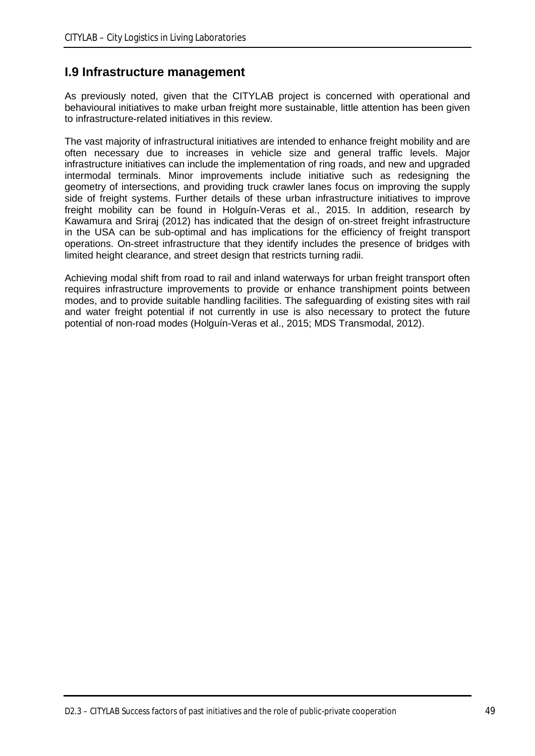# **I.9 Infrastructure management**

As previously noted, given that the CITYLAB project is concerned with operational and behavioural initiatives to make urban freight more sustainable, little attention has been given to infrastructure-related initiatives in this review.

The vast majority of infrastructural initiatives are intended to enhance freight mobility and are often necessary due to increases in vehicle size and general traffic levels. Major infrastructure initiatives can include the implementation of ring roads, and new and upgraded intermodal terminals. Minor improvements include initiative such as redesigning the geometry of intersections, and providing truck crawler lanes focus on improving the supply side of freight systems. Further details of these urban infrastructure initiatives to improve freight mobility can be found in Holguín-Veras et al., 2015. In addition, research by Kawamura and Sriraj (2012) has indicated that the design of on-street freight infrastructure in the USA can be sub-optimal and has implications for the efficiency of freight transport operations. On-street infrastructure that they identify includes the presence of bridges with limited height clearance, and street design that restricts turning radii.

Achieving modal shift from road to rail and inland waterways for urban freight transport often requires infrastructure improvements to provide or enhance transhipment points between modes, and to provide suitable handling facilities. The safeguarding of existing sites with rail and water freight potential if not currently in use is also necessary to protect the future potential of non-road modes (Holguín-Veras et al., 2015; MDS Transmodal, 2012).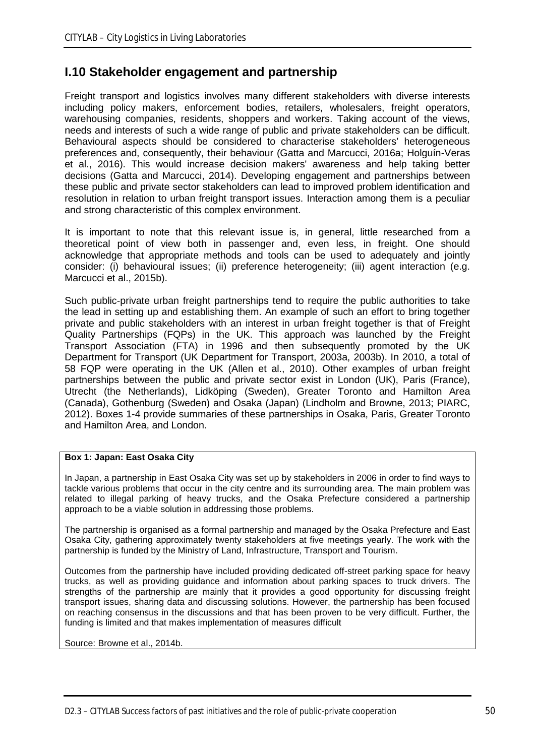# **I.10 Stakeholder engagement and partnership**

Freight transport and logistics involves many different stakeholders with diverse interests including policy makers, enforcement bodies, retailers, wholesalers, freight operators, warehousing companies, residents, shoppers and workers. Taking account of the views, needs and interests of such a wide range of public and private stakeholders can be difficult. Behavioural aspects should be considered to characterise stakeholders' heterogeneous preferences and, consequently, their behaviour (Gatta and Marcucci, 2016a; Holguín-Veras et al., 2016). This would increase decision makers' awareness and help taking better decisions (Gatta and Marcucci, 2014). Developing engagement and partnerships between these public and private sector stakeholders can lead to improved problem identification and resolution in relation to urban freight transport issues. Interaction among them is a peculiar and strong characteristic of this complex environment.

It is important to note that this relevant issue is, in general, little researched from a theoretical point of view both in passenger and, even less, in freight. One should acknowledge that appropriate methods and tools can be used to adequately and jointly consider: (i) behavioural issues; (ii) preference heterogeneity; (iii) agent interaction (e.g. Marcucci et al., 2015b).

Such public-private urban freight partnerships tend to require the public authorities to take the lead in setting up and establishing them. An example of such an effort to bring together private and public stakeholders with an interest in urban freight together is that of Freight Quality Partnerships (FQPs) in the UK. This approach was launched by the Freight Transport Association (FTA) in 1996 and then subsequently promoted by the UK Department for Transport (UK Department for Transport, 2003a, 2003b). In 2010, a total of 58 FQP were operating in the UK (Allen et al., 2010). Other examples of urban freight partnerships between the public and private sector exist in London (UK), Paris (France), Utrecht (the Netherlands), Lidköping (Sweden), Greater Toronto and Hamilton Area (Canada), Gothenburg (Sweden) and Osaka (Japan) (Lindholm and Browne, 2013; PIARC, 2012). Boxes 1-4 provide summaries of these partnerships in Osaka, Paris, Greater Toronto and Hamilton Area, and London.

#### **Box 1: Japan: East Osaka City**

In Japan, a partnership in East Osaka City was set up by stakeholders in 2006 in order to find ways to tackle various problems that occur in the city centre and its surrounding area. The main problem was related to illegal parking of heavy trucks, and the Osaka Prefecture considered a partnership approach to be a viable solution in addressing those problems.

The partnership is organised as a formal partnership and managed by the Osaka Prefecture and East Osaka City, gathering approximately twenty stakeholders at five meetings yearly. The work with the partnership is funded by the Ministry of Land, Infrastructure, Transport and Tourism.

Outcomes from the partnership have included providing dedicated off-street parking space for heavy trucks, as well as providing guidance and information about parking spaces to truck drivers. The strengths of the partnership are mainly that it provides a good opportunity for discussing freight transport issues, sharing data and discussing solutions. However, the partnership has been focused on reaching consensus in the discussions and that has been proven to be very difficult. Further, the funding is limited and that makes implementation of measures difficult

Source: Browne et al., 2014b.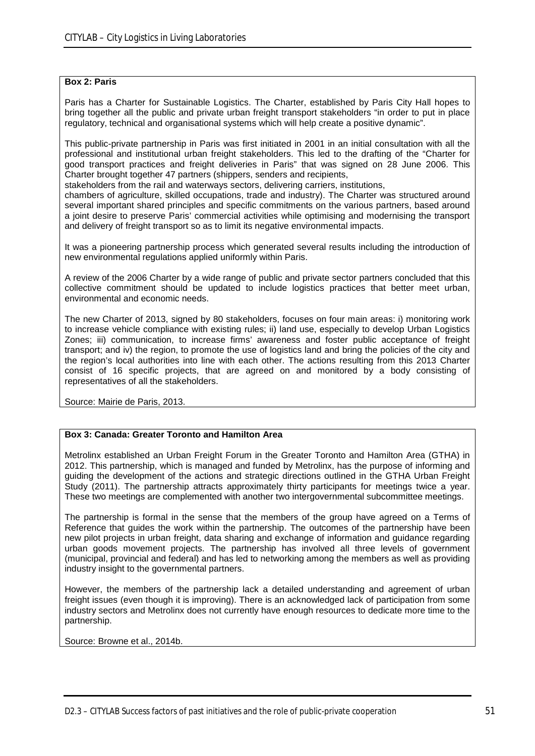#### **Box 2: Paris**

Paris has a Charter for Sustainable Logistics. The Charter, established by Paris City Hall hopes to bring together all the public and private urban freight transport stakeholders "in order to put in place regulatory, technical and organisational systems which will help create a positive dynamic".

This public-private partnership in Paris was first initiated in 2001 in an initial consultation with all the professional and institutional urban freight stakeholders. This led to the drafting of the "Charter for good transport practices and freight deliveries in Paris" that was signed on 28 June 2006. This Charter brought together 47 partners (shippers, senders and recipients,

stakeholders from the rail and waterways sectors, delivering carriers, institutions,

chambers of agriculture, skilled occupations, trade and industry). The Charter was structured around several important shared principles and specific commitments on the various partners, based around a joint desire to preserve Paris' commercial activities while optimising and modernising the transport and delivery of freight transport so as to limit its negative environmental impacts.

It was a pioneering partnership process which generated several results including the introduction of new environmental regulations applied uniformly within Paris.

A review of the 2006 Charter by a wide range of public and private sector partners concluded that this collective commitment should be updated to include logistics practices that better meet urban, environmental and economic needs.

The new Charter of 2013, signed by 80 stakeholders, focuses on four main areas: i) monitoring work to increase vehicle compliance with existing rules; ii) land use, especially to develop Urban Logistics Zones; iii) communication, to increase firms' awareness and foster public acceptance of freight transport; and iv) the region, to promote the use of logistics land and bring the policies of the city and the region's local authorities into line with each other. The actions resulting from this 2013 Charter consist of 16 specific projects, that are agreed on and monitored by a body consisting of representatives of all the stakeholders.

Source: Mairie de Paris, 2013.

#### **Box 3: Canada: Greater Toronto and Hamilton Area**

Metrolinx established an Urban Freight Forum in the Greater Toronto and Hamilton Area (GTHA) in 2012. This partnership, which is managed and funded by Metrolinx, has the purpose of informing and guiding the development of the actions and strategic directions outlined in the GTHA Urban Freight Study (2011). The partnership attracts approximately thirty participants for meetings twice a year. These two meetings are complemented with another two intergovernmental subcommittee meetings.

The partnership is formal in the sense that the members of the group have agreed on a Terms of Reference that guides the work within the partnership. The outcomes of the partnership have been new pilot projects in urban freight, data sharing and exchange of information and guidance regarding urban goods movement projects. The partnership has involved all three levels of government (municipal, provincial and federal) and has led to networking among the members as well as providing industry insight to the governmental partners.

However, the members of the partnership lack a detailed understanding and agreement of urban freight issues (even though it is improving). There is an acknowledged lack of participation from some industry sectors and Metrolinx does not currently have enough resources to dedicate more time to the partnership.

Source: Browne et al., 2014b.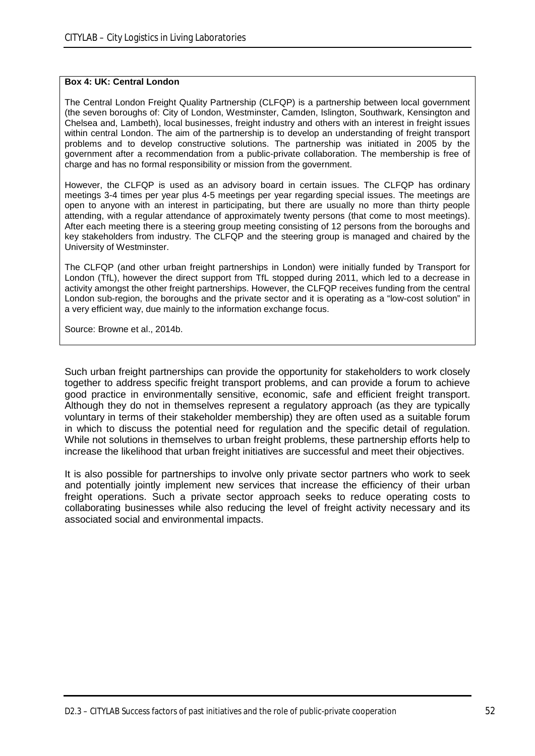#### **Box 4: UK: Central London**

The Central London Freight Quality Partnership (CLFQP) is a partnership between local government (the seven boroughs of: City of London, Westminster, Camden, Islington, Southwark, Kensington and Chelsea and, Lambeth), local businesses, freight industry and others with an interest in freight issues within central London. The aim of the partnership is to develop an understanding of freight transport problems and to develop constructive solutions. The partnership was initiated in 2005 by the government after a recommendation from a public-private collaboration. The membership is free of charge and has no formal responsibility or mission from the government.

However, the CLFQP is used as an advisory board in certain issues. The CLFQP has ordinary meetings 3-4 times per year plus 4-5 meetings per year regarding special issues. The meetings are open to anyone with an interest in participating, but there are usually no more than thirty people attending, with a regular attendance of approximately twenty persons (that come to most meetings). After each meeting there is a steering group meeting consisting of 12 persons from the boroughs and key stakeholders from industry. The CLFQP and the steering group is managed and chaired by the University of Westminster.

The CLFQP (and other urban freight partnerships in London) were initially funded by Transport for London (TfL), however the direct support from TfL stopped during 2011, which led to a decrease in activity amongst the other freight partnerships. However, the CLFQP receives funding from the central London sub-region, the boroughs and the private sector and it is operating as a "low-cost solution" in a very efficient way, due mainly to the information exchange focus.

Source: Browne et al., 2014b.

Such urban freight partnerships can provide the opportunity for stakeholders to work closely together to address specific freight transport problems, and can provide a forum to achieve good practice in environmentally sensitive, economic, safe and efficient freight transport. Although they do not in themselves represent a regulatory approach (as they are typically voluntary in terms of their stakeholder membership) they are often used as a suitable forum in which to discuss the potential need for regulation and the specific detail of regulation. While not solutions in themselves to urban freight problems, these partnership efforts help to increase the likelihood that urban freight initiatives are successful and meet their objectives.

It is also possible for partnerships to involve only private sector partners who work to seek and potentially jointly implement new services that increase the efficiency of their urban freight operations. Such a private sector approach seeks to reduce operating costs to collaborating businesses while also reducing the level of freight activity necessary and its associated social and environmental impacts.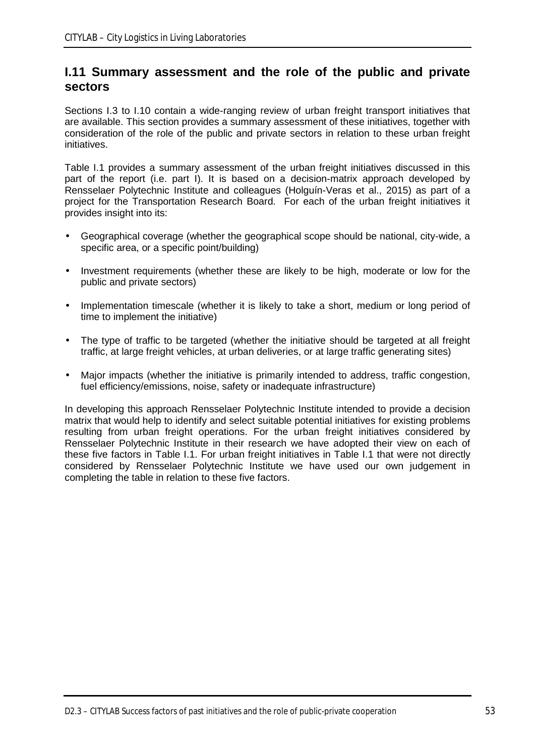# **I.11 Summary assessment and the role of the public and private sectors**

Sections I.3 to I.10 contain a wide-ranging review of urban freight transport initiatives that are available. This section provides a summary assessment of these initiatives, together with consideration of the role of the public and private sectors in relation to these urban freight initiatives.

Table I.1 provides a summary assessment of the urban freight initiatives discussed in this part of the report (i.e. part I). It is based on a decision-matrix approach developed by Rensselaer Polytechnic Institute and colleagues (Holguín-Veras et al., 2015) as part of a project for the Transportation Research Board. For each of the urban freight initiatives it provides insight into its:

- Geographical coverage (whether the geographical scope should be national, city-wide, a specific area, or a specific point/building)
- Investment requirements (whether these are likely to be high, moderate or low for the public and private sectors)
- Implementation timescale (whether it is likely to take a short, medium or long period of time to implement the initiative)
- The type of traffic to be targeted (whether the initiative should be targeted at all freight traffic, at large freight vehicles, at urban deliveries, or at large traffic generating sites)
- Major impacts (whether the initiative is primarily intended to address, traffic congestion, fuel efficiency/emissions, noise, safety or inadequate infrastructure)

In developing this approach Rensselaer Polytechnic Institute intended to provide a decision matrix that would help to identify and select suitable potential initiatives for existing problems resulting from urban freight operations. For the urban freight initiatives considered by Rensselaer Polytechnic Institute in their research we have adopted their view on each of these five factors in Table I.1. For urban freight initiatives in Table I.1 that were not directly considered by Rensselaer Polytechnic Institute we have used our own judgement in completing the table in relation to these five factors.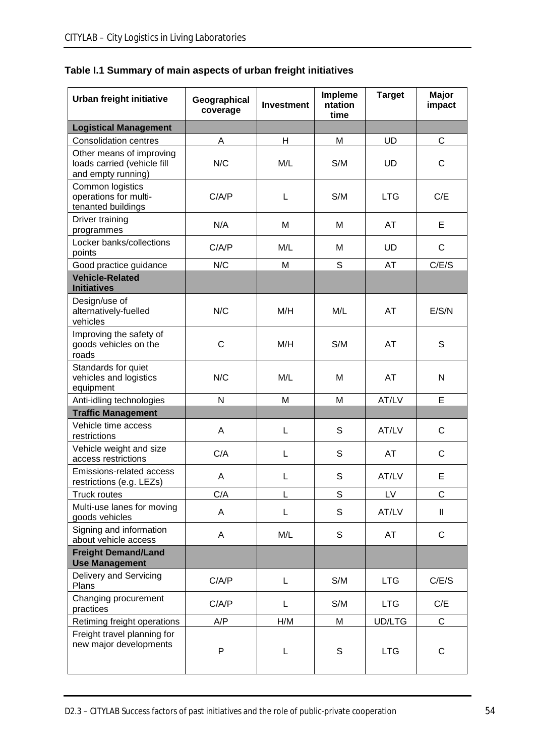|  |  | Table I.1 Summary of main aspects of urban freight initiatives |
|--|--|----------------------------------------------------------------|
|--|--|----------------------------------------------------------------|

| Urban freight initiative                                                      | Geographical<br>coverage | <b>Investment</b> | Impleme<br>ntation<br>time | <b>Target</b> | Major<br>impact |
|-------------------------------------------------------------------------------|--------------------------|-------------------|----------------------------|---------------|-----------------|
| <b>Logistical Management</b>                                                  |                          |                   |                            |               |                 |
| <b>Consolidation centres</b>                                                  | A                        | Н                 | M                          | UD            | C               |
| Other means of improving<br>loads carried (vehicle fill<br>and empty running) | N/C                      | M/L               | S/M                        | <b>UD</b>     | C               |
| Common logistics<br>operations for multi-<br>tenanted buildings               | C/A/P                    | L                 | S/M                        | <b>LTG</b>    | C/E             |
| Driver training<br>programmes                                                 | N/A                      | M                 | M                          | AT            | Е               |
| Locker banks/collections<br>points                                            | C/A/P                    | M/L               | м                          | UD            | $\mathsf{C}$    |
| Good practice guidance                                                        | N/C                      | M                 | S                          | AT            | C/E/S           |
| <b>Vehicle-Related</b><br><b>Initiatives</b>                                  |                          |                   |                            |               |                 |
| Design/use of<br>alternatively-fuelled<br>vehicles                            | N/C                      | M/H               | M/L                        | AT            | E/S/N           |
| Improving the safety of<br>goods vehicles on the<br>roads                     | C                        | M/H               | S/M                        | AT            | S               |
| Standards for quiet<br>vehicles and logistics<br>equipment                    | N/C                      | M/L               | M                          | AT            | N               |
| Anti-idling technologies                                                      | N                        | M                 | M                          | AT/LV         | Е               |
| <b>Traffic Management</b>                                                     |                          |                   |                            |               |                 |
| Vehicle time access<br>restrictions                                           | A                        | L                 | S                          | AT/LV         | $\mathsf{C}$    |
| Vehicle weight and size<br>access restrictions                                | C/A                      | L                 | S                          | AT            | $\mathsf{C}$    |
| Emissions-related access<br>restrictions (e.g. LEZs)                          | A                        | L                 | S                          | AT/LV         | Е               |
| <b>Truck routes</b>                                                           | C/A                      | L                 | $\mathsf S$                | LV            | C               |
| Multi-use lanes for moving<br>goods vehicles                                  | A                        | L                 | S                          | AT/LV         | $\mathbf{I}$    |
| Signing and information<br>about vehicle access                               | A                        | M/L               | S                          | AT            | $\mathsf{C}$    |
| <b>Freight Demand/Land</b><br><b>Use Management</b>                           |                          |                   |                            |               |                 |
| Delivery and Servicing<br>Plans                                               | C/A/P                    | L                 | S/M                        | <b>LTG</b>    | C/E/S           |
| Changing procurement<br>practices                                             | C/A/P                    | L                 | S/M                        | <b>LTG</b>    | C/E             |
| Retiming freight operations                                                   | A/P                      | H/M               | M                          | <b>UD/LTG</b> | $\mathsf{C}$    |
| Freight travel planning for<br>new major developments                         | P                        | L                 | $\mathbb S$                | <b>LTG</b>    | C               |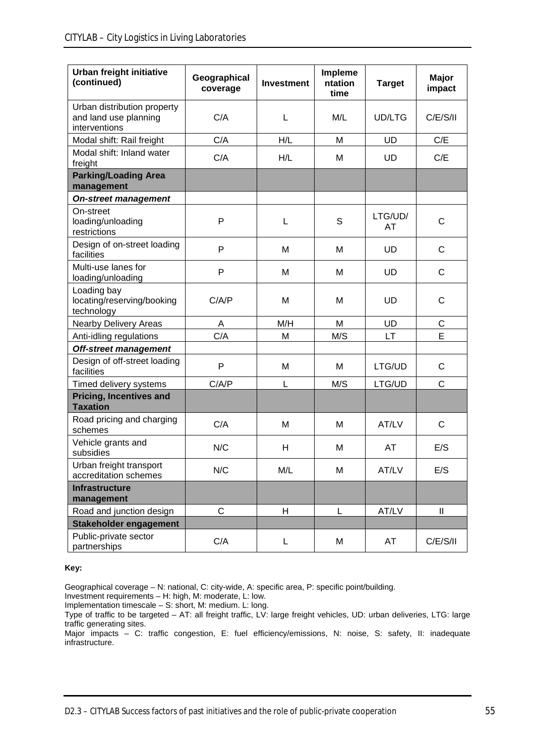| Urban freight initiative<br>(continued)                               | Impleme<br>Geographical<br>ntation<br><b>Investment</b><br>coverage<br>time |                | <b>Target</b> | Major<br>impact |             |
|-----------------------------------------------------------------------|-----------------------------------------------------------------------------|----------------|---------------|-----------------|-------------|
| Urban distribution property<br>and land use planning<br>interventions | C/A                                                                         | L              | M/L           | UD/LTG          | C/E/S/II    |
| Modal shift: Rail freight                                             | C/A                                                                         | H/L            | M             | UD              | C/E         |
| Modal shift: Inland water<br>freight                                  | C/A                                                                         | H/L            | M             | UD              | C/E         |
| <b>Parking/Loading Area</b><br>management                             |                                                                             |                |               |                 |             |
| <b>On-street management</b>                                           |                                                                             |                |               |                 |             |
| On-street<br>loading/unloading<br>restrictions                        | P                                                                           | L              | S             | LTG/UD/<br>AT   | C           |
| Design of on-street loading<br>facilities                             | P                                                                           | M              | M             | UD              | C           |
| Multi-use lanes for<br>loading/unloading                              | P                                                                           | М              | м             | UD              | $\mathsf C$ |
| Loading bay<br>locating/reserving/booking<br>technology               | C/A/P                                                                       | M              | M             | UD              | C           |
| <b>Nearby Delivery Areas</b>                                          | A                                                                           | M/H<br>м       |               | UD              | C           |
| Anti-idling regulations                                               | C/A                                                                         | M/S<br>M<br>LT |               |                 | Е           |
| <b>Off-street management</b>                                          |                                                                             |                |               |                 |             |
| Design of off-street loading<br>facilities                            | P                                                                           | M              | M             | LTG/UD          | $\mathsf C$ |
| Timed delivery systems                                                | C/A/P                                                                       | M/S<br>L       |               | LTG/UD          | $\mathsf C$ |
| <b>Pricing, Incentives and</b><br><b>Taxation</b>                     |                                                                             |                |               |                 |             |
| Road pricing and charging<br>schemes                                  | C/A                                                                         | M              | M             | AT/LV           | C           |
| Vehicle grants and<br>subsidies                                       | N/C                                                                         | Н              | M             | AT              | E/S         |
| Urban freight transport<br>accreditation schemes                      | N/C                                                                         | M/L            | M             | AT/LV           | E/S         |
| <b>Infrastructure</b><br>management                                   |                                                                             |                |               |                 |             |
| Road and junction design                                              | $\mathsf C$                                                                 | Н              | L             | AT/LV           | Ш           |
| Stakeholder engagement                                                |                                                                             |                |               |                 |             |
| Public-private sector<br>partnerships                                 | C/A                                                                         | L              | M             | AT              | C/E/S/II    |

#### **Key:**

Geographical coverage – N: national, C: city-wide, A: specific area, P: specific point/building.

Investment requirements – H: high, M: moderate, L: low.

Implementation timescale – S: short, M: medium. L: long.

Type of traffic to be targeted – AT: all freight traffic, LV: large freight vehicles, UD: urban deliveries, LTG: large traffic generating sites.

Major impacts – C: traffic congestion, E: fuel efficiency/emissions, N: noise, S: safety, II: inadequate infrastructure.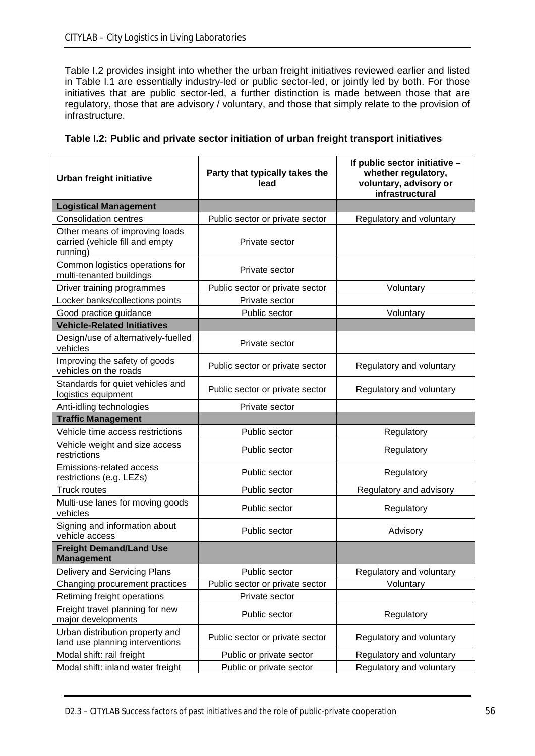Table I.2 provides insight into whether the urban freight initiatives reviewed earlier and listed in Table I.1 are essentially industry-led or public sector-led, or jointly led by both. For those initiatives that are public sector-led, a further distinction is made between those that are regulatory, those that are advisory / voluntary, and those that simply relate to the provision of infrastructure.

| Urban freight initiative                                                      | Party that typically takes the<br>lead                      | If public sector initiative -<br>whether regulatory,<br>voluntary, advisory or<br>infrastructural |
|-------------------------------------------------------------------------------|-------------------------------------------------------------|---------------------------------------------------------------------------------------------------|
| <b>Logistical Management</b>                                                  |                                                             |                                                                                                   |
| <b>Consolidation centres</b>                                                  | Public sector or private sector                             | Regulatory and voluntary                                                                          |
| Other means of improving loads<br>carried (vehicle fill and empty<br>running) | Private sector                                              |                                                                                                   |
| Common logistics operations for<br>multi-tenanted buildings                   | Private sector                                              |                                                                                                   |
| Driver training programmes                                                    | Public sector or private sector                             | Voluntary                                                                                         |
| Locker banks/collections points                                               | Private sector                                              |                                                                                                   |
| Good practice guidance                                                        | Public sector                                               | Voluntary                                                                                         |
| <b>Vehicle-Related Initiatives</b>                                            |                                                             |                                                                                                   |
| Design/use of alternatively-fuelled<br>vehicles                               | Private sector                                              |                                                                                                   |
| Improving the safety of goods<br>vehicles on the roads                        | Public sector or private sector                             | Regulatory and voluntary                                                                          |
| Standards for quiet vehicles and<br>logistics equipment                       | Public sector or private sector                             | Regulatory and voluntary                                                                          |
| Anti-idling technologies                                                      | Private sector                                              |                                                                                                   |
| <b>Traffic Management</b>                                                     |                                                             |                                                                                                   |
| Vehicle time access restrictions                                              | Public sector                                               | Regulatory                                                                                        |
| Vehicle weight and size access<br>restrictions                                | Public sector                                               | Regulatory                                                                                        |
| <b>Emissions-related access</b><br>restrictions (e.g. LEZs)                   | Public sector                                               | Regulatory                                                                                        |
| <b>Truck routes</b>                                                           | Public sector                                               | Regulatory and advisory                                                                           |
| Multi-use lanes for moving goods<br>vehicles                                  | Public sector                                               | Regulatory                                                                                        |
| Signing and information about<br>vehicle access                               | Public sector                                               | Advisory                                                                                          |
| <b>Freight Demand/Land Use</b><br><b>Management</b>                           |                                                             |                                                                                                   |
| Delivery and Servicing Plans                                                  | Public sector                                               | Regulatory and voluntary                                                                          |
| Changing procurement practices                                                | Public sector or private sector                             | Voluntary                                                                                         |
| Retiming freight operations                                                   | Private sector                                              |                                                                                                   |
| Freight travel planning for new<br>major developments                         | Public sector                                               | Regulatory                                                                                        |
| Urban distribution property and<br>land use planning interventions            | Public sector or private sector<br>Regulatory and voluntary |                                                                                                   |
| Modal shift: rail freight                                                     | Public or private sector<br>Regulatory and voluntary        |                                                                                                   |
| Modal shift: inland water freight                                             | Public or private sector                                    | Regulatory and voluntary                                                                          |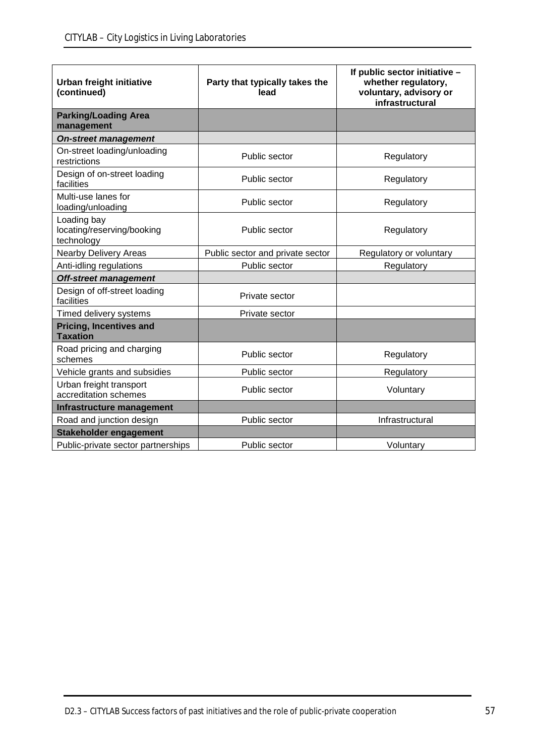| Urban freight initiative<br>(continued)                 | Party that typically takes the<br>lead | If public sector initiative -<br>whether regulatory,<br>voluntary, advisory or<br>infrastructural |
|---------------------------------------------------------|----------------------------------------|---------------------------------------------------------------------------------------------------|
| <b>Parking/Loading Area</b><br>management               |                                        |                                                                                                   |
| <b>On-street management</b>                             |                                        |                                                                                                   |
| On-street loading/unloading<br>restrictions             | Public sector                          | Regulatory                                                                                        |
| Design of on-street loading<br>facilities               | Public sector                          | Regulatory                                                                                        |
| Multi-use lanes for<br>loading/unloading                | Public sector                          | Regulatory                                                                                        |
| Loading bay<br>locating/reserving/booking<br>technology | Public sector                          | Regulatory                                                                                        |
| <b>Nearby Delivery Areas</b>                            | Public sector and private sector       | Regulatory or voluntary                                                                           |
| Anti-idling regulations                                 | Public sector                          | Regulatory                                                                                        |
| <b>Off-street management</b>                            |                                        |                                                                                                   |
| Design of off-street loading<br>facilities              | Private sector                         |                                                                                                   |
| Timed delivery systems                                  | Private sector                         |                                                                                                   |
| <b>Pricing, Incentives and</b><br><b>Taxation</b>       |                                        |                                                                                                   |
| Road pricing and charging<br>schemes                    | Public sector                          | Regulatory                                                                                        |
| Vehicle grants and subsidies                            | Public sector                          | Regulatory                                                                                        |
| Urban freight transport<br>accreditation schemes        | Public sector                          | Voluntary                                                                                         |
| Infrastructure management                               |                                        |                                                                                                   |
| Road and junction design                                | Public sector                          | Infrastructural                                                                                   |
| <b>Stakeholder engagement</b>                           |                                        |                                                                                                   |
| Public-private sector partnerships                      | Public sector                          | Voluntary                                                                                         |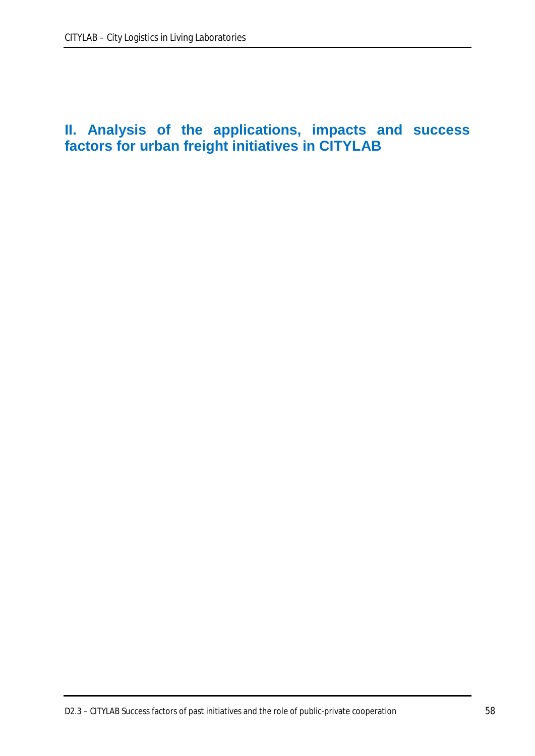# **II. Analysis of the applications, impacts and success factors for urban freight initiatives in CITYLAB**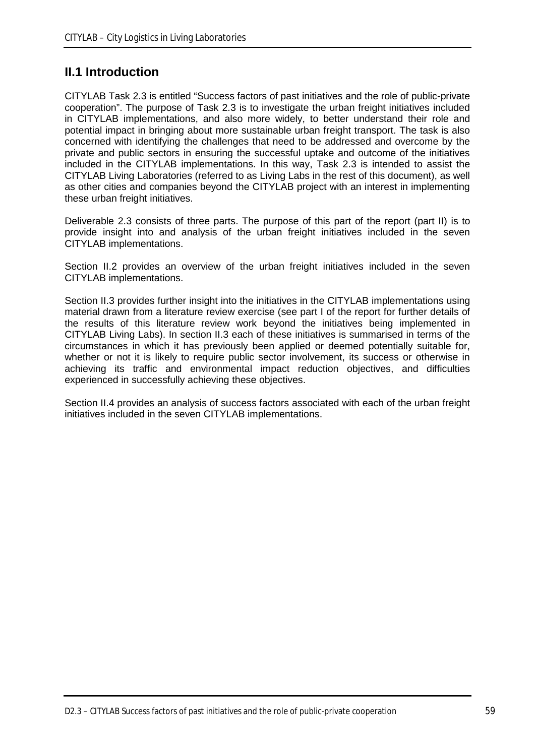# **II.1 Introduction**

CITYLAB Task 2.3 is entitled "Success factors of past initiatives and the role of public-private cooperation". The purpose of Task 2.3 is to investigate the urban freight initiatives included in CITYLAB implementations, and also more widely, to better understand their role and potential impact in bringing about more sustainable urban freight transport. The task is also concerned with identifying the challenges that need to be addressed and overcome by the private and public sectors in ensuring the successful uptake and outcome of the initiatives included in the CITYLAB implementations. In this way, Task 2.3 is intended to assist the CITYLAB Living Laboratories (referred to as Living Labs in the rest of this document), as well as other cities and companies beyond the CITYLAB project with an interest in implementing these urban freight initiatives.

Deliverable 2.3 consists of three parts. The purpose of this part of the report (part II) is to provide insight into and analysis of the urban freight initiatives included in the seven CITYLAB implementations.

Section II.2 provides an overview of the urban freight initiatives included in the seven CITYLAB implementations.

Section II.3 provides further insight into the initiatives in the CITYLAB implementations using material drawn from a literature review exercise (see part I of the report for further details of the results of this literature review work beyond the initiatives being implemented in CITYLAB Living Labs). In section II.3 each of these initiatives is summarised in terms of the circumstances in which it has previously been applied or deemed potentially suitable for, whether or not it is likely to require public sector involvement, its success or otherwise in achieving its traffic and environmental impact reduction objectives, and difficulties experienced in successfully achieving these objectives.

Section II.4 provides an analysis of success factors associated with each of the urban freight initiatives included in the seven CITYLAB implementations.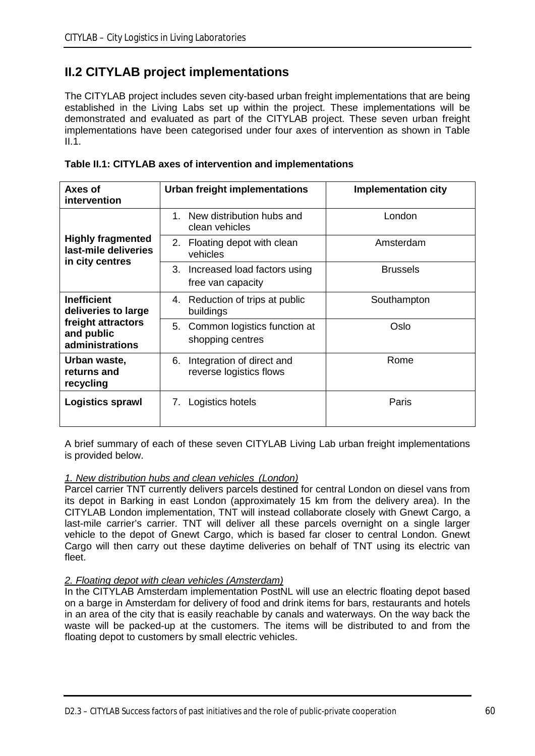# **II.2 CITYLAB project implementations**

The CITYLAB project includes seven city-based urban freight implementations that are being established in the Living Labs set up within the project. These implementations will be demonstrated and evaluated as part of the CITYLAB project. These seven urban freight implementations have been categorised under four axes of intervention as shown in Table II.1.

| Axes of<br>intervention                                             | <b>Urban freight implementations</b>                       | <b>Implementation city</b> |
|---------------------------------------------------------------------|------------------------------------------------------------|----------------------------|
|                                                                     | 1. New distribution hubs and<br>clean vehicles             | London                     |
| <b>Highly fragmented</b><br>last-mile deliveries<br>in city centres | 2. Floating depot with clean<br>vehicles                   | Amsterdam                  |
|                                                                     | 3.<br>Increased load factors using<br>free van capacity    | <b>Brussels</b>            |
| <b>Inefficient</b><br>deliveries to large                           | 4. Reduction of trips at public<br>buildings               | Southampton                |
| freight attractors<br>and public<br>administrations                 | 5. Common logistics function at<br>shopping centres        | Oslo                       |
| Urban waste,<br>returns and<br>recycling                            | Integration of direct and<br>6.<br>reverse logistics flows | Rome                       |
| Logistics sprawl                                                    | Logistics hotels<br>7.                                     | Paris                      |

| Table II.1: CITYLAB axes of intervention and implementations |  |
|--------------------------------------------------------------|--|
|--------------------------------------------------------------|--|

A brief summary of each of these seven CITYLAB Living Lab urban freight implementations is provided below.

#### *1. New distribution hubs and clean vehicles (London)*

Parcel carrier TNT currently delivers parcels destined for central London on diesel vans from its depot in Barking in east London (approximately 15 km from the delivery area). In the CITYLAB London implementation, TNT will instead collaborate closely with Gnewt Cargo, a last-mile carrier's carrier. TNT will deliver all these parcels overnight on a single larger vehicle to the depot of Gnewt Cargo, which is based far closer to central London. Gnewt Cargo will then carry out these daytime deliveries on behalf of TNT using its electric van fleet.

#### *2. Floating depot with clean vehicles (Amsterdam)*

In the CITYLAB Amsterdam implementation PostNL will use an electric floating depot based on a barge in Amsterdam for delivery of food and drink items for bars, restaurants and hotels in an area of the city that is easily reachable by canals and waterways. On the way back the waste will be packed-up at the customers. The items will be distributed to and from the floating depot to customers by small electric vehicles.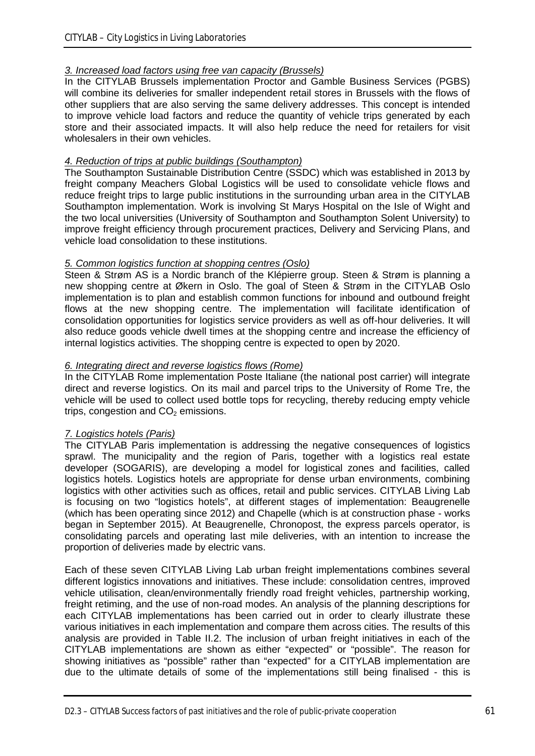### *3. Increased load factors using free van capacity (Brussels)*

In the CITYLAB Brussels implementation Proctor and Gamble Business Services (PGBS) will combine its deliveries for smaller independent retail stores in Brussels with the flows of other suppliers that are also serving the same delivery addresses. This concept is intended to improve vehicle load factors and reduce the quantity of vehicle trips generated by each store and their associated impacts. It will also help reduce the need for retailers for visit wholesalers in their own vehicles.

## *4. Reduction of trips at public buildings (Southampton)*

The Southampton Sustainable Distribution Centre (SSDC) which was established in 2013 by freight company Meachers Global Logistics will be used to consolidate vehicle flows and reduce freight trips to large public institutions in the surrounding urban area in the CITYLAB Southampton implementation. Work is involving St Marys Hospital on the Isle of Wight and the two local universities (University of Southampton and Southampton Solent University) to improve freight efficiency through procurement practices, Delivery and Servicing Plans, and vehicle load consolidation to these institutions.

### *5. Common logistics function at shopping centres (Oslo)*

Steen & Strøm AS is a Nordic branch of the Klépierre group. Steen & Strøm is planning a new shopping centre at Økern in Oslo. The goal of Steen & Strøm in the CITYLAB Oslo implementation is to plan and establish common functions for inbound and outbound freight flows at the new shopping centre. The implementation will facilitate identification of consolidation opportunities for logistics service providers as well as off-hour deliveries. It will also reduce goods vehicle dwell times at the shopping centre and increase the efficiency of internal logistics activities. The shopping centre is expected to open by 2020.

## *6. Integrating direct and reverse logistics flows (Rome)*

In the CITYLAB Rome implementation Poste Italiane (the national post carrier) will integrate direct and reverse logistics. On its mail and parcel trips to the University of Rome Tre, the vehicle will be used to collect used bottle tops for recycling, thereby reducing empty vehicle trips, congestion and  $CO<sub>2</sub>$  emissions.

#### *7. Logistics hotels (Paris)*

The CITYLAB Paris implementation is addressing the negative consequences of logistics sprawl. The municipality and the region of Paris, together with a logistics real estate developer (SOGARIS), are developing a model for logistical zones and facilities, called logistics hotels. Logistics hotels are appropriate for dense urban environments, combining logistics with other activities such as offices, retail and public services. CITYLAB Living Lab is focusing on two "logistics hotels", at different stages of implementation: Beaugrenelle (which has been operating since 2012) and Chapelle (which is at construction phase - works began in September 2015). At Beaugrenelle, Chronopost, the express parcels operator, is consolidating parcels and operating last mile deliveries, with an intention to increase the proportion of deliveries made by electric vans.

Each of these seven CITYLAB Living Lab urban freight implementations combines several different logistics innovations and initiatives. These include: consolidation centres, improved vehicle utilisation, clean/environmentally friendly road freight vehicles, partnership working, freight retiming, and the use of non-road modes. An analysis of the planning descriptions for each CITYLAB implementations has been carried out in order to clearly illustrate these various initiatives in each implementation and compare them across cities. The results of this analysis are provided in Table II.2. The inclusion of urban freight initiatives in each of the CITYLAB implementations are shown as either "expected" or "possible". The reason for showing initiatives as "possible" rather than "expected" for a CITYLAB implementation are due to the ultimate details of some of the implementations still being finalised - this is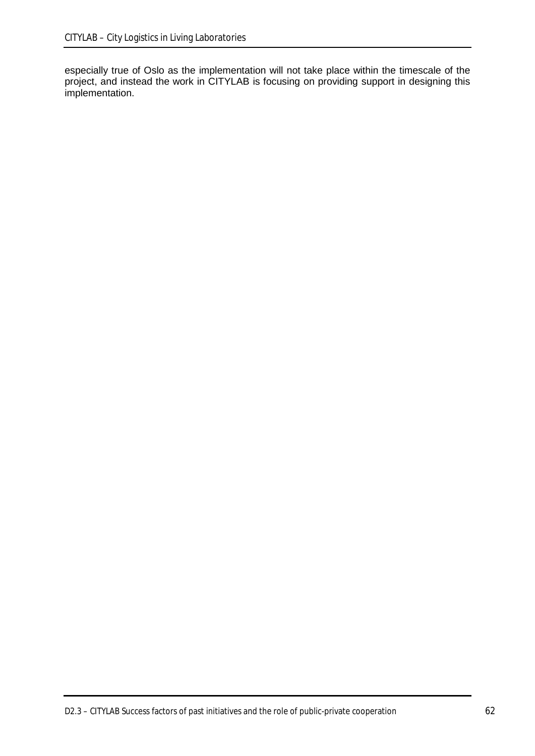especially true of Oslo as the implementation will not take place within the timescale of the project, and instead the work in CITYLAB is focusing on providing support in designing this implementation.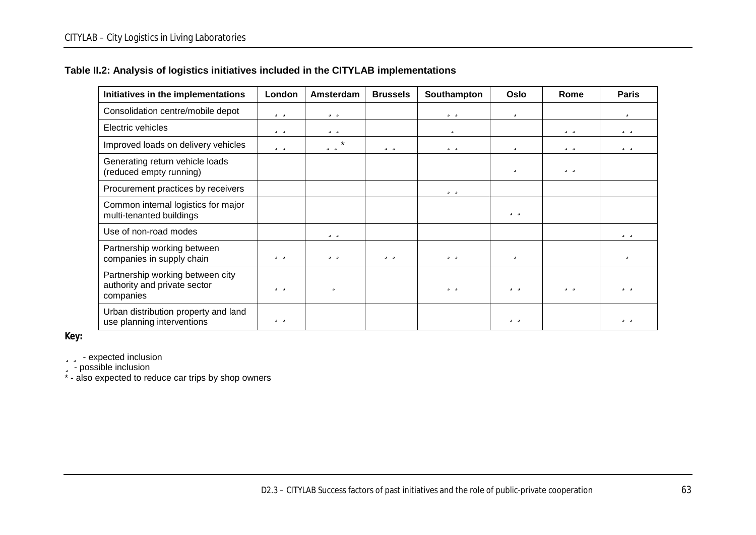## **Table II.2: Analysis of logistics initiatives included in the CITYLAB implementations**

| Initiatives in the implementations                                            | London | Amsterdam | <b>Brussels</b> | Southampton | Oslo | Rome | <b>Paris</b> |
|-------------------------------------------------------------------------------|--------|-----------|-----------------|-------------|------|------|--------------|
| Consolidation centre/mobile depot                                             | üü     | üü        |                 | üü          | ü    |      | ü            |
| Electric vehicles                                                             | üü     | üü        |                 | ü           |      | üü   | üü           |
| Improved loads on delivery vehicles                                           | üü     | üü*       | üü              | üü          | ü    | üü   | üü           |
| Generating return vehicle loads<br>(reduced empty running)                    |        |           |                 |             | ü    | üü   |              |
| Procurement practices by receivers                                            |        |           |                 | üü          |      |      |              |
| Common internal logistics for major<br>multi-tenanted buildings               |        |           |                 |             | üü   |      |              |
| Use of non-road modes                                                         |        | üü        |                 |             |      |      | üü           |
| Partnership working between<br>companies in supply chain                      | üü     | üü        | üü              | üü          | ü    |      | ü            |
| Partnership working between city<br>authority and private sector<br>companies | üü     | ü         |                 | üü          | üü   | üü   | üü           |
| Urban distribution property and land<br>use planning interventions            | üü     |           |                 |             | üü   |      | üü           |

**Key:**

**üü** - expected inclusion

ü - possible inclusion

\* - also expected to reduce car trips by shop owners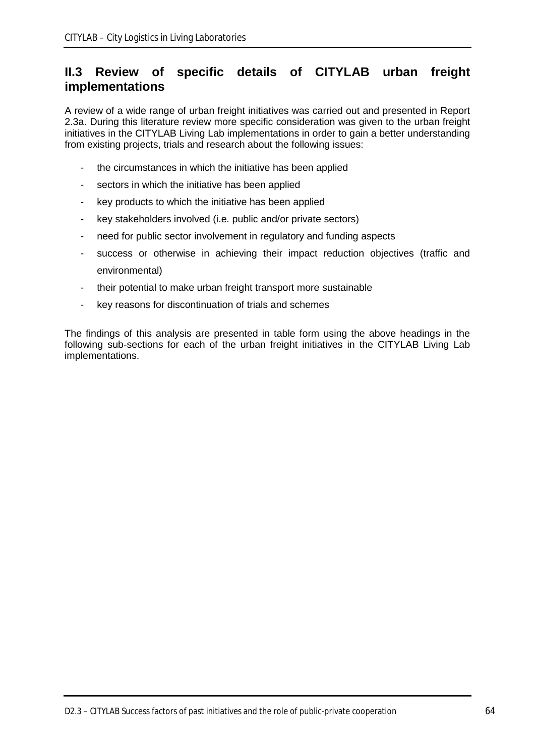# **II.3 Review of specific details of CITYLAB urban freight implementations**

A review of a wide range of urban freight initiatives was carried out and presented in Report 2.3a. During this literature review more specific consideration was given to the urban freight initiatives in the CITYLAB Living Lab implementations in order to gain a better understanding from existing projects, trials and research about the following issues:

- the circumstances in which the initiative has been applied
- sectors in which the initiative has been applied
- key products to which the initiative has been applied
- key stakeholders involved (i.e. public and/or private sectors)
- need for public sector involvement in regulatory and funding aspects
- success or otherwise in achieving their impact reduction objectives (traffic and environmental)
- their potential to make urban freight transport more sustainable
- key reasons for discontinuation of trials and schemes

The findings of this analysis are presented in table form using the above headings in the following sub-sections for each of the urban freight initiatives in the CITYLAB Living Lab implementations.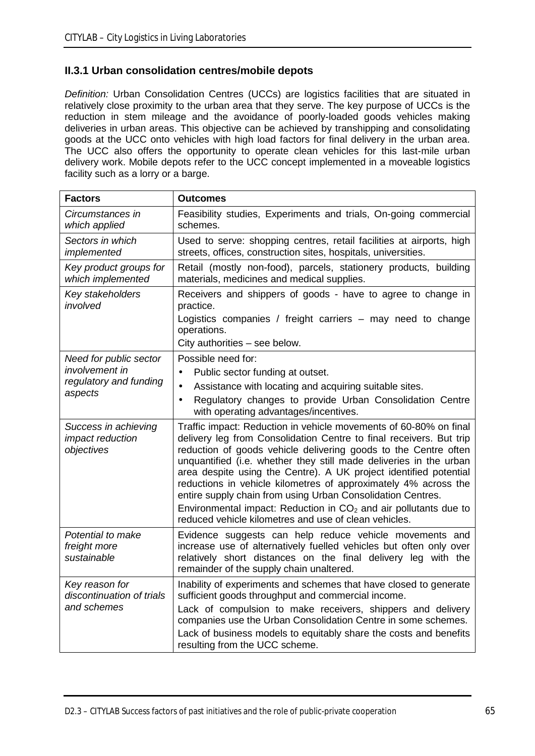# **II.3.1 Urban consolidation centres/mobile depots**

*Definition:* Urban Consolidation Centres (UCCs) are logistics facilities that are situated in relatively close proximity to the urban area that they serve. The key purpose of UCCs is the reduction in stem mileage and the avoidance of poorly-loaded goods vehicles making deliveries in urban areas. This objective can be achieved by transhipping and consolidating goods at the UCC onto vehicles with high load factors for final delivery in the urban area. The UCC also offers the opportunity to operate clean vehicles for this last-mile urban delivery work. Mobile depots refer to the UCC concept implemented in a moveable logistics facility such as a lorry or a barge.

| <b>Factors</b>                                                                | <b>Outcomes</b>                                                                                                                                                                                                                                                                                                                                                                                                                                                                                                                                                                                                         |
|-------------------------------------------------------------------------------|-------------------------------------------------------------------------------------------------------------------------------------------------------------------------------------------------------------------------------------------------------------------------------------------------------------------------------------------------------------------------------------------------------------------------------------------------------------------------------------------------------------------------------------------------------------------------------------------------------------------------|
| Circumstances in<br>which applied                                             | Feasibility studies, Experiments and trials, On-going commercial<br>schemes.                                                                                                                                                                                                                                                                                                                                                                                                                                                                                                                                            |
| Sectors in which<br>implemented                                               | Used to serve: shopping centres, retail facilities at airports, high<br>streets, offices, construction sites, hospitals, universities.                                                                                                                                                                                                                                                                                                                                                                                                                                                                                  |
| Key product groups for<br>which implemented                                   | Retail (mostly non-food), parcels, stationery products, building<br>materials, medicines and medical supplies.                                                                                                                                                                                                                                                                                                                                                                                                                                                                                                          |
| Key stakeholders<br>involved                                                  | Receivers and shippers of goods - have to agree to change in<br>practice.<br>Logistics companies / freight carriers – may need to change<br>operations.                                                                                                                                                                                                                                                                                                                                                                                                                                                                 |
|                                                                               | City authorities - see below.                                                                                                                                                                                                                                                                                                                                                                                                                                                                                                                                                                                           |
| Need for public sector<br>involvement in<br>regulatory and funding<br>aspects | Possible need for:<br>Public sector funding at outset.<br>Assistance with locating and acquiring suitable sites.<br>l,<br>Regulatory changes to provide Urban Consolidation Centre<br>l,<br>with operating advantages/incentives.                                                                                                                                                                                                                                                                                                                                                                                       |
| Success in achieving<br>impact reduction<br>objectives                        | Traffic impact: Reduction in vehicle movements of 60-80% on final<br>delivery leg from Consolidation Centre to final receivers. But trip<br>reduction of goods vehicle delivering goods to the Centre often<br>unquantified (i.e. whether they still made deliveries in the urban<br>area despite using the Centre). A UK project identified potential<br>reductions in vehicle kilometres of approximately 4% across the<br>entire supply chain from using Urban Consolidation Centres.<br>Environmental impact: Reduction in $CO2$ and air pollutants due to<br>reduced vehicle kilometres and use of clean vehicles. |
| Potential to make<br>freight more<br>sustainable                              | Evidence suggests can help reduce vehicle movements and<br>increase use of alternatively fuelled vehicles but often only over<br>relatively short distances on the final delivery leg with the<br>remainder of the supply chain unaltered.                                                                                                                                                                                                                                                                                                                                                                              |
| Key reason for<br>discontinuation of trials<br>and schemes                    | Inability of experiments and schemes that have closed to generate<br>sufficient goods throughput and commercial income.<br>Lack of compulsion to make receivers, shippers and delivery<br>companies use the Urban Consolidation Centre in some schemes.<br>Lack of business models to equitably share the costs and benefits<br>resulting from the UCC scheme.                                                                                                                                                                                                                                                          |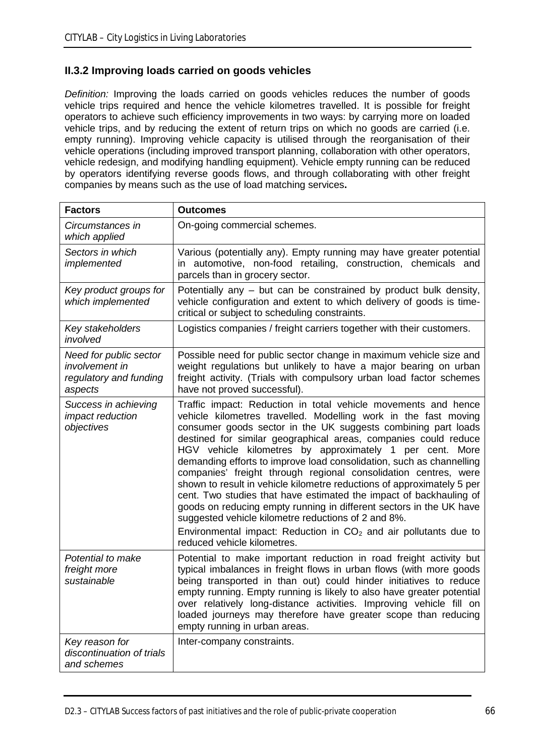# **II.3.2 Improving loads carried on goods vehicles**

*Definition:* Improving the loads carried on goods vehicles reduces the number of goods vehicle trips required and hence the vehicle kilometres travelled. It is possible for freight operators to achieve such efficiency improvements in two ways: by carrying more on loaded vehicle trips, and by reducing the extent of return trips on which no goods are carried (i.e. empty running). Improving vehicle capacity is utilised through the reorganisation of their vehicle operations (including improved transport planning, collaboration with other operators, vehicle redesign, and modifying handling equipment). Vehicle empty running can be reduced by operators identifying reverse goods flows, and through collaborating with other freight companies by means such as the use of load matching services**.**

| <b>Factors</b>                                                                       | <b>Outcomes</b>                                                                                                                                                                                                                                                                                                                                                                                                                                                                                                                                                                                                                                                                                                                                                                                                                                                 |
|--------------------------------------------------------------------------------------|-----------------------------------------------------------------------------------------------------------------------------------------------------------------------------------------------------------------------------------------------------------------------------------------------------------------------------------------------------------------------------------------------------------------------------------------------------------------------------------------------------------------------------------------------------------------------------------------------------------------------------------------------------------------------------------------------------------------------------------------------------------------------------------------------------------------------------------------------------------------|
| Circumstances in<br>which applied                                                    | On-going commercial schemes.                                                                                                                                                                                                                                                                                                                                                                                                                                                                                                                                                                                                                                                                                                                                                                                                                                    |
| Sectors in which<br>implemented                                                      | Various (potentially any). Empty running may have greater potential<br>in automotive, non-food retailing, construction, chemicals and<br>parcels than in grocery sector.                                                                                                                                                                                                                                                                                                                                                                                                                                                                                                                                                                                                                                                                                        |
| Key product groups for<br>which implemented                                          | Potentially any – but can be constrained by product bulk density,<br>vehicle configuration and extent to which delivery of goods is time-<br>critical or subject to scheduling constraints.                                                                                                                                                                                                                                                                                                                                                                                                                                                                                                                                                                                                                                                                     |
| Key stakeholders<br>involved                                                         | Logistics companies / freight carriers together with their customers.                                                                                                                                                                                                                                                                                                                                                                                                                                                                                                                                                                                                                                                                                                                                                                                           |
| Need for public sector<br><i>involvement in</i><br>regulatory and funding<br>aspects | Possible need for public sector change in maximum vehicle size and<br>weight regulations but unlikely to have a major bearing on urban<br>freight activity. (Trials with compulsory urban load factor schemes<br>have not proved successful).                                                                                                                                                                                                                                                                                                                                                                                                                                                                                                                                                                                                                   |
| Success in achieving<br><i>impact reduction</i><br>objectives                        | Traffic impact: Reduction in total vehicle movements and hence<br>vehicle kilometres travelled. Modelling work in the fast moving<br>consumer goods sector in the UK suggests combining part loads<br>destined for similar geographical areas, companies could reduce<br>HGV vehicle kilometres by approximately 1 per cent. More<br>demanding efforts to improve load consolidation, such as channelling<br>companies' freight through regional consolidation centres, were<br>shown to result in vehicle kilometre reductions of approximately 5 per<br>cent. Two studies that have estimated the impact of backhauling of<br>goods on reducing empty running in different sectors in the UK have<br>suggested vehicle kilometre reductions of 2 and 8%.<br>Environmental impact: Reduction in $CO2$ and air pollutants due to<br>reduced vehicle kilometres. |
| Potential to make<br>freight more<br>sustainable                                     | Potential to make important reduction in road freight activity but<br>typical imbalances in freight flows in urban flows (with more goods<br>being transported in than out) could hinder initiatives to reduce<br>empty running. Empty running is likely to also have greater potential<br>over relatively long-distance activities. Improving vehicle fill on<br>loaded journeys may therefore have greater scope than reducing<br>empty running in urban areas.                                                                                                                                                                                                                                                                                                                                                                                               |
| Key reason for<br>discontinuation of trials<br>and schemes                           | Inter-company constraints.                                                                                                                                                                                                                                                                                                                                                                                                                                                                                                                                                                                                                                                                                                                                                                                                                                      |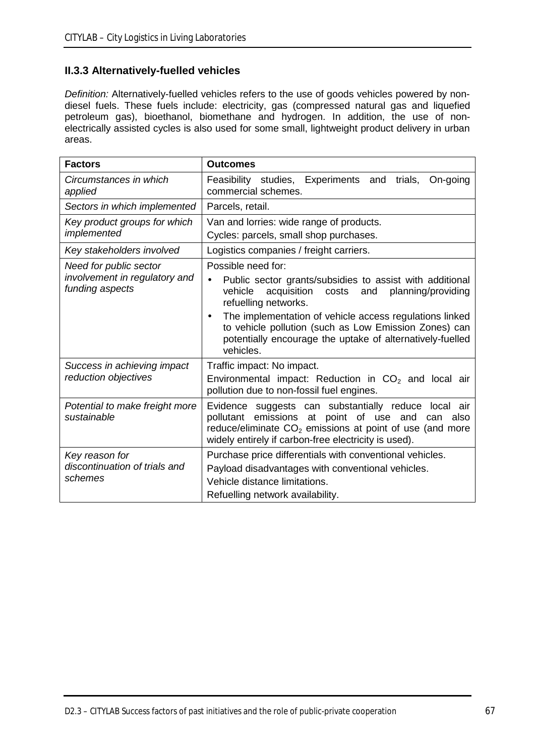# **II.3.3 Alternatively-fuelled vehicles**

*Definition:* Alternatively-fuelled vehicles refers to the use of goods vehicles powered by nondiesel fuels. These fuels include: electricity, gas (compressed natural gas and liquefied petroleum gas), bioethanol, biomethane and hydrogen. In addition, the use of nonelectrically assisted cycles is also used for some small, lightweight product delivery in urban areas.

| <b>Factors</b>                                      | <b>Outcomes</b>                                                                                                                                                                                                                      |  |  |
|-----------------------------------------------------|--------------------------------------------------------------------------------------------------------------------------------------------------------------------------------------------------------------------------------------|--|--|
| Circumstances in which<br>applied                   | Feasibility studies,<br>Experiments<br>trials.<br>On-going<br>and<br>commercial schemes.                                                                                                                                             |  |  |
| Sectors in which implemented                        | Parcels, retail.                                                                                                                                                                                                                     |  |  |
| Key product groups for which<br>implemented         | Van and lorries: wide range of products.<br>Cycles: parcels, small shop purchases.                                                                                                                                                   |  |  |
| Key stakeholders involved                           | Logistics companies / freight carriers.                                                                                                                                                                                              |  |  |
| Need for public sector                              | Possible need for:                                                                                                                                                                                                                   |  |  |
| involvement in regulatory and<br>funding aspects    | Public sector grants/subsidies to assist with additional<br>vehicle<br>acquisition<br>costs<br>and<br>planning/providing<br>refuelling networks.                                                                                     |  |  |
|                                                     | The implementation of vehicle access regulations linked<br>to vehicle pollution (such as Low Emission Zones) can<br>potentially encourage the uptake of alternatively-fuelled<br>vehicles.                                           |  |  |
| Success in achieving impact<br>reduction objectives | Traffic impact: No impact.<br>Environmental impact: Reduction in $CO2$ and local air<br>pollution due to non-fossil fuel engines.                                                                                                    |  |  |
| Potential to make freight more<br>sustainable       | Evidence suggests can substantially reduce local air<br>pollutant emissions at point of use and<br>also<br>can<br>reduce/eliminate $CO2$ emissions at point of use (and more<br>widely entirely if carbon-free electricity is used). |  |  |
| Key reason for                                      | Purchase price differentials with conventional vehicles.                                                                                                                                                                             |  |  |
| discontinuation of trials and                       | Payload disadvantages with conventional vehicles.                                                                                                                                                                                    |  |  |
| schemes                                             | Vehicle distance limitations.                                                                                                                                                                                                        |  |  |
|                                                     | Refuelling network availability.                                                                                                                                                                                                     |  |  |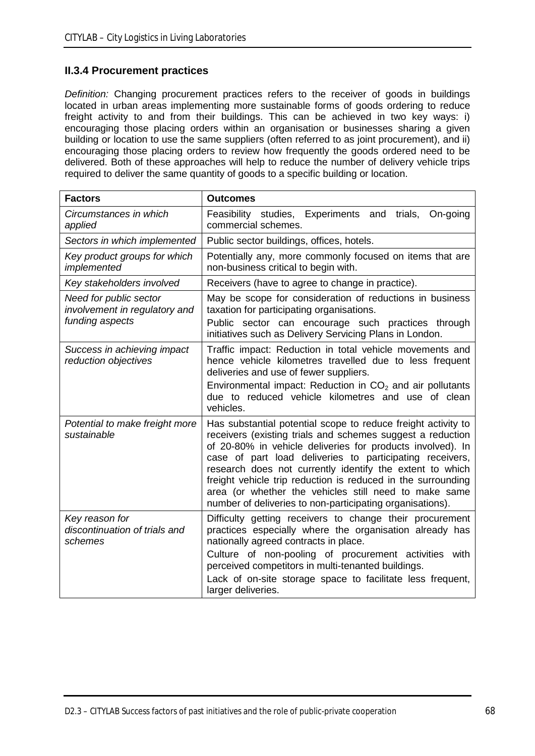## **II.3.4 Procurement practices**

*Definition:* Changing procurement practices refers to the receiver of goods in buildings located in urban areas implementing more sustainable forms of goods ordering to reduce freight activity to and from their buildings. This can be achieved in two key ways: i) encouraging those placing orders within an organisation or businesses sharing a given building or location to use the same suppliers (often referred to as joint procurement), and ii) encouraging those placing orders to review how frequently the goods ordered need to be delivered. Both of these approaches will help to reduce the number of delivery vehicle trips required to deliver the same quantity of goods to a specific building or location.

| <b>Factors</b>                                                             | <b>Outcomes</b>                                                                                                                                                                                                                                                                                                                                                                                                                                                                                         |
|----------------------------------------------------------------------------|---------------------------------------------------------------------------------------------------------------------------------------------------------------------------------------------------------------------------------------------------------------------------------------------------------------------------------------------------------------------------------------------------------------------------------------------------------------------------------------------------------|
| Circumstances in which<br>applied                                          | Feasibility<br>studies, Experiments and<br>trials,<br>On-going<br>commercial schemes.                                                                                                                                                                                                                                                                                                                                                                                                                   |
| Sectors in which implemented                                               | Public sector buildings, offices, hotels.                                                                                                                                                                                                                                                                                                                                                                                                                                                               |
| Key product groups for which<br>implemented                                | Potentially any, more commonly focused on items that are<br>non-business critical to begin with.                                                                                                                                                                                                                                                                                                                                                                                                        |
| Key stakeholders involved                                                  | Receivers (have to agree to change in practice).                                                                                                                                                                                                                                                                                                                                                                                                                                                        |
| Need for public sector<br>involvement in regulatory and<br>funding aspects | May be scope for consideration of reductions in business<br>taxation for participating organisations.<br>Public sector can encourage such practices through<br>initiatives such as Delivery Servicing Plans in London.                                                                                                                                                                                                                                                                                  |
| Success in achieving impact<br>reduction objectives                        | Traffic impact: Reduction in total vehicle movements and<br>hence vehicle kilometres travelled due to less frequent<br>deliveries and use of fewer suppliers.<br>Environmental impact: Reduction in $CO2$ and air pollutants<br>due to reduced vehicle kilometres and use of clean<br>vehicles.                                                                                                                                                                                                         |
| Potential to make freight more<br>sustainable                              | Has substantial potential scope to reduce freight activity to<br>receivers (existing trials and schemes suggest a reduction<br>of 20-80% in vehicle deliveries for products involved). In<br>case of part load deliveries to participating receivers,<br>research does not currently identify the extent to which<br>freight vehicle trip reduction is reduced in the surrounding<br>area (or whether the vehicles still need to make same<br>number of deliveries to non-participating organisations). |
| Key reason for<br>discontinuation of trials and<br>schemes                 | Difficulty getting receivers to change their procurement<br>practices especially where the organisation already has<br>nationally agreed contracts in place.<br>Culture of non-pooling of procurement activities with<br>perceived competitors in multi-tenanted buildings.<br>Lack of on-site storage space to facilitate less frequent,<br>larger deliveries.                                                                                                                                         |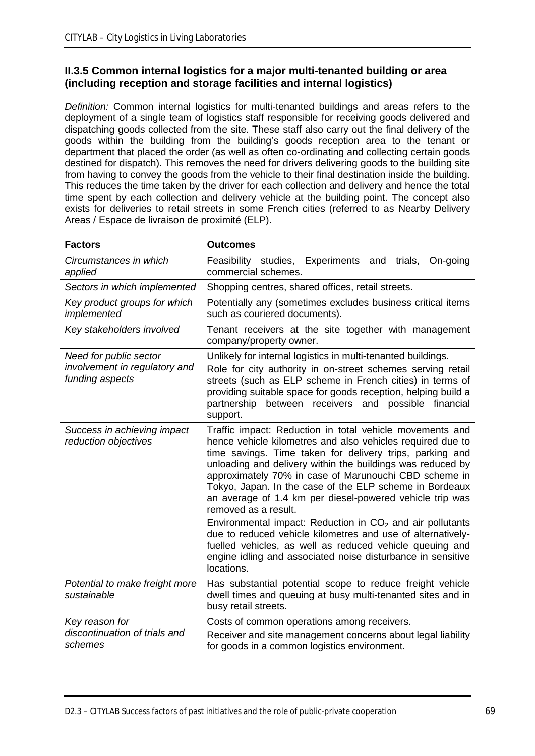## **II.3.5 Common internal logistics for a major multi-tenanted building or area (including reception and storage facilities and internal logistics)**

*Definition:* Common internal logistics for multi-tenanted buildings and areas refers to the deployment of a single team of logistics staff responsible for receiving goods delivered and dispatching goods collected from the site. These staff also carry out the final delivery of the goods within the building from the building's goods reception area to the tenant or department that placed the order (as well as often co-ordinating and collecting certain goods destined for dispatch). This removes the need for drivers delivering goods to the building site from having to convey the goods from the vehicle to their final destination inside the building. This reduces the time taken by the driver for each collection and delivery and hence the total time spent by each collection and delivery vehicle at the building point. The concept also exists for deliveries to retail streets in some French cities (referred to as Nearby Delivery Areas / Espace de livraison de proximité (ELP).

| <b>Factors</b>                                                             | <b>Outcomes</b>                                                                                                                                                                                                                                                                                                                                                                                                                                                                                                                                                                                                                                                                                                                 |
|----------------------------------------------------------------------------|---------------------------------------------------------------------------------------------------------------------------------------------------------------------------------------------------------------------------------------------------------------------------------------------------------------------------------------------------------------------------------------------------------------------------------------------------------------------------------------------------------------------------------------------------------------------------------------------------------------------------------------------------------------------------------------------------------------------------------|
| Circumstances in which<br>applied                                          | studies, Experiments<br>Feasibility<br>and<br>trials,<br>On-going<br>commercial schemes.                                                                                                                                                                                                                                                                                                                                                                                                                                                                                                                                                                                                                                        |
| Sectors in which implemented                                               | Shopping centres, shared offices, retail streets.                                                                                                                                                                                                                                                                                                                                                                                                                                                                                                                                                                                                                                                                               |
| Key product groups for which<br>implemented                                | Potentially any (sometimes excludes business critical items<br>such as couriered documents).                                                                                                                                                                                                                                                                                                                                                                                                                                                                                                                                                                                                                                    |
| Key stakeholders involved                                                  | Tenant receivers at the site together with management<br>company/property owner.                                                                                                                                                                                                                                                                                                                                                                                                                                                                                                                                                                                                                                                |
| Need for public sector<br>involvement in regulatory and<br>funding aspects | Unlikely for internal logistics in multi-tenanted buildings.<br>Role for city authority in on-street schemes serving retail<br>streets (such as ELP scheme in French cities) in terms of<br>providing suitable space for goods reception, helping build a<br>between receivers and possible financial<br>partnership<br>support.                                                                                                                                                                                                                                                                                                                                                                                                |
| Success in achieving impact<br>reduction objectives                        | Traffic impact: Reduction in total vehicle movements and<br>hence vehicle kilometres and also vehicles required due to<br>time savings. Time taken for delivery trips, parking and<br>unloading and delivery within the buildings was reduced by<br>approximately 70% in case of Marunouchi CBD scheme in<br>Tokyo, Japan. In the case of the ELP scheme in Bordeaux<br>an average of 1.4 km per diesel-powered vehicle trip was<br>removed as a result.<br>Environmental impact: Reduction in $CO2$ and air pollutants<br>due to reduced vehicle kilometres and use of alternatively-<br>fuelled vehicles, as well as reduced vehicle queuing and<br>engine idling and associated noise disturbance in sensitive<br>locations. |
| Potential to make freight more<br>sustainable                              | Has substantial potential scope to reduce freight vehicle<br>dwell times and queuing at busy multi-tenanted sites and in<br>busy retail streets.                                                                                                                                                                                                                                                                                                                                                                                                                                                                                                                                                                                |
| Key reason for<br>discontinuation of trials and<br>schemes                 | Costs of common operations among receivers.<br>Receiver and site management concerns about legal liability<br>for goods in a common logistics environment.                                                                                                                                                                                                                                                                                                                                                                                                                                                                                                                                                                      |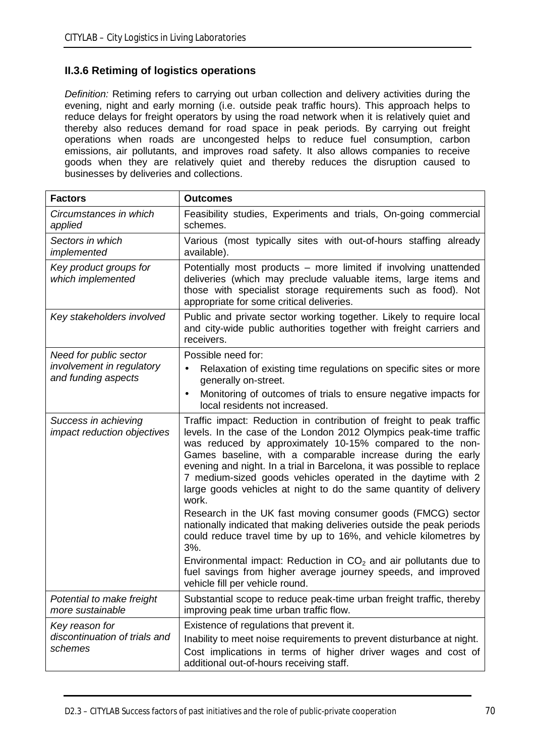# **II.3.6 Retiming of logistics operations**

*Definition:* Retiming refers to carrying out urban collection and delivery activities during the evening, night and early morning (i.e. outside peak traffic hours). This approach helps to reduce delays for freight operators by using the road network when it is relatively quiet and thereby also reduces demand for road space in peak periods. By carrying out freight operations when roads are uncongested helps to reduce fuel consumption, carbon emissions, air pollutants, and improves road safety. It also allows companies to receive goods when they are relatively quiet and thereby reduces the disruption caused to businesses by deliveries and collections.

| <b>Factors</b>                                             | <b>Outcomes</b>                                                                                                                                                                                                                                                                                                                                                                                                                                                                              |
|------------------------------------------------------------|----------------------------------------------------------------------------------------------------------------------------------------------------------------------------------------------------------------------------------------------------------------------------------------------------------------------------------------------------------------------------------------------------------------------------------------------------------------------------------------------|
| Circumstances in which<br>applied                          | Feasibility studies, Experiments and trials, On-going commercial<br>schemes.                                                                                                                                                                                                                                                                                                                                                                                                                 |
| Sectors in which<br>implemented                            | Various (most typically sites with out-of-hours staffing already<br>available).                                                                                                                                                                                                                                                                                                                                                                                                              |
| Key product groups for<br>which implemented                | Potentially most products - more limited if involving unattended<br>deliveries (which may preclude valuable items, large items and<br>those with specialist storage requirements such as food). Not<br>appropriate for some critical deliveries.                                                                                                                                                                                                                                             |
| Key stakeholders involved                                  | Public and private sector working together. Likely to require local<br>and city-wide public authorities together with freight carriers and<br>receivers.                                                                                                                                                                                                                                                                                                                                     |
| Need for public sector                                     | Possible need for:                                                                                                                                                                                                                                                                                                                                                                                                                                                                           |
| involvement in regulatory<br>and funding aspects           | Relaxation of existing time regulations on specific sites or more<br>generally on-street.                                                                                                                                                                                                                                                                                                                                                                                                    |
|                                                            | Monitoring of outcomes of trials to ensure negative impacts for<br>local residents not increased.                                                                                                                                                                                                                                                                                                                                                                                            |
| Success in achieving<br>impact reduction objectives        | Traffic impact: Reduction in contribution of freight to peak traffic<br>levels. In the case of the London 2012 Olympics peak-time traffic<br>was reduced by approximately 10-15% compared to the non-<br>Games baseline, with a comparable increase during the early<br>evening and night. In a trial in Barcelona, it was possible to replace<br>7 medium-sized goods vehicles operated in the daytime with 2<br>large goods vehicles at night to do the same quantity of delivery<br>work. |
|                                                            | Research in the UK fast moving consumer goods (FMCG) sector<br>nationally indicated that making deliveries outside the peak periods<br>could reduce travel time by up to 16%, and vehicle kilometres by<br>3%.                                                                                                                                                                                                                                                                               |
|                                                            | Environmental impact: Reduction in $CO2$ and air pollutants due to<br>fuel savings from higher average journey speeds, and improved<br>vehicle fill per vehicle round.                                                                                                                                                                                                                                                                                                                       |
| Potential to make freight<br>more sustainable              | Substantial scope to reduce peak-time urban freight traffic, thereby<br>improving peak time urban traffic flow.                                                                                                                                                                                                                                                                                                                                                                              |
| Key reason for<br>discontinuation of trials and<br>schemes | Existence of regulations that prevent it.<br>Inability to meet noise requirements to prevent disturbance at night.<br>Cost implications in terms of higher driver wages and cost of<br>additional out-of-hours receiving staff.                                                                                                                                                                                                                                                              |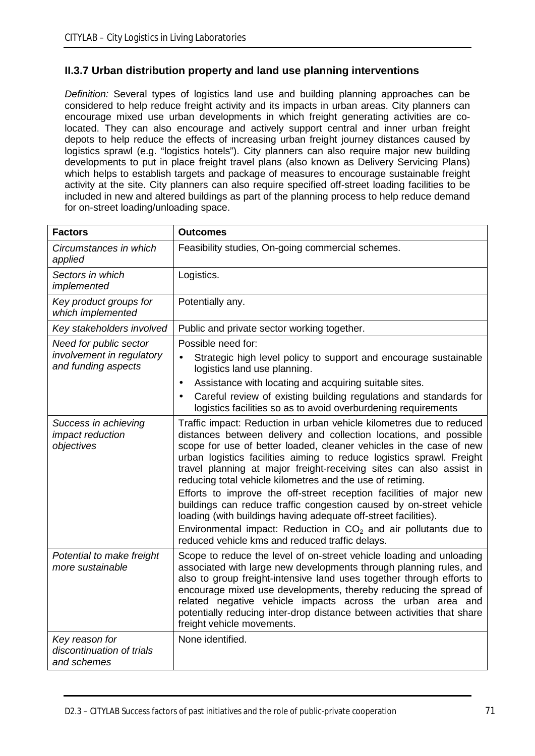## **II.3.7 Urban distribution property and land use planning interventions**

*Definition:* Several types of logistics land use and building planning approaches can be considered to help reduce freight activity and its impacts in urban areas. City planners can encourage mixed use urban developments in which freight generating activities are colocated. They can also encourage and actively support central and inner urban freight depots to help reduce the effects of increasing urban freight journey distances caused by logistics sprawl (e.g. "logistics hotels"). City planners can also require major new building developments to put in place freight travel plans (also known as Delivery Servicing Plans) which helps to establish targets and package of measures to encourage sustainable freight activity at the site. City planners can also require specified off-street loading facilities to be included in new and altered buildings as part of the planning process to help reduce demand for on-street loading/unloading space.

| <b>Factors</b>                                                             | <b>Outcomes</b>                                                                                                                                                                                                                                                                                                                                                                                                                                                                                                                                                                                                                                                                                                                                                          |
|----------------------------------------------------------------------------|--------------------------------------------------------------------------------------------------------------------------------------------------------------------------------------------------------------------------------------------------------------------------------------------------------------------------------------------------------------------------------------------------------------------------------------------------------------------------------------------------------------------------------------------------------------------------------------------------------------------------------------------------------------------------------------------------------------------------------------------------------------------------|
| Circumstances in which<br>applied                                          | Feasibility studies, On-going commercial schemes.                                                                                                                                                                                                                                                                                                                                                                                                                                                                                                                                                                                                                                                                                                                        |
| Sectors in which<br>implemented                                            | Logistics.                                                                                                                                                                                                                                                                                                                                                                                                                                                                                                                                                                                                                                                                                                                                                               |
| Key product groups for<br>which implemented                                | Potentially any.                                                                                                                                                                                                                                                                                                                                                                                                                                                                                                                                                                                                                                                                                                                                                         |
| Key stakeholders involved                                                  | Public and private sector working together.                                                                                                                                                                                                                                                                                                                                                                                                                                                                                                                                                                                                                                                                                                                              |
| Need for public sector<br>involvement in regulatory<br>and funding aspects | Possible need for:                                                                                                                                                                                                                                                                                                                                                                                                                                                                                                                                                                                                                                                                                                                                                       |
|                                                                            | Strategic high level policy to support and encourage sustainable<br>logistics land use planning.                                                                                                                                                                                                                                                                                                                                                                                                                                                                                                                                                                                                                                                                         |
|                                                                            | Assistance with locating and acquiring suitable sites.<br>$\blacksquare$                                                                                                                                                                                                                                                                                                                                                                                                                                                                                                                                                                                                                                                                                                 |
|                                                                            | Careful review of existing building regulations and standards for<br>logistics facilities so as to avoid overburdening requirements                                                                                                                                                                                                                                                                                                                                                                                                                                                                                                                                                                                                                                      |
| Success in achieving<br>impact reduction<br>objectives                     | Traffic impact: Reduction in urban vehicle kilometres due to reduced<br>distances between delivery and collection locations, and possible<br>scope for use of better loaded, cleaner vehicles in the case of new<br>urban logistics facilities aiming to reduce logistics sprawl. Freight<br>travel planning at major freight-receiving sites can also assist in<br>reducing total vehicle kilometres and the use of retiming.<br>Efforts to improve the off-street reception facilities of major new<br>buildings can reduce traffic congestion caused by on-street vehicle<br>loading (with buildings having adequate off-street facilities).<br>Environmental impact: Reduction in $CO2$ and air pollutants due to<br>reduced vehicle kms and reduced traffic delays. |
| Potential to make freight<br>more sustainable                              | Scope to reduce the level of on-street vehicle loading and unloading<br>associated with large new developments through planning rules, and<br>also to group freight-intensive land uses together through efforts to<br>encourage mixed use developments, thereby reducing the spread of<br>related negative vehicle impacts across the urban area and<br>potentially reducing inter-drop distance between activities that share<br>freight vehicle movements.                                                                                                                                                                                                                                                                                                            |
| Key reason for<br>discontinuation of trials<br>and schemes                 | None identified.                                                                                                                                                                                                                                                                                                                                                                                                                                                                                                                                                                                                                                                                                                                                                         |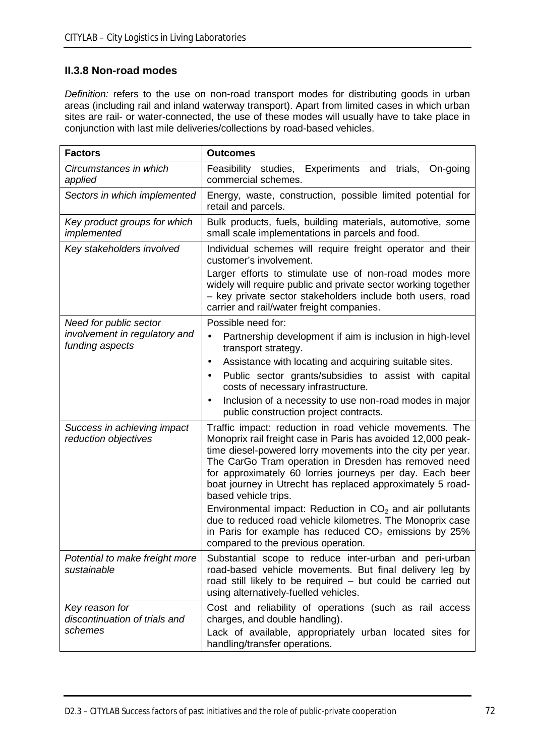# **II.3.8 Non-road modes**

*Definition:* refers to the use on non-road transport modes for distributing goods in urban areas (including rail and inland waterway transport). Apart from limited cases in which urban sites are rail- or water-connected, the use of these modes will usually have to take place in conjunction with last mile deliveries/collections by road-based vehicles.

| <b>Factors</b>                                             | <b>Outcomes</b>                                                                                                                                                                                                                                                                                                                                                                                   |
|------------------------------------------------------------|---------------------------------------------------------------------------------------------------------------------------------------------------------------------------------------------------------------------------------------------------------------------------------------------------------------------------------------------------------------------------------------------------|
| Circumstances in which<br>applied                          | studies, Experiments<br>Feasibility<br>and<br>On-going<br>trials,<br>commercial schemes.                                                                                                                                                                                                                                                                                                          |
| Sectors in which implemented                               | Energy, waste, construction, possible limited potential for<br>retail and parcels.                                                                                                                                                                                                                                                                                                                |
| Key product groups for which<br>implemented                | Bulk products, fuels, building materials, automotive, some<br>small scale implementations in parcels and food.                                                                                                                                                                                                                                                                                    |
| Key stakeholders involved                                  | Individual schemes will require freight operator and their<br>customer's involvement.                                                                                                                                                                                                                                                                                                             |
|                                                            | Larger efforts to stimulate use of non-road modes more<br>widely will require public and private sector working together<br>- key private sector stakeholders include both users, road<br>carrier and rail/water freight companies.                                                                                                                                                               |
| Need for public sector                                     | Possible need for:                                                                                                                                                                                                                                                                                                                                                                                |
| involvement in regulatory and<br>funding aspects           | Partnership development if aim is inclusion in high-level<br>transport strategy.                                                                                                                                                                                                                                                                                                                  |
|                                                            | Assistance with locating and acquiring suitable sites.<br>$\blacksquare$                                                                                                                                                                                                                                                                                                                          |
|                                                            | Public sector grants/subsidies to assist with capital<br>costs of necessary infrastructure.                                                                                                                                                                                                                                                                                                       |
|                                                            | Inclusion of a necessity to use non-road modes in major<br>public construction project contracts.                                                                                                                                                                                                                                                                                                 |
| Success in achieving impact<br>reduction objectives        | Traffic impact: reduction in road vehicle movements. The<br>Monoprix rail freight case in Paris has avoided 12,000 peak-<br>time diesel-powered lorry movements into the city per year.<br>The CarGo Tram operation in Dresden has removed need<br>for approximately 60 lorries journeys per day. Each beer<br>boat journey in Utrecht has replaced approximately 5 road-<br>based vehicle trips. |
|                                                            | Environmental impact: Reduction in $CO2$ and air pollutants<br>due to reduced road vehicle kilometres. The Monoprix case<br>in Paris for example has reduced $CO2$ emissions by 25%<br>compared to the previous operation.                                                                                                                                                                        |
| Potential to make freight more<br>sustainable              | Substantial scope to reduce inter-urban and peri-urban<br>road-based vehicle movements. But final delivery leg by<br>road still likely to be required - but could be carried out<br>using alternatively-fuelled vehicles.                                                                                                                                                                         |
| Key reason for<br>discontinuation of trials and<br>schemes | Cost and reliability of operations (such as rail access<br>charges, and double handling).<br>Lack of available, appropriately urban located sites for<br>handling/transfer operations.                                                                                                                                                                                                            |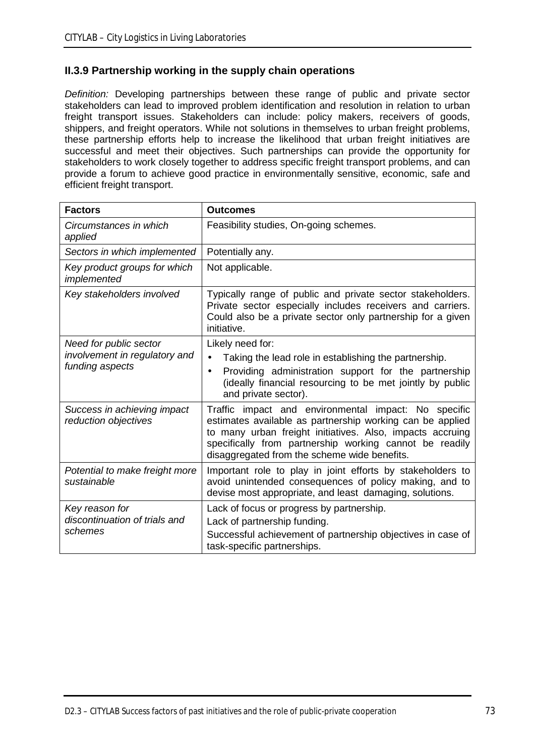## **II.3.9 Partnership working in the supply chain operations**

*Definition:* Developing partnerships between these range of public and private sector stakeholders can lead to improved problem identification and resolution in relation to urban freight transport issues. Stakeholders can include: policy makers, receivers of goods, shippers, and freight operators. While not solutions in themselves to urban freight problems, these partnership efforts help to increase the likelihood that urban freight initiatives are successful and meet their objectives. Such partnerships can provide the opportunity for stakeholders to work closely together to address specific freight transport problems, and can provide a forum to achieve good practice in environmentally sensitive, economic, safe and efficient freight transport.

| <b>Factors</b>                                                             | <b>Outcomes</b>                                                                                                                                                                                                                                                                           |
|----------------------------------------------------------------------------|-------------------------------------------------------------------------------------------------------------------------------------------------------------------------------------------------------------------------------------------------------------------------------------------|
| Circumstances in which<br>applied                                          | Feasibility studies, On-going schemes.                                                                                                                                                                                                                                                    |
| Sectors in which implemented                                               | Potentially any.                                                                                                                                                                                                                                                                          |
| Key product groups for which<br>implemented                                | Not applicable.                                                                                                                                                                                                                                                                           |
| Key stakeholders involved                                                  | Typically range of public and private sector stakeholders.<br>Private sector especially includes receivers and carriers.<br>Could also be a private sector only partnership for a given<br>initiative.                                                                                    |
| Need for public sector<br>involvement in regulatory and<br>funding aspects | Likely need for:<br>Taking the lead role in establishing the partnership.<br>Providing administration support for the partnership<br>(ideally financial resourcing to be met jointly by public<br>and private sector).                                                                    |
| Success in achieving impact<br>reduction objectives                        | Traffic impact and environmental impact: No specific<br>estimates available as partnership working can be applied<br>to many urban freight initiatives. Also, impacts accruing<br>specifically from partnership working cannot be readily<br>disaggregated from the scheme wide benefits. |
| Potential to make freight more<br>sustainable                              | Important role to play in joint efforts by stakeholders to<br>avoid unintended consequences of policy making, and to<br>devise most appropriate, and least damaging, solutions.                                                                                                           |
| Key reason for<br>discontinuation of trials and<br>schemes                 | Lack of focus or progress by partnership.<br>Lack of partnership funding.<br>Successful achievement of partnership objectives in case of<br>task-specific partnerships.                                                                                                                   |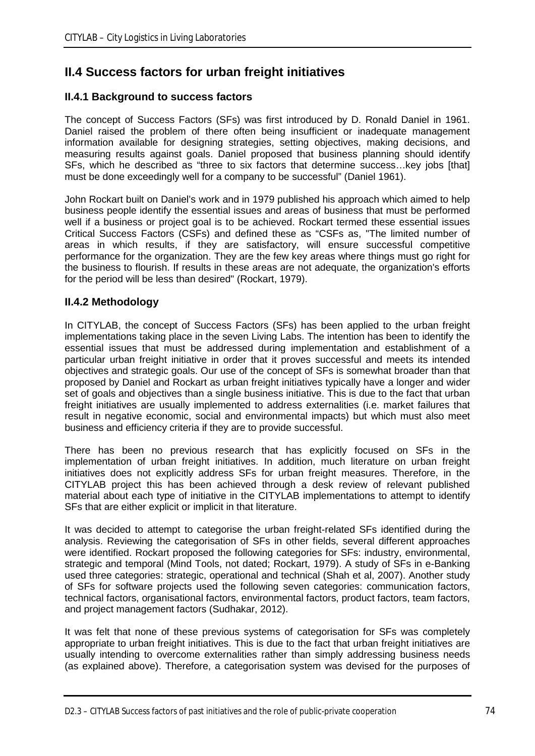# **II.4 Success factors for urban freight initiatives**

## **II.4.1 Background to success factors**

The concept of Success Factors (SFs) was first introduced by D. Ronald Daniel in 1961. Daniel raised the problem of there often being insufficient or inadequate management information available for designing strategies, setting objectives, making decisions, and measuring results against goals. Daniel proposed that business planning should identify SFs, which he described as "three to six factors that determine success…key jobs [that] must be done exceedingly well for a company to be successful" (Daniel 1961).

John Rockart built on Daniel's work and in 1979 published his approach which aimed to help business people identify the essential issues and areas of business that must be performed well if a business or project goal is to be achieved. Rockart termed these essential issues Critical Success Factors (CSFs) and defined these as "CSFs as, "The limited number of areas in which results, if they are satisfactory, will ensure successful competitive performance for the organization. They are the few key areas where things must go right for the business to flourish. If results in these areas are not adequate, the organization's efforts for the period will be less than desired" (Rockart, 1979).

## **II.4.2 Methodology**

In CITYLAB, the concept of Success Factors (SFs) has been applied to the urban freight implementations taking place in the seven Living Labs. The intention has been to identify the essential issues that must be addressed during implementation and establishment of a particular urban freight initiative in order that it proves successful and meets its intended objectives and strategic goals. Our use of the concept of SFs is somewhat broader than that proposed by Daniel and Rockart as urban freight initiatives typically have a longer and wider set of goals and objectives than a single business initiative. This is due to the fact that urban freight initiatives are usually implemented to address externalities (i.e. market failures that result in negative economic, social and environmental impacts) but which must also meet business and efficiency criteria if they are to provide successful.

There has been no previous research that has explicitly focused on SFs in the implementation of urban freight initiatives. In addition, much literature on urban freight initiatives does not explicitly address SFs for urban freight measures. Therefore, in the CITYLAB project this has been achieved through a desk review of relevant published material about each type of initiative in the CITYLAB implementations to attempt to identify SFs that are either explicit or implicit in that literature.

It was decided to attempt to categorise the urban freight-related SFs identified during the analysis. Reviewing the categorisation of SFs in other fields, several different approaches were identified. Rockart proposed the following categories for SFs: industry, environmental, strategic and temporal (Mind Tools, not dated; Rockart, 1979). A study of SFs in e-Banking used three categories: strategic, operational and technical (Shah et al, 2007). Another study of SFs for software projects used the following seven categories: communication factors, technical factors, organisational factors, environmental factors, product factors, team factors, and project management factors (Sudhakar, 2012).

It was felt that none of these previous systems of categorisation for SFs was completely appropriate to urban freight initiatives. This is due to the fact that urban freight initiatives are usually intending to overcome externalities rather than simply addressing business needs (as explained above). Therefore, a categorisation system was devised for the purposes of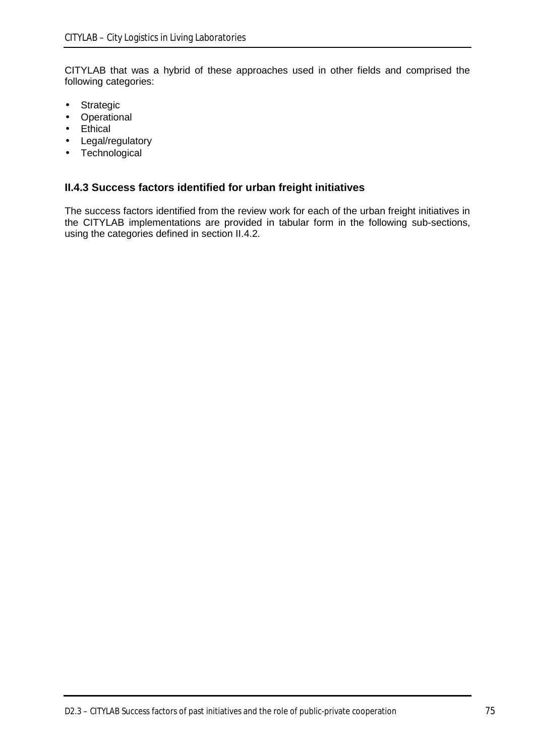CITYLAB that was a hybrid of these approaches used in other fields and comprised the following categories:

- **Strategic** l,
- **Operational**  $\overline{a}$
- **Ethical**
- Legal/regulatory
- **Technological** l,

## **II.4.3 Success factors identified for urban freight initiatives**

The success factors identified from the review work for each of the urban freight initiatives in the CITYLAB implementations are provided in tabular form in the following sub-sections, using the categories defined in section II.4.2.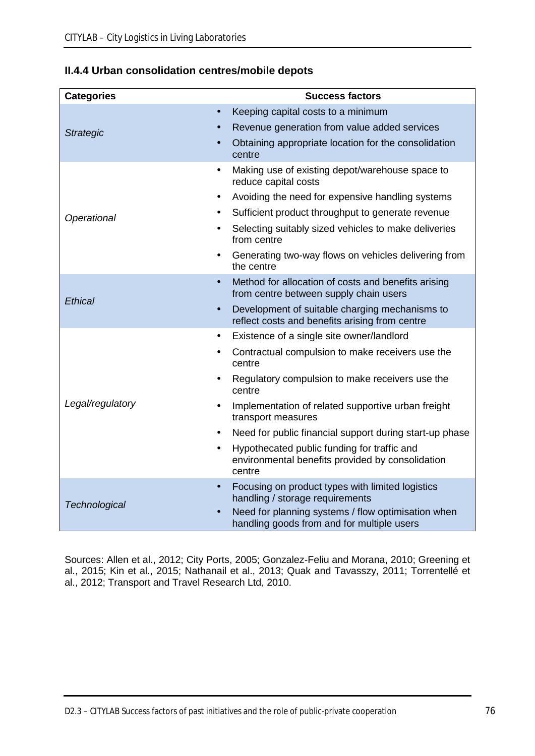|  |  |  | II.4.4 Urban consolidation centres/mobile depots |
|--|--|--|--------------------------------------------------|
|--|--|--|--------------------------------------------------|

| <b>Categories</b>      | <b>Success factors</b>                                                                                    |
|------------------------|-----------------------------------------------------------------------------------------------------------|
| ä,<br><b>Strategic</b> | Keeping capital costs to a minimum                                                                        |
|                        | Revenue generation from value added services                                                              |
|                        | Obtaining appropriate location for the consolidation<br>centre                                            |
|                        | Making use of existing depot/warehouse space to<br>reduce capital costs                                   |
| $\blacksquare$         | Avoiding the need for expensive handling systems                                                          |
| Operational            | Sufficient product throughput to generate revenue                                                         |
|                        | Selecting suitably sized vehicles to make deliveries<br>from centre                                       |
| $\blacksquare$         | Generating two-way flows on vehicles delivering from<br>the centre                                        |
|                        | Method for allocation of costs and benefits arising<br>from centre between supply chain users             |
| Ethical                | Development of suitable charging mechanisms to<br>reflect costs and benefits arising from centre          |
|                        | Existence of a single site owner/landlord                                                                 |
|                        | Contractual compulsion to make receivers use the<br>centre                                                |
|                        | Regulatory compulsion to make receivers use the<br>centre                                                 |
| Legal/regulatory       | Implementation of related supportive urban freight<br>transport measures                                  |
|                        | Need for public financial support during start-up phase                                                   |
|                        | Hypothecated public funding for traffic and<br>environmental benefits provided by consolidation<br>centre |
| Technological          | Focusing on product types with limited logistics<br>handling / storage requirements                       |
|                        | Need for planning systems / flow optimisation when<br>handling goods from and for multiple users          |

Sources: Allen et al., 2012; City Ports, 2005; Gonzalez-Feliu and Morana, 2010; Greening et al., 2015; Kin et al., 2015; Nathanail et al., 2013; Quak and Tavasszy, 2011; Torrentellé et al., 2012; Transport and Travel Research Ltd, 2010.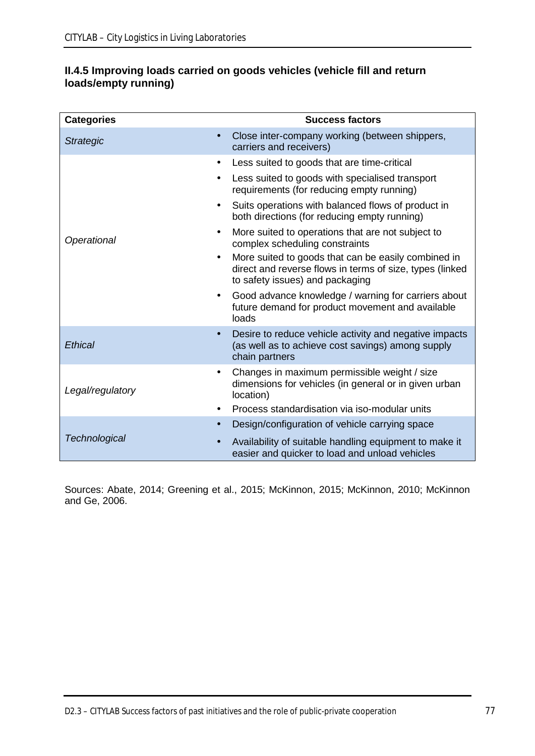| II.4.5 Improving loads carried on goods vehicles (vehicle fill and return |  |  |
|---------------------------------------------------------------------------|--|--|
| loads/empty running)                                                      |  |  |

| <b>Categories</b>                  | <b>Success factors</b>                                                                                                                             |
|------------------------------------|----------------------------------------------------------------------------------------------------------------------------------------------------|
| ä,<br><b>Strategic</b>             | Close inter-company working (between shippers,<br>carriers and receivers)                                                                          |
| $\blacksquare$                     | Less suited to goods that are time-critical                                                                                                        |
| $\blacksquare$                     | Less suited to goods with specialised transport<br>requirements (for reducing empty running)                                                       |
| $\blacksquare$                     | Suits operations with balanced flows of product in<br>both directions (for reducing empty running)                                                 |
| $\blacksquare$<br>Operational      | More suited to operations that are not subject to<br>complex scheduling constraints                                                                |
| $\blacksquare$                     | More suited to goods that can be easily combined in<br>direct and reverse flows in terms of size, types (linked<br>to safety issues) and packaging |
| $\blacksquare$                     | Good advance knowledge / warning for carriers about<br>future demand for product movement and available<br>loads                                   |
| ×,<br>Ethical                      | Desire to reduce vehicle activity and negative impacts<br>(as well as to achieve cost savings) among supply<br>chain partners                      |
| $\blacksquare$<br>Legal/regulatory | Changes in maximum permissible weight / size<br>dimensions for vehicles (in general or in given urban<br>location)                                 |
|                                    | Process standardisation via iso-modular units                                                                                                      |
| ٠                                  | Design/configuration of vehicle carrying space                                                                                                     |
| <b>Technological</b>               | Availability of suitable handling equipment to make it<br>easier and quicker to load and unload vehicles                                           |

Sources: Abate, 2014; Greening et al., 2015; McKinnon, 2015; McKinnon, 2010; McKinnon and Ge, 2006.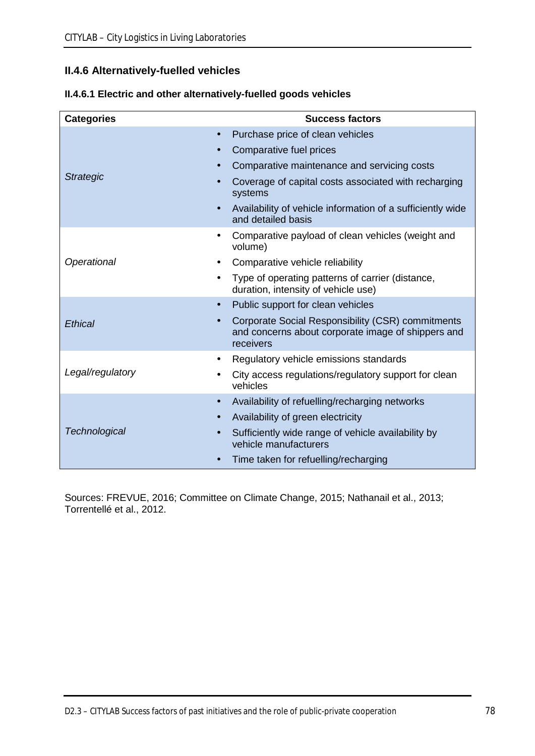## **II.4.6 Alternatively-fuelled vehicles**

| <b>Categories</b> | <b>Success factors</b>                                                                                                     |
|-------------------|----------------------------------------------------------------------------------------------------------------------------|
|                   | Purchase price of clean vehicles<br>$\blacksquare$                                                                         |
|                   | Comparative fuel prices<br>٠                                                                                               |
|                   | Comparative maintenance and servicing costs                                                                                |
| <b>Strategic</b>  | Coverage of capital costs associated with recharging<br>systems                                                            |
|                   | Availability of vehicle information of a sufficiently wide<br>and detailed basis                                           |
|                   | Comparative payload of clean vehicles (weight and<br>volume)                                                               |
| Operational       | Comparative vehicle reliability                                                                                            |
|                   | Type of operating patterns of carrier (distance,<br>$\blacksquare$<br>duration, intensity of vehicle use)                  |
|                   | Public support for clean vehicles<br>$\blacksquare$                                                                        |
| <b>Ethical</b>    | Corporate Social Responsibility (CSR) commitments<br>×,<br>and concerns about corporate image of shippers and<br>receivers |
|                   | Regulatory vehicle emissions standards<br>$\blacksquare$                                                                   |
| Legal/regulatory  | City access regulations/regulatory support for clean<br>vehicles                                                           |
|                   | Availability of refuelling/recharging networks<br>٠                                                                        |
|                   | Availability of green electricity<br>٠                                                                                     |
| Technological     | Sufficiently wide range of vehicle availability by<br>vehicle manufacturers                                                |
|                   | Time taken for refuelling/recharging                                                                                       |

| II.4.6.1 Electric and other alternatively-fuelled goods vehicles |  |
|------------------------------------------------------------------|--|
|------------------------------------------------------------------|--|

Sources: FREVUE, 2016; Committee on Climate Change, 2015; Nathanail et al., 2013; Torrentellé et al., 2012.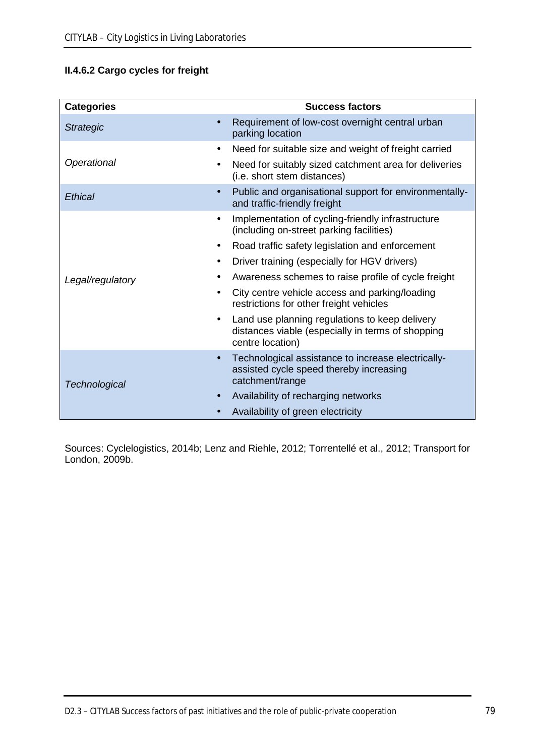## **II.4.6.2 Cargo cycles for freight**

| <b>Categories</b>          | <b>Success factors</b>                                                                                                  |
|----------------------------|-------------------------------------------------------------------------------------------------------------------------|
| <b>Strategic</b>           | Requirement of low-cost overnight central urban<br>parking location                                                     |
|                            | Need for suitable size and weight of freight carried                                                                    |
| Operational                | Need for suitably sized catchment area for deliveries<br>(i.e. short stem distances)                                    |
| <b>Ethical</b>             | Public and organisational support for environmentally-<br>and traffic-friendly freight                                  |
|                            | Implementation of cycling-friendly infrastructure<br>(including on-street parking facilities)                           |
| $\blacksquare$             | Road traffic safety legislation and enforcement                                                                         |
|                            | Driver training (especially for HGV drivers)                                                                            |
| Legal/regulatory           | Awareness schemes to raise profile of cycle freight                                                                     |
|                            | City centre vehicle access and parking/loading<br>restrictions for other freight vehicles                               |
| $\blacksquare$             | Land use planning regulations to keep delivery<br>distances viable (especially in terms of shopping<br>centre location) |
| ×,<br><b>Technological</b> | Technological assistance to increase electrically-<br>assisted cycle speed thereby increasing<br>catchment/range        |
|                            | Availability of recharging networks                                                                                     |
|                            | Availability of green electricity                                                                                       |

Sources: Cyclelogistics, 2014b; Lenz and Riehle, 2012; Torrentellé et al., 2012; Transport for London, 2009b.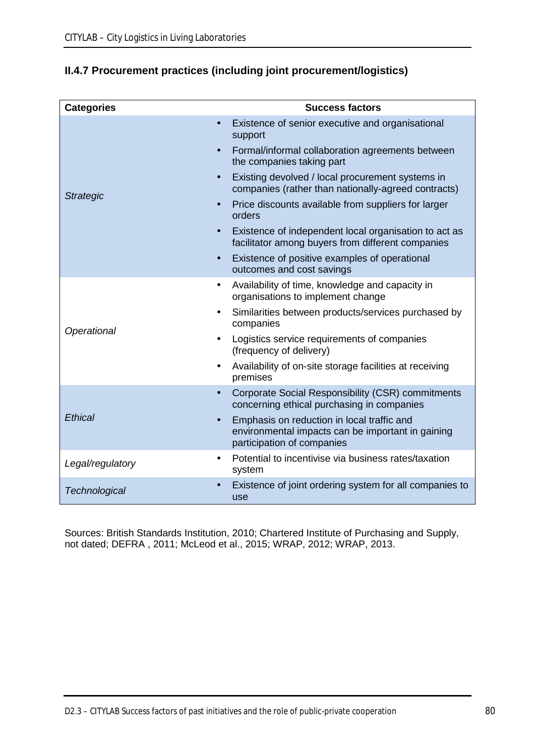| <b>Categories</b>                  | <b>Success factors</b>                                                                                                        |
|------------------------------------|-------------------------------------------------------------------------------------------------------------------------------|
|                                    | Existence of senior executive and organisational<br>support                                                                   |
|                                    | Formal/informal collaboration agreements between<br>the companies taking part                                                 |
| $\blacksquare$<br><b>Strategic</b> | Existing devolved / local procurement systems in<br>companies (rather than nationally-agreed contracts)                       |
| ä,                                 | Price discounts available from suppliers for larger<br>orders                                                                 |
| $\blacksquare$                     | Existence of independent local organisation to act as<br>facilitator among buyers from different companies                    |
| ٠                                  | Existence of positive examples of operational<br>outcomes and cost savings                                                    |
| $\blacksquare$                     | Availability of time, knowledge and capacity in<br>organisations to implement change                                          |
| $\blacksquare$<br>Operational      | Similarities between products/services purchased by<br>companies                                                              |
| $\blacksquare$                     | Logistics service requirements of companies<br>(frequency of delivery)                                                        |
| ٠                                  | Availability of on-site storage facilities at receiving<br>premises                                                           |
|                                    | Corporate Social Responsibility (CSR) commitments<br>concerning ethical purchasing in companies                               |
| <b>Ethical</b>                     | Emphasis on reduction in local traffic and<br>environmental impacts can be important in gaining<br>participation of companies |
| Legal/regulatory                   | Potential to incentivise via business rates/taxation<br>system                                                                |
| Technological                      | Existence of joint ordering system for all companies to<br>use                                                                |

# **II.4.7 Procurement practices (including joint procurement/logistics)**

Sources: British Standards Institution, 2010; Chartered Institute of Purchasing and Supply, not dated; DEFRA , 2011; McLeod et al., 2015; WRAP, 2012; WRAP, 2013.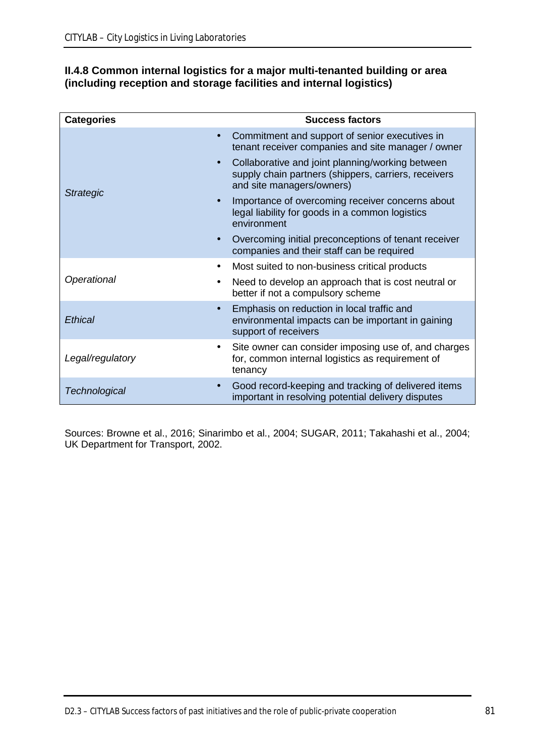## **II.4.8 Common internal logistics for a major multi-tenanted building or area (including reception and storage facilities and internal logistics)**

| <b>Categories</b>                  | <b>Success factors</b>                                                                                                                |
|------------------------------------|---------------------------------------------------------------------------------------------------------------------------------------|
| $\blacksquare$                     | Commitment and support of senior executives in<br>tenant receiver companies and site manager / owner                                  |
| $\blacksquare$<br><b>Strategic</b> | Collaborative and joint planning/working between<br>supply chain partners (shippers, carriers, receivers<br>and site managers/owners) |
| $\blacksquare$                     | Importance of overcoming receiver concerns about<br>legal liability for goods in a common logistics<br>environment                    |
| $\blacksquare$                     | Overcoming initial preconceptions of tenant receiver<br>companies and their staff can be required                                     |
| $\blacksquare$                     | Most suited to non-business critical products                                                                                         |
| Operational<br>$\blacksquare$      | Need to develop an approach that is cost neutral or<br>better if not a compulsory scheme                                              |
| $\blacksquare$<br>Ethical          | Emphasis on reduction in local traffic and<br>environmental impacts can be important in gaining<br>support of receivers               |
| $\blacksquare$<br>Legal/regulatory | Site owner can consider imposing use of, and charges<br>for, common internal logistics as requirement of<br>tenancy                   |
| ٠<br>Technological                 | Good record-keeping and tracking of delivered items<br>important in resolving potential delivery disputes                             |

Sources: Browne et al., 2016; Sinarimbo et al., 2004; SUGAR, 2011; Takahashi et al., 2004; UK Department for Transport, 2002.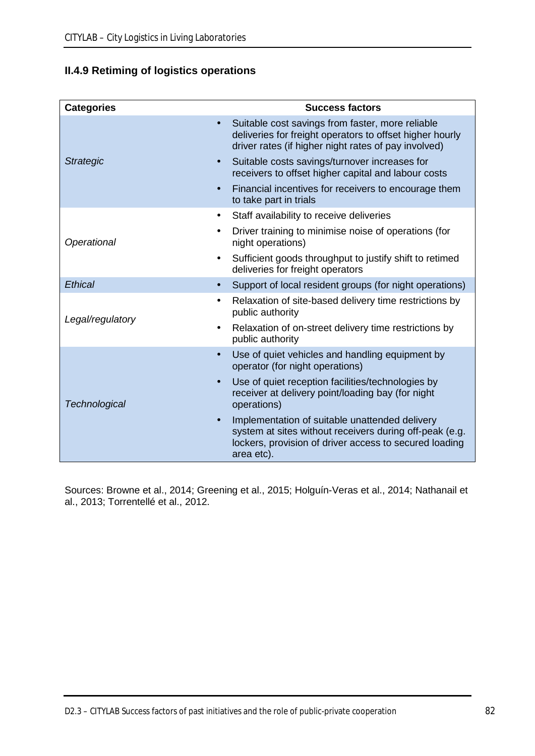# **II.4.9 Retiming of logistics operations**

| <b>Success factors</b>                                                                                                                                                            |
|-----------------------------------------------------------------------------------------------------------------------------------------------------------------------------------|
| Suitable cost savings from faster, more reliable<br>deliveries for freight operators to offset higher hourly<br>driver rates (if higher night rates of pay involved)              |
| Suitable costs savings/turnover increases for<br>receivers to offset higher capital and labour costs                                                                              |
| Financial incentives for receivers to encourage them<br>to take part in trials                                                                                                    |
| Staff availability to receive deliveries                                                                                                                                          |
| Driver training to minimise noise of operations (for<br>night operations)                                                                                                         |
| Sufficient goods throughput to justify shift to retimed<br>deliveries for freight operators                                                                                       |
| Support of local resident groups (for night operations)                                                                                                                           |
| Relaxation of site-based delivery time restrictions by<br>public authority                                                                                                        |
| Relaxation of on-street delivery time restrictions by<br>public authority                                                                                                         |
| Use of quiet vehicles and handling equipment by<br>operator (for night operations)                                                                                                |
| Use of quiet reception facilities/technologies by<br>receiver at delivery point/loading bay (for night<br>operations)                                                             |
| Implementation of suitable unattended delivery<br>system at sites without receivers during off-peak (e.g.<br>lockers, provision of driver access to secured loading<br>area etc). |
|                                                                                                                                                                                   |

Sources: Browne et al., 2014; Greening et al., 2015; Holguín-Veras et al., 2014; Nathanail et al., 2013; Torrentellé et al., 2012.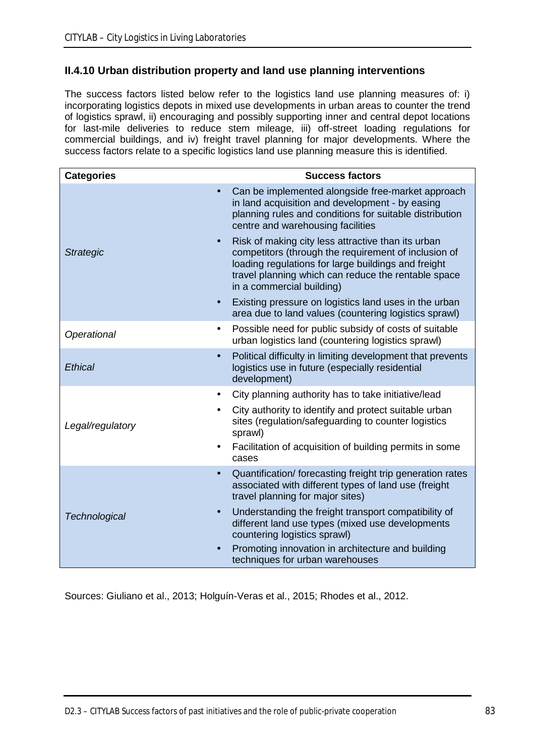## **II.4.10 Urban distribution property and land use planning interventions**

The success factors listed below refer to the logistics land use planning measures of: i) incorporating logistics depots in mixed use developments in urban areas to counter the trend of logistics sprawl, ii) encouraging and possibly supporting inner and central depot locations for last-mile deliveries to reduce stem mileage, iii) off-street loading regulations for commercial buildings, and iv) freight travel planning for major developments. Where the success factors relate to a specific logistics land use planning measure this is identified.

| <b>Categories</b>                  | <b>Success factors</b>                                                                                                                                                                                                                                |
|------------------------------------|-------------------------------------------------------------------------------------------------------------------------------------------------------------------------------------------------------------------------------------------------------|
| $\blacksquare$                     | Can be implemented alongside free-market approach<br>in land acquisition and development - by easing<br>planning rules and conditions for suitable distribution<br>centre and warehousing facilities                                                  |
| ×,<br><b>Strategic</b>             | Risk of making city less attractive than its urban<br>competitors (through the requirement of inclusion of<br>loading regulations for large buildings and freight<br>travel planning which can reduce the rentable space<br>in a commercial building) |
|                                    | Existing pressure on logistics land uses in the urban<br>area due to land values (countering logistics sprawl)                                                                                                                                        |
| ٠<br>Operational                   | Possible need for public subsidy of costs of suitable<br>urban logistics land (countering logistics sprawl)                                                                                                                                           |
| ä,<br><b>Ethical</b>               | Political difficulty in limiting development that prevents<br>logistics use in future (especially residential<br>development)                                                                                                                         |
| $\blacksquare$                     | City planning authority has to take initiative/lead                                                                                                                                                                                                   |
| $\blacksquare$<br>Legal/regulatory | City authority to identify and protect suitable urban<br>sites (regulation/safeguarding to counter logistics<br>sprawl)<br>Facilitation of acquisition of building permits in some<br>cases                                                           |
| ×,                                 | Quantification/forecasting freight trip generation rates<br>associated with different types of land use (freight<br>travel planning for major sites)                                                                                                  |
| ٠<br><b>Technological</b>          | Understanding the freight transport compatibility of<br>different land use types (mixed use developments<br>countering logistics sprawl)                                                                                                              |
|                                    | Promoting innovation in architecture and building<br>techniques for urban warehouses                                                                                                                                                                  |

Sources: Giuliano et al., 2013; Holguín-Veras et al., 2015; Rhodes et al., 2012.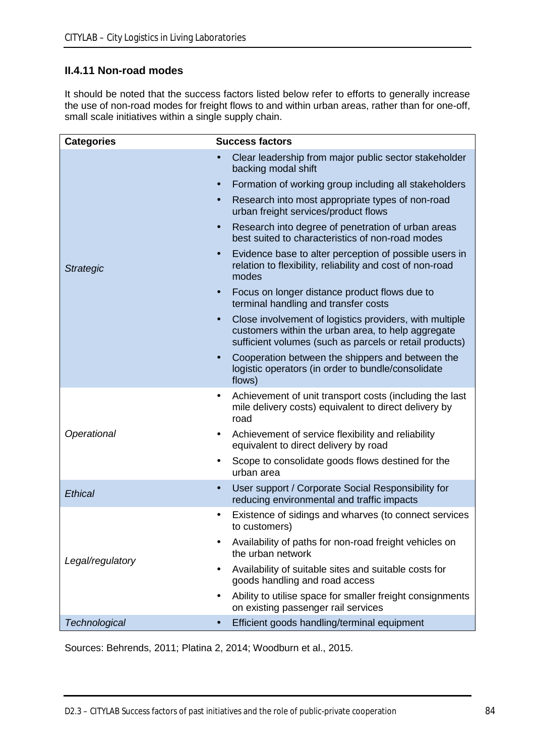## **II.4.11 Non-road modes**

It should be noted that the success factors listed below refer to efforts to generally increase the use of non-road modes for freight flows to and within urban areas, rather than for one-off, small scale initiatives within a single supply chain.

| <b>Categories</b>    | <b>Success factors</b>                                                                                                                                                        |  |  |  |
|----------------------|-------------------------------------------------------------------------------------------------------------------------------------------------------------------------------|--|--|--|
|                      | Clear leadership from major public sector stakeholder<br>٠<br>backing modal shift                                                                                             |  |  |  |
|                      | Formation of working group including all stakeholders<br>٠                                                                                                                    |  |  |  |
|                      | Research into most appropriate types of non-road<br>٠<br>urban freight services/product flows                                                                                 |  |  |  |
|                      | Research into degree of penetration of urban areas<br>×,<br>best suited to characteristics of non-road modes                                                                  |  |  |  |
| <b>Strategic</b>     | Evidence base to alter perception of possible users in<br>۰<br>relation to flexibility, reliability and cost of non-road<br>modes                                             |  |  |  |
|                      | Focus on longer distance product flows due to<br>٠<br>terminal handling and transfer costs                                                                                    |  |  |  |
|                      | Close involvement of logistics providers, with multiple<br>٠<br>customers within the urban area, to help aggregate<br>sufficient volumes (such as parcels or retail products) |  |  |  |
|                      | Cooperation between the shippers and between the<br>٠<br>logistic operators (in order to bundle/consolidate<br>flows)                                                         |  |  |  |
|                      | Achievement of unit transport costs (including the last<br>٠<br>mile delivery costs) equivalent to direct delivery by<br>road                                                 |  |  |  |
| Operational          | Achievement of service flexibility and reliability<br>٠<br>equivalent to direct delivery by road                                                                              |  |  |  |
|                      | Scope to consolidate goods flows destined for the<br>٠<br>urban area                                                                                                          |  |  |  |
| <b>Ethical</b>       | User support / Corporate Social Responsibility for<br>٠<br>reducing environmental and traffic impacts                                                                         |  |  |  |
|                      | Existence of sidings and wharves (to connect services<br>٠<br>to customers)                                                                                                   |  |  |  |
| Legal/regulatory     | Availability of paths for non-road freight vehicles on<br>the urban network                                                                                                   |  |  |  |
|                      | Availability of suitable sites and suitable costs for<br>goods handling and road access                                                                                       |  |  |  |
|                      | Ability to utilise space for smaller freight consignments<br>on existing passenger rail services                                                                              |  |  |  |
| <b>Technological</b> | Efficient goods handling/terminal equipment                                                                                                                                   |  |  |  |

Sources: Behrends, 2011; Platina 2, 2014; Woodburn et al., 2015.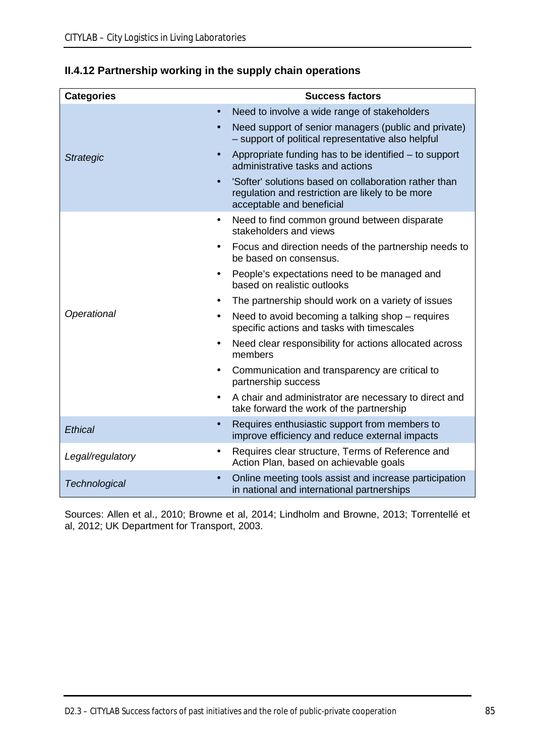| <b>Categories</b>                  | <b>Success factors</b>                                                                                                                 |  |  |  |  |
|------------------------------------|----------------------------------------------------------------------------------------------------------------------------------------|--|--|--|--|
| ä,                                 | Need to involve a wide range of stakeholders                                                                                           |  |  |  |  |
|                                    | Need support of senior managers (public and private)<br>- support of political representative also helpful                             |  |  |  |  |
| $\blacksquare$<br><b>Strategic</b> | Appropriate funding has to be identified – to support<br>administrative tasks and actions                                              |  |  |  |  |
|                                    | 'Softer' solutions based on collaboration rather than<br>regulation and restriction are likely to be more<br>acceptable and beneficial |  |  |  |  |
| $\blacksquare$                     | Need to find common ground between disparate<br>stakeholders and views                                                                 |  |  |  |  |
| $\blacksquare$                     | Focus and direction needs of the partnership needs to<br>be based on consensus.                                                        |  |  |  |  |
| $\blacksquare$                     | People's expectations need to be managed and<br>based on realistic outlooks                                                            |  |  |  |  |
|                                    | The partnership should work on a variety of issues                                                                                     |  |  |  |  |
| Operational<br>٠                   | Need to avoid becoming a talking shop – requires<br>specific actions and tasks with timescales                                         |  |  |  |  |
|                                    | Need clear responsibility for actions allocated across<br>members                                                                      |  |  |  |  |
| $\blacksquare$                     | Communication and transparency are critical to<br>partnership success                                                                  |  |  |  |  |
|                                    | A chair and administrator are necessary to direct and<br>take forward the work of the partnership                                      |  |  |  |  |
| <b>Ethical</b>                     | Requires enthusiastic support from members to<br>improve efficiency and reduce external impacts                                        |  |  |  |  |
| $\blacksquare$<br>Legal/regulatory | Requires clear structure, Terms of Reference and<br>Action Plan, based on achievable goals                                             |  |  |  |  |
| Technological                      | Online meeting tools assist and increase participation<br>in national and international partnerships                                   |  |  |  |  |

# **II.4.12 Partnership working in the supply chain operations**

Sources: Allen et al., 2010; Browne et al, 2014; Lindholm and Browne, 2013; Torrentellé et al, 2012; UK Department for Transport, 2003.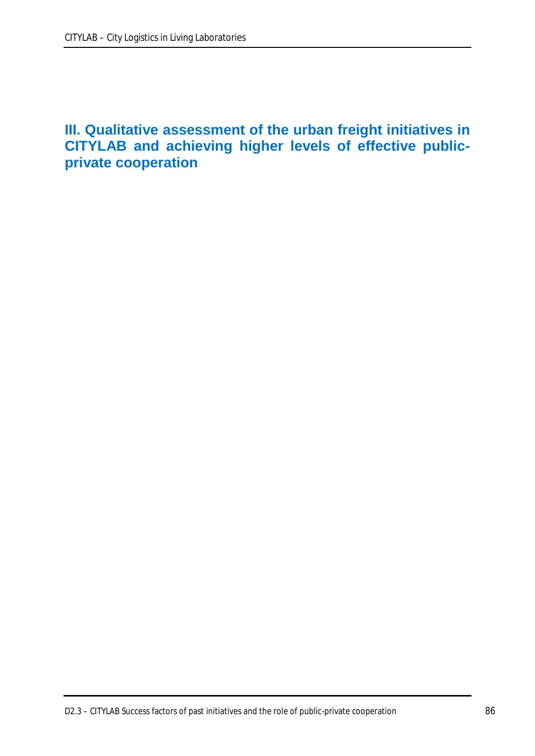# **III. Qualitative assessment of the urban freight initiatives in CITYLAB and achieving higher levels of effective publicprivate cooperation**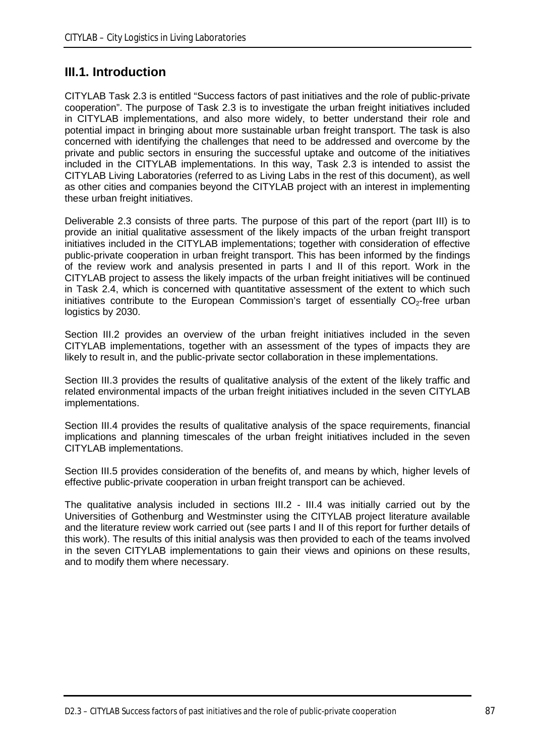# **III.1. Introduction**

CITYLAB Task 2.3 is entitled "Success factors of past initiatives and the role of public-private cooperation". The purpose of Task 2.3 is to investigate the urban freight initiatives included in CITYLAB implementations, and also more widely, to better understand their role and potential impact in bringing about more sustainable urban freight transport. The task is also concerned with identifying the challenges that need to be addressed and overcome by the private and public sectors in ensuring the successful uptake and outcome of the initiatives included in the CITYLAB implementations. In this way, Task 2.3 is intended to assist the CITYLAB Living Laboratories (referred to as Living Labs in the rest of this document), as well as other cities and companies beyond the CITYLAB project with an interest in implementing these urban freight initiatives.

Deliverable 2.3 consists of three parts. The purpose of this part of the report (part III) is to provide an initial qualitative assessment of the likely impacts of the urban freight transport initiatives included in the CITYLAB implementations; together with consideration of effective public-private cooperation in urban freight transport. This has been informed by the findings of the review work and analysis presented in parts I and II of this report. Work in the CITYLAB project to assess the likely impacts of the urban freight initiatives will be continued in Task 2.4, which is concerned with quantitative assessment of the extent to which such initiatives contribute to the European Commission's target of essentially  $CO<sub>2</sub>$ -free urban logistics by 2030.

Section III.2 provides an overview of the urban freight initiatives included in the seven CITYLAB implementations, together with an assessment of the types of impacts they are likely to result in, and the public-private sector collaboration in these implementations.

Section III.3 provides the results of qualitative analysis of the extent of the likely traffic and related environmental impacts of the urban freight initiatives included in the seven CITYLAB implementations.

Section III.4 provides the results of qualitative analysis of the space requirements, financial implications and planning timescales of the urban freight initiatives included in the seven CITYLAB implementations.

Section III.5 provides consideration of the benefits of, and means by which, higher levels of effective public-private cooperation in urban freight transport can be achieved.

The qualitative analysis included in sections III.2 - III.4 was initially carried out by the Universities of Gothenburg and Westminster using the CITYLAB project literature available and the literature review work carried out (see parts I and II of this report for further details of this work). The results of this initial analysis was then provided to each of the teams involved in the seven CITYLAB implementations to gain their views and opinions on these results, and to modify them where necessary.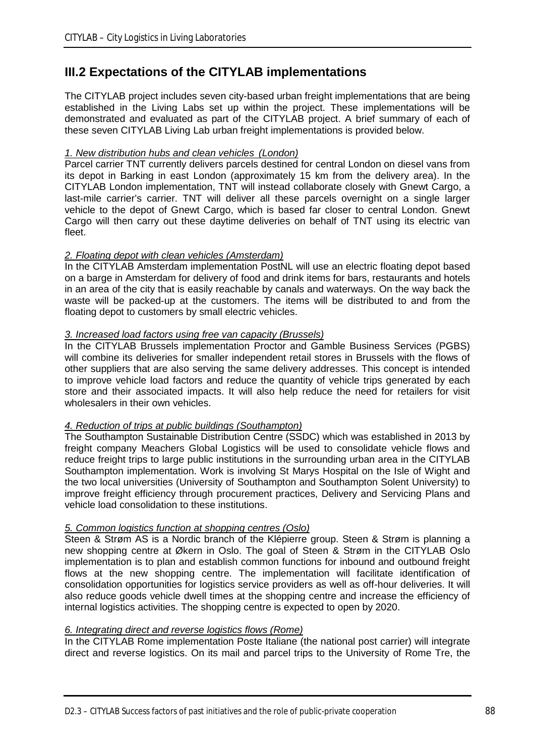# **III.2 Expectations of the CITYLAB implementations**

The CITYLAB project includes seven city-based urban freight implementations that are being established in the Living Labs set up within the project. These implementations will be demonstrated and evaluated as part of the CITYLAB project. A brief summary of each of these seven CITYLAB Living Lab urban freight implementations is provided below.

## *1. New distribution hubs and clean vehicles (London)*

Parcel carrier TNT currently delivers parcels destined for central London on diesel vans from its depot in Barking in east London (approximately 15 km from the delivery area). In the CITYLAB London implementation, TNT will instead collaborate closely with Gnewt Cargo, a last-mile carrier's carrier. TNT will deliver all these parcels overnight on a single larger vehicle to the depot of Gnewt Cargo, which is based far closer to central London. Gnewt Cargo will then carry out these daytime deliveries on behalf of TNT using its electric van fleet.

### *2. Floating depot with clean vehicles (Amsterdam)*

In the CITYLAB Amsterdam implementation PostNL will use an electric floating depot based on a barge in Amsterdam for delivery of food and drink items for bars, restaurants and hotels in an area of the city that is easily reachable by canals and waterways. On the way back the waste will be packed-up at the customers. The items will be distributed to and from the floating depot to customers by small electric vehicles.

### *3. Increased load factors using free van capacity (Brussels)*

In the CITYLAB Brussels implementation Proctor and Gamble Business Services (PGBS) will combine its deliveries for smaller independent retail stores in Brussels with the flows of other suppliers that are also serving the same delivery addresses. This concept is intended to improve vehicle load factors and reduce the quantity of vehicle trips generated by each store and their associated impacts. It will also help reduce the need for retailers for visit wholesalers in their own vehicles.

#### *4. Reduction of trips at public buildings (Southampton)*

The Southampton Sustainable Distribution Centre (SSDC) which was established in 2013 by freight company Meachers Global Logistics will be used to consolidate vehicle flows and reduce freight trips to large public institutions in the surrounding urban area in the CITYLAB Southampton implementation. Work is involving St Marys Hospital on the Isle of Wight and the two local universities (University of Southampton and Southampton Solent University) to improve freight efficiency through procurement practices, Delivery and Servicing Plans and vehicle load consolidation to these institutions.

### *5. Common logistics function at shopping centres (Oslo)*

Steen & Strøm AS is a Nordic branch of the Klépierre group. Steen & Strøm is planning a new shopping centre at Økern in Oslo. The goal of Steen & Strøm in the CITYLAB Oslo implementation is to plan and establish common functions for inbound and outbound freight flows at the new shopping centre. The implementation will facilitate identification of consolidation opportunities for logistics service providers as well as off-hour deliveries. It will also reduce goods vehicle dwell times at the shopping centre and increase the efficiency of internal logistics activities. The shopping centre is expected to open by 2020.

#### *6. Integrating direct and reverse logistics flows (Rome)*

In the CITYLAB Rome implementation Poste Italiane (the national post carrier) will integrate direct and reverse logistics. On its mail and parcel trips to the University of Rome Tre, the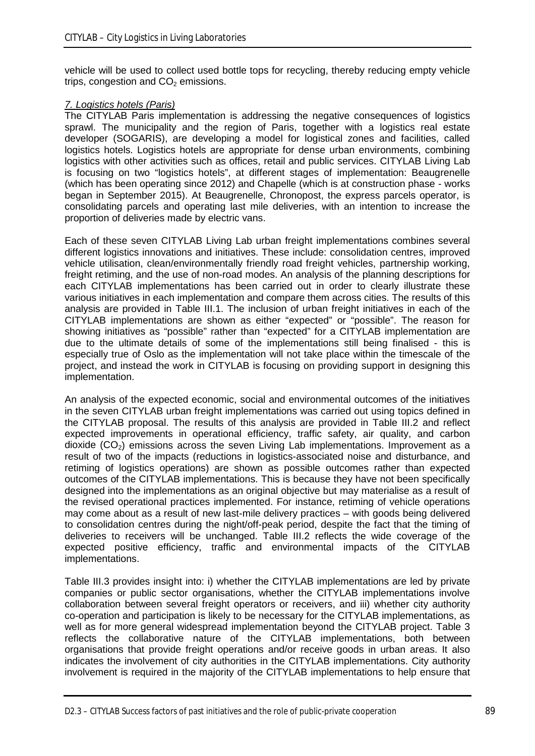vehicle will be used to collect used bottle tops for recycling, thereby reducing empty vehicle trips, congestion and  $CO<sub>2</sub>$  emissions.

#### *7. Logistics hotels (Paris)*

The CITYLAB Paris implementation is addressing the negative consequences of logistics sprawl. The municipality and the region of Paris, together with a logistics real estate developer (SOGARIS), are developing a model for logistical zones and facilities, called logistics hotels. Logistics hotels are appropriate for dense urban environments, combining logistics with other activities such as offices, retail and public services. CITYLAB Living Lab is focusing on two "logistics hotels", at different stages of implementation: Beaugrenelle (which has been operating since 2012) and Chapelle (which is at construction phase - works began in September 2015). At Beaugrenelle, Chronopost, the express parcels operator, is consolidating parcels and operating last mile deliveries, with an intention to increase the proportion of deliveries made by electric vans.

Each of these seven CITYLAB Living Lab urban freight implementations combines several different logistics innovations and initiatives. These include: consolidation centres, improved vehicle utilisation, clean/environmentally friendly road freight vehicles, partnership working, freight retiming, and the use of non-road modes. An analysis of the planning descriptions for each CITYLAB implementations has been carried out in order to clearly illustrate these various initiatives in each implementation and compare them across cities. The results of this analysis are provided in Table III.1. The inclusion of urban freight initiatives in each of the CITYLAB implementations are shown as either "expected" or "possible". The reason for showing initiatives as "possible" rather than "expected" for a CITYLAB implementation are due to the ultimate details of some of the implementations still being finalised - this is especially true of Oslo as the implementation will not take place within the timescale of the project, and instead the work in CITYLAB is focusing on providing support in designing this implementation.

An analysis of the expected economic, social and environmental outcomes of the initiatives in the seven CITYLAB urban freight implementations was carried out using topics defined in the CITYLAB proposal. The results of this analysis are provided in Table III.2 and reflect expected improvements in operational efficiency, traffic safety, air quality, and carbon dioxide  $(CO<sub>2</sub>)$  emissions across the seven Living Lab implementations. Improvement as a result of two of the impacts (reductions in logistics-associated noise and disturbance, and retiming of logistics operations) are shown as possible outcomes rather than expected outcomes of the CITYLAB implementations. This is because they have not been specifically designed into the implementations as an original objective but may materialise as a result of the revised operational practices implemented. For instance, retiming of vehicle operations may come about as a result of new last-mile delivery practices – with goods being delivered to consolidation centres during the night/off-peak period, despite the fact that the timing of deliveries to receivers will be unchanged. Table III.2 reflects the wide coverage of the expected positive efficiency, traffic and environmental impacts of the CITYLAB implementations.

Table III.3 provides insight into: i) whether the CITYLAB implementations are led by private companies or public sector organisations, whether the CITYLAB implementations involve collaboration between several freight operators or receivers, and iii) whether city authority co-operation and participation is likely to be necessary for the CITYLAB implementations, as well as for more general widespread implementation beyond the CITYLAB project. Table 3 reflects the collaborative nature of the CITYLAB implementations, both between organisations that provide freight operations and/or receive goods in urban areas. It also indicates the involvement of city authorities in the CITYLAB implementations. City authority involvement is required in the majority of the CITYLAB implementations to help ensure that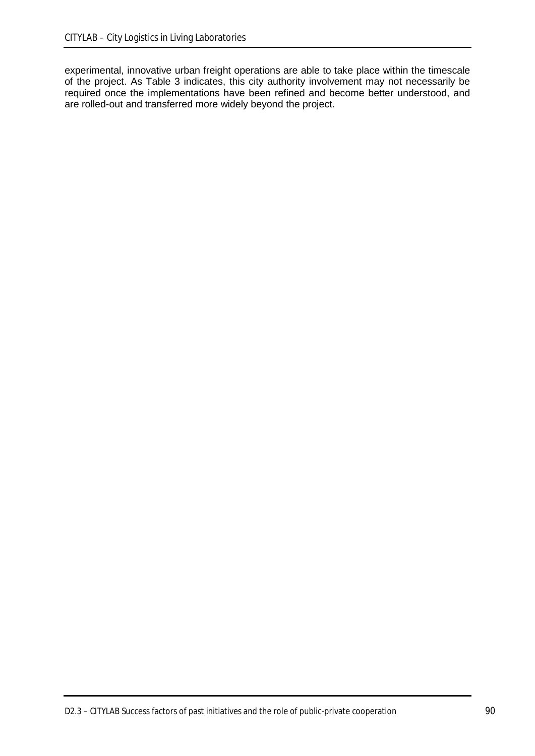experimental, innovative urban freight operations are able to take place within the timescale of the project. As Table 3 indicates, this city authority involvement may not necessarily be required once the implementations have been refined and become better understood, and are rolled-out and transferred more widely beyond the project.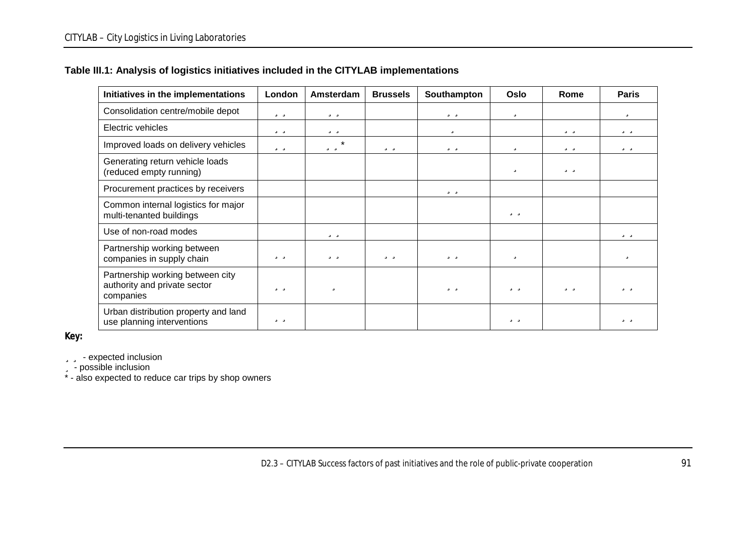## **Table III.1: Analysis of logistics initiatives included in the CITYLAB implementations**

| Initiatives in the implementations                                            | London | Amsterdam | <b>Brussels</b> | Southampton | Oslo | Rome | <b>Paris</b> |
|-------------------------------------------------------------------------------|--------|-----------|-----------------|-------------|------|------|--------------|
| Consolidation centre/mobile depot                                             | üü     | üü        |                 | üü          | ü    |      | ü            |
| Electric vehicles                                                             | üü     | üü        |                 | ü           |      | üü   | üü           |
| Improved loads on delivery vehicles                                           | üü     | üü*       | üü              | üü          | ü    | üü   | üü           |
| Generating return vehicle loads<br>(reduced empty running)                    |        |           |                 |             | ü    | üü   |              |
| Procurement practices by receivers                                            |        |           |                 | üü          |      |      |              |
| Common internal logistics for major<br>multi-tenanted buildings               |        |           |                 |             | üü   |      |              |
| Use of non-road modes                                                         |        | üü        |                 |             |      |      | üü           |
| Partnership working between<br>companies in supply chain                      | üü     | üü        | üü              | üü          | ü    |      | ü            |
| Partnership working between city<br>authority and private sector<br>companies | üü     | ü         |                 | üü          | üü   | üü   | üü           |
| Urban distribution property and land<br>use planning interventions            | üü     |           |                 |             | üü   |      | üü           |

**Key:**

**üü** - expected inclusion

ü - possible inclusion

\* - also expected to reduce car trips by shop owners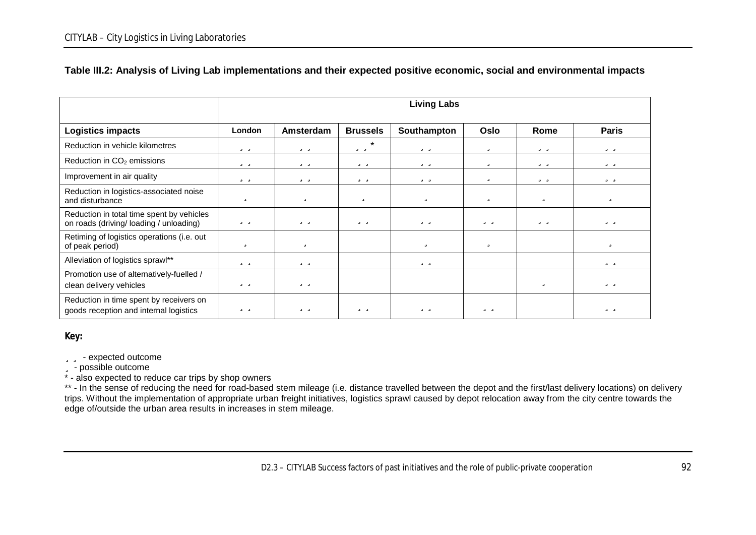|                                                                                     | <b>Living Labs</b> |           |                 |             |             |      |              |
|-------------------------------------------------------------------------------------|--------------------|-----------|-----------------|-------------|-------------|------|--------------|
| <b>Logistics impacts</b>                                                            | London             | Amsterdam | <b>Brussels</b> | Southampton | <b>Oslo</b> | Rome | <b>Paris</b> |
| Reduction in vehicle kilometres                                                     | üü                 | üü        | üü*             | üü          | ü           | üü   | üü           |
| Reduction in CO <sub>2</sub> emissions                                              | üü                 | üü        | üü              | üü          | ü           | üü   | üü           |
| Improvement in air quality                                                          | üü                 | üü        | üü              | üü          | ü           | üü   | üü           |
| Reduction in logistics-associated noise<br>and disturbance                          | ü                  | ü         | ü               | ü           | ü           | ü    | ü            |
| Reduction in total time spent by vehicles<br>on roads (driving/loading / unloading) | üü                 | üü        | üü              | üü          | üü          | üü   | üü           |
| Retiming of logistics operations (i.e. out<br>of peak period)                       | ü                  | ü         |                 | ü           | ü           |      | ü            |
| Alleviation of logistics sprawl**                                                   | üü                 | üü        |                 | üü          |             |      | üü           |
| Promotion use of alternatively-fuelled /<br>clean delivery vehicles                 | üü                 | üü        |                 |             |             | ü    | üü           |
| Reduction in time spent by receivers on<br>goods reception and internal logistics   | üü                 | üü        | üü              | üü          | üü          |      | üü           |

### **Table III.2: Analysis of Living Lab implementations and their expected positive economic, social and environmental impacts**

**Key:**

#### üü - expected outcome

ü - possible outcome

\* - also expected to reduce car trips by shop owners

\*\* - In the sense of reducing the need for road-based stem mileage (i.e. distance travelled between the depot and the first/last delivery locations) on delivery trips. Without the implementation of appropriate urban freight initiatives, logistics sprawl caused by depot relocation away from the city centre towards the edge of/outside the urban area results in increases in stem mileage.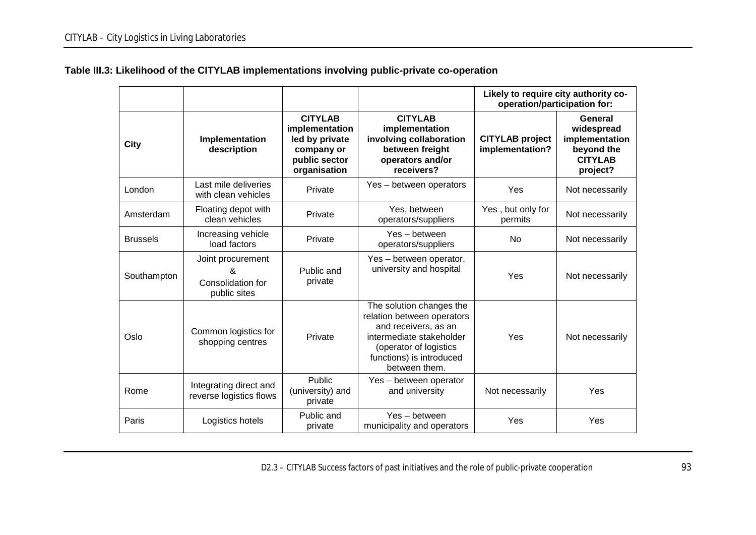|                 |                                                             |                                                                                                   |                                                                                                                                                                                   | Likely to require city authority co-<br>operation/participation for: |                                                                                     |
|-----------------|-------------------------------------------------------------|---------------------------------------------------------------------------------------------------|-----------------------------------------------------------------------------------------------------------------------------------------------------------------------------------|----------------------------------------------------------------------|-------------------------------------------------------------------------------------|
| <b>City</b>     | Implementation<br>description                               | <b>CITYLAB</b><br>implementation<br>led by private<br>company or<br>public sector<br>organisation | <b>CITYLAB</b><br>implementation<br>involving collaboration<br>between freight<br>operators and/or<br>receivers?                                                                  | <b>CITYLAB</b> project<br>implementation?                            | General<br>widespread<br>implementation<br>beyond the<br><b>CITYLAB</b><br>project? |
| London          | Last mile deliveries<br>with clean vehicles                 | Private                                                                                           | Yes - between operators                                                                                                                                                           | Yes                                                                  | Not necessarily                                                                     |
| Amsterdam       | Floating depot with<br>clean vehicles                       | Private                                                                                           | Yes, between<br>operators/suppliers                                                                                                                                               | Yes, but only for<br>permits                                         | Not necessarily                                                                     |
| <b>Brussels</b> | Increasing vehicle<br>load factors                          | Private                                                                                           | Yes - between<br>operators/suppliers                                                                                                                                              | No                                                                   | Not necessarily                                                                     |
| Southampton     | Joint procurement<br>&<br>Consolidation for<br>public sites | Public and<br>private                                                                             | Yes - between operator,<br>university and hospital                                                                                                                                | Yes                                                                  | Not necessarily                                                                     |
| Oslo            | Common logistics for<br>shopping centres                    | Private                                                                                           | The solution changes the<br>relation between operators<br>and receivers, as an<br>intermediate stakeholder<br>(operator of logistics<br>functions) is introduced<br>between them. | Yes                                                                  | Not necessarily                                                                     |
| Rome            | Integrating direct and<br>reverse logistics flows           | Public<br>(university) and<br>private                                                             | Yes - between operator<br>and university                                                                                                                                          | Not necessarily                                                      | Yes                                                                                 |
| Paris           | Logistics hotels                                            | Public and<br>private                                                                             | Yes - between<br>municipality and operators                                                                                                                                       | Yes                                                                  | Yes                                                                                 |

## **Table III.3: Likelihood of the CITYLAB implementations involving public-private co-operation**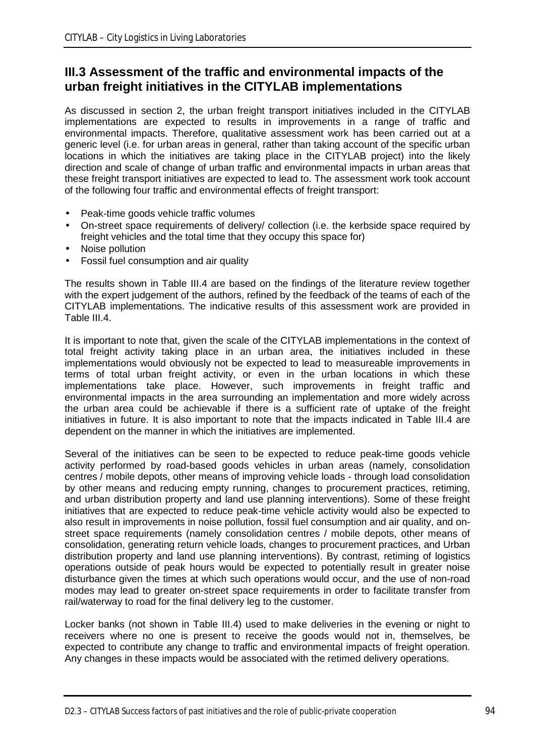# **III.3 Assessment of the traffic and environmental impacts of the urban freight initiatives in the CITYLAB implementations**

As discussed in section 2, the urban freight transport initiatives included in the CITYLAB implementations are expected to results in improvements in a range of traffic and environmental impacts. Therefore, qualitative assessment work has been carried out at a generic level (i.e. for urban areas in general, rather than taking account of the specific urban locations in which the initiatives are taking place in the CITYLAB project) into the likely direction and scale of change of urban traffic and environmental impacts in urban areas that these freight transport initiatives are expected to lead to. The assessment work took account of the following four traffic and environmental effects of freight transport:

- Peak-time goods vehicle traffic volumes
- On-street space requirements of delivery/ collection (i.e. the kerbside space required by freight vehicles and the total time that they occupy this space for)
- Noise pollution
- Fossil fuel consumption and air quality

The results shown in Table III.4 are based on the findings of the literature review together with the expert judgement of the authors, refined by the feedback of the teams of each of the CITYLAB implementations. The indicative results of this assessment work are provided in Table III.4.

It is important to note that, given the scale of the CITYLAB implementations in the context of total freight activity taking place in an urban area, the initiatives included in these implementations would obviously not be expected to lead to measureable improvements in terms of total urban freight activity, or even in the urban locations in which these implementations take place. However, such improvements in freight traffic and environmental impacts in the area surrounding an implementation and more widely across the urban area could be achievable if there is a sufficient rate of uptake of the freight initiatives in future. It is also important to note that the impacts indicated in Table III.4 are dependent on the manner in which the initiatives are implemented.

Several of the initiatives can be seen to be expected to reduce peak-time goods vehicle activity performed by road-based goods vehicles in urban areas (namely, consolidation centres / mobile depots, other means of improving vehicle loads - through load consolidation by other means and reducing empty running, changes to procurement practices, retiming, and urban distribution property and land use planning interventions). Some of these freight initiatives that are expected to reduce peak-time vehicle activity would also be expected to also result in improvements in noise pollution, fossil fuel consumption and air quality, and onstreet space requirements (namely consolidation centres / mobile depots, other means of consolidation, generating return vehicle loads, changes to procurement practices, and Urban distribution property and land use planning interventions). By contrast, retiming of logistics operations outside of peak hours would be expected to potentially result in greater noise disturbance given the times at which such operations would occur, and the use of non-road modes may lead to greater on-street space requirements in order to facilitate transfer from rail/waterway to road for the final delivery leg to the customer.

Locker banks (not shown in Table III.4) used to make deliveries in the evening or night to receivers where no one is present to receive the goods would not in, themselves, be expected to contribute any change to traffic and environmental impacts of freight operation. Any changes in these impacts would be associated with the retimed delivery operations.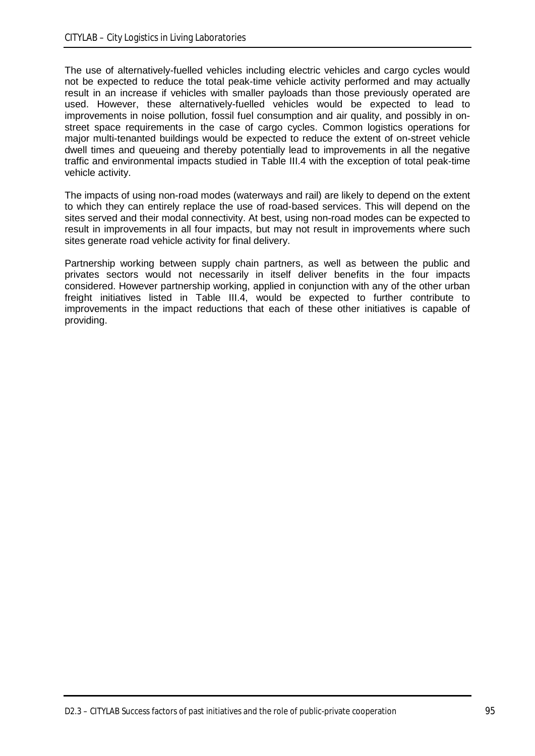The use of alternatively-fuelled vehicles including electric vehicles and cargo cycles would not be expected to reduce the total peak-time vehicle activity performed and may actually result in an increase if vehicles with smaller payloads than those previously operated are used. However, these alternatively-fuelled vehicles would be expected to lead to improvements in noise pollution, fossil fuel consumption and air quality, and possibly in onstreet space requirements in the case of cargo cycles. Common logistics operations for major multi-tenanted buildings would be expected to reduce the extent of on-street vehicle dwell times and queueing and thereby potentially lead to improvements in all the negative traffic and environmental impacts studied in Table III.4 with the exception of total peak-time vehicle activity.

The impacts of using non-road modes (waterways and rail) are likely to depend on the extent to which they can entirely replace the use of road-based services. This will depend on the sites served and their modal connectivity. At best, using non-road modes can be expected to result in improvements in all four impacts, but may not result in improvements where such sites generate road vehicle activity for final delivery.

Partnership working between supply chain partners, as well as between the public and privates sectors would not necessarily in itself deliver benefits in the four impacts considered. However partnership working, applied in conjunction with any of the other urban freight initiatives listed in Table III.4, would be expected to further contribute to improvements in the impact reductions that each of these other initiatives is capable of providing.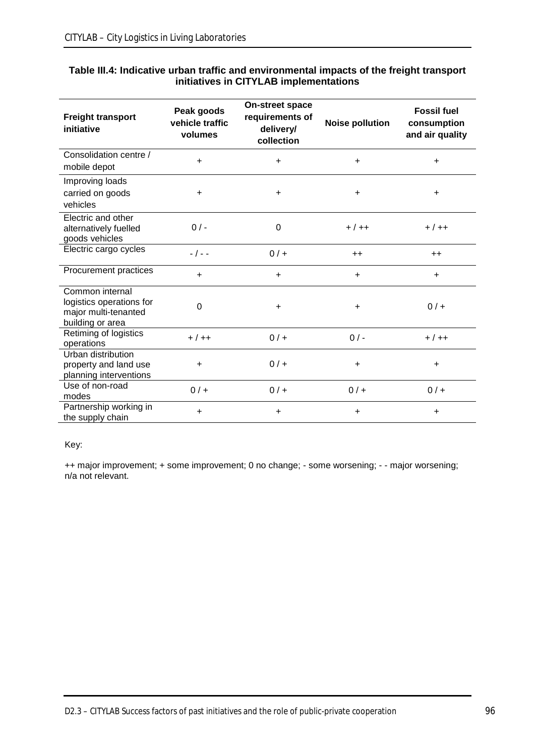| <b>Freight transport</b><br>initiative                                                  | Peak goods<br>vehicle traffic<br>volumes | <b>On-street space</b><br>requirements of<br>delivery/<br>collection | <b>Noise pollution</b> | <b>Fossil fuel</b><br>consumption<br>and air quality |
|-----------------------------------------------------------------------------------------|------------------------------------------|----------------------------------------------------------------------|------------------------|------------------------------------------------------|
| Consolidation centre /<br>mobile depot                                                  | $\ddot{}$                                | $\ddot{}$                                                            | $+$                    | $\ddot{}$                                            |
| Improving loads<br>carried on goods<br>vehicles                                         | $\ddot{}$                                | $\ddot{}$                                                            | $\ddot{}$              | $\ddot{}$                                            |
| Electric and other<br>alternatively fuelled<br>goods vehicles                           | $0/$ -                                   | 0                                                                    | $+ / + +$              | $+ / + +$                                            |
| Electric cargo cycles                                                                   | $-$ / $ -$                               | $0/$ +                                                               | $++$                   | $++$                                                 |
| Procurement practices                                                                   | $\ddot{}$                                | $\ddot{}$                                                            | $+$                    | $\ddot{}$                                            |
| Common internal<br>logistics operations for<br>major multi-tenanted<br>building or area | 0                                        | $\ddot{}$                                                            | $\ddot{}$              | $0/$ +                                               |
| Retiming of logistics<br>operations                                                     | $+ / + +$                                | $0/$ +                                                               | $0/-$                  | $+ / + +$                                            |
| Urban distribution<br>property and land use<br>planning interventions                   | $\ddot{}$                                | $0/$ +                                                               | $\ddot{}$              | $\ddot{}$                                            |
| Use of non-road<br>modes                                                                | $0/$ +                                   | $0/$ +                                                               | $0/$ +                 | $0/$ +                                               |
| Partnership working in<br>the supply chain                                              | $\ddot{}$                                | $\ddot{}$                                                            | $\ddot{}$              | $\ddot{}$                                            |

#### **Table III.4: Indicative urban traffic and environmental impacts of the freight transport initiatives in CITYLAB implementations**

### Key:

++ major improvement; + some improvement; 0 no change; - some worsening; - - major worsening; n/a not relevant.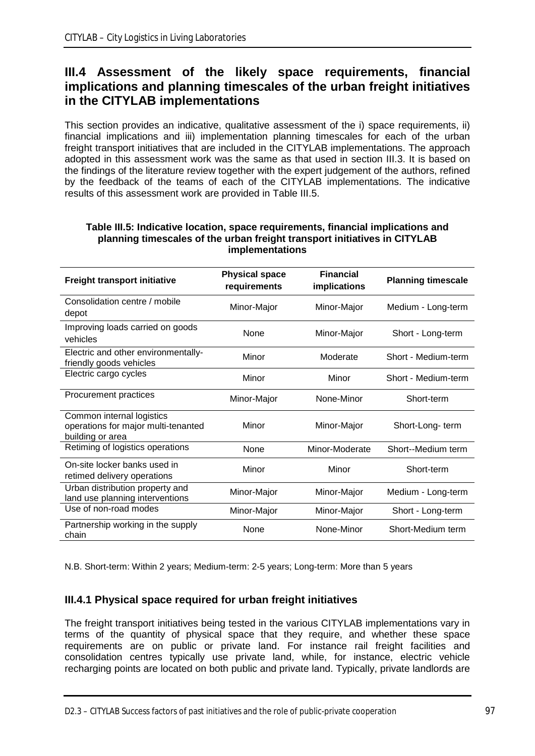# **III.4 Assessment of the likely space requirements, financial implications and planning timescales of the urban freight initiatives in the CITYLAB implementations**

This section provides an indicative, qualitative assessment of the i) space requirements, ii) financial implications and iii) implementation planning timescales for each of the urban freight transport initiatives that are included in the CITYLAB implementations. The approach adopted in this assessment work was the same as that used in section III.3. It is based on the findings of the literature review together with the expert judgement of the authors, refined by the feedback of the teams of each of the CITYLAB implementations. The indicative results of this assessment work are provided in Table III.5.

| <b>Freight transport initiative</b>                                                  | <b>Physical space</b><br>requirements | <b>Financial</b><br><b>implications</b> | <b>Planning timescale</b> |
|--------------------------------------------------------------------------------------|---------------------------------------|-----------------------------------------|---------------------------|
| Consolidation centre / mobile<br>depot                                               | Minor-Major                           | Minor-Major                             | Medium - Long-term        |
| Improving loads carried on goods<br>vehicles                                         | None                                  | Minor-Major                             | Short - Long-term         |
| Electric and other environmentally-<br>friendly goods vehicles                       | Minor                                 | Moderate                                | Short - Medium-term       |
| Electric cargo cycles                                                                | Minor                                 | Minor                                   | Short - Medium-term       |
| Procurement practices                                                                | Minor-Major                           | None-Minor                              | Short-term                |
| Common internal logistics<br>operations for major multi-tenanted<br>building or area | Minor                                 | Minor-Major                             | Short-Long-term           |
| Retiming of logistics operations                                                     | None                                  | Minor-Moderate                          | Short--Medium term        |
| On-site locker banks used in<br>retimed delivery operations                          | Minor                                 | Minor                                   | Short-term                |
| Urban distribution property and<br>land use planning interventions                   | Minor-Major                           | Minor-Major                             | Medium - Long-term        |
| Use of non-road modes                                                                | Minor-Major                           | Minor-Major                             | Short - Long-term         |
| Partnership working in the supply<br>chain                                           | None                                  | None-Minor                              | Short-Medium term         |

#### **Table III.5: Indicative location, space requirements, financial implications and planning timescales of the urban freight transport initiatives in CITYLAB implementations**

N.B. Short-term: Within 2 years; Medium-term: 2-5 years; Long-term: More than 5 years

## **III.4.1 Physical space required for urban freight initiatives**

The freight transport initiatives being tested in the various CITYLAB implementations vary in terms of the quantity of physical space that they require, and whether these space requirements are on public or private land. For instance rail freight facilities and consolidation centres typically use private land, while, for instance, electric vehicle recharging points are located on both public and private land. Typically, private landlords are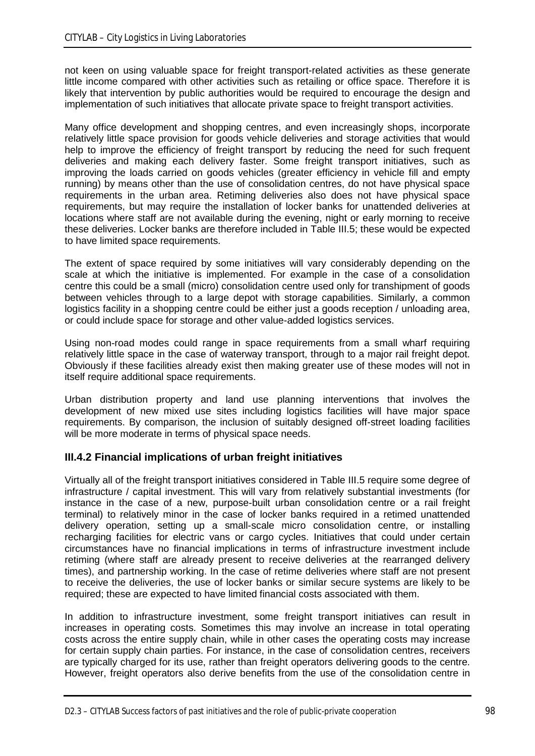not keen on using valuable space for freight transport-related activities as these generate little income compared with other activities such as retailing or office space. Therefore it is likely that intervention by public authorities would be required to encourage the design and implementation of such initiatives that allocate private space to freight transport activities.

Many office development and shopping centres, and even increasingly shops, incorporate relatively little space provision for goods vehicle deliveries and storage activities that would help to improve the efficiency of freight transport by reducing the need for such frequent deliveries and making each delivery faster. Some freight transport initiatives, such as improving the loads carried on goods vehicles (greater efficiency in vehicle fill and empty running) by means other than the use of consolidation centres, do not have physical space requirements in the urban area. Retiming deliveries also does not have physical space requirements, but may require the installation of locker banks for unattended deliveries at locations where staff are not available during the evening, night or early morning to receive these deliveries. Locker banks are therefore included in Table III.5; these would be expected to have limited space requirements.

The extent of space required by some initiatives will vary considerably depending on the scale at which the initiative is implemented. For example in the case of a consolidation centre this could be a small (micro) consolidation centre used only for transhipment of goods between vehicles through to a large depot with storage capabilities. Similarly, a common logistics facility in a shopping centre could be either just a goods reception / unloading area, or could include space for storage and other value-added logistics services.

Using non-road modes could range in space requirements from a small wharf requiring relatively little space in the case of waterway transport, through to a major rail freight depot. Obviously if these facilities already exist then making greater use of these modes will not in itself require additional space requirements.

Urban distribution property and land use planning interventions that involves the development of new mixed use sites including logistics facilities will have major space requirements. By comparison, the inclusion of suitably designed off-street loading facilities will be more moderate in terms of physical space needs.

## **III.4.2 Financial implications of urban freight initiatives**

Virtually all of the freight transport initiatives considered in Table III.5 require some degree of infrastructure / capital investment. This will vary from relatively substantial investments (for instance in the case of a new, purpose-built urban consolidation centre or a rail freight terminal) to relatively minor in the case of locker banks required in a retimed unattended delivery operation, setting up a small-scale micro consolidation centre, or installing recharging facilities for electric vans or cargo cycles. Initiatives that could under certain circumstances have no financial implications in terms of infrastructure investment include retiming (where staff are already present to receive deliveries at the rearranged delivery times), and partnership working. In the case of retime deliveries where staff are not present to receive the deliveries, the use of locker banks or similar secure systems are likely to be required; these are expected to have limited financial costs associated with them.

In addition to infrastructure investment, some freight transport initiatives can result in increases in operating costs. Sometimes this may involve an increase in total operating costs across the entire supply chain, while in other cases the operating costs may increase for certain supply chain parties. For instance, in the case of consolidation centres, receivers are typically charged for its use, rather than freight operators delivering goods to the centre. However, freight operators also derive benefits from the use of the consolidation centre in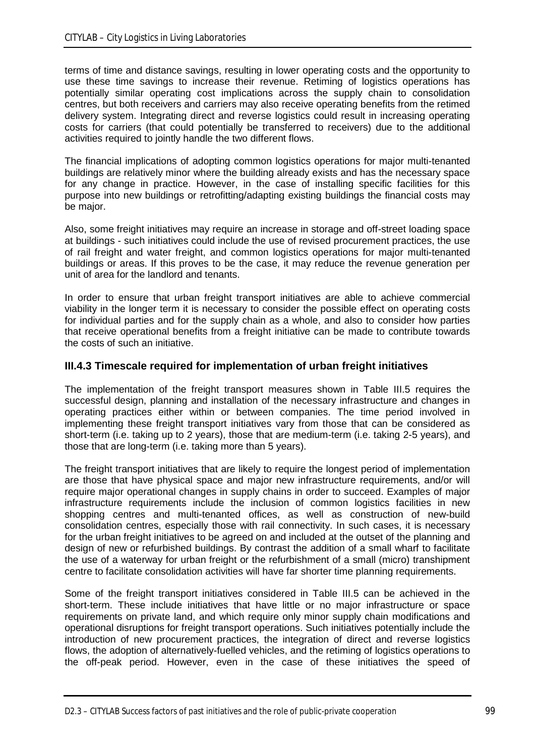terms of time and distance savings, resulting in lower operating costs and the opportunity to use these time savings to increase their revenue. Retiming of logistics operations has potentially similar operating cost implications across the supply chain to consolidation centres, but both receivers and carriers may also receive operating benefits from the retimed delivery system. Integrating direct and reverse logistics could result in increasing operating costs for carriers (that could potentially be transferred to receivers) due to the additional activities required to jointly handle the two different flows.

The financial implications of adopting common logistics operations for major multi-tenanted buildings are relatively minor where the building already exists and has the necessary space for any change in practice. However, in the case of installing specific facilities for this purpose into new buildings or retrofitting/adapting existing buildings the financial costs may be major.

Also, some freight initiatives may require an increase in storage and off-street loading space at buildings - such initiatives could include the use of revised procurement practices, the use of rail freight and water freight, and common logistics operations for major multi-tenanted buildings or areas. If this proves to be the case, it may reduce the revenue generation per unit of area for the landlord and tenants.

In order to ensure that urban freight transport initiatives are able to achieve commercial viability in the longer term it is necessary to consider the possible effect on operating costs for individual parties and for the supply chain as a whole, and also to consider how parties that receive operational benefits from a freight initiative can be made to contribute towards the costs of such an initiative.

## **III.4.3 Timescale required for implementation of urban freight initiatives**

The implementation of the freight transport measures shown in Table III.5 requires the successful design, planning and installation of the necessary infrastructure and changes in operating practices either within or between companies. The time period involved in implementing these freight transport initiatives vary from those that can be considered as short-term (i.e. taking up to 2 years), those that are medium-term (i.e. taking 2-5 years), and those that are long-term (i.e. taking more than 5 years).

The freight transport initiatives that are likely to require the longest period of implementation are those that have physical space and major new infrastructure requirements, and/or will require major operational changes in supply chains in order to succeed. Examples of major infrastructure requirements include the inclusion of common logistics facilities in new shopping centres and multi-tenanted offices, as well as construction of new-build consolidation centres, especially those with rail connectivity. In such cases, it is necessary for the urban freight initiatives to be agreed on and included at the outset of the planning and design of new or refurbished buildings. By contrast the addition of a small wharf to facilitate the use of a waterway for urban freight or the refurbishment of a small (micro) transhipment centre to facilitate consolidation activities will have far shorter time planning requirements.

Some of the freight transport initiatives considered in Table III.5 can be achieved in the short-term. These include initiatives that have little or no major infrastructure or space requirements on private land, and which require only minor supply chain modifications and operational disruptions for freight transport operations. Such initiatives potentially include the introduction of new procurement practices, the integration of direct and reverse logistics flows, the adoption of alternatively-fuelled vehicles, and the retiming of logistics operations to the off-peak period. However, even in the case of these initiatives the speed of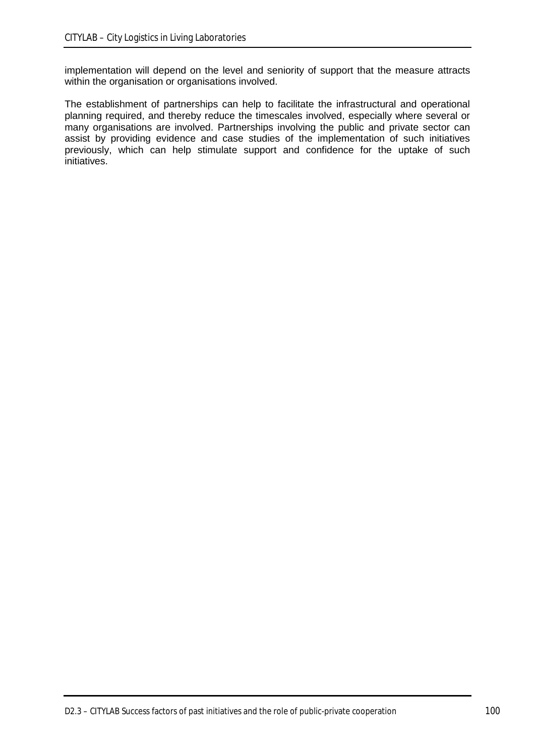implementation will depend on the level and seniority of support that the measure attracts within the organisation or organisations involved.

The establishment of partnerships can help to facilitate the infrastructural and operational planning required, and thereby reduce the timescales involved, especially where several or many organisations are involved. Partnerships involving the public and private sector can assist by providing evidence and case studies of the implementation of such initiatives previously, which can help stimulate support and confidence for the uptake of such initiatives.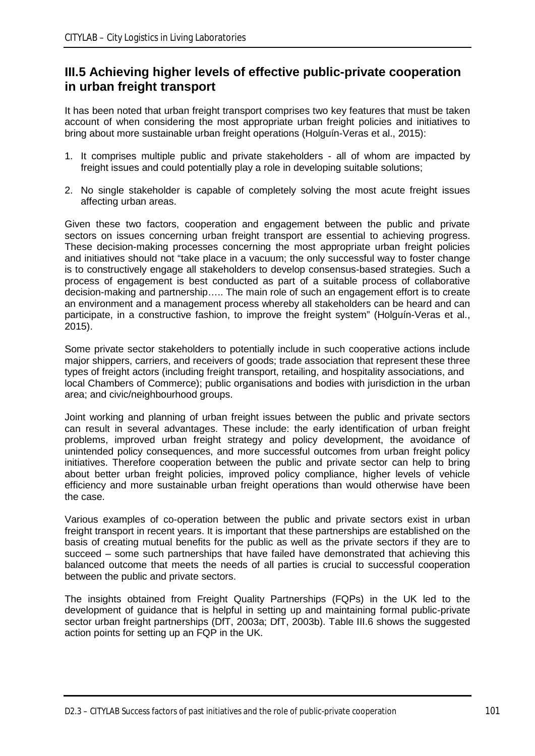# **III.5 Achieving higher levels of effective public-private cooperation in urban freight transport**

It has been noted that urban freight transport comprises two key features that must be taken account of when considering the most appropriate urban freight policies and initiatives to bring about more sustainable urban freight operations (Holguín-Veras et al., 2015):

- 1. It comprises multiple public and private stakeholders all of whom are impacted by freight issues and could potentially play a role in developing suitable solutions;
- 2. No single stakeholder is capable of completely solving the most acute freight issues affecting urban areas.

Given these two factors, cooperation and engagement between the public and private sectors on issues concerning urban freight transport are essential to achieving progress. These decision-making processes concerning the most appropriate urban freight policies and initiatives should not "take place in a vacuum; the only successful way to foster change is to constructively engage all stakeholders to develop consensus-based strategies. Such a process of engagement is best conducted as part of a suitable process of collaborative decision-making and partnership….. The main role of such an engagement effort is to create an environment and a management process whereby all stakeholders can be heard and can participate, in a constructive fashion, to improve the freight system" (Holguín-Veras et al., 2015).

Some private sector stakeholders to potentially include in such cooperative actions include major shippers, carriers, and receivers of goods; trade association that represent these three types of freight actors (including freight transport, retailing, and hospitality associations, and local Chambers of Commerce); public organisations and bodies with jurisdiction in the urban area; and civic/neighbourhood groups.

Joint working and planning of urban freight issues between the public and private sectors can result in several advantages. These include: the early identification of urban freight problems, improved urban freight strategy and policy development, the avoidance of unintended policy consequences, and more successful outcomes from urban freight policy initiatives. Therefore cooperation between the public and private sector can help to bring about better urban freight policies, improved policy compliance, higher levels of vehicle efficiency and more sustainable urban freight operations than would otherwise have been the case.

Various examples of co-operation between the public and private sectors exist in urban freight transport in recent years. It is important that these partnerships are established on the basis of creating mutual benefits for the public as well as the private sectors if they are to succeed – some such partnerships that have failed have demonstrated that achieving this balanced outcome that meets the needs of all parties is crucial to successful cooperation between the public and private sectors.

The insights obtained from Freight Quality Partnerships (FQPs) in the UK led to the development of guidance that is helpful in setting up and maintaining formal public-private sector urban freight partnerships (DfT, 2003a; DfT, 2003b). Table III.6 shows the suggested action points for setting up an FQP in the UK.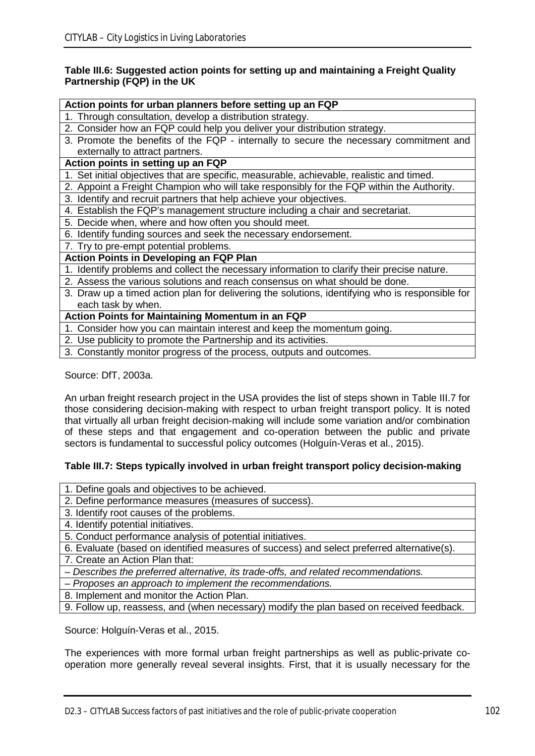#### **Table III.6: Suggested action points for setting up and maintaining a Freight Quality Partnership (FQP) in the UK**

#### **Action points for urban planners before setting up an FQP**

- 1. Through consultation, develop a distribution strategy.
- 2. Consider how an FQP could help you deliver your distribution strategy.
- 3. Promote the benefits of the FQP internally to secure the necessary commitment and externally to attract partners.

#### **Action points in setting up an FQP**

- 1. Set initial objectives that are specific, measurable, achievable, realistic and timed.
- 2. Appoint a Freight Champion who will take responsibly for the FQP within the Authority.
- 3. Identify and recruit partners that help achieve your objectives.
- 4. Establish the FQP's management structure including a chair and secretariat.
- 5. Decide when, where and how often you should meet.
- 6. Identify funding sources and seek the necessary endorsement.
- 7. Try to pre-empt potential problems.

#### **Action Points in Developing an FQP Plan**

- 1. Identify problems and collect the necessary information to clarify their precise nature.
- 2. Assess the various solutions and reach consensus on what should be done.
- 3. Draw up a timed action plan for delivering the solutions, identifying who is responsible for each task by when.

## **Action Points for Maintaining Momentum in an FQP**

- 1. Consider how you can maintain interest and keep the momentum going.
- 2. Use publicity to promote the Partnership and its activities.
- 3. Constantly monitor progress of the process, outputs and outcomes.

Source: DfT, 2003a.

An urban freight research project in the USA provides the list of steps shown in Table III.7 for those considering decision-making with respect to urban freight transport policy. It is noted that virtually all urban freight decision-making will include some variation and/or combination of these steps and that engagement and co-operation between the public and private sectors is fundamental to successful policy outcomes (Holguín-Veras et al., 2015).

#### **Table III.7: Steps typically involved in urban freight transport policy decision-making**

- 1. Define goals and objectives to be achieved.
- 2. Define performance measures (measures of success).
- 3. Identify root causes of the problems.
- 4. Identify potential initiatives.
- 5. Conduct performance analysis of potential initiatives.
- 6. Evaluate (based on identified measures of success) and select preferred alternative(s).

7. Create an Action Plan that:

- *– Describes the preferred alternative, its trade-offs, and related recommendations.*
- *– Proposes an approach to implement the recommendations.*
- 8. Implement and monitor the Action Plan.
- 9. Follow up, reassess, and (when necessary) modify the plan based on received feedback.

Source: Holguín-Veras et al., 2015.

The experiences with more formal urban freight partnerships as well as public-private cooperation more generally reveal several insights. First, that it is usually necessary for the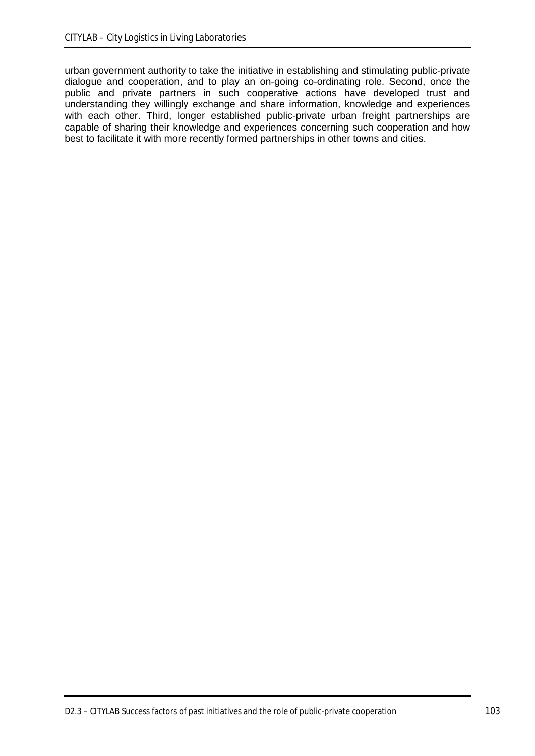urban government authority to take the initiative in establishing and stimulating public-private dialogue and cooperation, and to play an on-going co-ordinating role. Second, once the public and private partners in such cooperative actions have developed trust and understanding they willingly exchange and share information, knowledge and experiences with each other. Third, longer established public-private urban freight partnerships are capable of sharing their knowledge and experiences concerning such cooperation and how best to facilitate it with more recently formed partnerships in other towns and cities.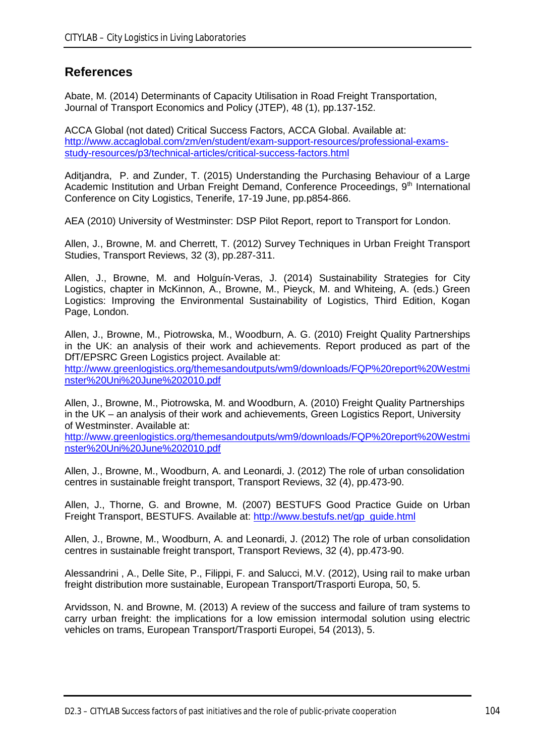# **References**

Abate, M. (2014) Determinants of Capacity Utilisation in Road Freight Transportation, Journal of Transport Economics and Policy (JTEP), 48 (1), pp.137-152.

ACCA Global (not dated) Critical Success Factors, ACCA Global. Available at: [http://www.accaglobal.com/zm/en/student/exam-support-resources/professional-exams](http://www.accaglobal.com/zm/en/student/exam-support-resources/professional-exams-study-resources/p3/technical-articles/critical-success-factors.html)[study-resources/p3/technical-articles/critical-success-factors.html](http://www.accaglobal.com/zm/en/student/exam-support-resources/professional-exams-study-resources/p3/technical-articles/critical-success-factors.html)

Aditjandra, P. and Zunder, T. (2015) Understanding the Purchasing Behaviour of a Large Academic Institution and Urban Freight Demand, Conference Proceedings, 9<sup>th</sup> International Conference on City Logistics, Tenerife, 17-19 June, pp.p854-866.

AEA (2010) University of Westminster: DSP Pilot Report, report to Transport for London.

Allen, J., Browne, M. and Cherrett, T. (2012) Survey Techniques in Urban Freight Transport Studies, Transport Reviews, 32 (3), pp.287-311.

Allen, J., Browne, M. and Holguín-Veras, J. (2014) Sustainability Strategies for City Logistics, chapter in McKinnon, A., Browne, M., Pieyck, M. and Whiteing, A. (eds.) Green Logistics: Improving the Environmental Sustainability of Logistics, Third Edition, Kogan Page, London.

Allen, J., Browne, M., Piotrowska, M., Woodburn, A. G. (2010) Freight Quality Partnerships in the UK: an analysis of their work and achievements. Report produced as part of the DfT/EPSRC Green Logistics project. Available at:

[http://www.greenlogistics.org/themesandoutputs/wm9/downloads/FQP%20report%20Westmi](http://www.greenlogistics.org/themesandoutputs/wm9/downloads/FQP%20report%20Westminster%20Uni%20June%202010.pdf) [nster%20Uni%20June%202010.pdf](http://www.greenlogistics.org/themesandoutputs/wm9/downloads/FQP%20report%20Westminster%20Uni%20June%202010.pdf)

Allen, J., Browne, M., Piotrowska, M. and Woodburn, A. (2010) Freight Quality Partnerships in the UK – an analysis of their work and achievements, Green Logistics Report, University of Westminster. Available at:

[http://www.greenlogistics.org/themesandoutputs/wm9/downloads/FQP%20report%20Westmi](http://www.greenlogistics.org/themesandoutputs/wm9/downloads/FQP%20report%20Westminster%20Uni%20June%202010.pdf) [nster%20Uni%20June%202010.pdf](http://www.greenlogistics.org/themesandoutputs/wm9/downloads/FQP%20report%20Westminster%20Uni%20June%202010.pdf)

Allen, J., Browne, M., Woodburn, A. and Leonardi, J. (2012) The role of urban consolidation centres in sustainable freight transport, Transport Reviews, 32 (4), pp.473-90.

Allen, J., Thorne, G. and Browne, M. (2007) BESTUFS Good Practice Guide on Urban Freight Transport, BESTUFS. Available at: [http://www.bestufs.net/gp\\_guide.html](http://www.bestufs.net/gp_guide.html)

Allen, J., Browne, M., Woodburn, A. and Leonardi, J. (2012) The role of urban consolidation centres in sustainable freight transport, Transport Reviews, 32 (4), pp.473-90.

Alessandrini , A., Delle Site, P., Filippi, F. and Salucci, M.V. (2012), Using rail to make urban freight distribution more sustainable, European Transport/Trasporti Europa, 50, 5.

Arvidsson, N. and Browne, M. (2013) A review of the success and failure of tram systems to carry urban freight: the implications for a low emission intermodal solution using electric vehicles on trams, European Transport/Trasporti Europei, 54 (2013), 5.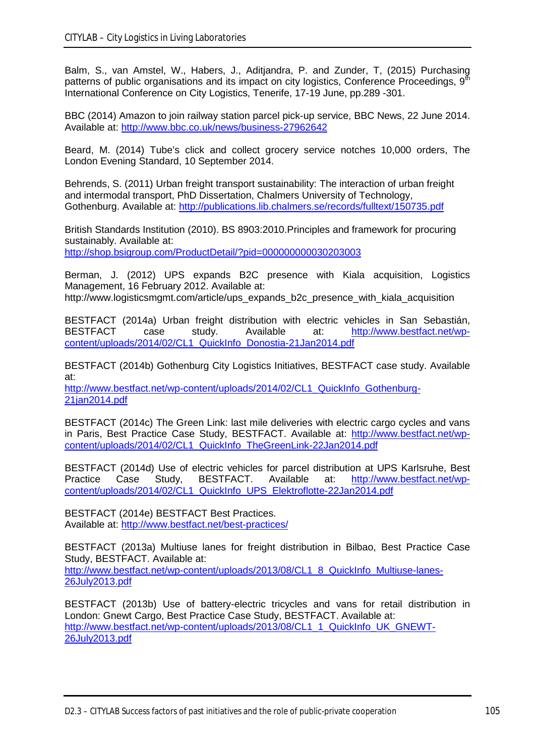Balm, S., van Amstel, W., Habers, J., Aditjandra, P. and Zunder, T, (2015) Purchasing patterns of public organisations and its impact on city logistics, Conference Proceedings, 9<sup>th</sup> International Conference on City Logistics, Tenerife, 17-19 June, pp.289 -301.

BBC (2014) Amazon to join railway station parcel pick-up service, BBC News, 22 June 2014. Available at:<http://www.bbc.co.uk/news/business-27962642>

Beard, M. (2014) Tube's click and collect grocery service notches 10,000 orders, The London Evening Standard, 10 September 2014.

Behrends, S. (2011) Urban freight transport sustainability: The interaction of urban freight and intermodal transport, PhD Dissertation, Chalmers University of Technology, Gothenburg. Available at: <http://publications.lib.chalmers.se/records/fulltext/150735.pdf>

British Standards Institution (2010). BS 8903:2010.Principles and framework for procuring sustainably. Available at:

<http://shop.bsigroup.com/ProductDetail/?pid=000000000030203003>

Berman, J. (2012) UPS expands B2C presence with Kiala acquisition, Logistics Management, 16 February 2012. Available at: http://www.logisticsmgmt.com/article/ups\_expands\_b2c\_presence\_with\_kiala\_acquisition

BESTFACT (2014a) Urban freight distribution with electric vehicles in San Sebastián, BESTFACT case study. Available at: [http://www.bestfact.net/wp](http://www.bestfact.net/wp-content/uploads/2014/02/CL1_QuickInfo_Donostia-21Jan2014.pdf)[content/uploads/2014/02/CL1\\_QuickInfo\\_Donostia-21Jan2014.pdf](http://www.bestfact.net/wp-content/uploads/2014/02/CL1_QuickInfo_Donostia-21Jan2014.pdf)

BESTFACT (2014b) Gothenburg City Logistics Initiatives, BESTFACT case study. Available at:

[http://www.bestfact.net/wp-content/uploads/2014/02/CL1\\_QuickInfo\\_Gothenburg-](http://www.bestfact.net/wp-content/uploads/2014/02/CL1_QuickInfo_Gothenburg-21jan2014.pdf)[21jan2014.pdf](http://www.bestfact.net/wp-content/uploads/2014/02/CL1_QuickInfo_Gothenburg-21jan2014.pdf)

BESTFACT (2014c) The Green Link: last mile deliveries with electric cargo cycles and vans in Paris, Best Practice Case Study, BESTFACT. Available at: [http://www.bestfact.net/wp](http://www.bestfact.net/wp-content/uploads/2014/02/CL1_QuickInfo_TheGreenLink-22Jan2014.pdf)[content/uploads/2014/02/CL1\\_QuickInfo\\_TheGreenLink-22Jan2014.pdf](http://www.bestfact.net/wp-content/uploads/2014/02/CL1_QuickInfo_TheGreenLink-22Jan2014.pdf)

BESTFACT (2014d) Use of electric vehicles for parcel distribution at UPS Karlsruhe, Best<br>Practice Case Study, BESTFACT. Available at: http://www.bestfact.net/wp-Practice Case Study, BESTFACT. Available at: [http://www.bestfact.net/wp](http://www.bestfact.net/wp-content/uploads/2014/02/CL1_QuickInfo_UPS_Elektroflotte-22Jan2014.pdf)[content/uploads/2014/02/CL1\\_QuickInfo\\_UPS\\_Elektroflotte-22Jan2014.pdf](http://www.bestfact.net/wp-content/uploads/2014/02/CL1_QuickInfo_UPS_Elektroflotte-22Jan2014.pdf)

BESTFACT (2014e) BESTFACT Best Practices. Available at:<http://www.bestfact.net/best-practices/>

BESTFACT (2013a) Multiuse lanes for freight distribution in Bilbao, Best Practice Case Study, BESTFACT. Available at: [http://www.bestfact.net/wp-content/uploads/2013/08/CL1\\_8\\_QuickInfo\\_Multiuse-lanes-](http://www.bestfact.net/wp-content/uploads/2013/08/CL1_8_QuickInfo_Multiuse-lanes-26July2013.pdf)[26July2013.pdf](http://www.bestfact.net/wp-content/uploads/2013/08/CL1_8_QuickInfo_Multiuse-lanes-26July2013.pdf)

BESTFACT (2013b) Use of battery-electric tricycles and vans for retail distribution in London: Gnewt Cargo, Best Practice Case Study, BESTFACT. Available at: [http://www.bestfact.net/wp-content/uploads/2013/08/CL1\\_1\\_QuickInfo\\_UK\\_GNEWT-](http://www.bestfact.net/wp-content/uploads/2013/08/CL1_1_QuickInfo_UK_GNEWT-26July2013.pdf)[26July2013.pdf](http://www.bestfact.net/wp-content/uploads/2013/08/CL1_1_QuickInfo_UK_GNEWT-26July2013.pdf)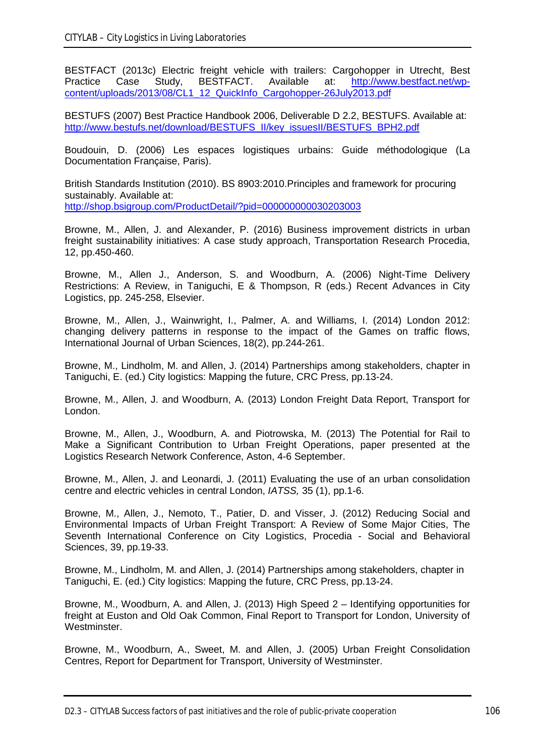BESTFACT (2013c) Electric freight vehicle with trailers: Cargohopper in Utrecht, Best Practice Case Study, BESTFACT. Available at: [http://www.bestfact.net/wp](http://www.bestfact.net/wp-content/uploads/2013/08/CL1_12_QuickInfo_Cargohopper-26July2013.pdf)[content/uploads/2013/08/CL1\\_12\\_QuickInfo\\_Cargohopper-26July2013.pdf](http://www.bestfact.net/wp-content/uploads/2013/08/CL1_12_QuickInfo_Cargohopper-26July2013.pdf)

BESTUFS (2007) Best Practice Handbook 2006, Deliverable D 2.2, BESTUFS. Available at: [http://www.bestufs.net/download/BESTUFS\\_II/key\\_issuesII/BESTUFS\\_BPH2.pdf](http://www.bestufs.net/download/BESTUFS_II/key_issuesII/BESTUFS_BPH2.pdf)

Boudouin, D. (2006) Les espaces logistiques urbains: Guide méthodologique (La Documentation Française, Paris).

British Standards Institution (2010). BS 8903:2010.Principles and framework for procuring sustainably. Available at: <http://shop.bsigroup.com/ProductDetail/?pid=000000000030203003>

Browne, M., Allen, J. and Alexander, P. (2016) Business improvement districts in urban freight sustainability initiatives: A case study approach, Transportation Research Procedia, 12, pp.450-460.

Browne, M., Allen J., Anderson, S. and Woodburn, A. (2006) Night-Time Delivery Restrictions: A Review, in Taniguchi, E & Thompson, R (eds.) Recent Advances in City Logistics, pp. 245-258, Elsevier.

Browne, M., Allen, J., Wainwright, I., Palmer, A. and Williams, I. (2014) London 2012: changing delivery patterns in response to the impact of the Games on traffic flows, International Journal of Urban Sciences, 18(2), pp.244-261.

Browne, M., Lindholm, M. and Allen, J. (2014) Partnerships among stakeholders, chapter in Taniguchi, E. (ed.) City logistics: Mapping the future, CRC Press, pp.13-24.

Browne, M., Allen, J. and Woodburn, A. (2013) London Freight Data Report, Transport for London.

Browne, M., Allen, J., Woodburn, A. and Piotrowska, M. (2013) The Potential for Rail to Make a Significant Contribution to Urban Freight Operations, paper presented at the Logistics Research Network Conference, Aston, 4-6 September.

Browne, M., Allen, J. and Leonardi, J. (2011) Evaluating the use of an urban consolidation centre and electric vehicles in central London, *IATSS,* 35 (1), pp.1-6.

Browne, M., Allen, J., Nemoto, T., Patier, D. and Visser, J. (2012) Reducing Social and Environmental Impacts of Urban Freight Transport: A Review of Some Major Cities, The Seventh International Conference on City Logistics, Procedia - Social and Behavioral Sciences, 39, pp.19-33.

Browne, M., Lindholm, M. and Allen, J. (2014) Partnerships among stakeholders, chapter in Taniguchi, E. (ed.) City logistics: Mapping the future, CRC Press, pp.13-24.

Browne, M., Woodburn, A. and Allen, J. (2013) High Speed 2 – Identifying opportunities for freight at Euston and Old Oak Common, Final Report to Transport for London, University of Westminster.

Browne, M., Woodburn, A., Sweet, M. and Allen, J. (2005) Urban Freight Consolidation Centres, Report for Department for Transport, University of Westminster.

D2.3 – CITYLAB Success factors of past initiatives and the role of public-private cooperation 106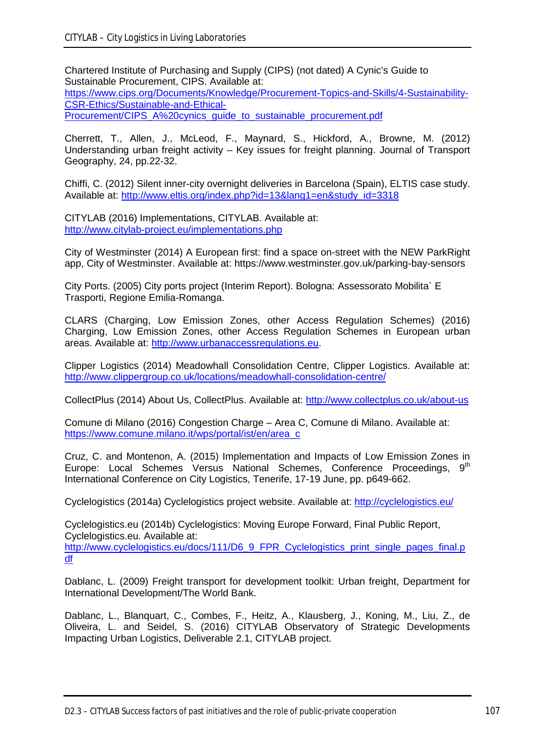Chartered Institute of Purchasing and Supply (CIPS) (not dated) A Cynic's Guide to Sustainable Procurement, CIPS. Available at: [https://www.cips.org/Documents/Knowledge/Procurement-Topics-and-Skills/4-Sustainability-](https://www.cips.org/Documents/Knowledge/Procurement-Topics-and-Skills/4-Sustainability-CSR-Ethics/Sustainable-and-Ethical-Procurement/CIPS_A%20cynics_guide_to_sustainable_procurement.pdf)[CSR-Ethics/Sustainable-and-Ethical-](https://www.cips.org/Documents/Knowledge/Procurement-Topics-and-Skills/4-Sustainability-CSR-Ethics/Sustainable-and-Ethical-Procurement/CIPS_A%20cynics_guide_to_sustainable_procurement.pdf)Procurement/CIPS\_A%20cynics\_quide\_to\_sustainable\_procurement.pdf

Cherrett, T., Allen, J., McLeod, F., Maynard, S., Hickford, A., Browne, M. (2012) Understanding urban freight activity – Key issues for freight planning. Journal of Transport Geography, 24, pp.22-32.

Chiffi, C. (2012) Silent inner-city overnight deliveries in Barcelona (Spain), ELTIS case study. Available at: [http://www.eltis.org/index.php?id=13&lang1=en&study\\_id=3318](http://www.eltis.org/index.php?id=13&lang1=en&study_id=3318)

CITYLAB (2016) Implementations, CITYLAB. Available at: <http://www.citylab-project.eu/implementations.php>

City of Westminster (2014) A European first: find a space on-street with the NEW ParkRight app, City of Westminster. Available at: https://www.westminster.gov.uk/parking-bay-sensors

City Ports. (2005) City ports project (Interim Report). Bologna: Assessorato Mobilita` E Trasporti, Regione Emilia-Romanga.

CLARS (Charging, Low Emission Zones, other Access Regulation Schemes) (2016) Charging, Low Emission Zones, other Access Regulation Schemes in European urban areas. Available at: [http://www.urbanaccessregulations.eu.](http://www.urbanaccessregulations.eu/)

Clipper Logistics (2014) Meadowhall Consolidation Centre, Clipper Logistics. Available at: <http://www.clippergroup.co.uk/locations/meadowhall-consolidation-centre/>

CollectPlus (2014) About Us, CollectPlus. Available at:<http://www.collectplus.co.uk/about-us>

Comune di Milano (2016) Congestion Charge – Area C, Comune di Milano. Available at: [https://www.comune.milano.it/wps/portal/ist/en/area\\_c](https://www.comune.milano.it/wps/portal/ist/en/area_c)

Cruz, C. and Montenon, A. (2015) Implementation and Impacts of Low Emission Zones in Europe: Local Schemes Versus National Schemes, Conference Proceedings, 9<sup>th</sup> International Conference on City Logistics, Tenerife, 17-19 June, pp. p649-662.

Cyclelogistics (2014a) Cyclelogistics project website. Available at:<http://cyclelogistics.eu/>

Cyclelogistics.eu (2014b) Cyclelogistics: Moving Europe Forward, Final Public Report, Cyclelogistics.eu. Available at:

[http://www.cyclelogistics.eu/docs/111/D6\\_9\\_FPR\\_Cyclelogistics\\_print\\_single\\_pages\\_final.p](http://www.cyclelogistics.eu/docs/111/D6_9_FPR_Cyclelogistics_print_single_pages_final.pdf) [df](http://www.cyclelogistics.eu/docs/111/D6_9_FPR_Cyclelogistics_print_single_pages_final.pdf)

Dablanc, L. (2009) Freight transport for development toolkit: Urban freight, Department for International Development/The World Bank.

Dablanc, L., Blanquart, C., Combes, F., Heitz, A., Klausberg, J., Koning, M., Liu, Z., de Oliveira, L. and Seidel, S. (2016) CITYLAB Observatory of Strategic Developments Impacting Urban Logistics, Deliverable 2.1, CITYLAB project.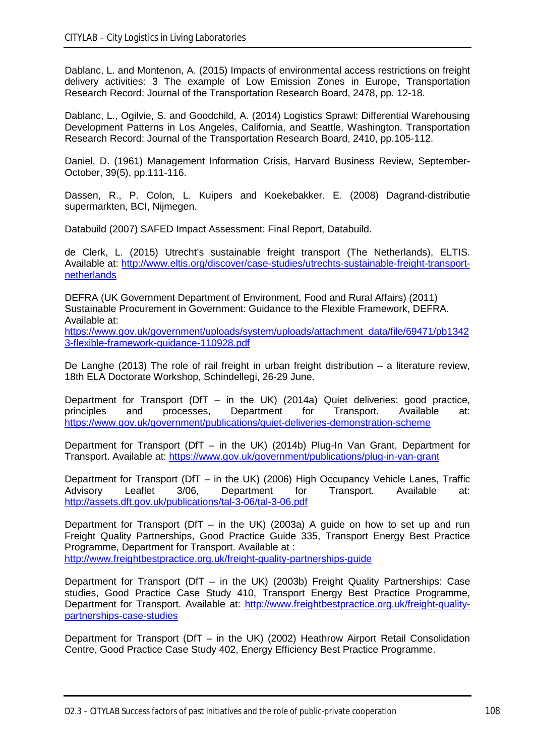Dablanc, L. and Montenon, A. (2015) Impacts of environmental access restrictions on freight delivery activities: 3 The example of Low Emission Zones in Europe, Transportation Research Record: Journal of the Transportation Research Board, 2478, pp. 12-18.

Dablanc, L., Ogilvie, S. and Goodchild, A. (2014) Logistics Sprawl: Differential Warehousing Development Patterns in Los Angeles, California, and Seattle, Washington. Transportation Research Record: Journal of the Transportation Research Board, 2410, pp.105-112.

Daniel, D. (1961) Management Information Crisis, Harvard Business Review, September-October, 39(5), pp.111-116.

Dassen, R., P. Colon, L. Kuipers and Koekebakker. E. (2008) Dagrand-distributie supermarkten, BCI, Nijmegen.

Databuild (2007) SAFED Impact Assessment: Final Report, Databuild.

de Clerk, L. (2015) Utrecht's sustainable freight transport (The Netherlands), ELTIS. Available at: [http://www.eltis.org/discover/case-studies/utrechts-sustainable-freight-transport](http://www.eltis.org/discover/case-studies/utrechts-sustainable-freight-transport-netherlands)[netherlands](http://www.eltis.org/discover/case-studies/utrechts-sustainable-freight-transport-netherlands)

DEFRA (UK Government Department of Environment, Food and Rural Affairs) (2011) Sustainable Procurement in Government: Guidance to the Flexible Framework, DEFRA. Available at:

[https://www.gov.uk/government/uploads/system/uploads/attachment\\_data/file/69471/pb1342](https://www.gov.uk/government/uploads/system/uploads/attachment_data/file/69471/pb13423-flexible-framework-guidance-110928.pdf) [3-flexible-framework-guidance-110928.pdf](https://www.gov.uk/government/uploads/system/uploads/attachment_data/file/69471/pb13423-flexible-framework-guidance-110928.pdf)

De Langhe (2013) The role of rail freight in urban freight distribution – a literature review, 18th ELA Doctorate Workshop, Schindellegi, 26-29 June.

Department for Transport (DfT – in the UK) (2014a) Quiet deliveries: good practice, principles and processes, Department for Transport. Available at: <https://www.gov.uk/government/publications/quiet-deliveries-demonstration-scheme>

Department for Transport (DfT – in the UK) (2014b) Plug-In Van Grant, Department for Transport. Available at:<https://www.gov.uk/government/publications/plug-in-van-grant>

Department for Transport (DfT – in the UK) (2006) High Occupancy Vehicle Lanes, Traffic<br>Advisory Leaflet 3/06, Department for Transport. Available at: Leaflet 3/06, Department for Transport. Available at: <http://assets.dft.gov.uk/publications/tal-3-06/tal-3-06.pdf>

Department for Transport (DfT – in the UK) (2003a) A guide on how to set up and run Freight Quality Partnerships, Good Practice Guide 335, Transport Energy Best Practice Programme, Department for Transport. Available at : <http://www.freightbestpractice.org.uk/freight-quality-partnerships-guide>

Department for Transport (DfT – in the UK) (2003b) Freight Quality Partnerships: Case studies, Good Practice Case Study 410, Transport Energy Best Practice Programme, Department for Transport. Available at: [http://www.freightbestpractice.org.uk/freight-quality](http://www.freightbestpractice.org.uk/freight-quality-partnerships-case-studies)[partnerships-case-studies](http://www.freightbestpractice.org.uk/freight-quality-partnerships-case-studies)

Department for Transport (DfT – in the UK) (2002) Heathrow Airport Retail Consolidation Centre, Good Practice Case Study 402, Energy Efficiency Best Practice Programme.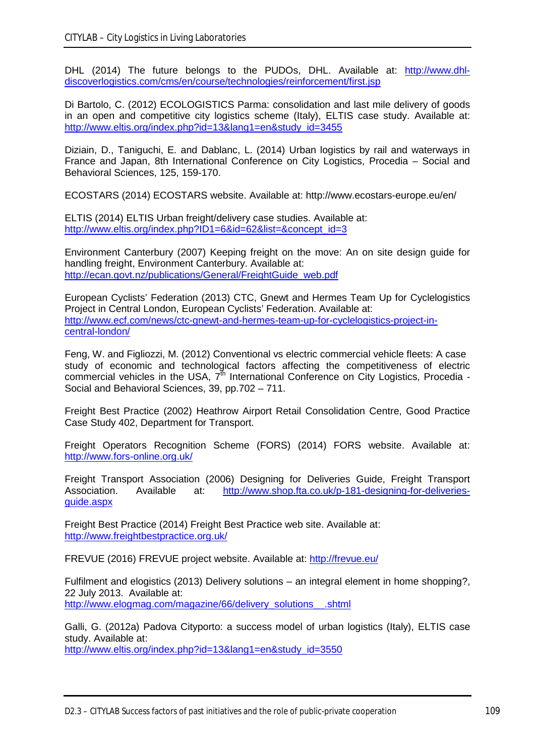DHL (2014) The future belongs to the PUDOs, DHL. Available at: [http://www.dhl](http://www.dhl-discoverlogistics.com/cms/en/course/technologies/reinforcement/first.jsp)[discoverlogistics.com/cms/en/course/technologies/reinforcement/first.jsp](http://www.dhl-discoverlogistics.com/cms/en/course/technologies/reinforcement/first.jsp)

Di Bartolo, C. (2012) ECOLOGISTICS Parma: consolidation and last mile delivery of goods in an open and competitive city logistics scheme (Italy), ELTIS case study. Available at: [http://www.eltis.org/index.php?id=13&lang1=en&study\\_id=3455](http://www.eltis.org/index.php?id=13&lang1=en&study_id=3455)

Diziain, D., Taniguchi, E. and Dablanc, L. (2014) Urban logistics by rail and waterways in France and Japan, 8th International Conference on City Logistics, Procedia – Social and Behavioral Sciences, 125, 159-170.

ECOSTARS (2014) ECOSTARS website. Available at: http://www.ecostars-europe.eu/en/

ELTIS (2014) ELTIS Urban freight/delivery case studies. Available at: [http://www.eltis.org/index.php?ID1=6&id=62&list=&concept\\_id=3](http://www.eltis.org/index.php?ID1=6&id=62&list=&concept_id=3)

Environment Canterbury (2007) Keeping freight on the move: An on site design guide for handling freight, Environment Canterbury. Available at: [http://ecan.govt.nz/publications/General/FreightGuide\\_web.pdf](http://ecan.govt.nz/publications/General/FreightGuide_web.pdf)

European Cyclists' Federation (2013) CTC, Gnewt and Hermes Team Up for Cyclelogistics Project in Central London, European Cyclists' Federation. Available at: [http://www.ecf.com/news/ctc-gnewt-and-hermes-team-up-for-cyclelogistics-project-in](http://www.ecf.com/news/ctc-gnewt-and-hermes-team-up-for-cyclelogistics-project-in-central-london/)[central-london/](http://www.ecf.com/news/ctc-gnewt-and-hermes-team-up-for-cyclelogistics-project-in-central-london/)

Feng, W. and Figliozzi, M. (2012) Conventional vs electric commercial vehicle fleets: A case study of economic and technological factors affecting the competitiveness of electric commercial vehicles in the USA,  $7^{\text{th}}$  International Conference on City Logistics, Procedia -Social and Behavioral Sciences, 39, pp.702 – 711.

Freight Best Practice (2002) Heathrow Airport Retail Consolidation Centre, Good Practice Case Study 402, Department for Transport.

Freight Operators Recognition Scheme (FORS) (2014) FORS website. Available at: <http://www.fors-online.org.uk/>

Freight Transport Association (2006) Designing for Deliveries Guide, Freight Transport Association. Available at: [http://www.shop.fta.co.uk/p-181-designing-for-deliveries](http://www.shop.fta.co.uk/p-181-designing-for-deliveries-guide.aspx)[guide.aspx](http://www.shop.fta.co.uk/p-181-designing-for-deliveries-guide.aspx)

Freight Best Practice (2014) Freight Best Practice web site. Available at: <http://www.freightbestpractice.org.uk/>

FREVUE (2016) FREVUE project website. Available at:<http://frevue.eu/>

Fulfilment and elogistics (2013) Delivery solutions – an integral element in home shopping?, 22 July 2013. Available at: [http://www.elogmag.com/magazine/66/delivery\\_solutions\\_\\_.shtml](http://www.elogmag.com/magazine/66/delivery_solutions__.shtml)

Galli, G. (2012a) Padova Cityporto: a success model of urban logistics (Italy), ELTIS case study. Available at:

[http://www.eltis.org/index.php?id=13&lang1=en&study\\_id=3550](http://www.eltis.org/index.php?id=13&lang1=en&study_id=3550)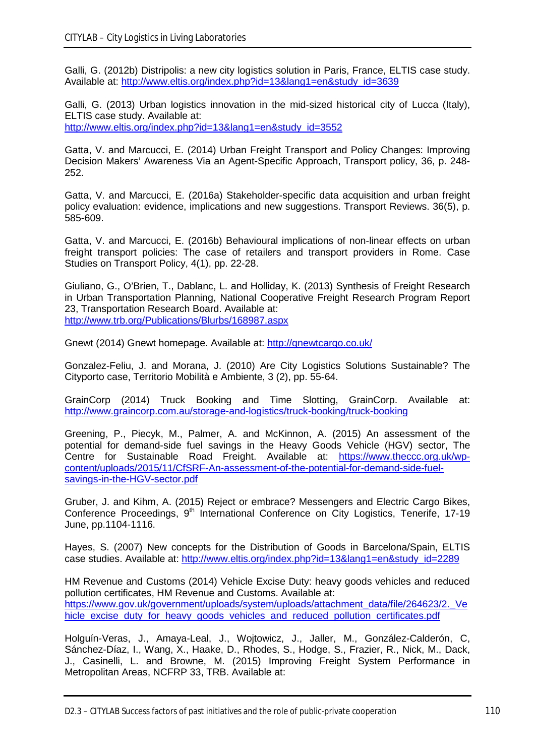Galli, G. (2012b) Distripolis: a new city logistics solution in Paris, France, ELTIS case study. Available at: [http://www.eltis.org/index.php?id=13&lang1=en&study\\_id=3639](http://www.eltis.org/index.php?id=13&lang1=en&study_id=3639)

Galli, G. (2013) Urban logistics innovation in the mid-sized historical city of Lucca (Italy), ELTIS case study. Available at: [http://www.eltis.org/index.php?id=13&lang1=en&study\\_id=3552](http://www.eltis.org/index.php?id=13&lang1=en&study_id=3552)

Gatta, V. and Marcucci, E. (2014) Urban Freight Transport and Policy Changes: Improving Decision Makers' Awareness Via an Agent-Specific Approach, Transport policy, 36, p. 248- 252.

Gatta, V. and Marcucci, E. (2016a) Stakeholder-specific data acquisition and urban freight policy evaluation: evidence, implications and new suggestions. Transport Reviews. 36(5), p. 585-609.

Gatta, V. and Marcucci, E. (2016b) Behavioural implications of non-linear effects on urban freight transport policies: The case of retailers and transport providers in Rome. Case Studies on Transport Policy, 4(1), pp. 22-28.

Giuliano, G., O'Brien, T., Dablanc, L. and Holliday, K. (2013) Synthesis of Freight Research in Urban Transportation Planning, National Cooperative Freight Research Program Report 23, Transportation Research Board. Available at: <http://www.trb.org/Publications/Blurbs/168987.aspx>

Gnewt (2014) Gnewt homepage. Available at:<http://gnewtcargo.co.uk/>

Gonzalez-Feliu, J. and Morana, J. (2010) Are City Logistics Solutions Sustainable? The Cityporto case, Territorio Mobilità e Ambiente, 3 (2), pp. 55-64.

GrainCorp (2014) Truck Booking and Time Slotting, GrainCorp. Available at: <http://www.graincorp.com.au/storage-and-logistics/truck-booking/truck-booking>

Greening, P., Piecyk, M., Palmer, A. and McKinnon, A. (2015) An assessment of the potential for demand-side fuel savings in the Heavy Goods Vehicle (HGV) sector, The Centre for Sustainable Road Freight. Available at: [https://www.theccc.org.uk/wp](https://www.theccc.org.uk/wp-content/uploads/2015/11/CfSRF-An-assessment-of-the-potential-for-demand-side-fuel-savings-in-the-HGV-sector.pdf)[content/uploads/2015/11/CfSRF-An-assessment-of-the-potential-for-demand-side-fuel](https://www.theccc.org.uk/wp-content/uploads/2015/11/CfSRF-An-assessment-of-the-potential-for-demand-side-fuel-savings-in-the-HGV-sector.pdf)[savings-in-the-HGV-sector.pdf](https://www.theccc.org.uk/wp-content/uploads/2015/11/CfSRF-An-assessment-of-the-potential-for-demand-side-fuel-savings-in-the-HGV-sector.pdf)

Gruber, J. and Kihm, A. (2015) Reject or embrace? Messengers and Electric Cargo Bikes, Conference Proceedings, 9<sup>th</sup> International Conference on City Logistics, Tenerife, 17-19 June, pp.1104-1116.

Hayes, S. (2007) New concepts for the Distribution of Goods in Barcelona/Spain, ELTIS case studies. Available at: [http://www.eltis.org/index.php?id=13&lang1=en&study\\_id=2289](http://www.eltis.org/index.php?id=13&lang1=en&study_id=2289)

HM Revenue and Customs (2014) Vehicle Excise Duty: heavy goods vehicles and reduced pollution certificates, HM Revenue and Customs. Available at: [https://www.gov.uk/government/uploads/system/uploads/attachment\\_data/file/264623/2.\\_Ve](https://www.gov.uk/government/uploads/system/uploads/attachment_data/file/264623/2._Vehicle_excise_duty_for_heavy_goods_vehicles_and_reduced_pollution_certificates.pdf) [hicle\\_excise\\_duty\\_for\\_heavy\\_goods\\_vehicles\\_and\\_reduced\\_pollution\\_certificates.pdf](https://www.gov.uk/government/uploads/system/uploads/attachment_data/file/264623/2._Vehicle_excise_duty_for_heavy_goods_vehicles_and_reduced_pollution_certificates.pdf)

Holguín-Veras, J., Amaya-Leal, J., Wojtowicz, J., Jaller, M., González-Calderón, C, Sánchez-Díaz, I., Wang, X., Haake, D., Rhodes, S., Hodge, S., Frazier, R., Nick, M., Dack, J., Casinelli, L. and Browne, M. (2015) Improving Freight System Performance in Metropolitan Areas, NCFRP 33, TRB. Available at: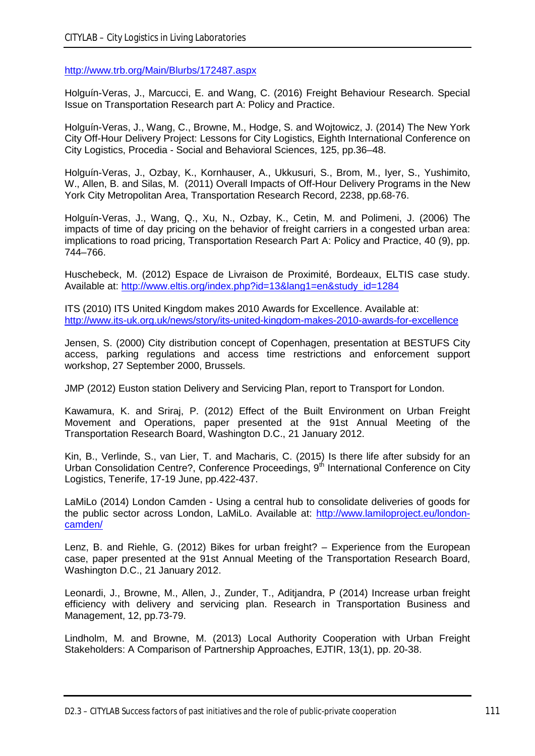<http://www.trb.org/Main/Blurbs/172487.aspx>

Holguín-Veras, J., Marcucci, E. and Wang, C. (2016) Freight Behaviour Research. Special Issue on Transportation Research part A: Policy and Practice.

Holguín-Veras, J., Wang, C., Browne, M., Hodge, S. and Wojtowicz, J. (2014) The New York City Off-Hour Delivery Project: Lessons for City Logistics, Eighth International Conference on City Logistics, Procedia - Social and Behavioral Sciences, 125, pp.36–48.

Holguín-Veras, J., Ozbay, K., Kornhauser, A., Ukkusuri, S., Brom, M., Iyer, S., Yushimito, W., Allen, B. and Silas, M. (2011) Overall Impacts of Off-Hour Delivery Programs in the New York City Metropolitan Area, Transportation Research Record, 2238, pp.68-76.

Holguín-Veras, J., Wang, Q., Xu, N., Ozbay, K., Cetin, M. and Polimeni, J. (2006) The impacts of time of day pricing on the behavior of freight carriers in a congested urban area: implications to road pricing, Transportation Research Part A: Policy and Practice, 40 (9), pp. 744–766.

Huschebeck, M. (2012) Espace de Livraison de Proximité, Bordeaux, ELTIS case study. Available at: [http://www.eltis.org/index.php?id=13&lang1=en&study\\_id=1284](http://www.eltis.org/index.php?id=13&lang1=en&study_id=1284)

ITS (2010) ITS United Kingdom makes 2010 Awards for Excellence. Available at: <http://www.its-uk.org.uk/news/story/its-united-kingdom-makes-2010-awards-for-excellence>

Jensen, S. (2000) City distribution concept of Copenhagen, presentation at BESTUFS City access, parking regulations and access time restrictions and enforcement support workshop, 27 September 2000, Brussels.

JMP (2012) Euston station Delivery and Servicing Plan, report to Transport for London.

Kawamura, K. and Sriraj, P. (2012) Effect of the Built Environment on Urban Freight Movement and Operations, paper presented at the 91st Annual Meeting of the Transportation Research Board, Washington D.C., 21 January 2012.

Kin, B., Verlinde, S., van Lier, T. and Macharis, C. (2015) Is there life after subsidy for an Urban Consolidation Centre?, Conference Proceedings, 9<sup>th</sup> International Conference on City Logistics, Tenerife, 17-19 June, pp.422-437.

LaMiLo (2014) London Camden - Using a central hub to consolidate deliveries of goods for the public sector across London, LaMiLo. Available at: [http://www.lamiloproject.eu/london](http://www.lamiloproject.eu/london-camden/)[camden/](http://www.lamiloproject.eu/london-camden/)

Lenz, B. and Riehle, G. (2012) Bikes for urban freight? – Experience from the European case, paper presented at the 91st Annual Meeting of the Transportation Research Board, Washington D.C., 21 January 2012.

Leonardi, J., Browne, M., Allen, J., Zunder, T., Aditjandra, P (2014) Increase urban freight efficiency with delivery and servicing plan. Research in Transportation Business and Management, 12, pp.73-79.

Lindholm, M. and Browne, M. (2013) Local Authority Cooperation with Urban Freight Stakeholders: A Comparison of Partnership Approaches, EJTIR, 13(1), pp. 20-38.

D2.3 – CITYLAB Success factors of past initiatives and the role of public-private cooperation 111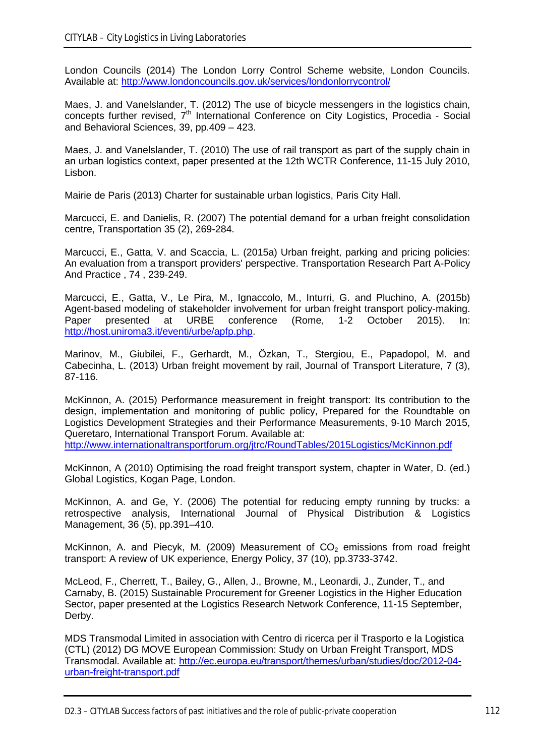London Councils (2014) The London Lorry Control Scheme website, London Councils. Available at:<http://www.londoncouncils.gov.uk/services/londonlorrycontrol/>

Maes, J. and Vanelslander, T. (2012) The use of bicycle messengers in the logistics chain, concepts further revised, 7<sup>th</sup> International Conference on City Logistics, Procedia - Social and Behavioral Sciences, 39, pp.409 – 423.

Maes, J. and Vanelslander, T. (2010) The use of rail transport as part of the supply chain in an urban logistics context, paper presented at the 12th WCTR Conference, 11-15 July 2010, Lisbon.

Mairie de Paris (2013) Charter for sustainable urban logistics, Paris City Hall.

Marcucci, E. and Danielis, R. (2007) The potential demand for a urban freight consolidation centre, Transportation 35 (2), 269-284.

Marcucci, E., Gatta, V. and Scaccia, L. (2015a) Urban freight, parking and pricing policies: An evaluation from a transport providers' perspective. Transportation Research Part A-Policy And Practice , 74 , 239-249.

Marcucci, E., Gatta, V., Le Pira, M., Ignaccolo, M., Inturri, G. and Pluchino, A. (2015b) Agent-based modeling of stakeholder involvement for urban freight transport policy-making. Paper presented at URBE conference (Rome, 1-2 October 2015). In: [http://host.uniroma3.it/eventi/urbe/apfp.php.](http://host.uniroma3.it/eventi/urbe/apfp.php)

Marinov, M., Giubilei, F., Gerhardt, M., Özkan, T., Stergiou, E., Papadopol, M. and Cabecinha, L. (2013) Urban freight movement by rail, Journal of Transport Literature, 7 (3), 87-116.

McKinnon, A. (2015) Performance measurement in freight transport: Its contribution to the design, implementation and monitoring of public policy, Prepared for the Roundtable on Logistics Development Strategies and their Performance Measurements, 9-10 March 2015, Queretaro, International Transport Forum. Available at: <http://www.internationaltransportforum.org/jtrc/RoundTables/2015Logistics/McKinnon.pdf>

McKinnon, A (2010) Optimising the road freight transport system, chapter in Water, D. (ed.) Global Logistics, Kogan Page, London.

McKinnon, A. and Ge, Y. (2006) The potential for reducing empty running by trucks: a retrospective analysis, International Journal of Physical Distribution & Logistics Management, 36 (5), pp.391–410.

McKinnon, A. and Piecyk, M. (2009) Measurement of  $CO<sub>2</sub>$  emissions from road freight transport: A review of UK experience, Energy Policy, 37 (10), pp.3733-3742.

McLeod, F., Cherrett, T., Bailey, G., Allen, J., Browne, M., Leonardi, J., Zunder, T., and Carnaby, B. (2015) Sustainable Procurement for Greener Logistics in the Higher Education Sector, paper presented at the Logistics Research Network Conference, 11-15 September, Derby.

MDS Transmodal Limited in association with Centro di ricerca per il Trasporto e la Logistica (CTL) (2012) DG MOVE European Commission: Study on Urban Freight Transport, MDS Transmodal. Available at: [http://ec.europa.eu/transport/themes/urban/studies/doc/2012-04](http://ec.europa.eu/transport/themes/urban/studies/doc/2012-04-urban-freight-transport.pdf) [urban-freight-transport.pdf](http://ec.europa.eu/transport/themes/urban/studies/doc/2012-04-urban-freight-transport.pdf)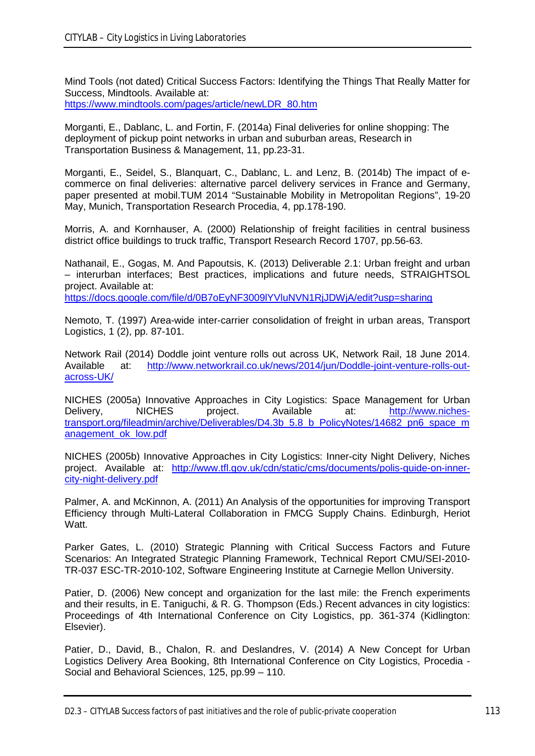Mind Tools (not dated) Critical Success Factors: Identifying the Things That Really Matter for Success, Mindtools. Available at:

[https://www.mindtools.com/pages/article/newLDR\\_80.htm](https://www.mindtools.com/pages/article/newLDR_80.htm)

Morganti, E., Dablanc, L. and Fortin, F. (2014a) Final deliveries for online shopping: The deployment of pickup point networks in urban and suburban areas, Research in Transportation Business & Management, 11, pp.23-31.

Morganti, E., Seidel, S., Blanquart, C., Dablanc, L. and Lenz, B. (2014b) The impact of ecommerce on final deliveries: alternative parcel delivery services in France and Germany, paper presented at mobil.TUM 2014 "Sustainable Mobility in Metropolitan Regions", 19-20 May, Munich, Transportation Research Procedia, 4, pp.178-190.

Morris, A. and Kornhauser, A. (2000) Relationship of freight facilities in central business district office buildings to truck traffic, Transport Research Record 1707, pp.56-63.

Nathanail, E., Gogas, M. And Papoutsis, K. (2013) Deliverable 2.1: Urban freight and urban – interurban interfaces; Best practices, implications and future needs, STRAIGHTSOL project. Available at: <https://docs.google.com/file/d/0B7oEyNF3009lYVluNVN1RjJDWjA/edit?usp=sharing>

Nemoto, T. (1997) Area-wide inter-carrier consolidation of freight in urban areas, Transport Logistics, 1 (2), pp. 87-101.

Network Rail (2014) Doddle joint venture rolls out across UK, Network Rail, 18 June 2014. Available at: [http://www.networkrail.co.uk/news/2014/jun/Doddle-joint-venture-rolls-out](http://www.networkrail.co.uk/news/2014/jun/Doddle-joint-venture-rolls-out-across-UK/)[across-UK/](http://www.networkrail.co.uk/news/2014/jun/Doddle-joint-venture-rolls-out-across-UK/)

NICHES (2005a) Innovative Approaches in City Logistics: Space Management for Urban Delivery, NICHES project. Available at: [http://www.niches](http://www.niches-transport.org/fileadmin/archive/Deliverables/D4.3b_5.8_b_PolicyNotes/14682_pn6_space_management_ok_low.pdf)[transport.org/fileadmin/archive/Deliverables/D4.3b\\_5.8\\_b\\_PolicyNotes/14682\\_pn6\\_space\\_m](http://www.niches-transport.org/fileadmin/archive/Deliverables/D4.3b_5.8_b_PolicyNotes/14682_pn6_space_management_ok_low.pdf) [anagement\\_ok\\_low.pdf](http://www.niches-transport.org/fileadmin/archive/Deliverables/D4.3b_5.8_b_PolicyNotes/14682_pn6_space_management_ok_low.pdf)

NICHES (2005b) Innovative Approaches in City Logistics: Inner-city Night Delivery, Niches project. Available at: [http://www.tfl.gov.uk/cdn/static/cms/documents/polis-guide-on-inner](http://www.tfl.gov.uk/cdn/static/cms/documents/polis-guide-on-inner-city-night-delivery.pdf)[city-night-delivery.pdf](http://www.tfl.gov.uk/cdn/static/cms/documents/polis-guide-on-inner-city-night-delivery.pdf)

Palmer, A. and McKinnon, A. (2011) An Analysis of the opportunities for improving Transport Efficiency through Multi-Lateral Collaboration in FMCG Supply Chains. Edinburgh, Heriot Watt.

Parker Gates, L. (2010) Strategic Planning with Critical Success Factors and Future Scenarios: An Integrated Strategic Planning Framework, Technical Report CMU/SEI-2010- TR-037 ESC-TR-2010-102, Software Engineering Institute at Carnegie Mellon University.

Patier, D. (2006) New concept and organization for the last mile: the French experiments and their results, in E. Taniguchi, & R. G. Thompson (Eds.) Recent advances in city logistics: Proceedings of 4th International Conference on City Logistics, pp. 361-374 (Kidlington: Elsevier).

Patier, D., David, B., Chalon, R. and Deslandres, V. (2014) A New Concept for Urban Logistics Delivery Area Booking, 8th International Conference on City Logistics, Procedia - Social and Behavioral Sciences, 125, pp.99 – 110.

D2.3 – CITYLAB Success factors of past initiatives and the role of public-private cooperation 113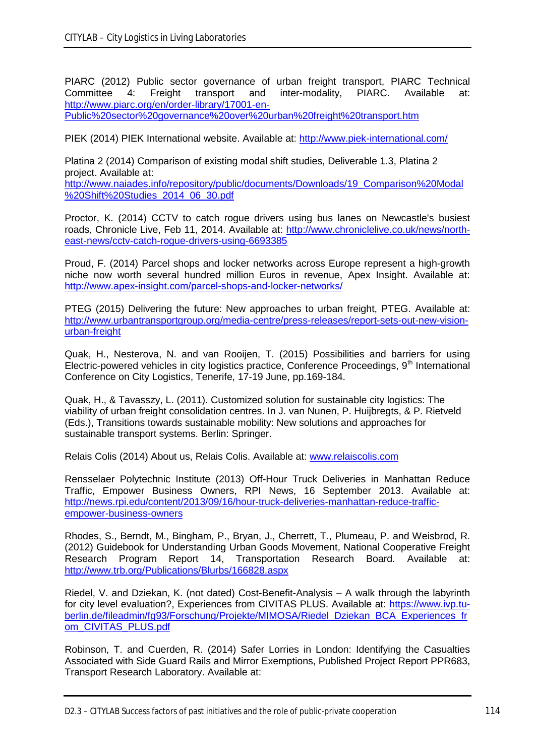PIARC (2012) Public sector governance of urban freight transport, PIARC Technical Committee 4: Freight transport and inter-modality, PIARC. Available at: 4: Freight transport and inter-modality, PIARC. Available at: [http://www.piarc.org/en/order-library/17001-en-](http://www.piarc.org/en/order-library/17001-en-Public%20sector%20governance%20over%20urban%20freight%20transport.htm)

[Public%20sector%20governance%20over%20urban%20freight%20transport.htm](http://www.piarc.org/en/order-library/17001-en-Public%20sector%20governance%20over%20urban%20freight%20transport.htm)

PIEK (2014) PIEK International website. Available at:<http://www.piek-international.com/>

Platina 2 (2014) Comparison of existing modal shift studies, Deliverable 1.3, Platina 2 project. Available at: [http://www.naiades.info/repository/public/documents/Downloads/19\\_Comparison%20Modal](http://www.naiades.info/repository/public/documents/Downloads/19_Comparison%20Modal%20Shift%20Studies_2014_06_30.pdf) [%20Shift%20Studies\\_2014\\_06\\_30.pdf](http://www.naiades.info/repository/public/documents/Downloads/19_Comparison%20Modal%20Shift%20Studies_2014_06_30.pdf)

Proctor, K. (2014) CCTV to catch rogue drivers using bus lanes on Newcastle's busiest roads, Chronicle Live, Feb 11, 2014. Available at: [http://www.chroniclelive.co.uk/news/north](http://www.chroniclelive.co.uk/news/north-east-news/cctv-catch-rogue-drivers-using-6693385)[east-news/cctv-catch-rogue-drivers-using-6693385](http://www.chroniclelive.co.uk/news/north-east-news/cctv-catch-rogue-drivers-using-6693385)

Proud, F. (2014) Parcel shops and locker networks across Europe represent a high-growth niche now worth several hundred million Euros in revenue, Apex Insight. Available at: <http://www.apex-insight.com/parcel-shops-and-locker-networks/>

PTEG (2015) Delivering the future: New approaches to urban freight, PTEG. Available at: [http://www.urbantransportgroup.org/media-centre/press-releases/report-sets-out-new-vision](http://www.urbantransportgroup.org/media-centre/press-releases/report-sets-out-new-vision-urban-freight)[urban-freight](http://www.urbantransportgroup.org/media-centre/press-releases/report-sets-out-new-vision-urban-freight)

Quak, H., Nesterova, N. and van Rooijen, T. (2015) Possibilities and barriers for using Electric-powered vehicles in city logistics practice, Conference Proceedings, 9<sup>th</sup> International Conference on City Logistics, Tenerife, 17-19 June, pp.169-184.

Quak, H., & Tavasszy, L. (2011). Customized solution for sustainable city logistics: The viability of urban freight consolidation centres. In J. van Nunen, P. Huijbregts, & P. Rietveld (Eds.), Transitions towards sustainable mobility: New solutions and approaches for sustainable transport systems. Berlin: Springer.

Relais Colis (2014) About us, Relais Colis. Available at: [www.relaiscolis.com](http://www.relaiscolis.com/)

Rensselaer Polytechnic Institute (2013) Off-Hour Truck Deliveries in Manhattan Reduce Traffic, Empower Business Owners, RPI News, 16 September 2013. Available at: [http://news.rpi.edu/content/2013/09/16/hour-truck-deliveries-manhattan-reduce-traffic](http://news.rpi.edu/content/2013/09/16/hour-truck-deliveries-manhattan-reduce-traffic-empower-business-owners)[empower-business-owners](http://news.rpi.edu/content/2013/09/16/hour-truck-deliveries-manhattan-reduce-traffic-empower-business-owners)

Rhodes, S., Berndt, M., Bingham, P., Bryan, J., Cherrett, T., Plumeau, P. and Weisbrod, R. (2012) Guidebook for Understanding Urban Goods Movement, National Cooperative Freight Research Program Report 14, Transportation Research Board. Available at: <http://www.trb.org/Publications/Blurbs/166828.aspx>

Riedel, V. and Dziekan, K. (not dated) Cost-Benefit-Analysis – A walk through the labyrinth for city level evaluation?, Experiences from CIVITAS PLUS. Available at: [https://www.ivp.tu](https://www.ivp.tu-berlin.de/fileadmin/fg93/Forschung/Projekte/MIMOSA/Riedel_Dziekan_BCA_Experiences_from_CIVITAS_PLUS.pdf)[berlin.de/fileadmin/fg93/Forschung/Projekte/MIMOSA/Riedel\\_Dziekan\\_BCA\\_Experiences\\_fr](https://www.ivp.tu-berlin.de/fileadmin/fg93/Forschung/Projekte/MIMOSA/Riedel_Dziekan_BCA_Experiences_from_CIVITAS_PLUS.pdf) [om\\_CIVITAS\\_PLUS.pdf](https://www.ivp.tu-berlin.de/fileadmin/fg93/Forschung/Projekte/MIMOSA/Riedel_Dziekan_BCA_Experiences_from_CIVITAS_PLUS.pdf)

Robinson, T. and Cuerden, R. (2014) Safer Lorries in London: Identifying the Casualties Associated with Side Guard Rails and Mirror Exemptions, Published Project Report PPR683, Transport Research Laboratory. Available at:

D2.3 – CITYLAB Success factors of past initiatives and the role of public-private cooperation 114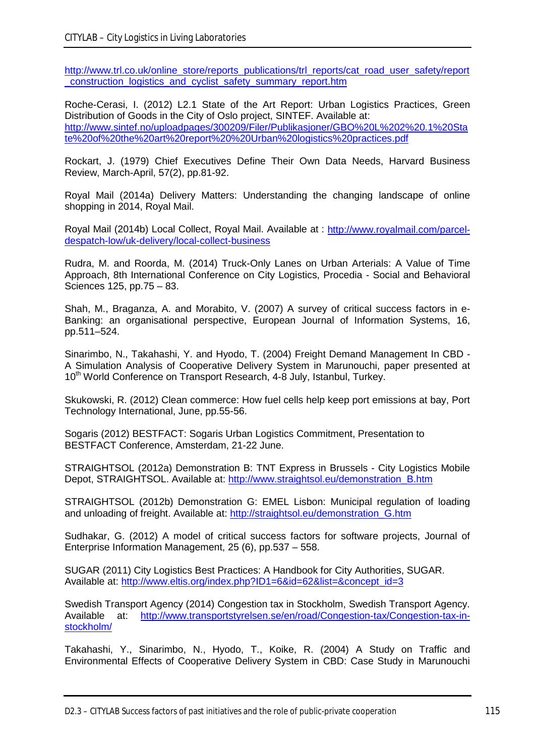[http://www.trl.co.uk/online\\_store/reports\\_publications/trl\\_reports/cat\\_road\\_user\\_safety/report](http://www.trl.co.uk/online_store/reports_publications/trl_reports/cat_road_user_safety/report_construction_logistics_and_cyclist_safety_summary_report.htm) [\\_construction\\_logistics\\_and\\_cyclist\\_safety\\_summary\\_report.htm](http://www.trl.co.uk/online_store/reports_publications/trl_reports/cat_road_user_safety/report_construction_logistics_and_cyclist_safety_summary_report.htm)

Roche-Cerasi, I. (2012) L2.1 State of the Art Report: Urban Logistics Practices, Green Distribution of Goods in the City of Oslo project, SINTEF. Available at: [http://www.sintef.no/uploadpages/300209/Filer/Publikasjoner/GBO%20L%202%20.1%20Sta](http://www.sintef.no/uploadpages/300209/Filer/Publikasjoner/GBO%20L%202%20.1%20State%20of%20the%20art%20report%20%20Urban%20logistics%20practices.pdf) [te%20of%20the%20art%20report%20%20Urban%20logistics%20practices.pdf](http://www.sintef.no/uploadpages/300209/Filer/Publikasjoner/GBO%20L%202%20.1%20State%20of%20the%20art%20report%20%20Urban%20logistics%20practices.pdf)

Rockart, J. (1979) Chief Executives Define Their Own Data Needs, Harvard Business Review, March-April, 57(2), pp.81-92.

Royal Mail (2014a) Delivery Matters: Understanding the changing landscape of online shopping in 2014, Royal Mail.

Royal Mail (2014b) Local Collect, Royal Mail. Available at : [http://www.royalmail.com/parcel](http://www.royalmail.com/parcel-despatch-low/uk-delivery/local-collect-business)[despatch-low/uk-delivery/local-collect-business](http://www.royalmail.com/parcel-despatch-low/uk-delivery/local-collect-business)

Rudra, M. and Roorda, M. (2014) Truck-Only Lanes on Urban Arterials: A Value of Time Approach, 8th International Conference on City Logistics, Procedia - Social and Behavioral Sciences 125, pp.75 – 83.

Shah, M., Braganza, A. and Morabito, V. (2007) A survey of critical success factors in e-Banking: an organisational perspective, European Journal of Information Systems, 16, pp.511–524.

Sinarimbo, N., Takahashi, Y. and Hyodo, T. (2004) Freight Demand Management In CBD - A Simulation Analysis of Cooperative Delivery System in Marunouchi, paper presented at 10<sup>th</sup> World Conference on Transport Research, 4-8 July, Istanbul, Turkey.

Skukowski, R. (2012) Clean commerce: How fuel cells help keep port emissions at bay, Port Technology International, June, pp.55-56.

Sogaris (2012) BESTFACT: Sogaris Urban Logistics Commitment, Presentation to BESTFACT Conference, Amsterdam, 21-22 June.

STRAIGHTSOL (2012a) Demonstration B: TNT Express in Brussels - City Logistics Mobile Depot, STRAIGHTSOL. Available at: [http://www.straightsol.eu/demonstration\\_B.htm](http://www.straightsol.eu/demonstration_B.htm)

STRAIGHTSOL (2012b) Demonstration G: EMEL Lisbon: Municipal regulation of loading and unloading of freight. Available at: [http://straightsol.eu/demonstration\\_G.htm](http://straightsol.eu/demonstration_G.htm)

Sudhakar, G. (2012) A model of critical success factors for software projects, Journal of Enterprise Information Management, 25 (6), pp.537 – 558.

SUGAR (2011) City Logistics Best Practices: A Handbook for City Authorities, SUGAR. Available at: [http://www.eltis.org/index.php?ID1=6&id=62&list=&concept\\_id=3](http://www.eltis.org/index.php?ID1=6&id=62&list=&concept_id=3)

Swedish Transport Agency (2014) Congestion tax in Stockholm, Swedish Transport Agency. Available at: [http://www.transportstyrelsen.se/en/road/Congestion-tax/Congestion-tax-in](http://www.transportstyrelsen.se/en/road/Congestion-tax/Congestion-tax-in-stockholm/)[stockholm/](http://www.transportstyrelsen.se/en/road/Congestion-tax/Congestion-tax-in-stockholm/)

Takahashi, Y., Sinarimbo, N., Hyodo, T., Koike, R. (2004) A Study on Traffic and Environmental Effects of Cooperative Delivery System in CBD: Case Study in Marunouchi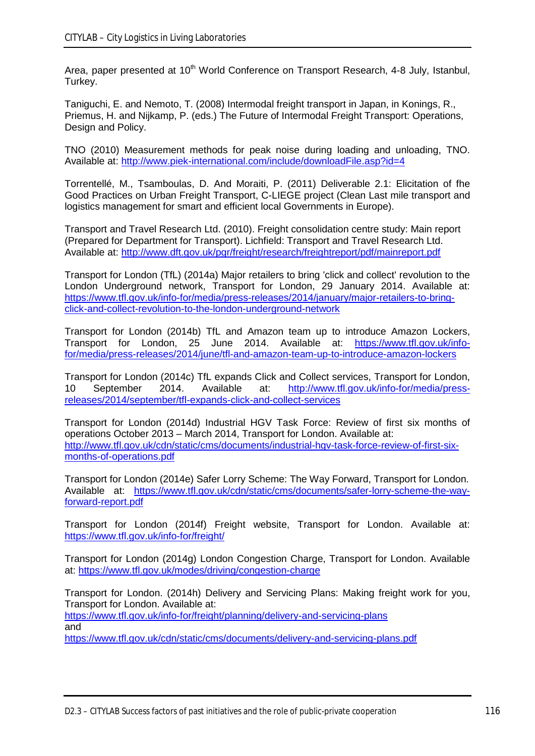Area, paper presented at 10<sup>th</sup> World Conference on Transport Research, 4-8 July, Istanbul, Turkey.

Taniguchi, E. and Nemoto, T. (2008) Intermodal freight transport in Japan, in Konings, R., Priemus, H. and Nijkamp, P. (eds.) The Future of Intermodal Freight Transport: Operations, Design and Policy.

TNO (2010) Measurement methods for peak noise during loading and unloading, TNO. Available at:<http://www.piek-international.com/include/downloadFile.asp?id=4>

Torrentellé, M., Tsamboulas, D. And Moraiti, P. (2011) Deliverable 2.1: Elicitation of fhe Good Practices on Urban Freight Transport, C-LIEGE project (Clean Last mile transport and logistics management for smart and efficient local Governments in Europe).

Transport and Travel Research Ltd. (2010). Freight consolidation centre study: Main report (Prepared for Department for Transport). Lichfield: Transport and Travel Research Ltd. Available at:<http://www.dft.gov.uk/pgr/freight/research/freightreport/pdf/mainreport.pdf>

Transport for London (TfL) (2014a) Major retailers to bring 'click and collect' revolution to the London Underground network, Transport for London, 29 January 2014. Available at: [https://www.tfl.gov.uk/info-for/media/press-releases/2014/january/major-retailers-to-bring](https://www.tfl.gov.uk/info-for/media/press-releases/2014/january/major-retailers-to-bring-click-and-collect-revolution-to-the-london-underground-network)[click-and-collect-revolution-to-the-london-underground-network](https://www.tfl.gov.uk/info-for/media/press-releases/2014/january/major-retailers-to-bring-click-and-collect-revolution-to-the-london-underground-network)

Transport for London (2014b) TfL and Amazon team up to introduce Amazon Lockers, Transport for London, 25 June 2014. Available at: [https://www.tfl.gov.uk/info](https://www.tfl.gov.uk/info-for/media/press-releases/2014/june/tfl-and-amazon-team-up-to-introduce-amazon-lockers)[for/media/press-releases/2014/june/tfl-and-amazon-team-up-to-introduce-amazon-lockers](https://www.tfl.gov.uk/info-for/media/press-releases/2014/june/tfl-and-amazon-team-up-to-introduce-amazon-lockers)

Transport for London (2014c) TfL expands Click and Collect services, Transport for London, 10 September 2014. Available at: [http://www.tfl.gov.uk/info-for/media/press](http://www.tfl.gov.uk/info-for/media/press-releases/2014/september/tfl-expands-click-and-collect-services)[releases/2014/september/tfl-expands-click-and-collect-services](http://www.tfl.gov.uk/info-for/media/press-releases/2014/september/tfl-expands-click-and-collect-services)

Transport for London (2014d) Industrial HGV Task Force: Review of first six months of operations October 2013 – March 2014, Transport for London. Available at: [http://www.tfl.gov.uk/cdn/static/cms/documents/industrial-hgv-task-force-review-of-first-six](http://www.tfl.gov.uk/cdn/static/cms/documents/industrial-hgv-task-force-review-of-first-six-months-of-operations.pdf)[months-of-operations.pdf](http://www.tfl.gov.uk/cdn/static/cms/documents/industrial-hgv-task-force-review-of-first-six-months-of-operations.pdf)

Transport for London (2014e) Safer Lorry Scheme: The Way Forward, Transport for London. Available at: [https://www.tfl.gov.uk/cdn/static/cms/documents/safer-lorry-scheme-the-way](https://www.tfl.gov.uk/cdn/static/cms/documents/safer-lorry-scheme-the-way-forward-report.pdf)[forward-report.pdf](https://www.tfl.gov.uk/cdn/static/cms/documents/safer-lorry-scheme-the-way-forward-report.pdf)

Transport for London (2014f) Freight website, Transport for London. Available at: <https://www.tfl.gov.uk/info-for/freight/>

Transport for London (2014g) London Congestion Charge, Transport for London. Available at: <https://www.tfl.gov.uk/modes/driving/congestion-charge>

Transport for London. (2014h) Delivery and Servicing Plans: Making freight work for you, Transport for London. Available at: <https://www.tfl.gov.uk/info-for/freight/planning/delivery-and-servicing-plans> and <https://www.tfl.gov.uk/cdn/static/cms/documents/delivery-and-servicing-plans.pdf>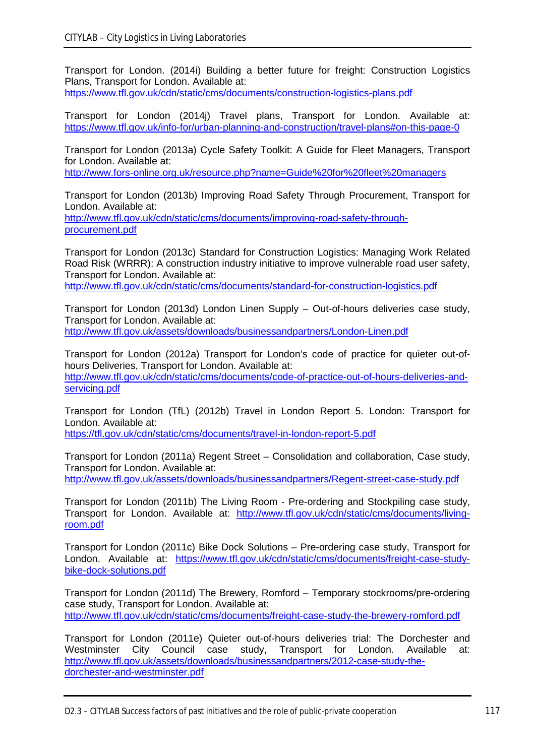Transport for London. (2014i) Building a better future for freight: Construction Logistics Plans, Transport for London. Available at:

<https://www.tfl.gov.uk/cdn/static/cms/documents/construction-logistics-plans.pdf>

Transport for London (2014j) Travel plans, Transport for London. Available at: <https://www.tfl.gov.uk/info-for/urban-planning-and-construction/travel-plans#on-this-page-0>

Transport for London (2013a) Cycle Safety Toolkit: A Guide for Fleet Managers, Transport for London. Available at:

<http://www.fors-online.org.uk/resource.php?name=Guide%20for%20fleet%20managers>

Transport for London (2013b) Improving Road Safety Through Procurement, Transport for London. Available at:

[http://www.tfl.gov.uk/cdn/static/cms/documents/improving-road-safety-through](http://www.tfl.gov.uk/cdn/static/cms/documents/improving-road-safety-through-procurement.pdf)[procurement.pdf](http://www.tfl.gov.uk/cdn/static/cms/documents/improving-road-safety-through-procurement.pdf)

Transport for London (2013c) Standard for Construction Logistics: Managing Work Related Road Risk (WRRR): A construction industry initiative to improve vulnerable road user safety, Transport for London. Available at:

<http://www.tfl.gov.uk/cdn/static/cms/documents/standard-for-construction-logistics.pdf>

Transport for London (2013d) London Linen Supply – Out-of-hours deliveries case study, Transport for London. Available at: <http://www.tfl.gov.uk/assets/downloads/businessandpartners/London-Linen.pdf>

Transport for London (2012a) Transport for London's code of practice for quieter out-ofhours Deliveries, Transport for London. Available at: [http://www.tfl.gov.uk/cdn/static/cms/documents/code-of-practice-out-of-hours-deliveries-and](http://www.tfl.gov.uk/cdn/static/cms/documents/code-of-practice-out-of-hours-deliveries-and-servicing.pdf)[servicing.pdf](http://www.tfl.gov.uk/cdn/static/cms/documents/code-of-practice-out-of-hours-deliveries-and-servicing.pdf)

Transport for London (TfL) (2012b) Travel in London Report 5. London: Transport for London. Available at:

<https://tfl.gov.uk/cdn/static/cms/documents/travel-in-london-report-5.pdf>

Transport for London (2011a) Regent Street – Consolidation and collaboration, Case study, Transport for London. Available at: <http://www.tfl.gov.uk/assets/downloads/businessandpartners/Regent-street-case-study.pdf>

Transport for London (2011b) The Living Room - Pre-ordering and Stockpiling case study, Transport for London. Available at: [http://www.tfl.gov.uk/cdn/static/cms/documents/living](http://www.tfl.gov.uk/cdn/static/cms/documents/living-room.pdf)[room.pdf](http://www.tfl.gov.uk/cdn/static/cms/documents/living-room.pdf)

Transport for London (2011c) Bike Dock Solutions – Pre-ordering case study, Transport for London. Available at: [https://www.tfl.gov.uk/cdn/static/cms/documents/freight-case-study](https://www.tfl.gov.uk/cdn/static/cms/documents/freight-case-study-bike-dock-solutions.pdf)[bike-dock-solutions.pdf](https://www.tfl.gov.uk/cdn/static/cms/documents/freight-case-study-bike-dock-solutions.pdf)

Transport for London (2011d) The Brewery, Romford – Temporary stockrooms/pre-ordering case study, Transport for London. Available at: <http://www.tfl.gov.uk/cdn/static/cms/documents/freight-case-study-the-brewery-romford.pdf>

Transport for London (2011e) Quieter out-of-hours deliveries trial: The Dorchester and Westminster City Council case study, Transport for London. Available at: [http://www.tfl.gov.uk/assets/downloads/businessandpartners/2012-case-study-the](http://www.tfl.gov.uk/assets/downloads/businessandpartners/2012-case-study-the-dorchester-and-westminster.pdf)[dorchester-and-westminster.pdf](http://www.tfl.gov.uk/assets/downloads/businessandpartners/2012-case-study-the-dorchester-and-westminster.pdf)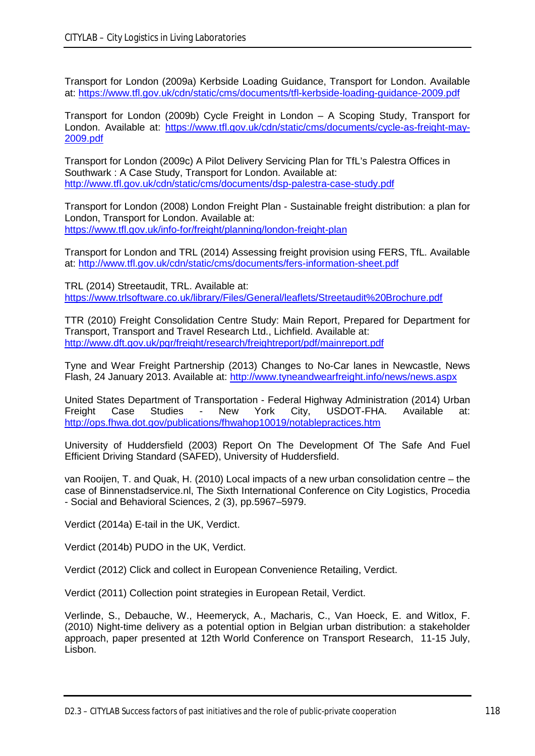Transport for London (2009a) Kerbside Loading Guidance, Transport for London. Available at:<https://www.tfl.gov.uk/cdn/static/cms/documents/tfl-kerbside-loading-guidance-2009.pdf>

Transport for London (2009b) Cycle Freight in London – A Scoping Study, Transport for London. Available at: [https://www.tfl.gov.uk/cdn/static/cms/documents/cycle-as-freight-may-](https://www.tfl.gov.uk/cdn/static/cms/documents/cycle-as-freight-may-2009.pdf)[2009.pdf](https://www.tfl.gov.uk/cdn/static/cms/documents/cycle-as-freight-may-2009.pdf)

Transport for London (2009c) A Pilot Delivery Servicing Plan for TfL's Palestra Offices in Southwark : A Case Study, Transport for London. Available at: <http://www.tfl.gov.uk/cdn/static/cms/documents/dsp-palestra-case-study.pdf>

Transport for London (2008) London Freight Plan - Sustainable freight distribution: a plan for London, Transport for London. Available at: <https://www.tfl.gov.uk/info-for/freight/planning/london-freight-plan>

Transport for London and TRL (2014) Assessing freight provision using FERS, TfL. Available at:<http://www.tfl.gov.uk/cdn/static/cms/documents/fers-information-sheet.pdf>

TRL (2014) Streetaudit, TRL. Available at: <https://www.trlsoftware.co.uk/library/Files/General/leaflets/Streetaudit%20Brochure.pdf>

TTR (2010) Freight Consolidation Centre Study: Main Report, Prepared for Department for Transport, Transport and Travel Research Ltd., Lichfield. Available at: <http://www.dft.gov.uk/pgr/freight/research/freightreport/pdf/mainreport.pdf>

Tyne and Wear Freight Partnership (2013) Changes to No-Car lanes in Newcastle, News Flash, 24 January 2013. Available at:<http://www.tyneandwearfreight.info/news/news.aspx>

United States Department of Transportation - Federal Highway Administration (2014) Urban<br>Freight Case Studies - New York City. USDOT-FHA. Available at: Freight Case Studies - New York City, USDOT-FHA. Available at: <http://ops.fhwa.dot.gov/publications/fhwahop10019/notablepractices.htm>

University of Huddersfield (2003) Report On The Development Of The Safe And Fuel Efficient Driving Standard (SAFED), University of Huddersfield.

van Rooijen, T. and Quak, H. (2010) Local impacts of a new urban consolidation centre – the case of Binnenstadservice.nl, The Sixth International Conference on City Logistics, Procedia - Social and Behavioral Sciences, 2 (3), pp.5967–5979.

Verdict (2014a) E-tail in the UK, Verdict.

Verdict (2014b) PUDO in the UK, Verdict.

Verdict (2012) Click and collect in European Convenience Retailing, Verdict.

Verdict (2011) Collection point strategies in European Retail, Verdict.

Verlinde, S., Debauche, W., Heemeryck, A., Macharis, C., Van Hoeck, E. and Witlox, F. (2010) Night-time delivery as a potential option in Belgian urban distribution: a stakeholder approach, paper presented at 12th World Conference on Transport Research, 11-15 July, Lisbon.